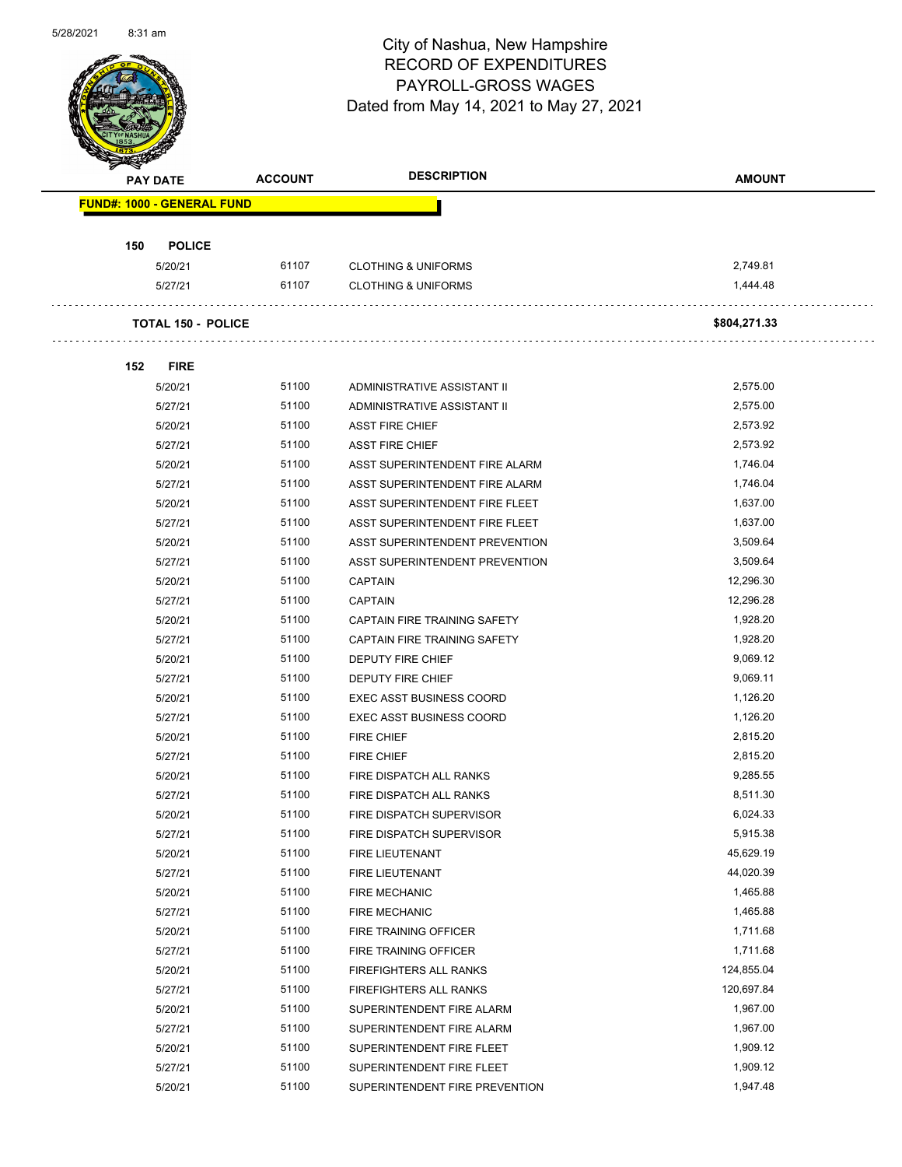

Page 50 of 102

| <b>PAY DATE</b>                   | <b>ACCOUNT</b> | <b>DESCRIPTION</b>              | <b>AMOUNT</b> |
|-----------------------------------|----------------|---------------------------------|---------------|
| <b>FUND#: 1000 - GENERAL FUND</b> |                |                                 |               |
| 150<br><b>POLICE</b>              |                |                                 |               |
| 5/20/21                           | 61107          | <b>CLOTHING &amp; UNIFORMS</b>  | 2,749.81      |
| 5/27/21                           | 61107          | <b>CLOTHING &amp; UNIFORMS</b>  | 1,444.48      |
| <b>TOTAL 150 - POLICE</b>         |                |                                 | \$804,271.33  |
| 152<br><b>FIRE</b>                |                |                                 |               |
| 5/20/21                           | 51100          | ADMINISTRATIVE ASSISTANT II     | 2,575.00      |
| 5/27/21                           | 51100          | ADMINISTRATIVE ASSISTANT II     | 2,575.00      |
| 5/20/21                           | 51100          | <b>ASST FIRE CHIEF</b>          | 2,573.92      |
| 5/27/21                           | 51100          | <b>ASST FIRE CHIEF</b>          | 2,573.92      |
| 5/20/21                           | 51100          | ASST SUPERINTENDENT FIRE ALARM  | 1,746.04      |
| 5/27/21                           | 51100          | ASST SUPERINTENDENT FIRE ALARM  | 1,746.04      |
| 5/20/21                           | 51100          | ASST SUPERINTENDENT FIRE FLEET  | 1,637.00      |
| 5/27/21                           | 51100          | ASST SUPERINTENDENT FIRE FLEET  | 1,637.00      |
| 5/20/21                           | 51100          | ASST SUPERINTENDENT PREVENTION  | 3,509.64      |
| 5/27/21                           | 51100          | ASST SUPERINTENDENT PREVENTION  | 3,509.64      |
| 5/20/21                           | 51100          | <b>CAPTAIN</b>                  | 12,296.30     |
| 5/27/21                           | 51100          | <b>CAPTAIN</b>                  | 12,296.28     |
| 5/20/21                           | 51100          | CAPTAIN FIRE TRAINING SAFETY    | 1,928.20      |
| 5/27/21                           | 51100          | CAPTAIN FIRE TRAINING SAFETY    | 1,928.20      |
| 5/20/21                           | 51100          | DEPUTY FIRE CHIEF               | 9,069.12      |
| 5/27/21                           | 51100          | DEPUTY FIRE CHIEF               | 9,069.11      |
| 5/20/21                           | 51100          | <b>EXEC ASST BUSINESS COORD</b> | 1,126.20      |
| 5/27/21                           | 51100          | <b>EXEC ASST BUSINESS COORD</b> | 1,126.20      |
| 5/20/21                           | 51100          | <b>FIRE CHIEF</b>               | 2,815.20      |
| 5/27/21                           | 51100          | <b>FIRE CHIEF</b>               | 2,815.20      |
| 5/20/21                           | 51100          | FIRE DISPATCH ALL RANKS         | 9.285.55      |
| 5/27/21                           | 51100          | FIRE DISPATCH ALL RANKS         | 8,511.30      |
| 5/20/21                           | 51100          | FIRE DISPATCH SUPERVISOR        | 6,024.33      |
| 5/27/21                           | 51100          | FIRE DISPATCH SUPERVISOR        | 5,915.38      |
| 5/20/21                           | 51100          | FIRE LIEUTENANT                 | 45,629.19     |
| 5/27/21                           | 51100          | FIRE LIEUTENANT                 | 44,020.39     |
| 5/20/21                           | 51100          | <b>FIRE MECHANIC</b>            | 1,465.88      |
| 5/27/21                           | 51100          | <b>FIRE MECHANIC</b>            | 1,465.88      |
| 5/20/21                           | 51100          | FIRE TRAINING OFFICER           | 1,711.68      |
| 5/27/21                           | 51100          | FIRE TRAINING OFFICER           | 1,711.68      |
| 5/20/21                           | 51100          | FIREFIGHTERS ALL RANKS          | 124,855.04    |
| 5/27/21                           | 51100          | FIREFIGHTERS ALL RANKS          | 120,697.84    |
| 5/20/21                           | 51100          | SUPERINTENDENT FIRE ALARM       | 1,967.00      |
| 5/27/21                           | 51100          | SUPERINTENDENT FIRE ALARM       | 1,967.00      |
| 5/20/21                           | 51100          | SUPERINTENDENT FIRE FLEET       | 1,909.12      |
| 5/27/21                           | 51100          | SUPERINTENDENT FIRE FLEET       | 1,909.12      |
| 5/20/21                           | 51100          | SUPERINTENDENT FIRE PREVENTION  | 1,947.48      |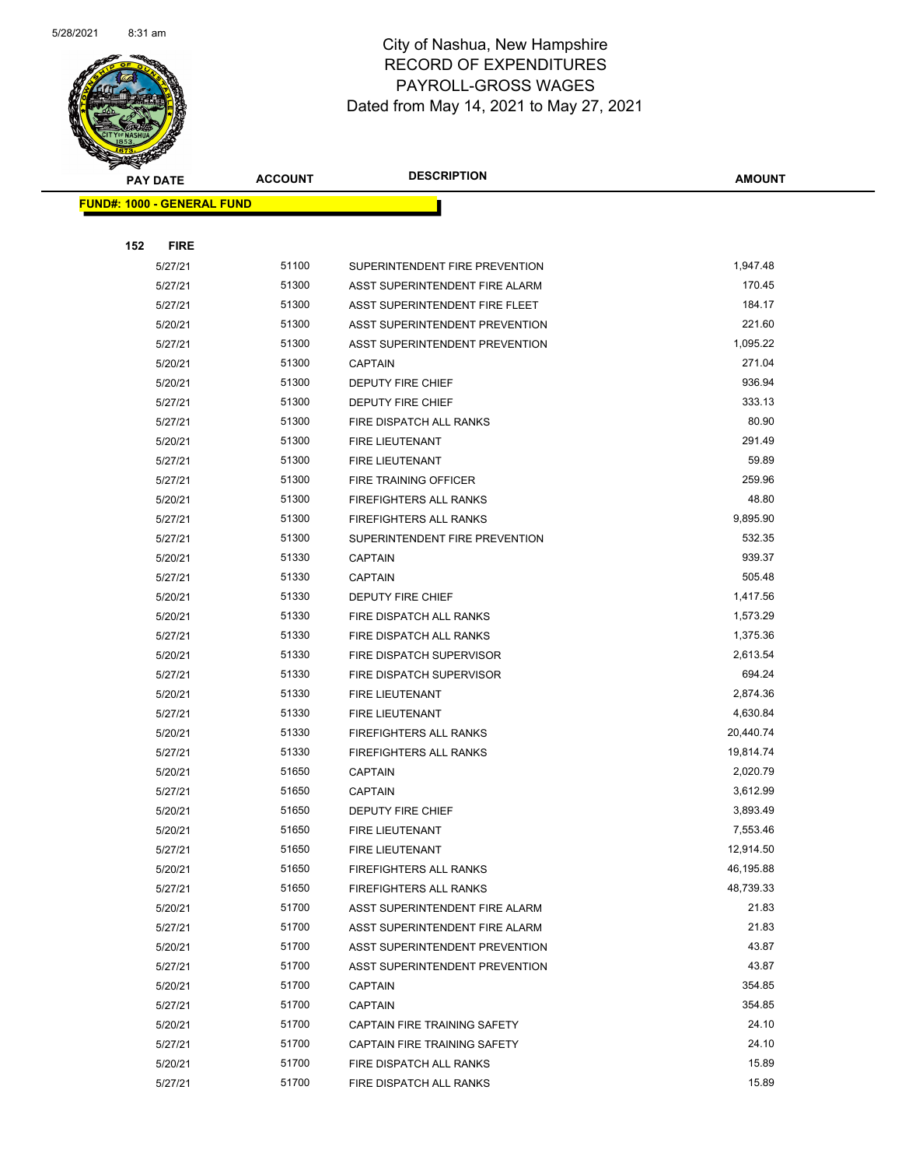

|     | <b>PAY DATE</b>                   | <b>ACCOUNT</b> | <b>DESCRIPTION</b>             | <b>AMOUNT</b> |
|-----|-----------------------------------|----------------|--------------------------------|---------------|
|     | <b>FUND#: 1000 - GENERAL FUND</b> |                |                                |               |
|     |                                   |                |                                |               |
| 152 | <b>FIRE</b>                       |                |                                |               |
|     | 5/27/21                           | 51100          | SUPERINTENDENT FIRE PREVENTION | 1,947.48      |
|     | 5/27/21                           | 51300          | ASST SUPERINTENDENT FIRE ALARM | 170.45        |
|     | 5/27/21                           | 51300          | ASST SUPERINTENDENT FIRE FLEET | 184.17        |
|     | 5/20/21                           | 51300          | ASST SUPERINTENDENT PREVENTION | 221.60        |
|     | 5/27/21                           | 51300          | ASST SUPERINTENDENT PREVENTION | 1,095.22      |
|     | 5/20/21                           | 51300          | <b>CAPTAIN</b>                 | 271.04        |
|     | 5/20/21                           | 51300          | DEPUTY FIRE CHIEF              | 936.94        |
|     | 5/27/21                           | 51300          | DEPUTY FIRE CHIEF              | 333.13        |
|     | 5/27/21                           | 51300          | FIRE DISPATCH ALL RANKS        | 80.90         |
|     | 5/20/21                           | 51300          | FIRE LIEUTENANT                | 291.49        |
|     | 5/27/21                           | 51300          | FIRE LIEUTENANT                | 59.89         |
|     | 5/27/21                           | 51300          | FIRE TRAINING OFFICER          | 259.96        |
|     | 5/20/21                           | 51300          | <b>FIREFIGHTERS ALL RANKS</b>  | 48.80         |
|     | 5/27/21                           | 51300          | <b>FIREFIGHTERS ALL RANKS</b>  | 9,895.90      |
|     | 5/27/21                           | 51300          | SUPERINTENDENT FIRE PREVENTION | 532.35        |
|     | 5/20/21                           | 51330          | <b>CAPTAIN</b>                 | 939.37        |
|     | 5/27/21                           | 51330          | <b>CAPTAIN</b>                 | 505.48        |
|     | 5/20/21                           | 51330          | DEPUTY FIRE CHIEF              | 1,417.56      |
|     | 5/20/21                           | 51330          | FIRE DISPATCH ALL RANKS        | 1,573.29      |
|     | 5/27/21                           | 51330          | FIRE DISPATCH ALL RANKS        | 1,375.36      |
|     | 5/20/21                           | 51330          | FIRE DISPATCH SUPERVISOR       | 2,613.54      |
|     | 5/27/21                           | 51330          | FIRE DISPATCH SUPERVISOR       | 694.24        |
|     | 5/20/21                           | 51330          | FIRE LIEUTENANT                | 2,874.36      |
|     | 5/27/21                           | 51330          | FIRE LIEUTENANT                | 4,630.84      |
|     | 5/20/21                           | 51330          | <b>FIREFIGHTERS ALL RANKS</b>  | 20,440.74     |
|     | 5/27/21                           | 51330          | FIREFIGHTERS ALL RANKS         | 19,814.74     |
|     | 5/20/21                           | 51650          | <b>CAPTAIN</b>                 | 2,020.79      |
|     | 5/27/21                           | 51650          | <b>CAPTAIN</b>                 | 3,612.99      |
|     | 5/20/21                           | 51650          | <b>DEPUTY FIRE CHIEF</b>       | 3,893.49      |
|     | 5/20/21                           | 51650          | FIRE LIEUTENANT                | 7,553.46      |
|     | 5/27/21                           | 51650          | FIRE LIEUTENANT                | 12,914.50     |
|     | 5/20/21                           | 51650          | FIREFIGHTERS ALL RANKS         | 46,195.88     |
|     | 5/27/21                           | 51650          | FIREFIGHTERS ALL RANKS         | 48,739.33     |
|     | 5/20/21                           | 51700          | ASST SUPERINTENDENT FIRE ALARM | 21.83         |
|     | 5/27/21                           | 51700          | ASST SUPERINTENDENT FIRE ALARM | 21.83         |
|     | 5/20/21                           | 51700          | ASST SUPERINTENDENT PREVENTION | 43.87         |
|     | 5/27/21                           | 51700          | ASST SUPERINTENDENT PREVENTION | 43.87         |
|     | 5/20/21                           | 51700          | <b>CAPTAIN</b>                 | 354.85        |
|     | 5/27/21                           | 51700          | <b>CAPTAIN</b>                 | 354.85        |
|     | 5/20/21                           | 51700          | CAPTAIN FIRE TRAINING SAFETY   | 24.10         |
|     | 5/27/21                           | 51700          | CAPTAIN FIRE TRAINING SAFETY   | 24.10         |
|     | 5/20/21                           | 51700          | FIRE DISPATCH ALL RANKS        | 15.89         |
|     | 5/27/21                           | 51700          | FIRE DISPATCH ALL RANKS        | 15.89         |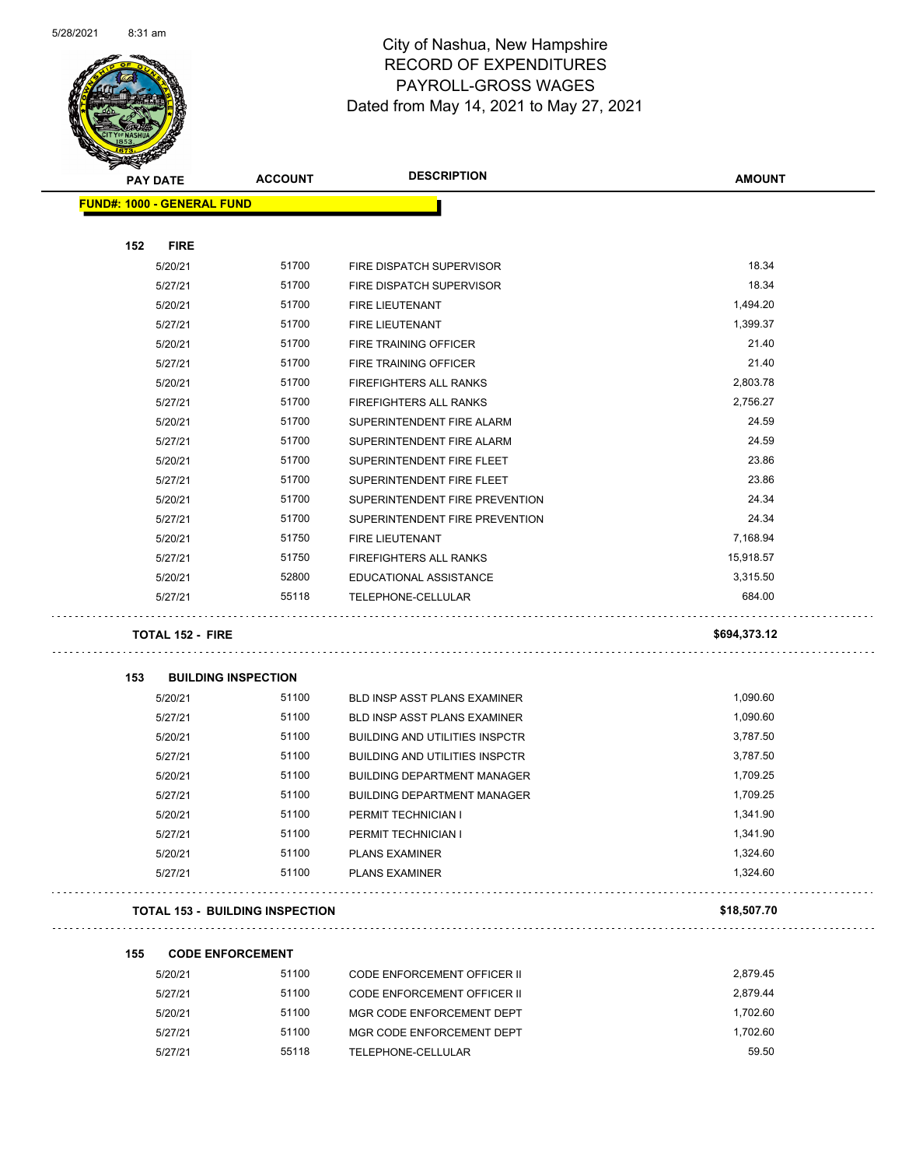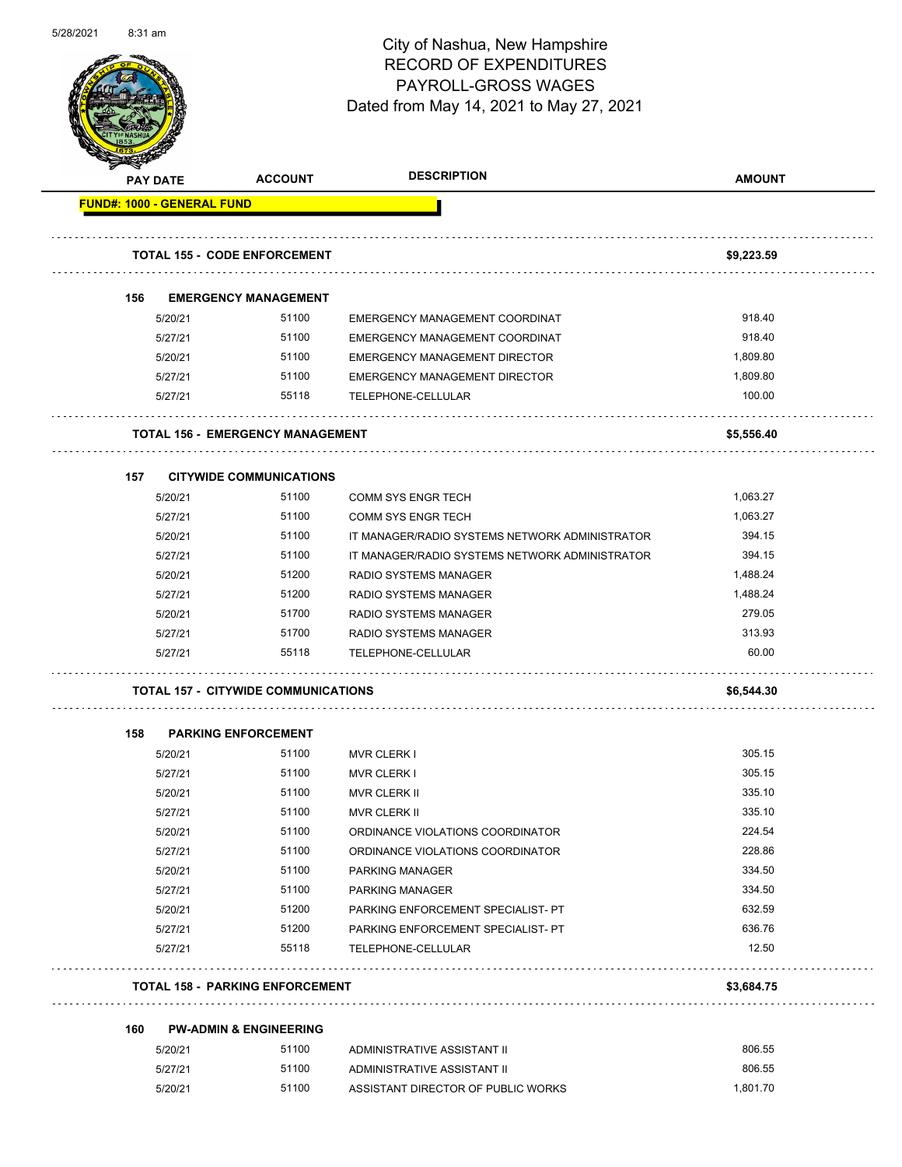

Page 53 of 102

|     |                    |                                            | <b>DESCRIPTION</b>                                         |                  |
|-----|--------------------|--------------------------------------------|------------------------------------------------------------|------------------|
|     | <b>PAY DATE</b>    | <b>ACCOUNT</b>                             |                                                            | <b>AMOUNT</b>    |
|     |                    | <b>FUND#: 1000 - GENERAL FUND</b>          |                                                            |                  |
|     |                    | <b>TOTAL 155 - CODE ENFORCEMENT</b>        |                                                            | \$9,223.59       |
|     |                    |                                            |                                                            |                  |
| 156 |                    | <b>EMERGENCY MANAGEMENT</b>                |                                                            |                  |
|     | 5/20/21            | 51100                                      | EMERGENCY MANAGEMENT COORDINAT                             | 918.40           |
|     | 5/27/21            | 51100                                      | EMERGENCY MANAGEMENT COORDINAT                             | 918.40           |
|     | 5/20/21            | 51100                                      | EMERGENCY MANAGEMENT DIRECTOR                              | 1,809.80         |
|     | 5/27/21            | 51100                                      | EMERGENCY MANAGEMENT DIRECTOR                              | 1,809.80         |
|     | 5/27/21            | 55118                                      | TELEPHONE-CELLULAR<br>.                                    | 100.00           |
|     |                    | <b>TOTAL 156 - EMERGENCY MANAGEMENT</b>    |                                                            | \$5,556.40       |
| 157 |                    | <b>CITYWIDE COMMUNICATIONS</b>             |                                                            |                  |
|     | 5/20/21            | 51100                                      | <b>COMM SYS ENGR TECH</b>                                  | 1,063.27         |
|     | 5/27/21            | 51100                                      | <b>COMM SYS ENGR TECH</b>                                  | 1,063.27         |
|     | 5/20/21            | 51100                                      | IT MANAGER/RADIO SYSTEMS NETWORK ADMINISTRATOR             | 394.15           |
|     | 5/27/21            | 51100                                      | IT MANAGER/RADIO SYSTEMS NETWORK ADMINISTRATOR             | 394.15           |
|     | 5/20/21            | 51200                                      | RADIO SYSTEMS MANAGER                                      | 1,488.24         |
|     | 5/27/21            | 51200                                      | RADIO SYSTEMS MANAGER                                      | 1,488.24         |
|     | 5/20/21            | 51700                                      | RADIO SYSTEMS MANAGER                                      | 279.05           |
|     |                    |                                            |                                                            |                  |
|     |                    | 51700                                      |                                                            | 313.93           |
|     | 5/27/21<br>5/27/21 | 55118                                      | RADIO SYSTEMS MANAGER<br>TELEPHONE-CELLULAR                | 60.00            |
|     |                    | <b>TOTAL 157 - CITYWIDE COMMUNICATIONS</b> |                                                            | \$6,544.30       |
|     |                    |                                            |                                                            |                  |
| 158 |                    | <b>PARKING ENFORCEMENT</b>                 |                                                            |                  |
|     | 5/20/21            | 51100                                      | <b>MVR CLERK I</b>                                         | 305.15           |
|     | 5/27/21            | 51100                                      | <b>MVR CLERK I</b>                                         | 305.15           |
|     | 5/20/21            | 51100                                      | <b>MVR CLERK II</b>                                        | 335.10           |
|     | 5/27/21            | 51100                                      | <b>MVR CLERK II</b>                                        | 335.10           |
|     | 5/20/21            | 51100                                      | ORDINANCE VIOLATIONS COORDINATOR                           | 224.54<br>228.86 |
|     | 5/27/21            | 51100                                      | ORDINANCE VIOLATIONS COORDINATOR                           |                  |
|     | 5/20/21            | 51100                                      | PARKING MANAGER                                            | 334.50           |
|     | 5/27/21            | 51100                                      | PARKING MANAGER                                            | 334.50           |
|     | 5/20/21            | 51200                                      | PARKING ENFORCEMENT SPECIALIST- PT                         | 632.59           |
|     | 5/27/21<br>5/27/21 | 51200<br>55118                             | PARKING ENFORCEMENT SPECIALIST- PT<br>TELEPHONE-CELLULAR   | 636.76<br>12.50  |
|     |                    | <b>TOTAL 158 - PARKING ENFORCEMENT</b>     |                                                            | \$3,684.75       |
|     |                    |                                            |                                                            |                  |
| 160 |                    | <b>PW-ADMIN &amp; ENGINEERING</b>          |                                                            |                  |
|     | 5/20/21<br>5/27/21 | 51100<br>51100                             | ADMINISTRATIVE ASSISTANT II<br>ADMINISTRATIVE ASSISTANT II | 806.55<br>806.55 |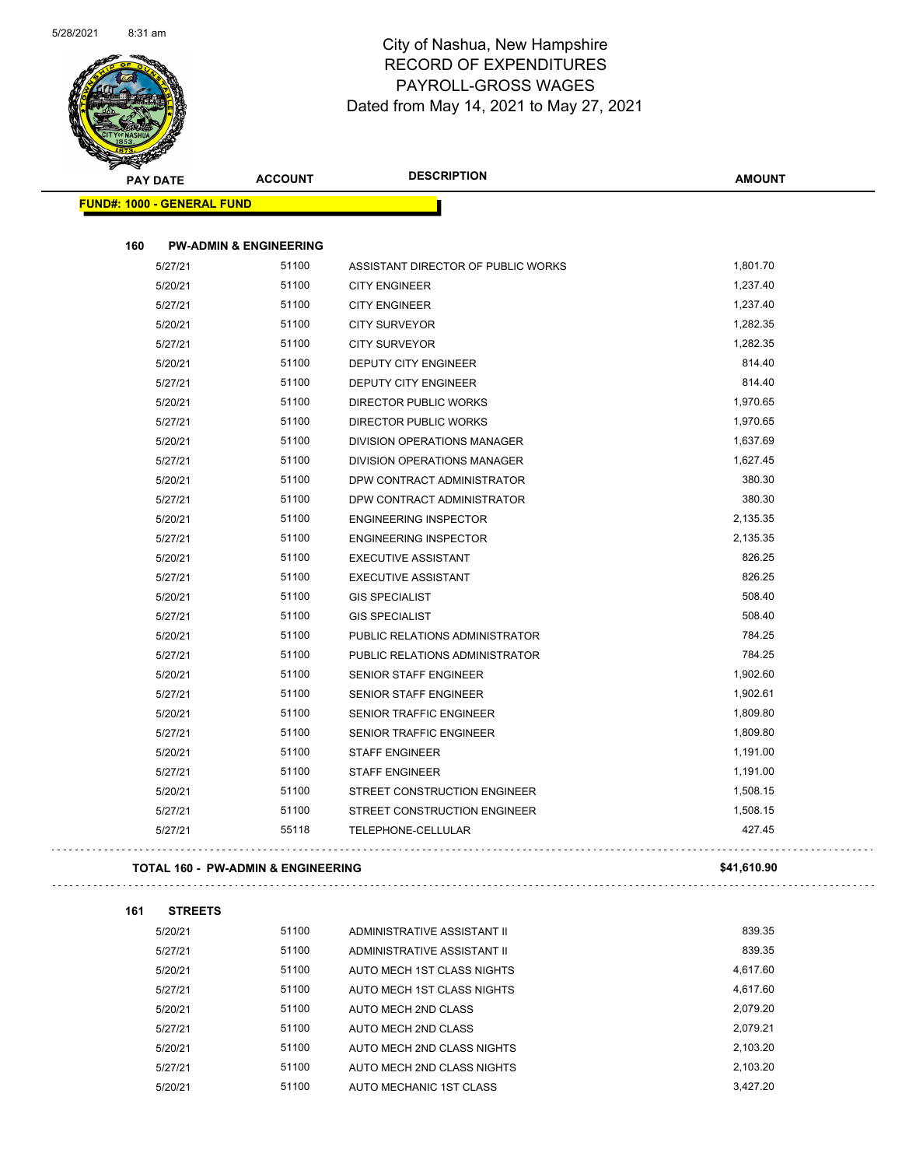

**161 STREETS**

 $\sim$   $\sim$ 

 $\ddot{\phantom{0}}$ 

| <b>PAY DATE</b>                   | <b>ACCOUNT</b>                                | <b>DESCRIPTION</b>                 | <b>AMOUNT</b> |
|-----------------------------------|-----------------------------------------------|------------------------------------|---------------|
| <b>FUND#: 1000 - GENERAL FUND</b> |                                               |                                    |               |
| 160                               | <b>PW-ADMIN &amp; ENGINEERING</b>             |                                    |               |
| 5/27/21                           | 51100                                         | ASSISTANT DIRECTOR OF PUBLIC WORKS | 1,801.70      |
| 5/20/21                           | 51100                                         | <b>CITY ENGINEER</b>               | 1,237.40      |
| 5/27/21                           | 51100                                         | <b>CITY ENGINEER</b>               | 1,237.40      |
| 5/20/21                           | 51100                                         | <b>CITY SURVEYOR</b>               | 1,282.35      |
| 5/27/21                           | 51100                                         | <b>CITY SURVEYOR</b>               | 1,282.35      |
| 5/20/21                           | 51100                                         | <b>DEPUTY CITY ENGINEER</b>        | 814.40        |
| 5/27/21                           | 51100                                         | <b>DEPUTY CITY ENGINEER</b>        | 814.40        |
| 5/20/21                           | 51100                                         | <b>DIRECTOR PUBLIC WORKS</b>       | 1,970.65      |
| 5/27/21                           | 51100                                         | <b>DIRECTOR PUBLIC WORKS</b>       | 1,970.65      |
| 5/20/21                           | 51100                                         | DIVISION OPERATIONS MANAGER        | 1,637.69      |
| 5/27/21                           | 51100                                         | DIVISION OPERATIONS MANAGER        | 1,627.45      |
| 5/20/21                           | 51100                                         | DPW CONTRACT ADMINISTRATOR         | 380.30        |
| 5/27/21                           | 51100                                         | DPW CONTRACT ADMINISTRATOR         | 380.30        |
| 5/20/21                           | 51100                                         | <b>ENGINEERING INSPECTOR</b>       | 2,135.35      |
| 5/27/21                           | 51100                                         | <b>ENGINEERING INSPECTOR</b>       | 2,135.35      |
| 5/20/21                           | 51100                                         | <b>EXECUTIVE ASSISTANT</b>         | 826.25        |
| 5/27/21                           | 51100                                         | <b>EXECUTIVE ASSISTANT</b>         | 826.25        |
| 5/20/21                           | 51100                                         | <b>GIS SPECIALIST</b>              | 508.40        |
| 5/27/21                           | 51100                                         | <b>GIS SPECIALIST</b>              | 508.40        |
| 5/20/21                           | 51100                                         | PUBLIC RELATIONS ADMINISTRATOR     | 784.25        |
| 5/27/21                           | 51100                                         | PUBLIC RELATIONS ADMINISTRATOR     | 784.25        |
| 5/20/21                           | 51100                                         | <b>SENIOR STAFF ENGINEER</b>       | 1,902.60      |
| 5/27/21                           | 51100                                         | <b>SENIOR STAFF ENGINEER</b>       | 1,902.61      |
| 5/20/21                           | 51100                                         | <b>SENIOR TRAFFIC ENGINEER</b>     | 1,809.80      |
| 5/27/21                           | 51100                                         | <b>SENIOR TRAFFIC ENGINEER</b>     | 1,809.80      |
| 5/20/21                           | 51100                                         | <b>STAFF ENGINEER</b>              | 1,191.00      |
| 5/27/21                           | 51100                                         | <b>STAFF ENGINEER</b>              | 1,191.00      |
| 5/20/21                           | 51100                                         | STREET CONSTRUCTION ENGINEER       | 1,508.15      |
| 5/27/21                           | 51100                                         | STREET CONSTRUCTION ENGINEER       | 1,508.15      |
| 5/27/21                           | 55118                                         | TELEPHONE-CELLULAR                 | 427.45        |
|                                   | <b>TOTAL 160 - PW-ADMIN &amp; ENGINEERING</b> |                                    | \$41,610.90   |

| 5/20/21 | 51100 | ADMINISTRATIVE ASSISTANT II | 839.35   |
|---------|-------|-----------------------------|----------|
| 5/27/21 | 51100 | ADMINISTRATIVE ASSISTANT II | 839.35   |
| 5/20/21 | 51100 | AUTO MECH 1ST CLASS NIGHTS  | 4,617.60 |
| 5/27/21 | 51100 | AUTO MECH 1ST CLASS NIGHTS  | 4.617.60 |
| 5/20/21 | 51100 | AUTO MECH 2ND CLASS         | 2.079.20 |
| 5/27/21 | 51100 | AUTO MECH 2ND CLASS         | 2.079.21 |
| 5/20/21 | 51100 | AUTO MECH 2ND CLASS NIGHTS  | 2,103.20 |
| 5/27/21 | 51100 | AUTO MECH 2ND CLASS NIGHTS  | 2,103.20 |
| 5/20/21 | 51100 | AUTO MECHANIC 1ST CLASS     | 3.427.20 |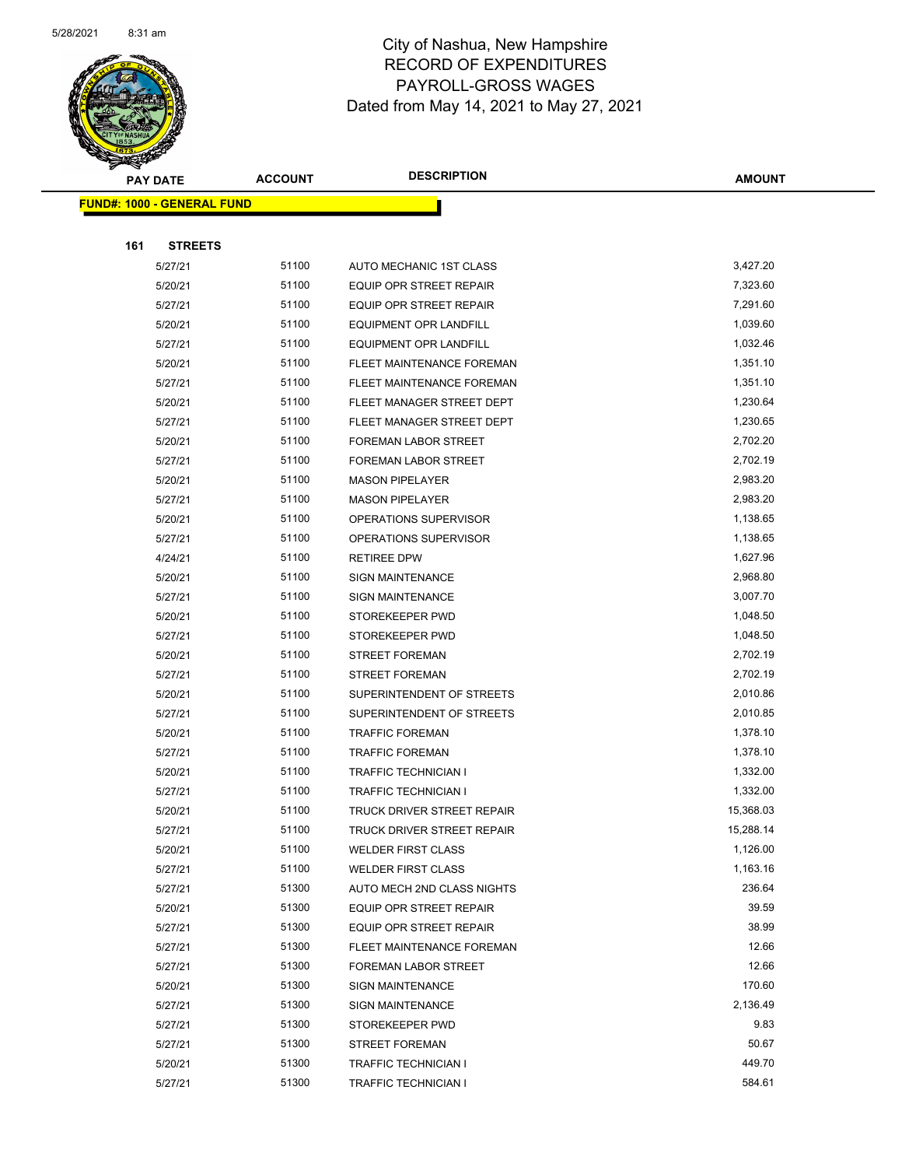

|     | <b>PAY DATE</b>                    | <b>ACCOUNT</b> | <b>DESCRIPTION</b>             | <b>AMOUNT</b> |
|-----|------------------------------------|----------------|--------------------------------|---------------|
|     | <u> FUND#: 1000 - GENERAL FUND</u> |                |                                |               |
|     |                                    |                |                                |               |
| 161 | <b>STREETS</b>                     |                |                                |               |
|     | 5/27/21                            | 51100          | AUTO MECHANIC 1ST CLASS        | 3,427.20      |
|     | 5/20/21                            | 51100          | <b>EQUIP OPR STREET REPAIR</b> | 7,323.60      |
|     | 5/27/21                            | 51100          | <b>EQUIP OPR STREET REPAIR</b> | 7,291.60      |
|     | 5/20/21                            | 51100          | EQUIPMENT OPR LANDFILL         | 1,039.60      |
|     | 5/27/21                            | 51100          | <b>EQUIPMENT OPR LANDFILL</b>  | 1,032.46      |
|     | 5/20/21                            | 51100          | FLEET MAINTENANCE FOREMAN      | 1,351.10      |
|     | 5/27/21                            | 51100          | FLEET MAINTENANCE FOREMAN      | 1,351.10      |
|     | 5/20/21                            | 51100          | FLEET MANAGER STREET DEPT      | 1,230.64      |
|     | 5/27/21                            | 51100          | FLEET MANAGER STREET DEPT      | 1,230.65      |
|     | 5/20/21                            | 51100          | <b>FOREMAN LABOR STREET</b>    | 2,702.20      |
|     | 5/27/21                            | 51100          | <b>FOREMAN LABOR STREET</b>    | 2,702.19      |
|     | 5/20/21                            | 51100          | <b>MASON PIPELAYER</b>         | 2,983.20      |
|     | 5/27/21                            | 51100          | <b>MASON PIPELAYER</b>         | 2,983.20      |
|     | 5/20/21                            | 51100          | OPERATIONS SUPERVISOR          | 1,138.65      |
|     | 5/27/21                            | 51100          | OPERATIONS SUPERVISOR          | 1,138.65      |
|     | 4/24/21                            | 51100          | <b>RETIREE DPW</b>             | 1,627.96      |
|     | 5/20/21                            | 51100          | <b>SIGN MAINTENANCE</b>        | 2,968.80      |
|     | 5/27/21                            | 51100          | <b>SIGN MAINTENANCE</b>        | 3,007.70      |
|     | 5/20/21                            | 51100          | STOREKEEPER PWD                | 1,048.50      |
|     | 5/27/21                            | 51100          | STOREKEEPER PWD                | 1,048.50      |
|     | 5/20/21                            | 51100          | <b>STREET FOREMAN</b>          | 2,702.19      |
|     | 5/27/21                            | 51100          | <b>STREET FOREMAN</b>          | 2,702.19      |
|     | 5/20/21                            | 51100          | SUPERINTENDENT OF STREETS      | 2,010.86      |
|     | 5/27/21                            | 51100          | SUPERINTENDENT OF STREETS      | 2,010.85      |
|     | 5/20/21                            | 51100          | <b>TRAFFIC FOREMAN</b>         | 1,378.10      |
|     | 5/27/21                            | 51100          | <b>TRAFFIC FOREMAN</b>         | 1,378.10      |
|     | 5/20/21                            | 51100          | <b>TRAFFIC TECHNICIAN I</b>    | 1,332.00      |
|     | 5/27/21                            | 51100          | <b>TRAFFIC TECHNICIAN I</b>    | 1,332.00      |
|     | 5/20/21                            | 51100          | TRUCK DRIVER STREET REPAIR     | 15,368.03     |
|     | 5/27/21                            | 51100          | TRUCK DRIVER STREET REPAIR     | 15,288.14     |
|     | 5/20/21                            | 51100          | <b>WELDER FIRST CLASS</b>      | 1,126.00      |
|     | 5/27/21                            | 51100          | <b>WELDER FIRST CLASS</b>      | 1,163.16      |
|     | 5/27/21                            | 51300          | AUTO MECH 2ND CLASS NIGHTS     | 236.64        |
|     | 5/20/21                            | 51300          | EQUIP OPR STREET REPAIR        | 39.59         |
|     | 5/27/21                            | 51300          | EQUIP OPR STREET REPAIR        | 38.99         |
|     | 5/27/21                            | 51300          | FLEET MAINTENANCE FOREMAN      | 12.66         |
|     | 5/27/21                            | 51300          | FOREMAN LABOR STREET           | 12.66         |
|     | 5/20/21                            | 51300          | <b>SIGN MAINTENANCE</b>        | 170.60        |
|     | 5/27/21                            | 51300          | <b>SIGN MAINTENANCE</b>        | 2,136.49      |
|     | 5/27/21                            | 51300          | STOREKEEPER PWD                | 9.83          |
|     | 5/27/21                            | 51300          | <b>STREET FOREMAN</b>          | 50.67         |
|     | 5/20/21                            | 51300          | <b>TRAFFIC TECHNICIAN I</b>    | 449.70        |
|     | 5/27/21                            | 51300          | <b>TRAFFIC TECHNICIAN I</b>    | 584.61        |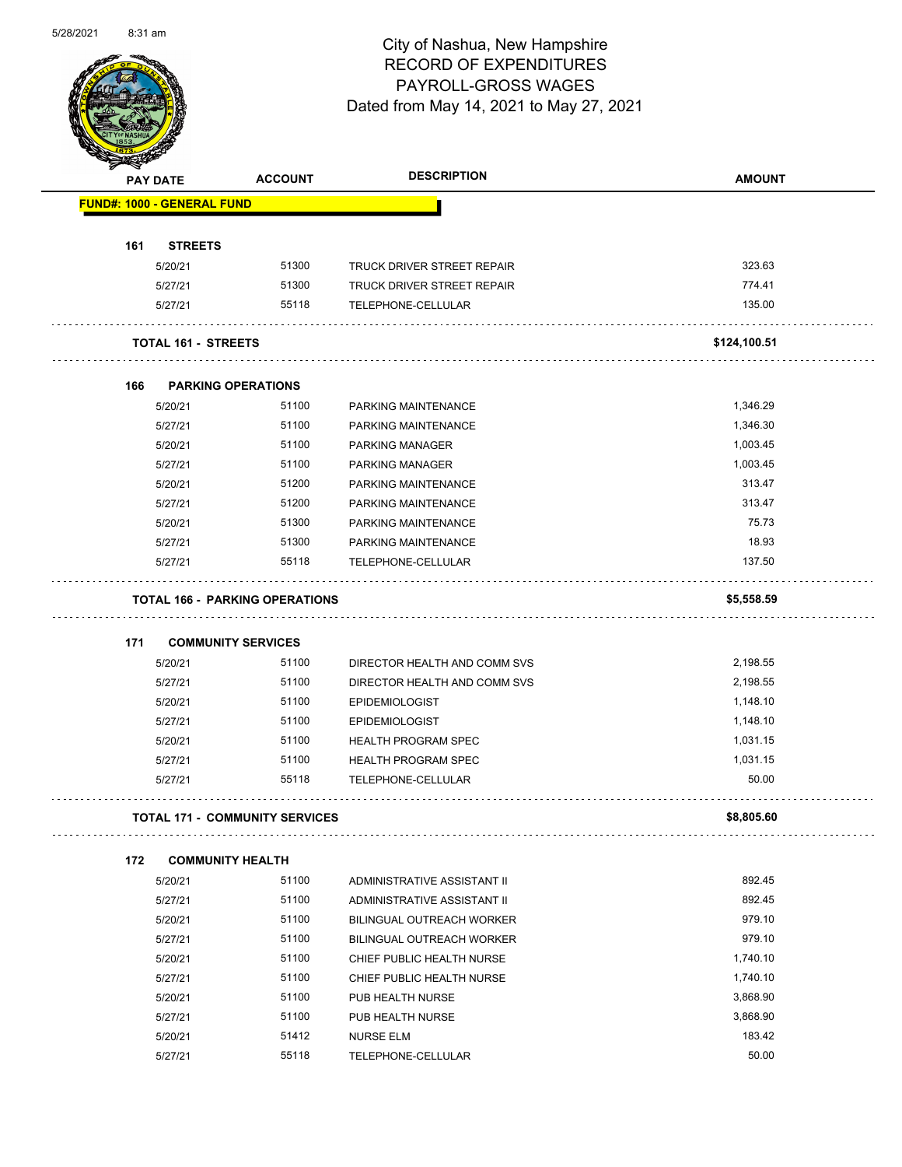

| <b>STARTER</b> |                                       |                |                                   |               |
|----------------|---------------------------------------|----------------|-----------------------------------|---------------|
|                | <b>PAY DATE</b>                       | <b>ACCOUNT</b> | <b>DESCRIPTION</b>                | <b>AMOUNT</b> |
|                | <b>FUND#: 1000 - GENERAL FUND</b>     |                |                                   |               |
|                |                                       |                |                                   |               |
| 161            | <b>STREETS</b>                        |                |                                   |               |
|                | 5/20/21                               | 51300          | <b>TRUCK DRIVER STREET REPAIR</b> | 323.63        |
|                | 5/27/21                               | 51300          | <b>TRUCK DRIVER STREET REPAIR</b> | 774.41        |
|                | 5/27/21                               | 55118          | TELEPHONE-CELLULAR                | 135.00        |
|                |                                       |                |                                   |               |
|                | <b>TOTAL 161 - STREETS</b>            |                |                                   | \$124,100.51  |
| 166            | <b>PARKING OPERATIONS</b>             |                |                                   |               |
|                | 5/20/21                               | 51100          | PARKING MAINTENANCE               | 1,346.29      |
|                | 5/27/21                               | 51100          | PARKING MAINTENANCE               | 1,346.30      |
|                | 5/20/21                               | 51100          | PARKING MANAGER                   | 1,003.45      |
|                | 5/27/21                               | 51100          | <b>PARKING MANAGER</b>            | 1,003.45      |
|                | 5/20/21                               | 51200          | PARKING MAINTENANCE               | 313.47        |
|                | 5/27/21                               | 51200          | PARKING MAINTENANCE               | 313.47        |
|                | 5/20/21                               | 51300          | PARKING MAINTENANCE               | 75.73         |
|                | 5/27/21                               | 51300          | PARKING MAINTENANCE               | 18.93         |
|                | 5/27/21                               | 55118          | TELEPHONE-CELLULAR                | 137.50        |
|                |                                       |                |                                   |               |
|                | <b>TOTAL 166 - PARKING OPERATIONS</b> |                |                                   | \$5,558.59    |
|                |                                       |                |                                   |               |
| 171            | <b>COMMUNITY SERVICES</b>             |                |                                   |               |
|                | 5/20/21                               | 51100          | DIRECTOR HEALTH AND COMM SVS      | 2,198.55      |
|                | 5/27/21                               | 51100          | DIRECTOR HEALTH AND COMM SVS      | 2,198.55      |
|                | 5/20/21                               | 51100          | <b>EPIDEMIOLOGIST</b>             | 1,148.10      |
|                | 5/27/21                               | 51100          | <b>EPIDEMIOLOGIST</b>             | 1,148.10      |
|                | 5/20/21                               | 51100          | <b>HEALTH PROGRAM SPEC</b>        | 1,031.15      |
|                | 5/27/21                               | 51100          | <b>HEALTH PROGRAM SPEC</b>        | 1,031.15      |
|                | 5/27/21                               | 55118          | TELEPHONE-CELLULAR                | 50.00         |
|                | <b>TOTAL 171 - COMMUNITY SERVICES</b> |                |                                   | \$8,805.60    |
|                |                                       |                |                                   |               |
| 172            | <b>COMMUNITY HEALTH</b>               |                |                                   |               |
|                | 5/20/21                               | 51100          | ADMINISTRATIVE ASSISTANT II       | 892.45        |
|                | 5/27/21                               | 51100          | ADMINISTRATIVE ASSISTANT II       | 892.45        |
|                | 5/20/21                               | 51100          | BILINGUAL OUTREACH WORKER         | 979.10        |
|                | 5/27/21                               | 51100          | BILINGUAL OUTREACH WORKER         | 979.10        |
|                | 5/20/21                               | 51100          | CHIEF PUBLIC HEALTH NURSE         | 1,740.10      |
|                | 5/27/21                               | 51100          | CHIEF PUBLIC HEALTH NURSE         | 1,740.10      |
|                | 5/20/21                               | 51100          | PUB HEALTH NURSE                  | 3,868.90      |
|                | 5/27/21                               | 51100          | PUB HEALTH NURSE                  | 3,868.90      |
|                | 5/20/21                               | 51412          | <b>NURSE ELM</b>                  | 183.42        |

5/27/21 55118 TELEPHONE-CELLULAR 50.00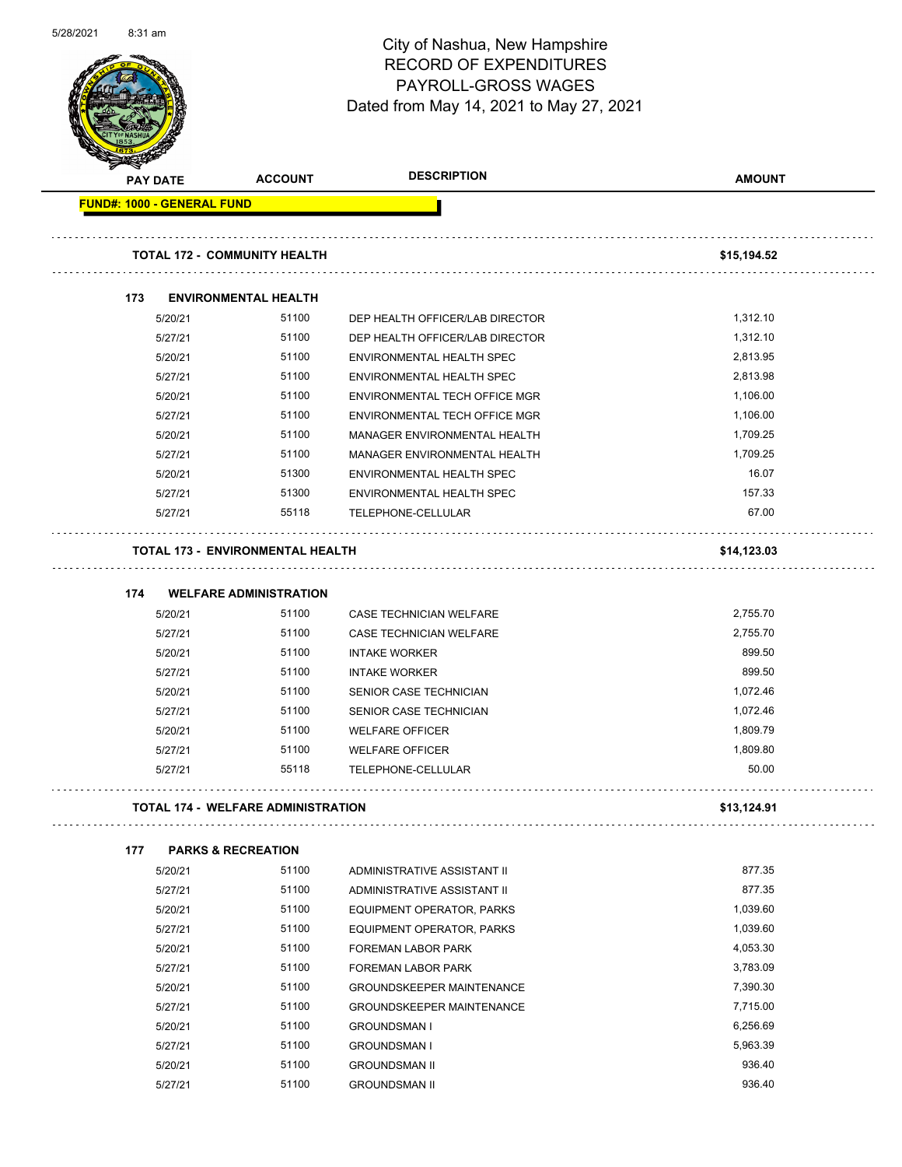| 5/28/2021 | 8:31 am         |                                   |                                                                   | City of Nashua, New Hampshire<br><b>RECORD OF EXPENDITURES</b><br>PAYROLL-GROSS WAGES<br>Dated from May 14, 2021 to May 27, 2021 | Page 57 of 102 |
|-----------|-----------------|-----------------------------------|-------------------------------------------------------------------|----------------------------------------------------------------------------------------------------------------------------------|----------------|
|           | <b>PAY DATE</b> |                                   | <b>ACCOUNT</b>                                                    | <b>DESCRIPTION</b>                                                                                                               | <b>AMOUNT</b>  |
|           |                 | <b>FUND#: 1000 - GENERAL FUND</b> |                                                                   |                                                                                                                                  |                |
|           |                 |                                   |                                                                   |                                                                                                                                  |                |
|           |                 |                                   | <b>TOTAL 172 - COMMUNITY HEALTH</b>                               |                                                                                                                                  | \$15,194.52    |
|           | 173             |                                   | <b>ENVIRONMENTAL HEALTH</b>                                       |                                                                                                                                  |                |
|           |                 | 5/20/21                           | 51100                                                             | DEP HEALTH OFFICER/LAB DIRECTOR                                                                                                  | 1,312.10       |
|           |                 | 5/27/21                           | 51100                                                             | DEP HEALTH OFFICER/LAB DIRECTOR                                                                                                  | 1,312.10       |
|           |                 | 5/20/21                           | 51100                                                             | ENVIRONMENTAL HEALTH SPEC                                                                                                        | 2,813.95       |
|           |                 | 5/27/21                           | 51100                                                             | ENVIRONMENTAL HEALTH SPEC                                                                                                        | 2,813.98       |
|           |                 | 5/20/21                           | 51100                                                             | ENVIRONMENTAL TECH OFFICE MGR                                                                                                    | 1,106.00       |
|           |                 | 5/27/21                           | 51100                                                             | ENVIRONMENTAL TECH OFFICE MGR                                                                                                    | 1,106.00       |
|           |                 | 5/20/21                           | 51100                                                             | MANAGER ENVIRONMENTAL HEALTH                                                                                                     | 1,709.25       |
|           |                 | 5/27/21                           | 51100                                                             | MANAGER ENVIRONMENTAL HEALTH                                                                                                     | 1,709.25       |
|           |                 | 5/20/21                           | 51300                                                             | ENVIRONMENTAL HEALTH SPEC                                                                                                        | 16.07          |
|           |                 | 5/27/21                           | 51300                                                             | ENVIRONMENTAL HEALTH SPEC                                                                                                        | 157.33         |
|           |                 | 5/27/21                           | 55118                                                             | TELEPHONE-CELLULAR                                                                                                               | 67.00          |
|           | 174             |                                   | TOTAL 173 - ENVIRONMENTAL HEALTH<br><b>WELFARE ADMINISTRATION</b> |                                                                                                                                  | \$14,123.03    |
|           |                 | 5/20/21                           | 51100                                                             | <b>CASE TECHNICIAN WELFARE</b>                                                                                                   | 2,755.70       |
|           |                 | 5/27/21                           | 51100                                                             | CASE TECHNICIAN WELFARE                                                                                                          | 2,755.70       |
|           |                 | 5/20/21                           | 51100                                                             | <b>INTAKE WORKER</b>                                                                                                             | 899.50         |
|           |                 | 5/27/21                           | 51100                                                             | <b>INTAKE WORKER</b>                                                                                                             | 899.50         |
|           |                 | 5/20/21                           | 51100                                                             | SENIOR CASE TECHNICIAN                                                                                                           | 1,072.46       |
|           |                 | 5/27/21                           | 51100                                                             | SENIOR CASE TECHNICIAN                                                                                                           | 1,072.46       |
|           |                 | 5/20/21                           | 51100                                                             | <b>WELFARE OFFICER</b>                                                                                                           | 1,809.79       |
|           |                 | 5/27/21                           | 51100                                                             | <b>WELFARE OFFICER</b>                                                                                                           | 1,809.80       |
|           |                 | 5/27/21                           | 55118                                                             | TELEPHONE-CELLULAR                                                                                                               | 50.00          |
|           |                 |                                   | <b>TOTAL 174 - WELFARE ADMINISTRATION</b>                         |                                                                                                                                  | \$13,124.91    |
|           | 177             |                                   | <b>PARKS &amp; RECREATION</b>                                     |                                                                                                                                  |                |
|           |                 | 5/20/21                           | 51100                                                             | ADMINISTRATIVE ASSISTANT II                                                                                                      | 877.35         |
|           |                 | 5/27/21                           | 51100                                                             | ADMINISTRATIVE ASSISTANT II                                                                                                      | 877.35         |
|           |                 | 5/20/21                           | 51100                                                             | EQUIPMENT OPERATOR, PARKS                                                                                                        | 1,039.60       |
|           |                 | 5/27/21                           | 51100                                                             | EQUIPMENT OPERATOR, PARKS                                                                                                        | 1,039.60       |
|           |                 | 5/20/21                           | 51100                                                             | FOREMAN LABOR PARK                                                                                                               | 4,053.30       |
|           |                 | 5/27/21                           | 51100                                                             | FOREMAN LABOR PARK                                                                                                               | 3,783.09       |
|           |                 | 5/20/21                           | 51100                                                             | <b>GROUNDSKEEPER MAINTENANCE</b>                                                                                                 | 7,390.30       |
|           |                 | 5/27/21                           | 51100                                                             | <b>GROUNDSKEEPER MAINTENANCE</b>                                                                                                 | 7,715.00       |
|           |                 | 5/20/21                           | 51100                                                             | <b>GROUNDSMAN I</b>                                                                                                              | 6,256.69       |
|           |                 | 5/27/21                           | 51100                                                             | <b>GROUNDSMAN I</b>                                                                                                              | 5,963.39       |
|           |                 | 5/20/21                           | 51100                                                             | <b>GROUNDSMAN II</b>                                                                                                             | 936.40         |
|           |                 |                                   |                                                                   |                                                                                                                                  |                |

5/27/21 51100 GROUNDSMAN II 936.40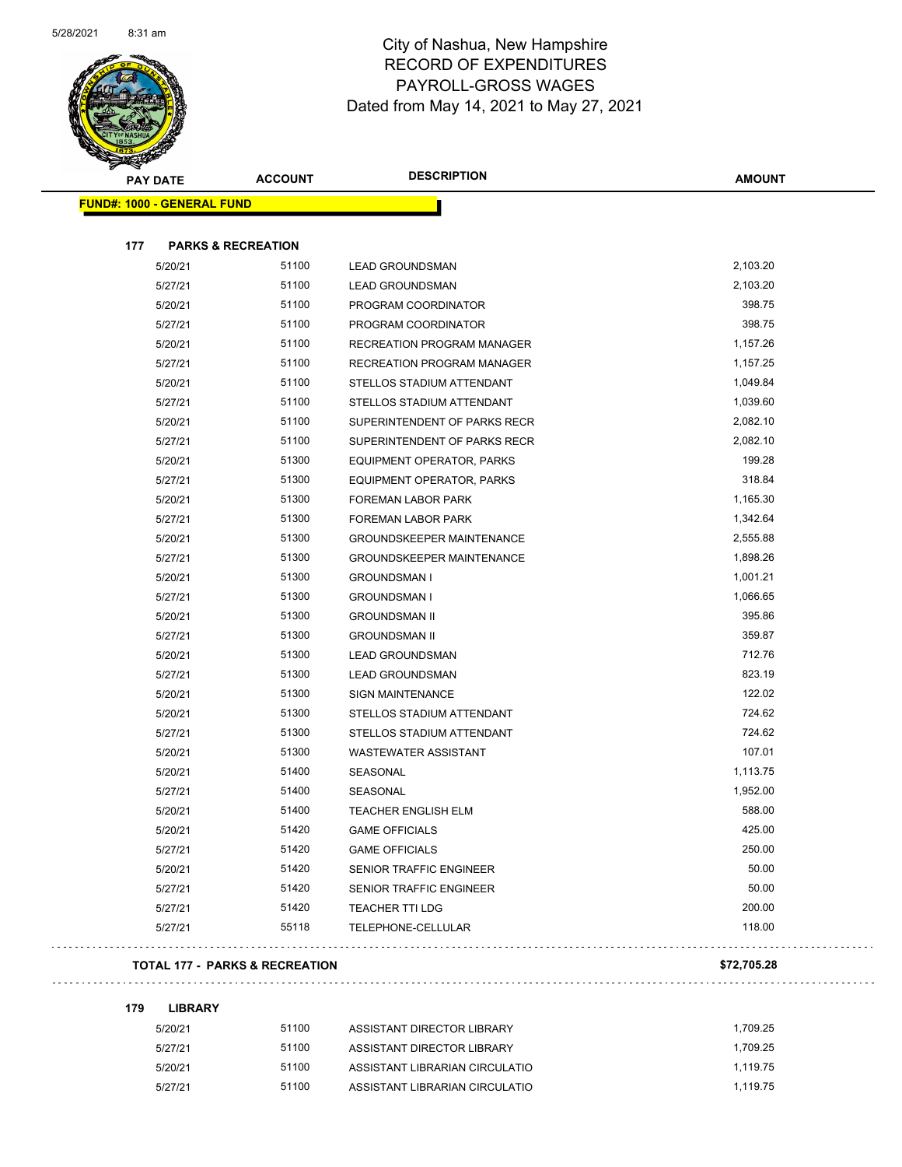

|     | <b>PAY DATE</b>                   | <b>ACCOUNT</b> | <b>DESCRIPTION</b>                | <b>AMOUNT</b> |
|-----|-----------------------------------|----------------|-----------------------------------|---------------|
|     | <b>FUND#: 1000 - GENERAL FUND</b> |                |                                   |               |
|     |                                   |                |                                   |               |
| 177 | <b>PARKS &amp; RECREATION</b>     |                |                                   |               |
|     | 5/20/21                           | 51100          | <b>LEAD GROUNDSMAN</b>            | 2,103.20      |
|     | 5/27/21                           | 51100          | <b>LEAD GROUNDSMAN</b>            | 2,103.20      |
|     | 5/20/21                           | 51100          | PROGRAM COORDINATOR               | 398.75        |
|     | 5/27/21                           | 51100          | PROGRAM COORDINATOR               | 398.75        |
|     | 5/20/21                           | 51100          | <b>RECREATION PROGRAM MANAGER</b> | 1,157.26      |
|     | 5/27/21                           | 51100          | RECREATION PROGRAM MANAGER        | 1,157.25      |
|     | 5/20/21                           | 51100          | STELLOS STADIUM ATTENDANT         | 1,049.84      |
|     | 5/27/21                           | 51100          | STELLOS STADIUM ATTENDANT         | 1,039.60      |
|     | 5/20/21                           | 51100          | SUPERINTENDENT OF PARKS RECR      | 2,082.10      |
|     | 5/27/21                           | 51100          | SUPERINTENDENT OF PARKS RECR      | 2,082.10      |
|     | 5/20/21                           | 51300          | EQUIPMENT OPERATOR, PARKS         | 199.28        |
|     | 5/27/21                           | 51300          | EQUIPMENT OPERATOR, PARKS         | 318.84        |
|     | 5/20/21                           | 51300          | FOREMAN LABOR PARK                | 1,165.30      |
|     | 5/27/21                           | 51300          | FOREMAN LABOR PARK                | 1,342.64      |
|     | 5/20/21                           | 51300          | <b>GROUNDSKEEPER MAINTENANCE</b>  | 2,555.88      |
|     | 5/27/21                           | 51300          | <b>GROUNDSKEEPER MAINTENANCE</b>  | 1,898.26      |
|     | 5/20/21                           | 51300          | <b>GROUNDSMAN I</b>               | 1,001.21      |
|     | 5/27/21                           | 51300          | <b>GROUNDSMAN I</b>               | 1,066.65      |
|     | 5/20/21                           | 51300          | <b>GROUNDSMAN II</b>              | 395.86        |
|     | 5/27/21                           | 51300          | <b>GROUNDSMAN II</b>              | 359.87        |
|     | 5/20/21                           | 51300          | <b>LEAD GROUNDSMAN</b>            | 712.76        |
|     | 5/27/21                           | 51300          | <b>LEAD GROUNDSMAN</b>            | 823.19        |
|     | 5/20/21                           | 51300          | <b>SIGN MAINTENANCE</b>           | 122.02        |
|     | 5/20/21                           | 51300          | STELLOS STADIUM ATTENDANT         | 724.62        |
|     | 5/27/21                           | 51300          | STELLOS STADIUM ATTENDANT         | 724.62        |
|     | 5/20/21                           | 51300          | <b>WASTEWATER ASSISTANT</b>       | 107.01        |
|     | 5/20/21                           | 51400          | SEASONAL                          | 1,113.75      |
|     | 5/27/21                           | 51400          | SEASONAL                          | 1,952.00      |
|     | 5/20/21                           | 51400          | <b>TEACHER ENGLISH ELM</b>        | 588.00        |
|     | 5/20/21                           | 51420          | <b>GAME OFFICIALS</b>             | 425.00        |
|     | 5/27/21                           | 51420          | <b>GAME OFFICIALS</b>             | 250.00        |
|     | 5/20/21                           | 51420          | SENIOR TRAFFIC ENGINEER           | 50.00         |
|     | 5/27/21                           | 51420          | <b>SENIOR TRAFFIC ENGINEER</b>    | 50.00         |
|     | 5/27/21                           | 51420          | <b>TEACHER TTI LDG</b>            | 200.00        |
|     | 5/27/21                           | 55118          | TELEPHONE-CELLULAR                | 118.00        |
|     |                                   |                |                                   |               |

### **TOTAL 177 - PARKS & RECREATION \$72,705.28**

**179 LIBRARY**

| 5/20/21 | 51100 | ASSISTANT DIRECTOR LIBRARY     | 1.709.25 |
|---------|-------|--------------------------------|----------|
| 5/27/21 | 51100 | ASSISTANT DIRECTOR LIBRARY     | 1.709.25 |
| 5/20/21 | 51100 | ASSISTANT LIBRARIAN CIRCULATIO | 1.119.75 |
| 5/27/21 | 51100 | ASSISTANT LIBRARIAN CIRCULATIO | 1.119.75 |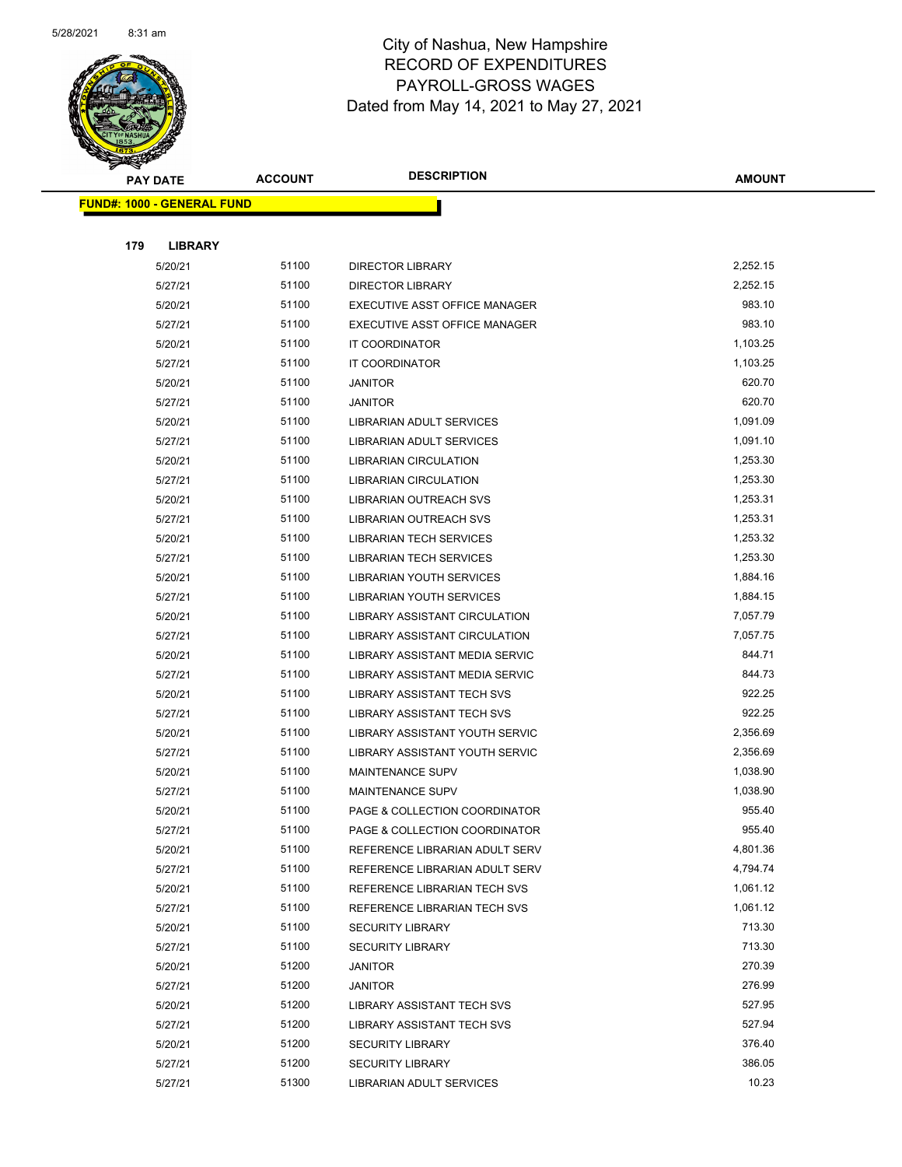

|     | <b>PAY DATE</b>                    | <b>ACCOUNT</b> | <b>DESCRIPTION</b>              | <b>AMOUNT</b> |
|-----|------------------------------------|----------------|---------------------------------|---------------|
|     | <u> FUND#: 1000 - GENERAL FUND</u> |                |                                 |               |
|     |                                    |                |                                 |               |
| 179 | <b>LIBRARY</b>                     |                |                                 |               |
|     | 5/20/21                            | 51100          | <b>DIRECTOR LIBRARY</b>         | 2,252.15      |
|     | 5/27/21                            | 51100          | <b>DIRECTOR LIBRARY</b>         | 2,252.15      |
|     | 5/20/21                            | 51100          | EXECUTIVE ASST OFFICE MANAGER   | 983.10        |
|     | 5/27/21                            | 51100          | EXECUTIVE ASST OFFICE MANAGER   | 983.10        |
|     | 5/20/21                            | 51100          | IT COORDINATOR                  | 1,103.25      |
|     | 5/27/21                            | 51100          | IT COORDINATOR                  | 1,103.25      |
|     | 5/20/21                            | 51100          | <b>JANITOR</b>                  | 620.70        |
|     | 5/27/21                            | 51100          | <b>JANITOR</b>                  | 620.70        |
|     | 5/20/21                            | 51100          | LIBRARIAN ADULT SERVICES        | 1,091.09      |
|     | 5/27/21                            | 51100          | LIBRARIAN ADULT SERVICES        | 1,091.10      |
|     | 5/20/21                            | 51100          | LIBRARIAN CIRCULATION           | 1,253.30      |
|     | 5/27/21                            | 51100          | LIBRARIAN CIRCULATION           | 1,253.30      |
|     | 5/20/21                            | 51100          | <b>LIBRARIAN OUTREACH SVS</b>   | 1,253.31      |
|     | 5/27/21                            | 51100          | LIBRARIAN OUTREACH SVS          | 1,253.31      |
|     | 5/20/21                            | 51100          | <b>LIBRARIAN TECH SERVICES</b>  | 1,253.32      |
|     | 5/27/21                            | 51100          | <b>LIBRARIAN TECH SERVICES</b>  | 1,253.30      |
|     | 5/20/21                            | 51100          | <b>LIBRARIAN YOUTH SERVICES</b> | 1,884.16      |
|     | 5/27/21                            | 51100          | LIBRARIAN YOUTH SERVICES        | 1,884.15      |
|     | 5/20/21                            | 51100          | LIBRARY ASSISTANT CIRCULATION   | 7,057.79      |
|     | 5/27/21                            | 51100          | LIBRARY ASSISTANT CIRCULATION   | 7,057.75      |
|     | 5/20/21                            | 51100          | LIBRARY ASSISTANT MEDIA SERVIC  | 844.71        |
|     | 5/27/21                            | 51100          | LIBRARY ASSISTANT MEDIA SERVIC  | 844.73        |
|     | 5/20/21                            | 51100          | LIBRARY ASSISTANT TECH SVS      | 922.25        |
|     | 5/27/21                            | 51100          | LIBRARY ASSISTANT TECH SVS      | 922.25        |
|     | 5/20/21                            | 51100          | LIBRARY ASSISTANT YOUTH SERVIC  | 2,356.69      |
|     | 5/27/21                            | 51100          | LIBRARY ASSISTANT YOUTH SERVIC  | 2,356.69      |
|     | 5/20/21                            | 51100          | <b>MAINTENANCE SUPV</b>         | 1,038.90      |
|     | 5/27/21                            | 51100          | <b>MAINTENANCE SUPV</b>         | 1,038.90      |
|     | 5/20/21                            | 51100          | PAGE & COLLECTION COORDINATOR   | 955.40        |
|     | 5/27/21                            | 51100          | PAGE & COLLECTION COORDINATOR   | 955.40        |
|     | 5/20/21                            | 51100          | REFERENCE LIBRARIAN ADULT SERV  | 4,801.36      |
|     | 5/27/21                            | 51100          | REFERENCE LIBRARIAN ADULT SERV  | 4,794.74      |
|     | 5/20/21                            | 51100          | REFERENCE LIBRARIAN TECH SVS    | 1,061.12      |
|     | 5/27/21                            | 51100          | REFERENCE LIBRARIAN TECH SVS    | 1,061.12      |
|     | 5/20/21                            | 51100          | <b>SECURITY LIBRARY</b>         | 713.30        |
|     | 5/27/21                            | 51100          | <b>SECURITY LIBRARY</b>         | 713.30        |
|     | 5/20/21                            | 51200          | <b>JANITOR</b>                  | 270.39        |
|     | 5/27/21                            | 51200          | <b>JANITOR</b>                  | 276.99        |
|     | 5/20/21                            | 51200          | LIBRARY ASSISTANT TECH SVS      | 527.95        |
|     | 5/27/21                            | 51200          | LIBRARY ASSISTANT TECH SVS      | 527.94        |
|     | 5/20/21                            | 51200          | <b>SECURITY LIBRARY</b>         | 376.40        |
|     | 5/27/21                            | 51200          | <b>SECURITY LIBRARY</b>         | 386.05        |
|     | 5/27/21                            | 51300          | <b>LIBRARIAN ADULT SERVICES</b> | 10.23         |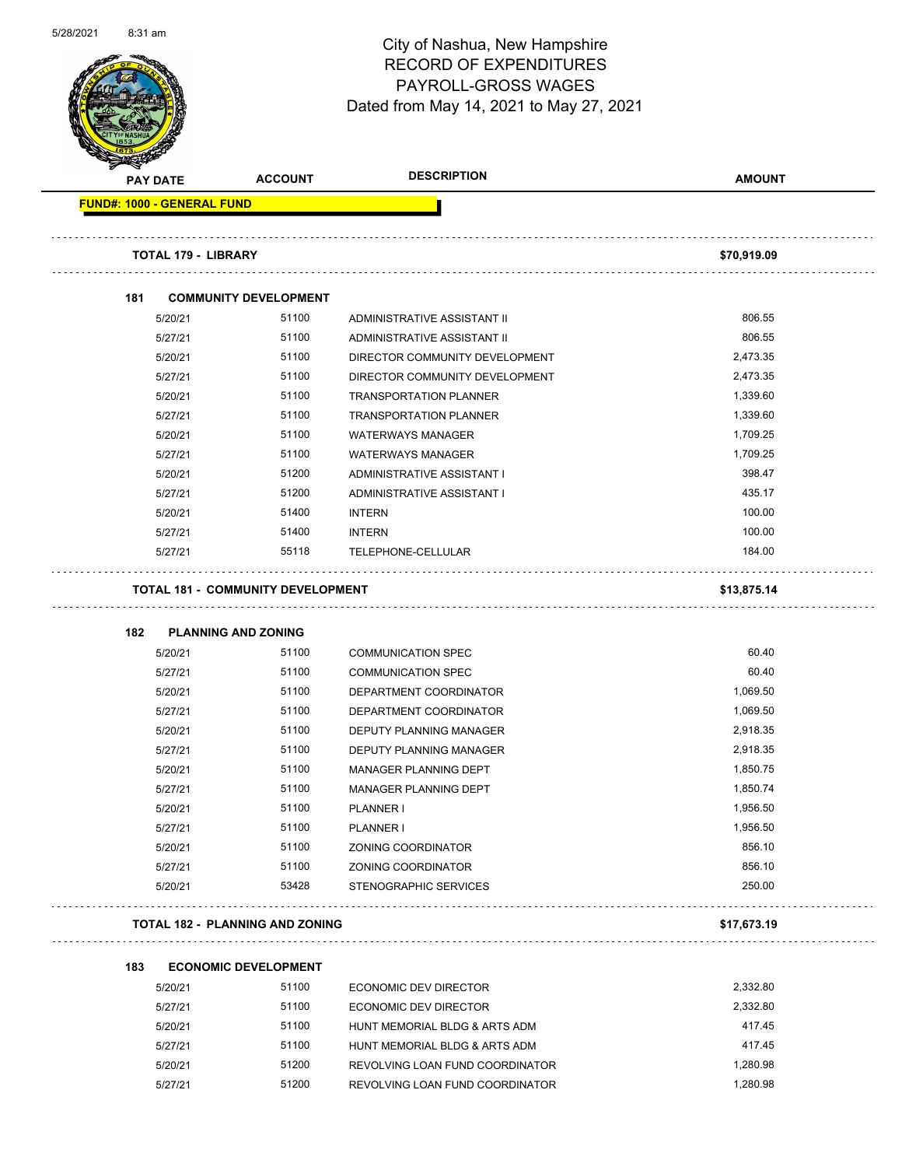

Page 60 of 102

| <b>PAY DATE</b>                   | <b>ACCOUNT</b>                           | <b>DESCRIPTION</b>             | <b>AMOUNT</b> |
|-----------------------------------|------------------------------------------|--------------------------------|---------------|
| <b>FUND#: 1000 - GENERAL FUND</b> |                                          |                                |               |
| <b>TOTAL 179 - LIBRARY</b>        |                                          |                                | \$70,919.09   |
| 181                               | <b>COMMUNITY DEVELOPMENT</b>             |                                |               |
| 5/20/21                           | 51100                                    | ADMINISTRATIVE ASSISTANT II    | 806.55        |
| 5/27/21                           | 51100                                    | ADMINISTRATIVE ASSISTANT II    | 806.55        |
| 5/20/21                           | 51100                                    | DIRECTOR COMMUNITY DEVELOPMENT | 2,473.35      |
| 5/27/21                           | 51100                                    | DIRECTOR COMMUNITY DEVELOPMENT | 2,473.35      |
| 5/20/21                           | 51100                                    | <b>TRANSPORTATION PLANNER</b>  | 1,339.60      |
| 5/27/21                           | 51100                                    | <b>TRANSPORTATION PLANNER</b>  | 1,339.60      |
| 5/20/21                           | 51100                                    | <b>WATERWAYS MANAGER</b>       | 1,709.25      |
| 5/27/21                           | 51100                                    | <b>WATERWAYS MANAGER</b>       | 1,709.25      |
| 5/20/21                           | 51200                                    | ADMINISTRATIVE ASSISTANT I     | 398.47        |
| 5/27/21                           | 51200                                    | ADMINISTRATIVE ASSISTANT I     | 435.17        |
| 5/20/21                           | 51400                                    | <b>INTERN</b>                  | 100.00        |
| 5/27/21                           | 51400                                    | <b>INTERN</b>                  | 100.00        |
| 5/27/21                           | 55118                                    | TELEPHONE-CELLULAR             | 184.00        |
|                                   | <b>TOTAL 181 - COMMUNITY DEVELOPMENT</b> |                                | \$13,875.14   |
| 182                               | <b>PLANNING AND ZONING</b>               |                                |               |
| 5/20/21                           | 51100                                    | <b>COMMUNICATION SPEC</b>      | 60.40         |
| 5/27/21                           | 51100                                    | <b>COMMUNICATION SPEC</b>      | 60.40         |
| 5/20/21                           | 51100                                    | DEPARTMENT COORDINATOR         | 1,069.50      |
| 5/27/21                           | 51100                                    | DEPARTMENT COORDINATOR         | 1,069.50      |
| 5/20/21                           | 51100                                    | DEPUTY PLANNING MANAGER        | 2,918.35      |
| 5/27/21                           | 51100                                    | <b>DEPUTY PLANNING MANAGER</b> | 2,918.35      |
|                                   | 51100                                    | <b>MANAGER PLANNING DEPT</b>   | 1,850.75      |
| 5/20/21                           |                                          |                                |               |
| 5/27/21                           | 51100                                    | <b>MANAGER PLANNING DEPT</b>   | 1,850.74      |
| 5/20/21                           | 51100                                    | PLANNER I                      | 1,956.50      |
| 5/27/21                           | 51100                                    | PLANNER I                      | 1,956.50      |
| 5/20/21                           | 51100                                    | ZONING COORDINATOR             | 856.10        |
| 5/27/21                           | 51100                                    | ZONING COORDINATOR             | 856.10        |
| 5/20/21                           | 53428                                    | STENOGRAPHIC SERVICES          | 250.00        |
|                                   | <b>TOTAL 182 - PLANNING AND ZONING</b>   |                                | \$17,673.19   |
| 183                               | <b>ECONOMIC DEVELOPMENT</b>              |                                |               |

| 5/20/21 | 51100 | ECONOMIC DEV DIRECTOR           | 2.332.80 |
|---------|-------|---------------------------------|----------|
| 5/27/21 | 51100 | ECONOMIC DEV DIRECTOR           | 2.332.80 |
| 5/20/21 | 51100 | HUNT MEMORIAL BLDG & ARTS ADM   | 417.45   |
| 5/27/21 | 51100 | HUNT MEMORIAL BLDG & ARTS ADM   | 417.45   |
| 5/20/21 | 51200 | REVOLVING LOAN FUND COORDINATOR | 1.280.98 |
| 5/27/21 | 51200 | REVOLVING LOAN FUND COORDINATOR | 1.280.98 |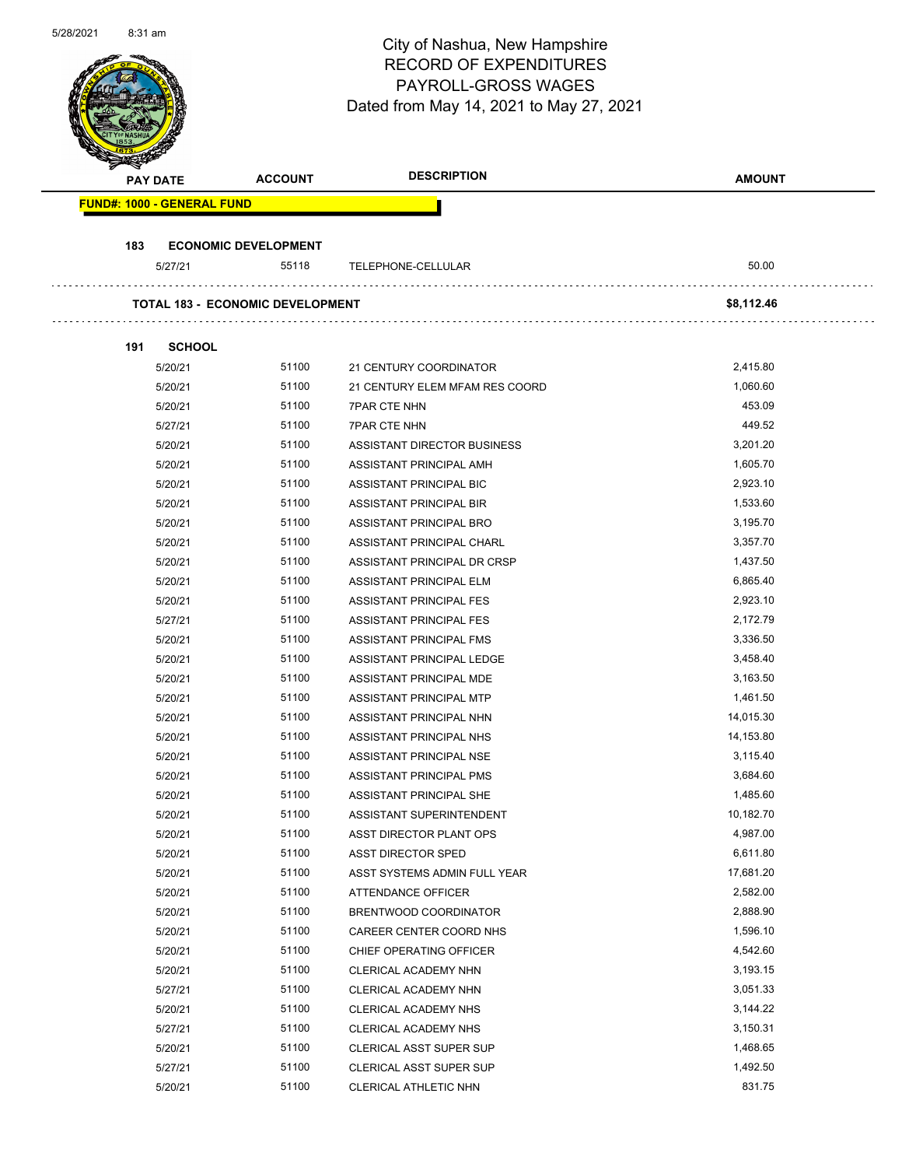| <b>DESCRIPTION</b><br><b>AMOUNT</b><br><b>ACCOUNT</b><br><b>PAY DATE</b><br><b>FUND#: 1000 - GENERAL FUND</b><br>183<br><b>ECONOMIC DEVELOPMENT</b><br>55118<br>50.00<br>5/27/21<br>TELEPHONE-CELLULAR<br><b>TOTAL 183 - ECONOMIC DEVELOPMENT</b><br>\$8,112.46<br><b>SCHOOL</b><br>191<br>51100<br>2,415.80<br>5/20/21<br>21 CENTURY COORDINATOR<br>51100<br>1,060.60<br>5/20/21<br>21 CENTURY ELEM MFAM RES COORD<br>453.09<br>5/20/21<br>51100<br><b>7PAR CTE NHN</b><br>449.52<br>5/27/21<br>51100<br><b>7PAR CTE NHN</b><br>3,201.20<br>51100<br>5/20/21<br>ASSISTANT DIRECTOR BUSINESS<br>1,605.70<br>51100<br>5/20/21<br>ASSISTANT PRINCIPAL AMH<br>51100<br>2,923.10<br>5/20/21<br>ASSISTANT PRINCIPAL BIC<br>5/20/21<br>51100<br>1,533.60<br>ASSISTANT PRINCIPAL BIR<br>5/20/21<br>51100<br>ASSISTANT PRINCIPAL BRO<br>3,195.70<br>51100<br>3,357.70<br>5/20/21<br>ASSISTANT PRINCIPAL CHARL<br>51100<br>1,437.50<br>5/20/21<br>ASSISTANT PRINCIPAL DR CRSP<br>51100<br>6,865.40<br>5/20/21<br>ASSISTANT PRINCIPAL ELM<br>5/20/21<br>51100<br>2,923.10<br>ASSISTANT PRINCIPAL FES<br>5/27/21<br>51100<br>2,172.79<br>ASSISTANT PRINCIPAL FES<br>51100<br>3,336.50<br>5/20/21<br>ASSISTANT PRINCIPAL FMS<br>51100<br>3,458.40<br>5/20/21<br>ASSISTANT PRINCIPAL LEDGE<br>51100<br>3,163.50<br>5/20/21<br>ASSISTANT PRINCIPAL MDE<br>51100<br>1,461.50<br>5/20/21<br>ASSISTANT PRINCIPAL MTP<br>51100<br>14,015.30<br>5/20/21<br>ASSISTANT PRINCIPAL NHN<br>51100<br>14,153.80<br>5/20/21<br>ASSISTANT PRINCIPAL NHS<br>51100<br>3,115.40<br>5/20/21<br>ASSISTANT PRINCIPAL NSE<br>51100<br>3,684.60<br>5/20/21<br>ASSISTANT PRINCIPAL PMS<br>1,485.60<br>51100<br>5/20/21<br>ASSISTANT PRINCIPAL SHE<br>10,182.70<br>51100<br>5/20/21<br>ASSISTANT SUPERINTENDENT<br>51100<br>4,987.00<br>5/20/21<br>ASST DIRECTOR PLANT OPS<br>51100<br>6,611.80<br>5/20/21<br>ASST DIRECTOR SPED<br>51100<br>17,681.20<br>5/20/21<br>ASST SYSTEMS ADMIN FULL YEAR<br>5/20/21<br>51100<br>2,582.00<br>ATTENDANCE OFFICER<br>51100<br>2,888.90<br>5/20/21<br>BRENTWOOD COORDINATOR<br>51100<br>1,596.10<br>5/20/21<br>CAREER CENTER COORD NHS<br>51100<br>4,542.60<br>5/20/21<br>CHIEF OPERATING OFFICER<br>51100<br>3,193.15<br>5/20/21<br>CLERICAL ACADEMY NHN<br>5/27/21<br>51100<br>3,051.33<br>CLERICAL ACADEMY NHN<br>51100<br>3,144.22<br>5/20/21<br>CLERICAL ACADEMY NHS<br>51100<br>3,150.31<br>5/27/21<br>CLERICAL ACADEMY NHS<br>51100<br>1,468.65<br>5/20/21<br><b>CLERICAL ASST SUPER SUP</b><br>51100<br>1,492.50<br>5/27/21<br>CLERICAL ASST SUPER SUP<br>831.75<br>5/20/21<br>51100<br>CLERICAL ATHLETIC NHN | 5/28/2021 | 8:31 am |  | City of Nashua, New Hampshire<br><b>RECORD OF EXPENDITURES</b><br>PAYROLL-GROSS WAGES<br>Dated from May 14, 2021 to May 27, 2021 | Page 61 of 102 |
|----------------------------------------------------------------------------------------------------------------------------------------------------------------------------------------------------------------------------------------------------------------------------------------------------------------------------------------------------------------------------------------------------------------------------------------------------------------------------------------------------------------------------------------------------------------------------------------------------------------------------------------------------------------------------------------------------------------------------------------------------------------------------------------------------------------------------------------------------------------------------------------------------------------------------------------------------------------------------------------------------------------------------------------------------------------------------------------------------------------------------------------------------------------------------------------------------------------------------------------------------------------------------------------------------------------------------------------------------------------------------------------------------------------------------------------------------------------------------------------------------------------------------------------------------------------------------------------------------------------------------------------------------------------------------------------------------------------------------------------------------------------------------------------------------------------------------------------------------------------------------------------------------------------------------------------------------------------------------------------------------------------------------------------------------------------------------------------------------------------------------------------------------------------------------------------------------------------------------------------------------------------------------------------------------------------------------------------------------------------------------------------------------------------------------------------------------------------------------------------------------------------------------------------------------------------------------------------------------------------------|-----------|---------|--|----------------------------------------------------------------------------------------------------------------------------------|----------------|
|                                                                                                                                                                                                                                                                                                                                                                                                                                                                                                                                                                                                                                                                                                                                                                                                                                                                                                                                                                                                                                                                                                                                                                                                                                                                                                                                                                                                                                                                                                                                                                                                                                                                                                                                                                                                                                                                                                                                                                                                                                                                                                                                                                                                                                                                                                                                                                                                                                                                                                                                                                                                                      |           |         |  |                                                                                                                                  |                |
|                                                                                                                                                                                                                                                                                                                                                                                                                                                                                                                                                                                                                                                                                                                                                                                                                                                                                                                                                                                                                                                                                                                                                                                                                                                                                                                                                                                                                                                                                                                                                                                                                                                                                                                                                                                                                                                                                                                                                                                                                                                                                                                                                                                                                                                                                                                                                                                                                                                                                                                                                                                                                      |           |         |  |                                                                                                                                  |                |
|                                                                                                                                                                                                                                                                                                                                                                                                                                                                                                                                                                                                                                                                                                                                                                                                                                                                                                                                                                                                                                                                                                                                                                                                                                                                                                                                                                                                                                                                                                                                                                                                                                                                                                                                                                                                                                                                                                                                                                                                                                                                                                                                                                                                                                                                                                                                                                                                                                                                                                                                                                                                                      |           |         |  |                                                                                                                                  |                |
|                                                                                                                                                                                                                                                                                                                                                                                                                                                                                                                                                                                                                                                                                                                                                                                                                                                                                                                                                                                                                                                                                                                                                                                                                                                                                                                                                                                                                                                                                                                                                                                                                                                                                                                                                                                                                                                                                                                                                                                                                                                                                                                                                                                                                                                                                                                                                                                                                                                                                                                                                                                                                      |           |         |  |                                                                                                                                  |                |
|                                                                                                                                                                                                                                                                                                                                                                                                                                                                                                                                                                                                                                                                                                                                                                                                                                                                                                                                                                                                                                                                                                                                                                                                                                                                                                                                                                                                                                                                                                                                                                                                                                                                                                                                                                                                                                                                                                                                                                                                                                                                                                                                                                                                                                                                                                                                                                                                                                                                                                                                                                                                                      |           |         |  |                                                                                                                                  |                |
|                                                                                                                                                                                                                                                                                                                                                                                                                                                                                                                                                                                                                                                                                                                                                                                                                                                                                                                                                                                                                                                                                                                                                                                                                                                                                                                                                                                                                                                                                                                                                                                                                                                                                                                                                                                                                                                                                                                                                                                                                                                                                                                                                                                                                                                                                                                                                                                                                                                                                                                                                                                                                      |           |         |  |                                                                                                                                  |                |
|                                                                                                                                                                                                                                                                                                                                                                                                                                                                                                                                                                                                                                                                                                                                                                                                                                                                                                                                                                                                                                                                                                                                                                                                                                                                                                                                                                                                                                                                                                                                                                                                                                                                                                                                                                                                                                                                                                                                                                                                                                                                                                                                                                                                                                                                                                                                                                                                                                                                                                                                                                                                                      |           |         |  |                                                                                                                                  |                |
|                                                                                                                                                                                                                                                                                                                                                                                                                                                                                                                                                                                                                                                                                                                                                                                                                                                                                                                                                                                                                                                                                                                                                                                                                                                                                                                                                                                                                                                                                                                                                                                                                                                                                                                                                                                                                                                                                                                                                                                                                                                                                                                                                                                                                                                                                                                                                                                                                                                                                                                                                                                                                      |           |         |  |                                                                                                                                  |                |
|                                                                                                                                                                                                                                                                                                                                                                                                                                                                                                                                                                                                                                                                                                                                                                                                                                                                                                                                                                                                                                                                                                                                                                                                                                                                                                                                                                                                                                                                                                                                                                                                                                                                                                                                                                                                                                                                                                                                                                                                                                                                                                                                                                                                                                                                                                                                                                                                                                                                                                                                                                                                                      |           |         |  |                                                                                                                                  |                |
|                                                                                                                                                                                                                                                                                                                                                                                                                                                                                                                                                                                                                                                                                                                                                                                                                                                                                                                                                                                                                                                                                                                                                                                                                                                                                                                                                                                                                                                                                                                                                                                                                                                                                                                                                                                                                                                                                                                                                                                                                                                                                                                                                                                                                                                                                                                                                                                                                                                                                                                                                                                                                      |           |         |  |                                                                                                                                  |                |
|                                                                                                                                                                                                                                                                                                                                                                                                                                                                                                                                                                                                                                                                                                                                                                                                                                                                                                                                                                                                                                                                                                                                                                                                                                                                                                                                                                                                                                                                                                                                                                                                                                                                                                                                                                                                                                                                                                                                                                                                                                                                                                                                                                                                                                                                                                                                                                                                                                                                                                                                                                                                                      |           |         |  |                                                                                                                                  |                |
|                                                                                                                                                                                                                                                                                                                                                                                                                                                                                                                                                                                                                                                                                                                                                                                                                                                                                                                                                                                                                                                                                                                                                                                                                                                                                                                                                                                                                                                                                                                                                                                                                                                                                                                                                                                                                                                                                                                                                                                                                                                                                                                                                                                                                                                                                                                                                                                                                                                                                                                                                                                                                      |           |         |  |                                                                                                                                  |                |
|                                                                                                                                                                                                                                                                                                                                                                                                                                                                                                                                                                                                                                                                                                                                                                                                                                                                                                                                                                                                                                                                                                                                                                                                                                                                                                                                                                                                                                                                                                                                                                                                                                                                                                                                                                                                                                                                                                                                                                                                                                                                                                                                                                                                                                                                                                                                                                                                                                                                                                                                                                                                                      |           |         |  |                                                                                                                                  |                |
|                                                                                                                                                                                                                                                                                                                                                                                                                                                                                                                                                                                                                                                                                                                                                                                                                                                                                                                                                                                                                                                                                                                                                                                                                                                                                                                                                                                                                                                                                                                                                                                                                                                                                                                                                                                                                                                                                                                                                                                                                                                                                                                                                                                                                                                                                                                                                                                                                                                                                                                                                                                                                      |           |         |  |                                                                                                                                  |                |
|                                                                                                                                                                                                                                                                                                                                                                                                                                                                                                                                                                                                                                                                                                                                                                                                                                                                                                                                                                                                                                                                                                                                                                                                                                                                                                                                                                                                                                                                                                                                                                                                                                                                                                                                                                                                                                                                                                                                                                                                                                                                                                                                                                                                                                                                                                                                                                                                                                                                                                                                                                                                                      |           |         |  |                                                                                                                                  |                |
|                                                                                                                                                                                                                                                                                                                                                                                                                                                                                                                                                                                                                                                                                                                                                                                                                                                                                                                                                                                                                                                                                                                                                                                                                                                                                                                                                                                                                                                                                                                                                                                                                                                                                                                                                                                                                                                                                                                                                                                                                                                                                                                                                                                                                                                                                                                                                                                                                                                                                                                                                                                                                      |           |         |  |                                                                                                                                  |                |
|                                                                                                                                                                                                                                                                                                                                                                                                                                                                                                                                                                                                                                                                                                                                                                                                                                                                                                                                                                                                                                                                                                                                                                                                                                                                                                                                                                                                                                                                                                                                                                                                                                                                                                                                                                                                                                                                                                                                                                                                                                                                                                                                                                                                                                                                                                                                                                                                                                                                                                                                                                                                                      |           |         |  |                                                                                                                                  |                |
|                                                                                                                                                                                                                                                                                                                                                                                                                                                                                                                                                                                                                                                                                                                                                                                                                                                                                                                                                                                                                                                                                                                                                                                                                                                                                                                                                                                                                                                                                                                                                                                                                                                                                                                                                                                                                                                                                                                                                                                                                                                                                                                                                                                                                                                                                                                                                                                                                                                                                                                                                                                                                      |           |         |  |                                                                                                                                  |                |
|                                                                                                                                                                                                                                                                                                                                                                                                                                                                                                                                                                                                                                                                                                                                                                                                                                                                                                                                                                                                                                                                                                                                                                                                                                                                                                                                                                                                                                                                                                                                                                                                                                                                                                                                                                                                                                                                                                                                                                                                                                                                                                                                                                                                                                                                                                                                                                                                                                                                                                                                                                                                                      |           |         |  |                                                                                                                                  |                |
|                                                                                                                                                                                                                                                                                                                                                                                                                                                                                                                                                                                                                                                                                                                                                                                                                                                                                                                                                                                                                                                                                                                                                                                                                                                                                                                                                                                                                                                                                                                                                                                                                                                                                                                                                                                                                                                                                                                                                                                                                                                                                                                                                                                                                                                                                                                                                                                                                                                                                                                                                                                                                      |           |         |  |                                                                                                                                  |                |
|                                                                                                                                                                                                                                                                                                                                                                                                                                                                                                                                                                                                                                                                                                                                                                                                                                                                                                                                                                                                                                                                                                                                                                                                                                                                                                                                                                                                                                                                                                                                                                                                                                                                                                                                                                                                                                                                                                                                                                                                                                                                                                                                                                                                                                                                                                                                                                                                                                                                                                                                                                                                                      |           |         |  |                                                                                                                                  |                |
|                                                                                                                                                                                                                                                                                                                                                                                                                                                                                                                                                                                                                                                                                                                                                                                                                                                                                                                                                                                                                                                                                                                                                                                                                                                                                                                                                                                                                                                                                                                                                                                                                                                                                                                                                                                                                                                                                                                                                                                                                                                                                                                                                                                                                                                                                                                                                                                                                                                                                                                                                                                                                      |           |         |  |                                                                                                                                  |                |
|                                                                                                                                                                                                                                                                                                                                                                                                                                                                                                                                                                                                                                                                                                                                                                                                                                                                                                                                                                                                                                                                                                                                                                                                                                                                                                                                                                                                                                                                                                                                                                                                                                                                                                                                                                                                                                                                                                                                                                                                                                                                                                                                                                                                                                                                                                                                                                                                                                                                                                                                                                                                                      |           |         |  |                                                                                                                                  |                |
|                                                                                                                                                                                                                                                                                                                                                                                                                                                                                                                                                                                                                                                                                                                                                                                                                                                                                                                                                                                                                                                                                                                                                                                                                                                                                                                                                                                                                                                                                                                                                                                                                                                                                                                                                                                                                                                                                                                                                                                                                                                                                                                                                                                                                                                                                                                                                                                                                                                                                                                                                                                                                      |           |         |  |                                                                                                                                  |                |
|                                                                                                                                                                                                                                                                                                                                                                                                                                                                                                                                                                                                                                                                                                                                                                                                                                                                                                                                                                                                                                                                                                                                                                                                                                                                                                                                                                                                                                                                                                                                                                                                                                                                                                                                                                                                                                                                                                                                                                                                                                                                                                                                                                                                                                                                                                                                                                                                                                                                                                                                                                                                                      |           |         |  |                                                                                                                                  |                |
|                                                                                                                                                                                                                                                                                                                                                                                                                                                                                                                                                                                                                                                                                                                                                                                                                                                                                                                                                                                                                                                                                                                                                                                                                                                                                                                                                                                                                                                                                                                                                                                                                                                                                                                                                                                                                                                                                                                                                                                                                                                                                                                                                                                                                                                                                                                                                                                                                                                                                                                                                                                                                      |           |         |  |                                                                                                                                  |                |
|                                                                                                                                                                                                                                                                                                                                                                                                                                                                                                                                                                                                                                                                                                                                                                                                                                                                                                                                                                                                                                                                                                                                                                                                                                                                                                                                                                                                                                                                                                                                                                                                                                                                                                                                                                                                                                                                                                                                                                                                                                                                                                                                                                                                                                                                                                                                                                                                                                                                                                                                                                                                                      |           |         |  |                                                                                                                                  |                |
|                                                                                                                                                                                                                                                                                                                                                                                                                                                                                                                                                                                                                                                                                                                                                                                                                                                                                                                                                                                                                                                                                                                                                                                                                                                                                                                                                                                                                                                                                                                                                                                                                                                                                                                                                                                                                                                                                                                                                                                                                                                                                                                                                                                                                                                                                                                                                                                                                                                                                                                                                                                                                      |           |         |  |                                                                                                                                  |                |
|                                                                                                                                                                                                                                                                                                                                                                                                                                                                                                                                                                                                                                                                                                                                                                                                                                                                                                                                                                                                                                                                                                                                                                                                                                                                                                                                                                                                                                                                                                                                                                                                                                                                                                                                                                                                                                                                                                                                                                                                                                                                                                                                                                                                                                                                                                                                                                                                                                                                                                                                                                                                                      |           |         |  |                                                                                                                                  |                |
|                                                                                                                                                                                                                                                                                                                                                                                                                                                                                                                                                                                                                                                                                                                                                                                                                                                                                                                                                                                                                                                                                                                                                                                                                                                                                                                                                                                                                                                                                                                                                                                                                                                                                                                                                                                                                                                                                                                                                                                                                                                                                                                                                                                                                                                                                                                                                                                                                                                                                                                                                                                                                      |           |         |  |                                                                                                                                  |                |
|                                                                                                                                                                                                                                                                                                                                                                                                                                                                                                                                                                                                                                                                                                                                                                                                                                                                                                                                                                                                                                                                                                                                                                                                                                                                                                                                                                                                                                                                                                                                                                                                                                                                                                                                                                                                                                                                                                                                                                                                                                                                                                                                                                                                                                                                                                                                                                                                                                                                                                                                                                                                                      |           |         |  |                                                                                                                                  |                |
|                                                                                                                                                                                                                                                                                                                                                                                                                                                                                                                                                                                                                                                                                                                                                                                                                                                                                                                                                                                                                                                                                                                                                                                                                                                                                                                                                                                                                                                                                                                                                                                                                                                                                                                                                                                                                                                                                                                                                                                                                                                                                                                                                                                                                                                                                                                                                                                                                                                                                                                                                                                                                      |           |         |  |                                                                                                                                  |                |
|                                                                                                                                                                                                                                                                                                                                                                                                                                                                                                                                                                                                                                                                                                                                                                                                                                                                                                                                                                                                                                                                                                                                                                                                                                                                                                                                                                                                                                                                                                                                                                                                                                                                                                                                                                                                                                                                                                                                                                                                                                                                                                                                                                                                                                                                                                                                                                                                                                                                                                                                                                                                                      |           |         |  |                                                                                                                                  |                |
|                                                                                                                                                                                                                                                                                                                                                                                                                                                                                                                                                                                                                                                                                                                                                                                                                                                                                                                                                                                                                                                                                                                                                                                                                                                                                                                                                                                                                                                                                                                                                                                                                                                                                                                                                                                                                                                                                                                                                                                                                                                                                                                                                                                                                                                                                                                                                                                                                                                                                                                                                                                                                      |           |         |  |                                                                                                                                  |                |
|                                                                                                                                                                                                                                                                                                                                                                                                                                                                                                                                                                                                                                                                                                                                                                                                                                                                                                                                                                                                                                                                                                                                                                                                                                                                                                                                                                                                                                                                                                                                                                                                                                                                                                                                                                                                                                                                                                                                                                                                                                                                                                                                                                                                                                                                                                                                                                                                                                                                                                                                                                                                                      |           |         |  |                                                                                                                                  |                |
|                                                                                                                                                                                                                                                                                                                                                                                                                                                                                                                                                                                                                                                                                                                                                                                                                                                                                                                                                                                                                                                                                                                                                                                                                                                                                                                                                                                                                                                                                                                                                                                                                                                                                                                                                                                                                                                                                                                                                                                                                                                                                                                                                                                                                                                                                                                                                                                                                                                                                                                                                                                                                      |           |         |  |                                                                                                                                  |                |
|                                                                                                                                                                                                                                                                                                                                                                                                                                                                                                                                                                                                                                                                                                                                                                                                                                                                                                                                                                                                                                                                                                                                                                                                                                                                                                                                                                                                                                                                                                                                                                                                                                                                                                                                                                                                                                                                                                                                                                                                                                                                                                                                                                                                                                                                                                                                                                                                                                                                                                                                                                                                                      |           |         |  |                                                                                                                                  |                |
|                                                                                                                                                                                                                                                                                                                                                                                                                                                                                                                                                                                                                                                                                                                                                                                                                                                                                                                                                                                                                                                                                                                                                                                                                                                                                                                                                                                                                                                                                                                                                                                                                                                                                                                                                                                                                                                                                                                                                                                                                                                                                                                                                                                                                                                                                                                                                                                                                                                                                                                                                                                                                      |           |         |  |                                                                                                                                  |                |
|                                                                                                                                                                                                                                                                                                                                                                                                                                                                                                                                                                                                                                                                                                                                                                                                                                                                                                                                                                                                                                                                                                                                                                                                                                                                                                                                                                                                                                                                                                                                                                                                                                                                                                                                                                                                                                                                                                                                                                                                                                                                                                                                                                                                                                                                                                                                                                                                                                                                                                                                                                                                                      |           |         |  |                                                                                                                                  |                |
|                                                                                                                                                                                                                                                                                                                                                                                                                                                                                                                                                                                                                                                                                                                                                                                                                                                                                                                                                                                                                                                                                                                                                                                                                                                                                                                                                                                                                                                                                                                                                                                                                                                                                                                                                                                                                                                                                                                                                                                                                                                                                                                                                                                                                                                                                                                                                                                                                                                                                                                                                                                                                      |           |         |  |                                                                                                                                  |                |
|                                                                                                                                                                                                                                                                                                                                                                                                                                                                                                                                                                                                                                                                                                                                                                                                                                                                                                                                                                                                                                                                                                                                                                                                                                                                                                                                                                                                                                                                                                                                                                                                                                                                                                                                                                                                                                                                                                                                                                                                                                                                                                                                                                                                                                                                                                                                                                                                                                                                                                                                                                                                                      |           |         |  |                                                                                                                                  |                |
|                                                                                                                                                                                                                                                                                                                                                                                                                                                                                                                                                                                                                                                                                                                                                                                                                                                                                                                                                                                                                                                                                                                                                                                                                                                                                                                                                                                                                                                                                                                                                                                                                                                                                                                                                                                                                                                                                                                                                                                                                                                                                                                                                                                                                                                                                                                                                                                                                                                                                                                                                                                                                      |           |         |  |                                                                                                                                  |                |
|                                                                                                                                                                                                                                                                                                                                                                                                                                                                                                                                                                                                                                                                                                                                                                                                                                                                                                                                                                                                                                                                                                                                                                                                                                                                                                                                                                                                                                                                                                                                                                                                                                                                                                                                                                                                                                                                                                                                                                                                                                                                                                                                                                                                                                                                                                                                                                                                                                                                                                                                                                                                                      |           |         |  |                                                                                                                                  |                |
|                                                                                                                                                                                                                                                                                                                                                                                                                                                                                                                                                                                                                                                                                                                                                                                                                                                                                                                                                                                                                                                                                                                                                                                                                                                                                                                                                                                                                                                                                                                                                                                                                                                                                                                                                                                                                                                                                                                                                                                                                                                                                                                                                                                                                                                                                                                                                                                                                                                                                                                                                                                                                      |           |         |  |                                                                                                                                  |                |
|                                                                                                                                                                                                                                                                                                                                                                                                                                                                                                                                                                                                                                                                                                                                                                                                                                                                                                                                                                                                                                                                                                                                                                                                                                                                                                                                                                                                                                                                                                                                                                                                                                                                                                                                                                                                                                                                                                                                                                                                                                                                                                                                                                                                                                                                                                                                                                                                                                                                                                                                                                                                                      |           |         |  |                                                                                                                                  |                |
|                                                                                                                                                                                                                                                                                                                                                                                                                                                                                                                                                                                                                                                                                                                                                                                                                                                                                                                                                                                                                                                                                                                                                                                                                                                                                                                                                                                                                                                                                                                                                                                                                                                                                                                                                                                                                                                                                                                                                                                                                                                                                                                                                                                                                                                                                                                                                                                                                                                                                                                                                                                                                      |           |         |  |                                                                                                                                  |                |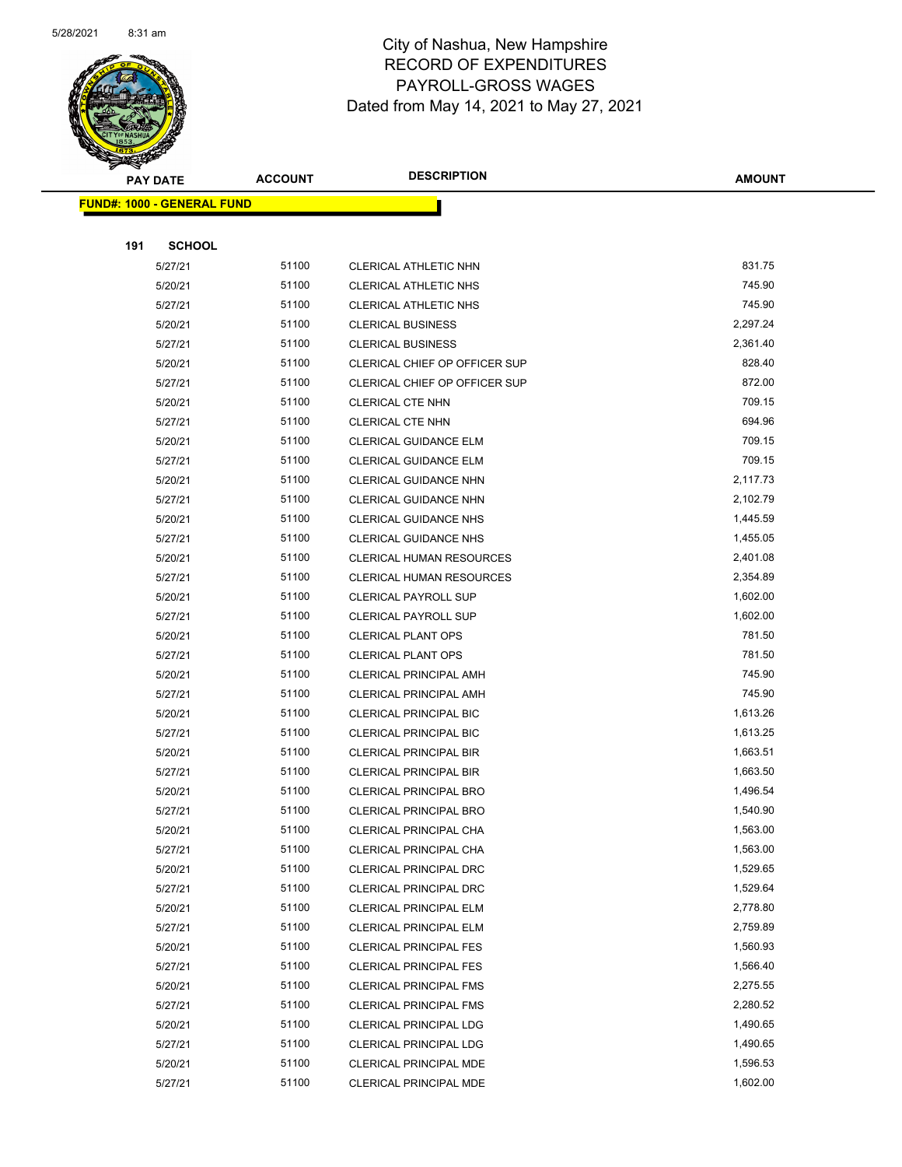

|     | <b>PAY DATE</b>                   | <b>ACCOUNT</b> | <b>DESCRIPTION</b>              | <b>AMOUNT</b> |
|-----|-----------------------------------|----------------|---------------------------------|---------------|
|     | <b>FUND#: 1000 - GENERAL FUND</b> |                |                                 |               |
|     |                                   |                |                                 |               |
| 191 | <b>SCHOOL</b>                     |                |                                 |               |
|     | 5/27/21                           | 51100          | CLERICAL ATHLETIC NHN           | 831.75        |
|     | 5/20/21                           | 51100          | <b>CLERICAL ATHLETIC NHS</b>    | 745.90        |
|     | 5/27/21                           | 51100          | <b>CLERICAL ATHLETIC NHS</b>    | 745.90        |
|     | 5/20/21                           | 51100          | <b>CLERICAL BUSINESS</b>        | 2,297.24      |
|     | 5/27/21                           | 51100          | <b>CLERICAL BUSINESS</b>        | 2,361.40      |
|     | 5/20/21                           | 51100          | CLERICAL CHIEF OP OFFICER SUP   | 828.40        |
|     | 5/27/21                           | 51100          | CLERICAL CHIEF OP OFFICER SUP   | 872.00        |
|     | 5/20/21                           | 51100          | <b>CLERICAL CTE NHN</b>         | 709.15        |
|     | 5/27/21                           | 51100          | <b>CLERICAL CTE NHN</b>         | 694.96        |
|     | 5/20/21                           | 51100          | <b>CLERICAL GUIDANCE ELM</b>    | 709.15        |
|     | 5/27/21                           | 51100          | <b>CLERICAL GUIDANCE ELM</b>    | 709.15        |
|     | 5/20/21                           | 51100          | <b>CLERICAL GUIDANCE NHN</b>    | 2,117.73      |
|     | 5/27/21                           | 51100          | CLERICAL GUIDANCE NHN           | 2,102.79      |
|     | 5/20/21                           | 51100          | <b>CLERICAL GUIDANCE NHS</b>    | 1,445.59      |
|     | 5/27/21                           | 51100          | <b>CLERICAL GUIDANCE NHS</b>    | 1,455.05      |
|     | 5/20/21                           | 51100          | <b>CLERICAL HUMAN RESOURCES</b> | 2,401.08      |
|     | 5/27/21                           | 51100          | <b>CLERICAL HUMAN RESOURCES</b> | 2,354.89      |
|     | 5/20/21                           | 51100          | CLERICAL PAYROLL SUP            | 1,602.00      |
|     | 5/27/21                           | 51100          | <b>CLERICAL PAYROLL SUP</b>     | 1,602.00      |
|     | 5/20/21                           | 51100          | <b>CLERICAL PLANT OPS</b>       | 781.50        |
|     | 5/27/21                           | 51100          | <b>CLERICAL PLANT OPS</b>       | 781.50        |
|     | 5/20/21                           | 51100          | <b>CLERICAL PRINCIPAL AMH</b>   | 745.90        |
|     | 5/27/21                           | 51100          | <b>CLERICAL PRINCIPAL AMH</b>   | 745.90        |
|     | 5/20/21                           | 51100          | <b>CLERICAL PRINCIPAL BIC</b>   | 1,613.26      |
|     | 5/27/21                           | 51100          | <b>CLERICAL PRINCIPAL BIC</b>   | 1,613.25      |
|     | 5/20/21                           | 51100          | <b>CLERICAL PRINCIPAL BIR</b>   | 1,663.51      |
|     | 5/27/21                           | 51100          | <b>CLERICAL PRINCIPAL BIR</b>   | 1,663.50      |
|     | 5/20/21                           | 51100          | <b>CLERICAL PRINCIPAL BRO</b>   | 1,496.54      |
|     | 5/27/21                           | 51100          | <b>CLERICAL PRINCIPAL BRO</b>   | 1,540.90      |
|     | 5/20/21                           | 51100          | CLERICAL PRINCIPAL CHA          | 1,563.00      |
|     | 5/27/21                           | 51100          | CLERICAL PRINCIPAL CHA          | 1,563.00      |
|     | 5/20/21                           | 51100          | CLERICAL PRINCIPAL DRC          | 1,529.65      |
|     | 5/27/21                           | 51100          | CLERICAL PRINCIPAL DRC          | 1,529.64      |
|     | 5/20/21                           | 51100          | <b>CLERICAL PRINCIPAL ELM</b>   | 2,778.80      |
|     | 5/27/21                           | 51100          | <b>CLERICAL PRINCIPAL ELM</b>   | 2,759.89      |
|     | 5/20/21                           | 51100          | <b>CLERICAL PRINCIPAL FES</b>   | 1,560.93      |
|     | 5/27/21                           | 51100          | <b>CLERICAL PRINCIPAL FES</b>   | 1,566.40      |
|     | 5/20/21                           | 51100          | <b>CLERICAL PRINCIPAL FMS</b>   | 2,275.55      |
|     | 5/27/21                           | 51100          | <b>CLERICAL PRINCIPAL FMS</b>   | 2,280.52      |
|     | 5/20/21                           | 51100          | <b>CLERICAL PRINCIPAL LDG</b>   | 1,490.65      |
|     | 5/27/21                           | 51100          | CLERICAL PRINCIPAL LDG          | 1,490.65      |
|     | 5/20/21                           | 51100          | CLERICAL PRINCIPAL MDE          | 1,596.53      |
|     | 5/27/21                           | 51100          | CLERICAL PRINCIPAL MDE          | 1,602.00      |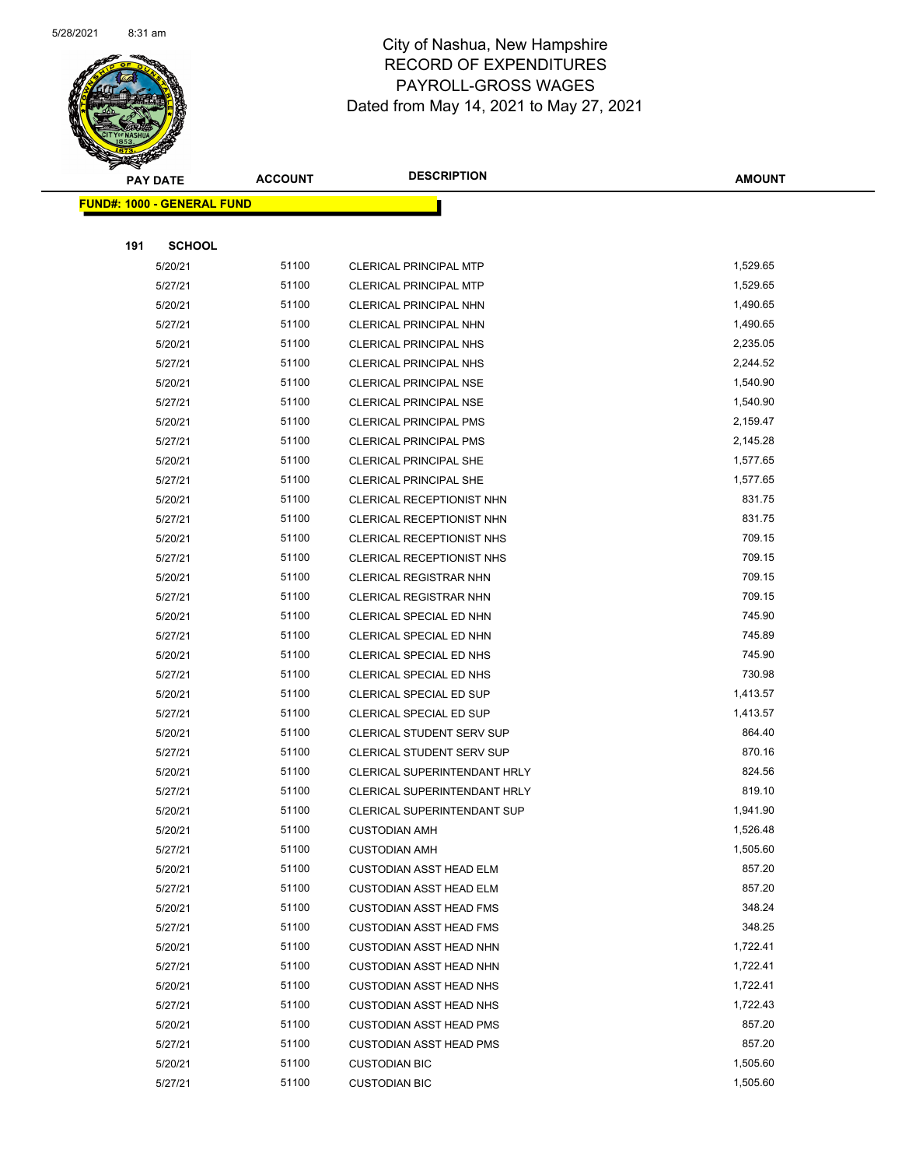

|     | <b>PAY DATE</b>                    | <b>ACCOUNT</b> | <b>DESCRIPTION</b>               | <b>AMOUNT</b> |
|-----|------------------------------------|----------------|----------------------------------|---------------|
|     | <u> FUND#: 1000 - GENERAL FUND</u> |                |                                  |               |
|     |                                    |                |                                  |               |
| 191 | <b>SCHOOL</b>                      |                |                                  |               |
|     | 5/20/21                            | 51100          | <b>CLERICAL PRINCIPAL MTP</b>    | 1,529.65      |
|     | 5/27/21                            | 51100          | <b>CLERICAL PRINCIPAL MTP</b>    | 1,529.65      |
|     | 5/20/21                            | 51100          | <b>CLERICAL PRINCIPAL NHN</b>    | 1,490.65      |
|     | 5/27/21                            | 51100          | CLERICAL PRINCIPAL NHN           | 1,490.65      |
|     | 5/20/21                            | 51100          | CLERICAL PRINCIPAL NHS           | 2,235.05      |
|     | 5/27/21                            | 51100          | CLERICAL PRINCIPAL NHS           | 2,244.52      |
|     | 5/20/21                            | 51100          | <b>CLERICAL PRINCIPAL NSE</b>    | 1,540.90      |
|     | 5/27/21                            | 51100          | <b>CLERICAL PRINCIPAL NSE</b>    | 1,540.90      |
|     | 5/20/21                            | 51100          | <b>CLERICAL PRINCIPAL PMS</b>    | 2,159.47      |
|     | 5/27/21                            | 51100          | <b>CLERICAL PRINCIPAL PMS</b>    | 2,145.28      |
|     | 5/20/21                            | 51100          | <b>CLERICAL PRINCIPAL SHE</b>    | 1,577.65      |
|     | 5/27/21                            | 51100          | <b>CLERICAL PRINCIPAL SHE</b>    | 1,577.65      |
|     | 5/20/21                            | 51100          | CLERICAL RECEPTIONIST NHN        | 831.75        |
|     | 5/27/21                            | 51100          | CLERICAL RECEPTIONIST NHN        | 831.75        |
|     | 5/20/21                            | 51100          | CLERICAL RECEPTIONIST NHS        | 709.15        |
|     | 5/27/21                            | 51100          | CLERICAL RECEPTIONIST NHS        | 709.15        |
|     | 5/20/21                            | 51100          | <b>CLERICAL REGISTRAR NHN</b>    | 709.15        |
|     | 5/27/21                            | 51100          | <b>CLERICAL REGISTRAR NHN</b>    | 709.15        |
|     | 5/20/21                            | 51100          | CLERICAL SPECIAL ED NHN          | 745.90        |
|     | 5/27/21                            | 51100          | CLERICAL SPECIAL ED NHN          | 745.89        |
|     | 5/20/21                            | 51100          | CLERICAL SPECIAL ED NHS          | 745.90        |
|     | 5/27/21                            | 51100          | CLERICAL SPECIAL ED NHS          | 730.98        |
|     | 5/20/21                            | 51100          | CLERICAL SPECIAL ED SUP          | 1,413.57      |
|     | 5/27/21                            | 51100          | CLERICAL SPECIAL ED SUP          | 1,413.57      |
|     | 5/20/21                            | 51100          | <b>CLERICAL STUDENT SERV SUP</b> | 864.40        |
|     | 5/27/21                            | 51100          | <b>CLERICAL STUDENT SERV SUP</b> | 870.16        |
|     | 5/20/21                            | 51100          | CLERICAL SUPERINTENDANT HRLY     | 824.56        |
|     | 5/27/21                            | 51100          | CLERICAL SUPERINTENDANT HRLY     | 819.10        |
|     | 5/20/21                            | 51100          | CLERICAL SUPERINTENDANT SUP      | 1,941.90      |
|     | 5/20/21                            | 51100          | <b>CUSTODIAN AMH</b>             | 1,526.48      |
|     | 5/27/21                            | 51100          | <b>CUSTODIAN AMH</b>             | 1,505.60      |
|     | 5/20/21                            | 51100          | <b>CUSTODIAN ASST HEAD ELM</b>   | 857.20        |
|     | 5/27/21                            | 51100          | <b>CUSTODIAN ASST HEAD ELM</b>   | 857.20        |
|     | 5/20/21                            | 51100          | <b>CUSTODIAN ASST HEAD FMS</b>   | 348.24        |
|     | 5/27/21                            | 51100          | <b>CUSTODIAN ASST HEAD FMS</b>   | 348.25        |
|     | 5/20/21                            | 51100          | <b>CUSTODIAN ASST HEAD NHN</b>   | 1,722.41      |
|     | 5/27/21                            | 51100          | <b>CUSTODIAN ASST HEAD NHN</b>   | 1,722.41      |
|     | 5/20/21                            | 51100          | <b>CUSTODIAN ASST HEAD NHS</b>   | 1,722.41      |
|     | 5/27/21                            | 51100          | <b>CUSTODIAN ASST HEAD NHS</b>   | 1,722.43      |
|     | 5/20/21                            | 51100          | <b>CUSTODIAN ASST HEAD PMS</b>   | 857.20        |
|     | 5/27/21                            | 51100          | <b>CUSTODIAN ASST HEAD PMS</b>   | 857.20        |
|     | 5/20/21                            | 51100          | <b>CUSTODIAN BIC</b>             | 1,505.60      |
|     | 5/27/21                            | 51100          | <b>CUSTODIAN BIC</b>             | 1,505.60      |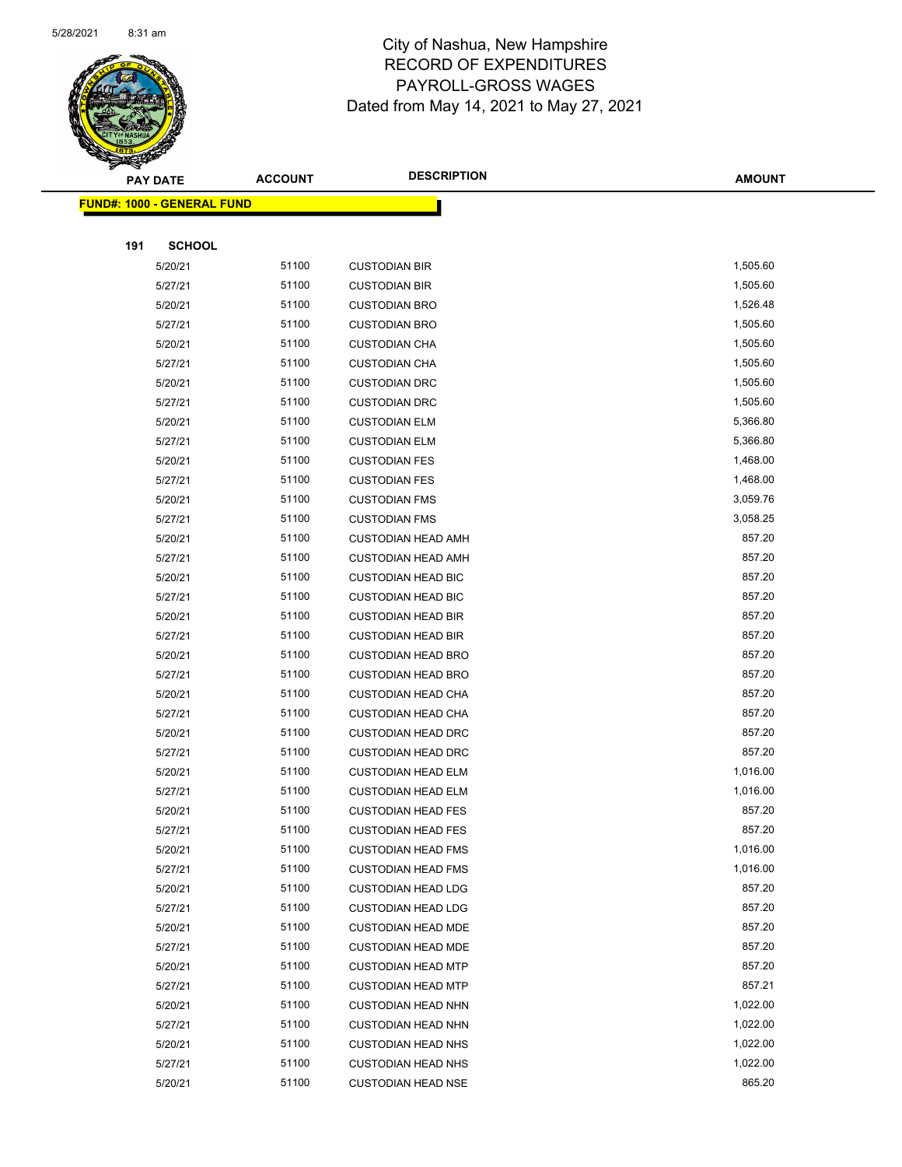

|     | <b>PAY DATE</b>                   | <b>ACCOUNT</b> | <b>DESCRIPTION</b>        | <b>AMOUNT</b> |
|-----|-----------------------------------|----------------|---------------------------|---------------|
|     | <b>FUND#: 1000 - GENERAL FUND</b> |                |                           |               |
|     |                                   |                |                           |               |
| 191 | <b>SCHOOL</b>                     |                |                           |               |
|     | 5/20/21                           | 51100          | <b>CUSTODIAN BIR</b>      | 1,505.60      |
|     | 5/27/21                           | 51100          | <b>CUSTODIAN BIR</b>      | 1,505.60      |
|     | 5/20/21                           | 51100          | <b>CUSTODIAN BRO</b>      | 1,526.48      |
|     | 5/27/21                           | 51100          | <b>CUSTODIAN BRO</b>      | 1,505.60      |
|     | 5/20/21                           | 51100          | <b>CUSTODIAN CHA</b>      | 1,505.60      |
|     | 5/27/21                           | 51100          | <b>CUSTODIAN CHA</b>      | 1,505.60      |
|     | 5/20/21                           | 51100          | <b>CUSTODIAN DRC</b>      | 1,505.60      |
|     | 5/27/21                           | 51100          | <b>CUSTODIAN DRC</b>      | 1,505.60      |
|     | 5/20/21                           | 51100          | <b>CUSTODIAN ELM</b>      | 5,366.80      |
|     | 5/27/21                           | 51100          | <b>CUSTODIAN ELM</b>      | 5,366.80      |
|     | 5/20/21                           | 51100          | <b>CUSTODIAN FES</b>      | 1,468.00      |
|     | 5/27/21                           | 51100          | <b>CUSTODIAN FES</b>      | 1,468.00      |
|     | 5/20/21                           | 51100          | <b>CUSTODIAN FMS</b>      | 3,059.76      |
|     | 5/27/21                           | 51100          | <b>CUSTODIAN FMS</b>      | 3,058.25      |
|     | 5/20/21                           | 51100          | <b>CUSTODIAN HEAD AMH</b> | 857.20        |
|     | 5/27/21                           | 51100          | <b>CUSTODIAN HEAD AMH</b> | 857.20        |
|     | 5/20/21                           | 51100          | <b>CUSTODIAN HEAD BIC</b> | 857.20        |
|     | 5/27/21                           | 51100          | <b>CUSTODIAN HEAD BIC</b> | 857.20        |
|     | 5/20/21                           | 51100          | <b>CUSTODIAN HEAD BIR</b> | 857.20        |
|     | 5/27/21                           | 51100          | <b>CUSTODIAN HEAD BIR</b> | 857.20        |
|     | 5/20/21                           | 51100          | <b>CUSTODIAN HEAD BRO</b> | 857.20        |
|     | 5/27/21                           | 51100          | <b>CUSTODIAN HEAD BRO</b> | 857.20        |
|     | 5/20/21                           | 51100          | <b>CUSTODIAN HEAD CHA</b> | 857.20        |
|     | 5/27/21                           | 51100          | <b>CUSTODIAN HEAD CHA</b> | 857.20        |
|     | 5/20/21                           | 51100          | <b>CUSTODIAN HEAD DRC</b> | 857.20        |
|     | 5/27/21                           | 51100          | <b>CUSTODIAN HEAD DRC</b> | 857.20        |
|     | 5/20/21                           | 51100          | <b>CUSTODIAN HEAD ELM</b> | 1,016.00      |
|     | 5/27/21                           | 51100          | <b>CUSTODIAN HEAD ELM</b> | 1,016.00      |
|     | 5/20/21                           | 51100          | <b>CUSTODIAN HEAD FES</b> | 857.20        |
|     | 5/27/21                           | 51100          | <b>CUSTODIAN HEAD FES</b> | 857.20        |
|     | 5/20/21                           | 51100          | <b>CUSTODIAN HEAD FMS</b> | 1,016.00      |
|     | 5/27/21                           | 51100          | <b>CUSTODIAN HEAD FMS</b> | 1,016.00      |
|     | 5/20/21                           | 51100          | <b>CUSTODIAN HEAD LDG</b> | 857.20        |
|     | 5/27/21                           | 51100          | <b>CUSTODIAN HEAD LDG</b> | 857.20        |
|     | 5/20/21                           | 51100          | <b>CUSTODIAN HEAD MDE</b> | 857.20        |
|     | 5/27/21                           | 51100          | <b>CUSTODIAN HEAD MDE</b> | 857.20        |
|     | 5/20/21                           | 51100          | <b>CUSTODIAN HEAD MTP</b> | 857.20        |
|     | 5/27/21                           | 51100          | <b>CUSTODIAN HEAD MTP</b> | 857.21        |
|     | 5/20/21                           | 51100          | <b>CUSTODIAN HEAD NHN</b> | 1,022.00      |
|     | 5/27/21                           | 51100          | <b>CUSTODIAN HEAD NHN</b> | 1,022.00      |
|     | 5/20/21                           | 51100          | <b>CUSTODIAN HEAD NHS</b> | 1,022.00      |
|     | 5/27/21                           | 51100          | <b>CUSTODIAN HEAD NHS</b> | 1,022.00      |
|     | 5/20/21                           | 51100          | <b>CUSTODIAN HEAD NSE</b> | 865.20        |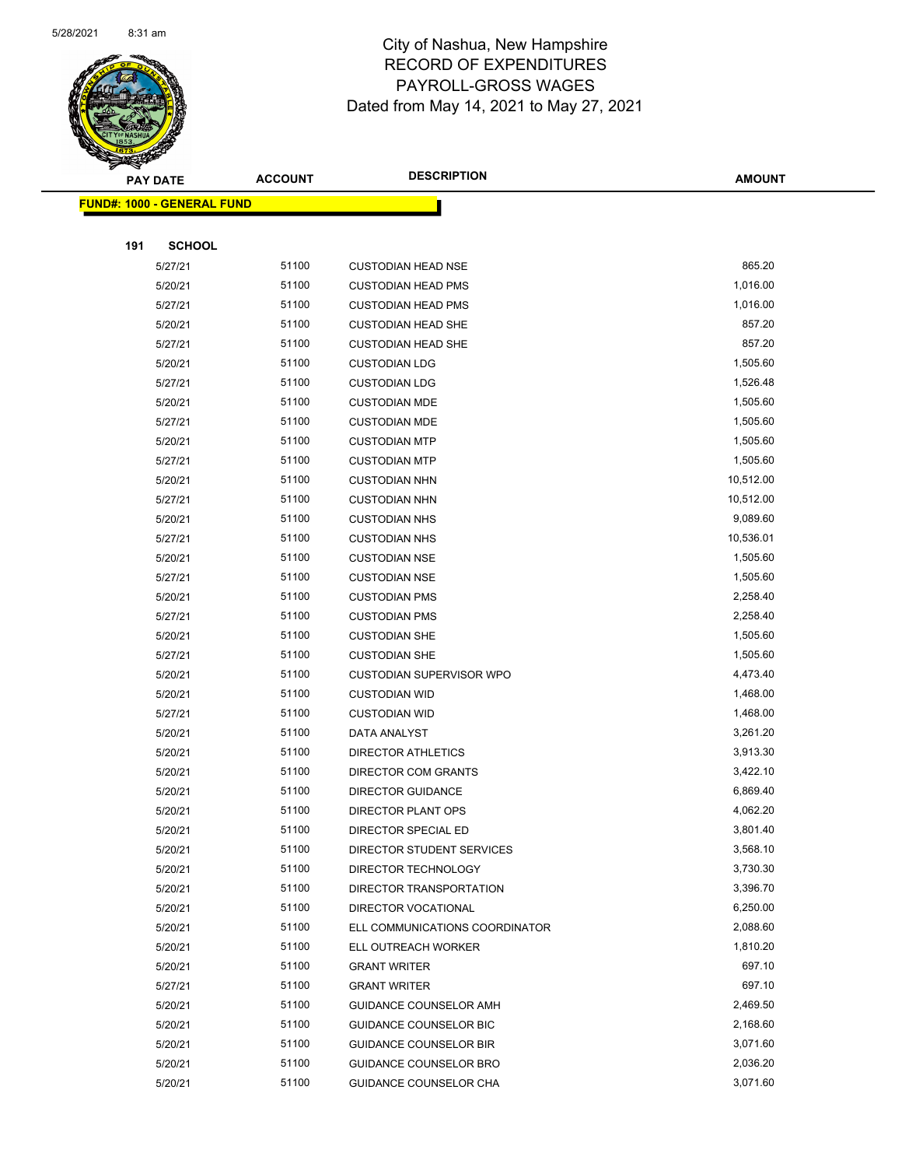

|     | <b>PAY DATE</b>                   | <b>ACCOUNT</b> | <b>DESCRIPTION</b>                            | <b>AMOUNT</b>        |
|-----|-----------------------------------|----------------|-----------------------------------------------|----------------------|
|     | <b>FUND#: 1000 - GENERAL FUND</b> |                |                                               |                      |
|     |                                   |                |                                               |                      |
| 191 | <b>SCHOOL</b>                     |                |                                               |                      |
|     | 5/27/21                           | 51100          | <b>CUSTODIAN HEAD NSE</b>                     | 865.20               |
|     | 5/20/21                           | 51100          | <b>CUSTODIAN HEAD PMS</b>                     | 1,016.00             |
|     | 5/27/21                           | 51100          | <b>CUSTODIAN HEAD PMS</b>                     | 1,016.00             |
|     | 5/20/21                           | 51100          | <b>CUSTODIAN HEAD SHE</b>                     | 857.20               |
|     | 5/27/21                           | 51100          | <b>CUSTODIAN HEAD SHE</b>                     | 857.20               |
|     | 5/20/21                           | 51100          | <b>CUSTODIAN LDG</b>                          | 1,505.60             |
|     | 5/27/21                           | 51100          | <b>CUSTODIAN LDG</b>                          | 1,526.48             |
|     | 5/20/21                           | 51100          | <b>CUSTODIAN MDE</b>                          | 1,505.60             |
|     | 5/27/21                           | 51100          | <b>CUSTODIAN MDE</b>                          | 1,505.60             |
|     | 5/20/21                           | 51100          | <b>CUSTODIAN MTP</b>                          | 1,505.60             |
|     | 5/27/21                           | 51100          | <b>CUSTODIAN MTP</b>                          | 1,505.60             |
|     | 5/20/21                           | 51100          | <b>CUSTODIAN NHN</b>                          | 10,512.00            |
|     | 5/27/21                           | 51100          | <b>CUSTODIAN NHN</b>                          | 10,512.00            |
|     | 5/20/21                           | 51100          | <b>CUSTODIAN NHS</b>                          | 9,089.60             |
|     | 5/27/21                           | 51100          | <b>CUSTODIAN NHS</b>                          | 10,536.01            |
|     | 5/20/21                           | 51100          | <b>CUSTODIAN NSE</b>                          | 1,505.60             |
|     | 5/27/21                           | 51100          | <b>CUSTODIAN NSE</b>                          | 1,505.60             |
|     | 5/20/21                           | 51100          | <b>CUSTODIAN PMS</b>                          | 2,258.40             |
|     | 5/27/21                           | 51100          | <b>CUSTODIAN PMS</b>                          | 2,258.40             |
|     | 5/20/21                           | 51100          | <b>CUSTODIAN SHE</b>                          | 1,505.60             |
|     | 5/27/21                           | 51100          | <b>CUSTODIAN SHE</b>                          | 1,505.60             |
|     | 5/20/21                           | 51100          | <b>CUSTODIAN SUPERVISOR WPO</b>               | 4,473.40             |
|     | 5/20/21                           | 51100          | <b>CUSTODIAN WID</b>                          | 1,468.00             |
|     | 5/27/21                           | 51100          | <b>CUSTODIAN WID</b>                          | 1,468.00             |
|     | 5/20/21                           | 51100          | DATA ANALYST                                  | 3,261.20             |
|     | 5/20/21                           | 51100          | <b>DIRECTOR ATHLETICS</b>                     | 3,913.30             |
|     | 5/20/21                           | 51100          | DIRECTOR COM GRANTS                           | 3,422.10             |
|     | 5/20/21                           | 51100          | <b>DIRECTOR GUIDANCE</b>                      | 6,869.40             |
|     | 5/20/21                           | 51100          | DIRECTOR PLANT OPS                            | 4,062.20             |
|     | 5/20/21                           | 51100          | DIRECTOR SPECIAL ED                           | 3,801.40             |
|     | 5/20/21                           | 51100          | DIRECTOR STUDENT SERVICES                     | 3,568.10             |
|     | 5/20/21                           | 51100          | DIRECTOR TECHNOLOGY                           | 3,730.30             |
|     | 5/20/21                           | 51100          | DIRECTOR TRANSPORTATION                       | 3,396.70             |
|     | 5/20/21                           | 51100<br>51100 | DIRECTOR VOCATIONAL                           | 6,250.00<br>2,088.60 |
|     | 5/20/21                           | 51100          | ELL COMMUNICATIONS COORDINATOR                | 1,810.20             |
|     | 5/20/21                           | 51100          | ELL OUTREACH WORKER                           | 697.10               |
|     | 5/20/21<br>5/27/21                | 51100          | <b>GRANT WRITER</b>                           | 697.10               |
|     | 5/20/21                           | 51100          | <b>GRANT WRITER</b><br>GUIDANCE COUNSELOR AMH | 2,469.50             |
|     | 5/20/21                           | 51100          | GUIDANCE COUNSELOR BIC                        | 2,168.60             |
|     | 5/20/21                           | 51100          | <b>GUIDANCE COUNSELOR BIR</b>                 | 3,071.60             |
|     | 5/20/21                           | 51100          | GUIDANCE COUNSELOR BRO                        | 2,036.20             |
|     | 5/20/21                           | 51100          | GUIDANCE COUNSELOR CHA                        | 3,071.60             |
|     |                                   |                |                                               |                      |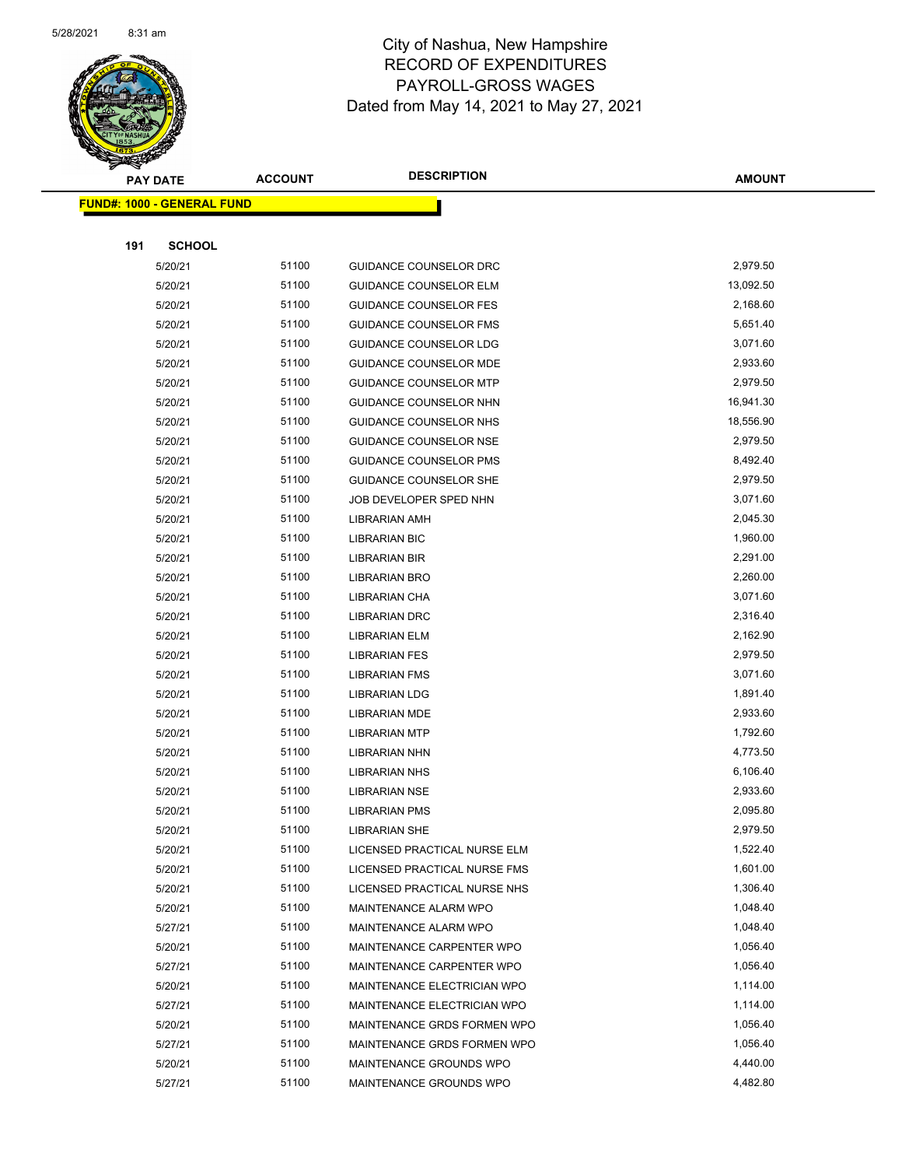

|     | <b>PAY DATE</b>                    | <b>ACCOUNT</b> | <b>DESCRIPTION</b>            | <b>AMOUNT</b> |
|-----|------------------------------------|----------------|-------------------------------|---------------|
|     | <u> FUND#: 1000 - GENERAL FUND</u> |                |                               |               |
|     |                                    |                |                               |               |
| 191 | <b>SCHOOL</b>                      |                |                               |               |
|     | 5/20/21                            | 51100          | GUIDANCE COUNSELOR DRC        | 2,979.50      |
|     | 5/20/21                            | 51100          | <b>GUIDANCE COUNSELOR ELM</b> | 13,092.50     |
|     | 5/20/21                            | 51100          | <b>GUIDANCE COUNSELOR FES</b> | 2,168.60      |
|     | 5/20/21                            | 51100          | <b>GUIDANCE COUNSELOR FMS</b> | 5,651.40      |
|     | 5/20/21                            | 51100          | GUIDANCE COUNSELOR LDG        | 3,071.60      |
|     | 5/20/21                            | 51100          | GUIDANCE COUNSELOR MDE        | 2,933.60      |
|     | 5/20/21                            | 51100          | <b>GUIDANCE COUNSELOR MTP</b> | 2,979.50      |
|     | 5/20/21                            | 51100          | GUIDANCE COUNSELOR NHN        | 16,941.30     |
|     | 5/20/21                            | 51100          | GUIDANCE COUNSELOR NHS        | 18,556.90     |
|     | 5/20/21                            | 51100          | GUIDANCE COUNSELOR NSE        | 2,979.50      |
|     | 5/20/21                            | 51100          | <b>GUIDANCE COUNSELOR PMS</b> | 8,492.40      |
|     | 5/20/21                            | 51100          | <b>GUIDANCE COUNSELOR SHE</b> | 2,979.50      |
|     | 5/20/21                            | 51100          | JOB DEVELOPER SPED NHN        | 3,071.60      |
|     | 5/20/21                            | 51100          | <b>LIBRARIAN AMH</b>          | 2,045.30      |
|     | 5/20/21                            | 51100          | <b>LIBRARIAN BIC</b>          | 1,960.00      |
|     | 5/20/21                            | 51100          | <b>LIBRARIAN BIR</b>          | 2,291.00      |
|     | 5/20/21                            | 51100          | <b>LIBRARIAN BRO</b>          | 2,260.00      |
|     | 5/20/21                            | 51100          | LIBRARIAN CHA                 | 3,071.60      |
|     | 5/20/21                            | 51100          | <b>LIBRARIAN DRC</b>          | 2,316.40      |
|     | 5/20/21                            | 51100          | <b>LIBRARIAN ELM</b>          | 2,162.90      |
|     | 5/20/21                            | 51100          | <b>LIBRARIAN FES</b>          | 2,979.50      |
|     | 5/20/21                            | 51100          | <b>LIBRARIAN FMS</b>          | 3,071.60      |
|     | 5/20/21                            | 51100          | <b>LIBRARIAN LDG</b>          | 1,891.40      |
|     | 5/20/21                            | 51100          | <b>LIBRARIAN MDE</b>          | 2,933.60      |
|     | 5/20/21                            | 51100          | <b>LIBRARIAN MTP</b>          | 1,792.60      |
|     | 5/20/21                            | 51100          | <b>LIBRARIAN NHN</b>          | 4,773.50      |
|     | 5/20/21                            | 51100          | <b>LIBRARIAN NHS</b>          | 6,106.40      |
|     | 5/20/21                            | 51100          | <b>LIBRARIAN NSE</b>          | 2,933.60      |
|     | 5/20/21                            | 51100          | <b>LIBRARIAN PMS</b>          | 2,095.80      |
|     | 5/20/21                            | 51100          | <b>LIBRARIAN SHE</b>          | 2,979.50      |
|     | 5/20/21                            | 51100          | LICENSED PRACTICAL NURSE ELM  | 1,522.40      |
|     | 5/20/21                            | 51100          | LICENSED PRACTICAL NURSE FMS  | 1,601.00      |
|     | 5/20/21                            | 51100          | LICENSED PRACTICAL NURSE NHS  | 1,306.40      |
|     | 5/20/21                            | 51100          | MAINTENANCE ALARM WPO         | 1,048.40      |
|     | 5/27/21                            | 51100          | MAINTENANCE ALARM WPO         | 1,048.40      |
|     | 5/20/21                            | 51100          | MAINTENANCE CARPENTER WPO     | 1,056.40      |
|     | 5/27/21                            | 51100          | MAINTENANCE CARPENTER WPO     | 1,056.40      |
|     | 5/20/21                            | 51100          | MAINTENANCE ELECTRICIAN WPO   | 1,114.00      |
|     | 5/27/21                            | 51100          | MAINTENANCE ELECTRICIAN WPO   | 1,114.00      |
|     | 5/20/21                            | 51100          | MAINTENANCE GRDS FORMEN WPO   | 1,056.40      |
|     | 5/27/21                            | 51100          | MAINTENANCE GRDS FORMEN WPO   | 1,056.40      |
|     | 5/20/21                            | 51100          | MAINTENANCE GROUNDS WPO       | 4,440.00      |
|     | 5/27/21                            | 51100          | MAINTENANCE GROUNDS WPO       | 4,482.80      |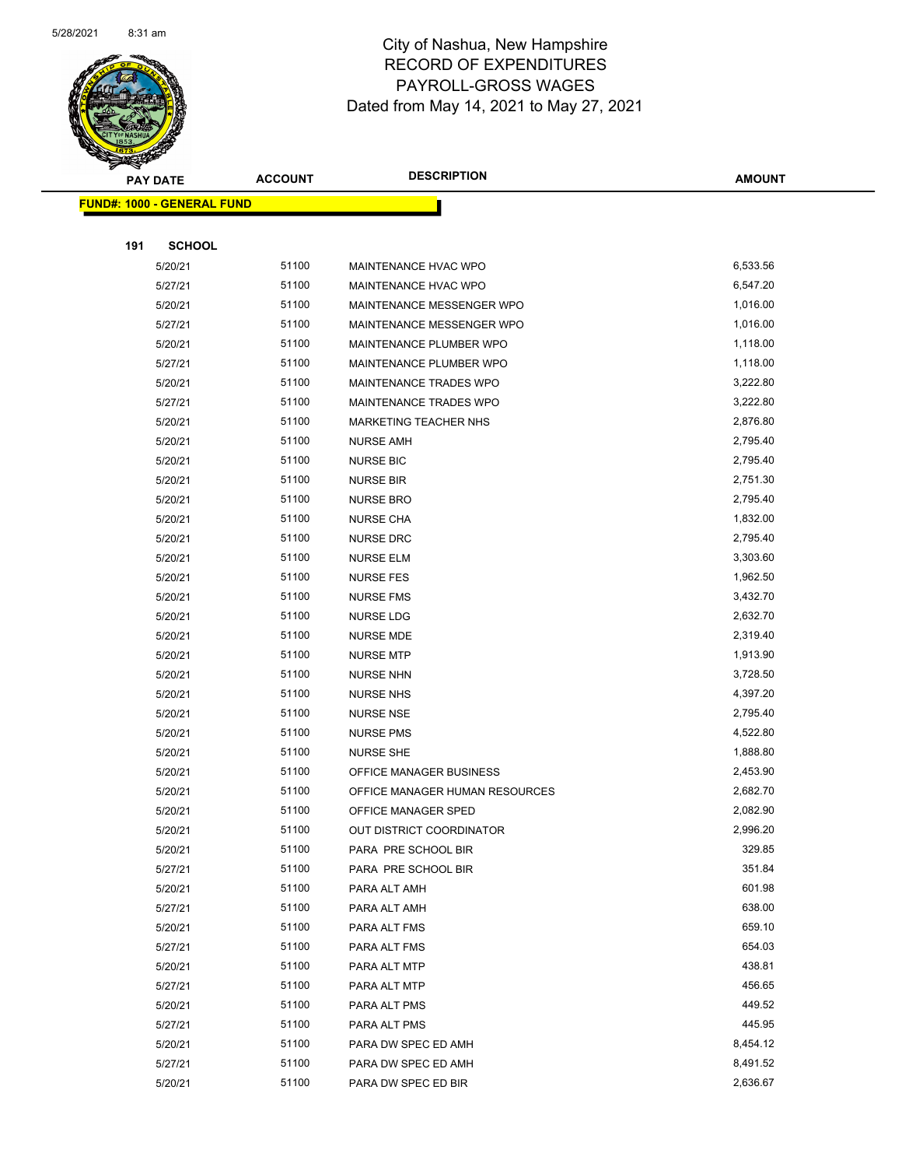

|     | <b>PAY DATE</b>                    | <b>ACCOUNT</b> | <b>DESCRIPTION</b>             | <b>AMOUNT</b> |
|-----|------------------------------------|----------------|--------------------------------|---------------|
|     | <u> FUND#: 1000 - GENERAL FUND</u> |                |                                |               |
|     |                                    |                |                                |               |
| 191 | <b>SCHOOL</b>                      |                |                                |               |
|     | 5/20/21                            | 51100          | MAINTENANCE HVAC WPO           | 6,533.56      |
|     | 5/27/21                            | 51100          | MAINTENANCE HVAC WPO           | 6,547.20      |
|     | 5/20/21                            | 51100          | MAINTENANCE MESSENGER WPO      | 1,016.00      |
|     | 5/27/21                            | 51100          | MAINTENANCE MESSENGER WPO      | 1,016.00      |
|     | 5/20/21                            | 51100          | MAINTENANCE PLUMBER WPO        | 1,118.00      |
|     | 5/27/21                            | 51100          | MAINTENANCE PLUMBER WPO        | 1,118.00      |
|     | 5/20/21                            | 51100          | <b>MAINTENANCE TRADES WPO</b>  | 3,222.80      |
|     | 5/27/21                            | 51100          | MAINTENANCE TRADES WPO         | 3,222.80      |
|     | 5/20/21                            | 51100          | MARKETING TEACHER NHS          | 2,876.80      |
|     | 5/20/21                            | 51100          | <b>NURSE AMH</b>               | 2,795.40      |
|     | 5/20/21                            | 51100          | <b>NURSE BIC</b>               | 2,795.40      |
|     | 5/20/21                            | 51100          | <b>NURSE BIR</b>               | 2,751.30      |
|     | 5/20/21                            | 51100          | <b>NURSE BRO</b>               | 2,795.40      |
|     | 5/20/21                            | 51100          | <b>NURSE CHA</b>               | 1,832.00      |
|     | 5/20/21                            | 51100          | <b>NURSE DRC</b>               | 2,795.40      |
|     | 5/20/21                            | 51100          | <b>NURSE ELM</b>               | 3,303.60      |
|     | 5/20/21                            | 51100          | <b>NURSE FES</b>               | 1,962.50      |
|     | 5/20/21                            | 51100          | <b>NURSE FMS</b>               | 3,432.70      |
|     | 5/20/21                            | 51100          | <b>NURSE LDG</b>               | 2,632.70      |
|     | 5/20/21                            | 51100          | <b>NURSE MDE</b>               | 2,319.40      |
|     | 5/20/21                            | 51100          | <b>NURSE MTP</b>               | 1,913.90      |
|     | 5/20/21                            | 51100          | <b>NURSE NHN</b>               | 3,728.50      |
|     | 5/20/21                            | 51100          | <b>NURSE NHS</b>               | 4,397.20      |
|     | 5/20/21                            | 51100          | <b>NURSE NSE</b>               | 2,795.40      |
|     | 5/20/21                            | 51100          | <b>NURSE PMS</b>               | 4,522.80      |
|     | 5/20/21                            | 51100          | <b>NURSE SHE</b>               | 1,888.80      |
|     | 5/20/21                            | 51100          | OFFICE MANAGER BUSINESS        | 2,453.90      |
|     | 5/20/21                            | 51100          | OFFICE MANAGER HUMAN RESOURCES | 2,682.70      |
|     | 5/20/21                            | 51100          | OFFICE MANAGER SPED            | 2,082.90      |
|     | 5/20/21                            | 51100          | OUT DISTRICT COORDINATOR       | 2,996.20      |
|     | 5/20/21                            | 51100          | PARA PRE SCHOOL BIR            | 329.85        |
|     | 5/27/21                            | 51100          | PARA PRE SCHOOL BIR            | 351.84        |
|     | 5/20/21                            | 51100          | PARA ALT AMH                   | 601.98        |
|     | 5/27/21                            | 51100          | PARA ALT AMH                   | 638.00        |
|     | 5/20/21                            | 51100          | PARA ALT FMS                   | 659.10        |
|     | 5/27/21                            | 51100          | PARA ALT FMS                   | 654.03        |
|     | 5/20/21                            | 51100          | PARA ALT MTP                   | 438.81        |
|     | 5/27/21                            | 51100          | PARA ALT MTP                   | 456.65        |
|     | 5/20/21                            | 51100          | PARA ALT PMS                   | 449.52        |
|     | 5/27/21                            | 51100          | PARA ALT PMS                   | 445.95        |
|     | 5/20/21                            | 51100          | PARA DW SPEC ED AMH            | 8,454.12      |
|     | 5/27/21                            | 51100          | PARA DW SPEC ED AMH            | 8,491.52      |
|     | 5/20/21                            | 51100          | PARA DW SPEC ED BIR            | 2,636.67      |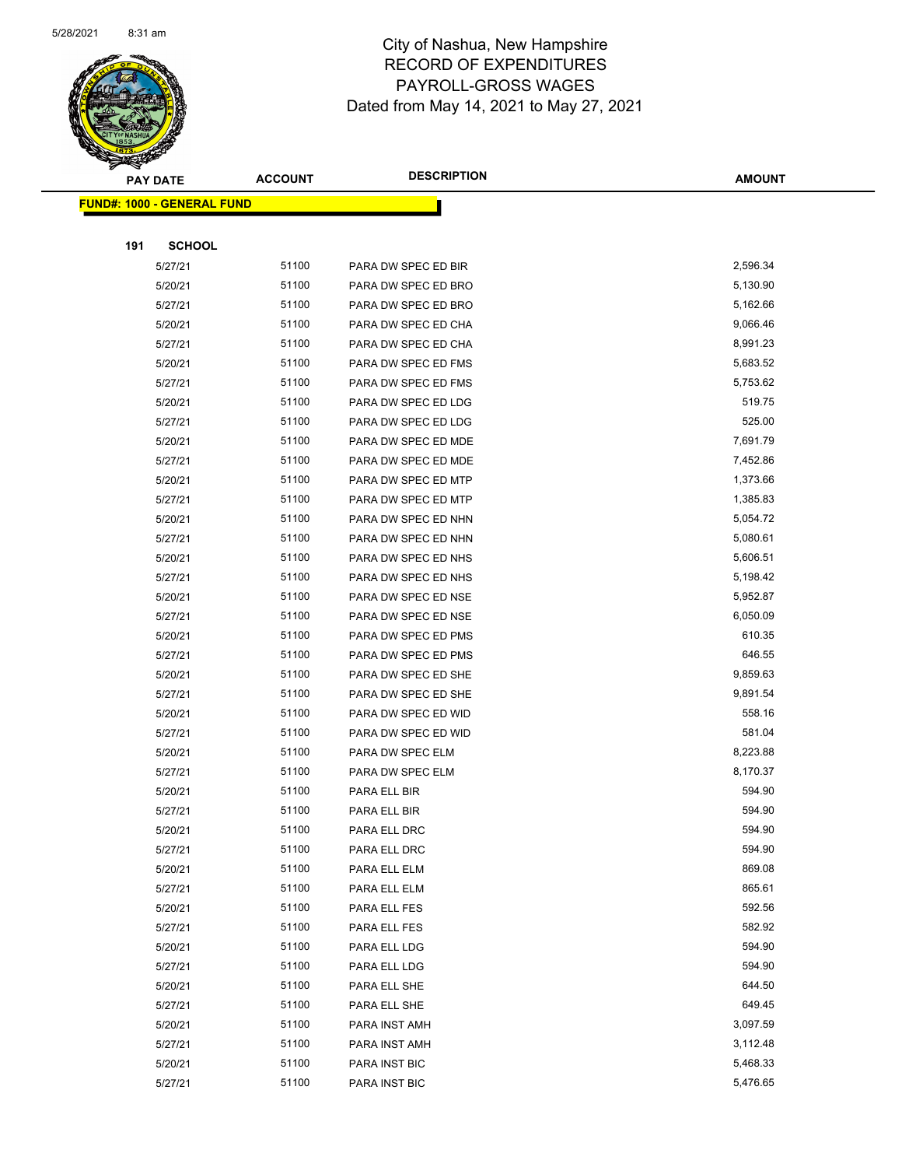

|     | <b>PAY DATE</b>                    | <b>ACCOUNT</b> | <b>DESCRIPTION</b>  | <b>AMOUNT</b> |
|-----|------------------------------------|----------------|---------------------|---------------|
|     | <u> FUND#: 1000 - GENERAL FUND</u> |                |                     |               |
|     |                                    |                |                     |               |
| 191 | <b>SCHOOL</b>                      |                |                     |               |
|     | 5/27/21                            | 51100          | PARA DW SPEC ED BIR | 2,596.34      |
|     | 5/20/21                            | 51100          | PARA DW SPEC ED BRO | 5,130.90      |
|     | 5/27/21                            | 51100          | PARA DW SPEC ED BRO | 5,162.66      |
|     | 5/20/21                            | 51100          | PARA DW SPEC ED CHA | 9,066.46      |
|     | 5/27/21                            | 51100          | PARA DW SPEC ED CHA | 8,991.23      |
|     | 5/20/21                            | 51100          | PARA DW SPEC ED FMS | 5,683.52      |
|     | 5/27/21                            | 51100          | PARA DW SPEC ED FMS | 5,753.62      |
|     | 5/20/21                            | 51100          | PARA DW SPEC ED LDG | 519.75        |
|     | 5/27/21                            | 51100          | PARA DW SPEC ED LDG | 525.00        |
|     | 5/20/21                            | 51100          | PARA DW SPEC ED MDE | 7,691.79      |
|     | 5/27/21                            | 51100          | PARA DW SPEC ED MDE | 7,452.86      |
|     | 5/20/21                            | 51100          | PARA DW SPEC ED MTP | 1,373.66      |
|     | 5/27/21                            | 51100          | PARA DW SPEC ED MTP | 1,385.83      |
|     | 5/20/21                            | 51100          | PARA DW SPEC ED NHN | 5,054.72      |
|     | 5/27/21                            | 51100          | PARA DW SPEC ED NHN | 5,080.61      |
|     | 5/20/21                            | 51100          | PARA DW SPEC ED NHS | 5,606.51      |
|     | 5/27/21                            | 51100          | PARA DW SPEC ED NHS | 5,198.42      |
|     | 5/20/21                            | 51100          | PARA DW SPEC ED NSE | 5,952.87      |
|     | 5/27/21                            | 51100          | PARA DW SPEC ED NSE | 6,050.09      |
|     | 5/20/21                            | 51100          | PARA DW SPEC ED PMS | 610.35        |
|     | 5/27/21                            | 51100          | PARA DW SPEC ED PMS | 646.55        |
|     | 5/20/21                            | 51100          | PARA DW SPEC ED SHE | 9,859.63      |
|     | 5/27/21                            | 51100          | PARA DW SPEC ED SHE | 9,891.54      |
|     | 5/20/21                            | 51100          | PARA DW SPEC ED WID | 558.16        |
|     | 5/27/21                            | 51100          | PARA DW SPEC ED WID | 581.04        |
|     | 5/20/21                            | 51100          | PARA DW SPEC ELM    | 8,223.88      |
|     | 5/27/21                            | 51100          | PARA DW SPEC ELM    | 8,170.37      |
|     | 5/20/21                            | 51100          | PARA ELL BIR        | 594.90        |
|     | 5/27/21                            | 51100          | PARA ELL BIR        | 594.90        |
|     | 5/20/21                            | 51100          | PARA ELL DRC        | 594.90        |
|     | 5/27/21                            | 51100          | PARA ELL DRC        | 594.90        |
|     | 5/20/21                            | 51100          | PARA ELL ELM        | 869.08        |
|     | 5/27/21                            | 51100          | PARA ELL ELM        | 865.61        |
|     | 5/20/21                            | 51100          | PARA ELL FES        | 592.56        |
|     | 5/27/21                            | 51100          | PARA ELL FES        | 582.92        |
|     | 5/20/21                            | 51100          | PARA ELL LDG        | 594.90        |
|     | 5/27/21                            | 51100          | PARA ELL LDG        | 594.90        |
|     | 5/20/21                            | 51100          | PARA ELL SHE        | 644.50        |
|     | 5/27/21                            | 51100          | PARA ELL SHE        | 649.45        |
|     | 5/20/21                            | 51100          | PARA INST AMH       | 3,097.59      |
|     | 5/27/21                            | 51100          | PARA INST AMH       | 3,112.48      |
|     | 5/20/21                            | 51100          | PARA INST BIC       | 5,468.33      |
|     | 5/27/21                            | 51100          | PARA INST BIC       | 5,476.65      |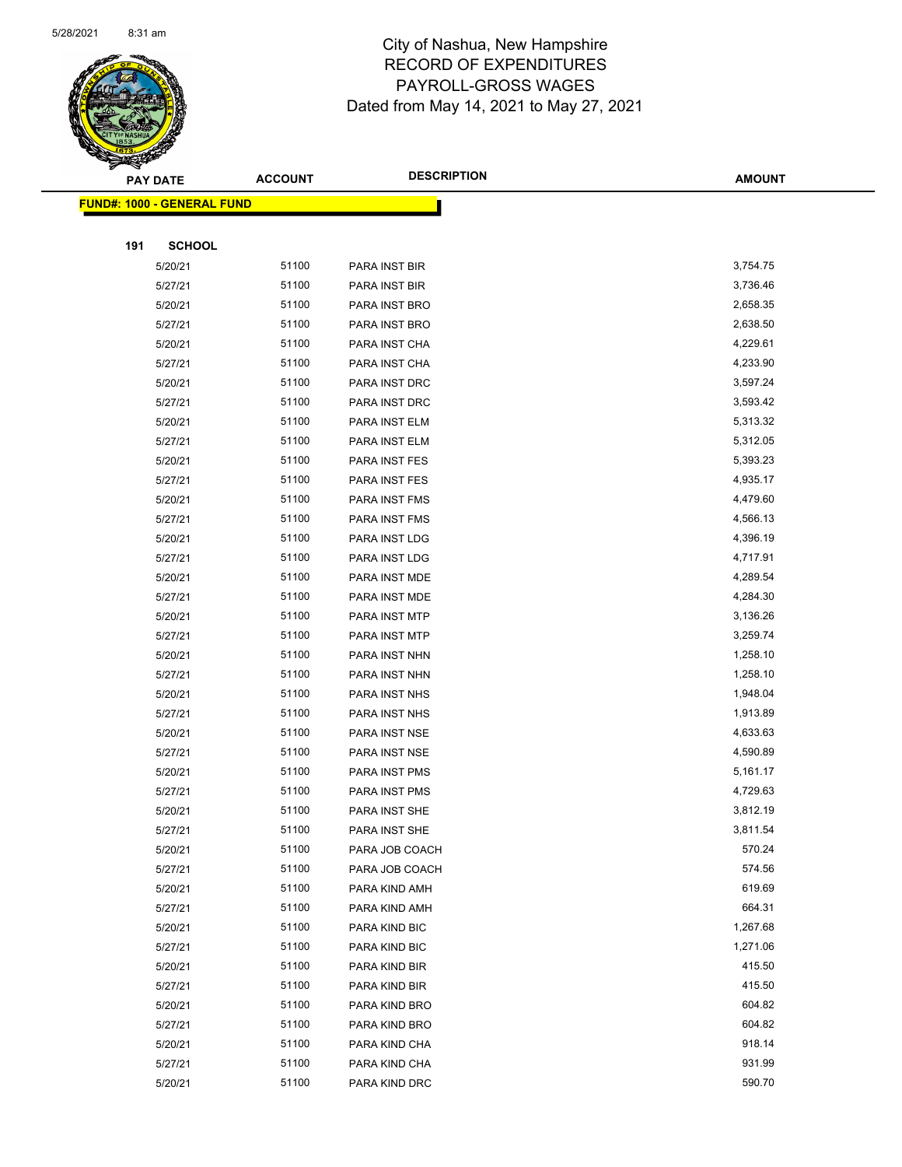

|     | <b>PAY DATE</b>                   | <b>ACCOUNT</b> | <b>DESCRIPTION</b> | <b>AMOUNT</b> |
|-----|-----------------------------------|----------------|--------------------|---------------|
|     | <b>FUND#: 1000 - GENERAL FUND</b> |                |                    |               |
|     |                                   |                |                    |               |
| 191 | <b>SCHOOL</b>                     |                |                    |               |
|     | 5/20/21                           | 51100          | PARA INST BIR      | 3,754.75      |
|     | 5/27/21                           | 51100          | PARA INST BIR      | 3,736.46      |
|     | 5/20/21                           | 51100          | PARA INST BRO      | 2,658.35      |
|     | 5/27/21                           | 51100          | PARA INST BRO      | 2,638.50      |
|     | 5/20/21                           | 51100          | PARA INST CHA      | 4,229.61      |
|     | 5/27/21                           | 51100          | PARA INST CHA      | 4,233.90      |
|     | 5/20/21                           | 51100          | PARA INST DRC      | 3,597.24      |
|     | 5/27/21                           | 51100          | PARA INST DRC      | 3,593.42      |
|     | 5/20/21                           | 51100          | PARA INST ELM      | 5,313.32      |
|     | 5/27/21                           | 51100          | PARA INST ELM      | 5,312.05      |
|     | 5/20/21                           | 51100          | PARA INST FES      | 5,393.23      |
|     | 5/27/21                           | 51100          | PARA INST FES      | 4,935.17      |
|     | 5/20/21                           | 51100          | PARA INST FMS      | 4,479.60      |
|     | 5/27/21                           | 51100          | PARA INST FMS      | 4,566.13      |
|     | 5/20/21                           | 51100          | PARA INST LDG      | 4,396.19      |
|     | 5/27/21                           | 51100          | PARA INST LDG      | 4,717.91      |
|     | 5/20/21                           | 51100          | PARA INST MDE      | 4,289.54      |
|     | 5/27/21                           | 51100          | PARA INST MDE      | 4,284.30      |
|     | 5/20/21                           | 51100          | PARA INST MTP      | 3,136.26      |
|     | 5/27/21                           | 51100          | PARA INST MTP      | 3,259.74      |
|     | 5/20/21                           | 51100          | PARA INST NHN      | 1,258.10      |
|     | 5/27/21                           | 51100          | PARA INST NHN      | 1,258.10      |
|     | 5/20/21                           | 51100          | PARA INST NHS      | 1,948.04      |
|     | 5/27/21                           | 51100          | PARA INST NHS      | 1,913.89      |
|     | 5/20/21                           | 51100          | PARA INST NSE      | 4,633.63      |
|     | 5/27/21                           | 51100          | PARA INST NSE      | 4,590.89      |
|     | 5/20/21                           | 51100          | PARA INST PMS      | 5,161.17      |
|     | 5/27/21                           | 51100          | PARA INST PMS      | 4,729.63      |
|     | 5/20/21                           | 51100          | PARA INST SHE      | 3,812.19      |
|     | 5/27/21                           | 51100          | PARA INST SHE      | 3,811.54      |
|     | 5/20/21                           | 51100          | PARA JOB COACH     | 570.24        |
|     | 5/27/21                           | 51100          | PARA JOB COACH     | 574.56        |
|     | 5/20/21                           | 51100          | PARA KIND AMH      | 619.69        |
|     | 5/27/21                           | 51100          | PARA KIND AMH      | 664.31        |
|     | 5/20/21                           | 51100          | PARA KIND BIC      | 1,267.68      |
|     | 5/27/21                           | 51100          | PARA KIND BIC      | 1,271.06      |
|     | 5/20/21                           | 51100          | PARA KIND BIR      | 415.50        |
|     | 5/27/21                           | 51100          | PARA KIND BIR      | 415.50        |
|     | 5/20/21                           | 51100          | PARA KIND BRO      | 604.82        |
|     | 5/27/21                           | 51100          | PARA KIND BRO      | 604.82        |
|     | 5/20/21                           | 51100          | PARA KIND CHA      | 918.14        |
|     | 5/27/21                           | 51100          | PARA KIND CHA      | 931.99        |
|     | 5/20/21                           | 51100          | PARA KIND DRC      | 590.70        |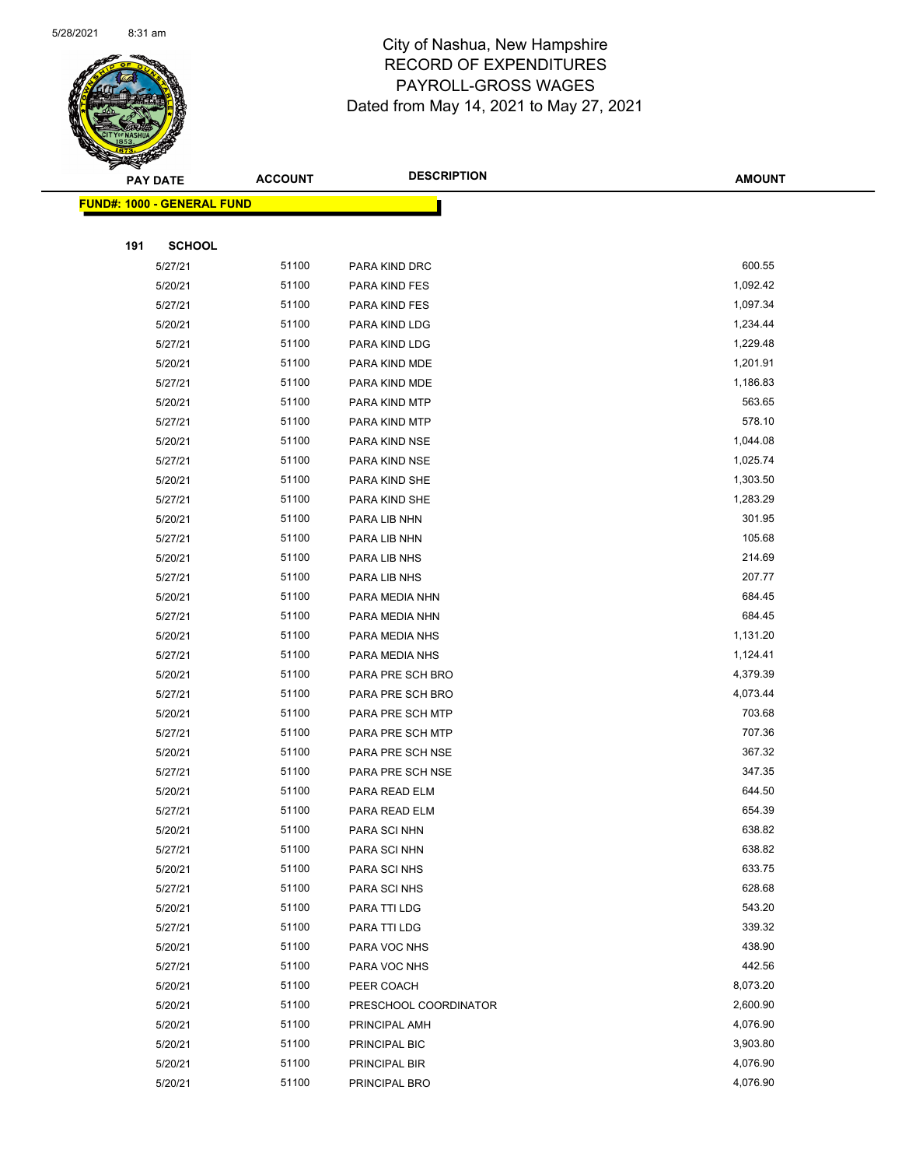

|     | <b>PAY DATE</b>                   | <b>ACCOUNT</b> | <b>DESCRIPTION</b>    | <b>AMOUNT</b> |
|-----|-----------------------------------|----------------|-----------------------|---------------|
|     | <b>FUND#: 1000 - GENERAL FUND</b> |                |                       |               |
|     |                                   |                |                       |               |
| 191 | <b>SCHOOL</b>                     |                |                       |               |
|     | 5/27/21                           | 51100          | PARA KIND DRC         | 600.55        |
|     | 5/20/21                           | 51100          | PARA KIND FES         | 1,092.42      |
|     | 5/27/21                           | 51100          | PARA KIND FES         | 1,097.34      |
|     | 5/20/21                           | 51100          | PARA KIND LDG         | 1,234.44      |
|     | 5/27/21                           | 51100          | PARA KIND LDG         | 1,229.48      |
|     | 5/20/21                           | 51100          | PARA KIND MDE         | 1,201.91      |
|     | 5/27/21                           | 51100          | PARA KIND MDE         | 1,186.83      |
|     | 5/20/21                           | 51100          | PARA KIND MTP         | 563.65        |
|     | 5/27/21                           | 51100          | PARA KIND MTP         | 578.10        |
|     | 5/20/21                           | 51100          | PARA KIND NSE         | 1,044.08      |
|     | 5/27/21                           | 51100          | PARA KIND NSE         | 1,025.74      |
|     | 5/20/21                           | 51100          | PARA KIND SHE         | 1,303.50      |
|     | 5/27/21                           | 51100          | PARA KIND SHE         | 1,283.29      |
|     | 5/20/21                           | 51100          | PARA LIB NHN          | 301.95        |
|     | 5/27/21                           | 51100          | PARA LIB NHN          | 105.68        |
|     | 5/20/21                           | 51100          | PARA LIB NHS          | 214.69        |
|     | 5/27/21                           | 51100          | PARA LIB NHS          | 207.77        |
|     | 5/20/21                           | 51100          | PARA MEDIA NHN        | 684.45        |
|     | 5/27/21                           | 51100          | PARA MEDIA NHN        | 684.45        |
|     | 5/20/21                           | 51100          | PARA MEDIA NHS        | 1,131.20      |
|     | 5/27/21                           | 51100          | PARA MEDIA NHS        | 1,124.41      |
|     | 5/20/21                           | 51100          | PARA PRE SCH BRO      | 4,379.39      |
|     | 5/27/21                           | 51100          | PARA PRE SCH BRO      | 4,073.44      |
|     | 5/20/21                           | 51100          | PARA PRE SCH MTP      | 703.68        |
|     | 5/27/21                           | 51100          | PARA PRE SCH MTP      | 707.36        |
|     | 5/20/21                           | 51100          | PARA PRE SCH NSE      | 367.32        |
|     | 5/27/21                           | 51100          | PARA PRE SCH NSE      | 347.35        |
|     | 5/20/21                           | 51100          | PARA READ ELM         | 644.50        |
|     | 5/27/21                           | 51100          | PARA READ ELM         | 654.39        |
|     | 5/20/21                           | 51100          | PARA SCI NHN          | 638.82        |
|     | 5/27/21                           | 51100          | PARA SCI NHN          | 638.82        |
|     | 5/20/21                           | 51100          | PARA SCI NHS          | 633.75        |
|     | 5/27/21                           | 51100          | PARA SCI NHS          | 628.68        |
|     | 5/20/21                           | 51100          | PARA TTI LDG          | 543.20        |
|     | 5/27/21                           | 51100          | PARA TTI LDG          | 339.32        |
|     | 5/20/21                           | 51100          | PARA VOC NHS          | 438.90        |
|     | 5/27/21                           | 51100          | PARA VOC NHS          | 442.56        |
|     | 5/20/21                           | 51100          | PEER COACH            | 8,073.20      |
|     | 5/20/21                           | 51100          | PRESCHOOL COORDINATOR | 2,600.90      |
|     | 5/20/21                           | 51100          | PRINCIPAL AMH         | 4,076.90      |
|     | 5/20/21                           | 51100          | PRINCIPAL BIC         | 3,903.80      |
|     | 5/20/21                           | 51100          | PRINCIPAL BIR         | 4,076.90      |
|     | 5/20/21                           | 51100          | PRINCIPAL BRO         | 4,076.90      |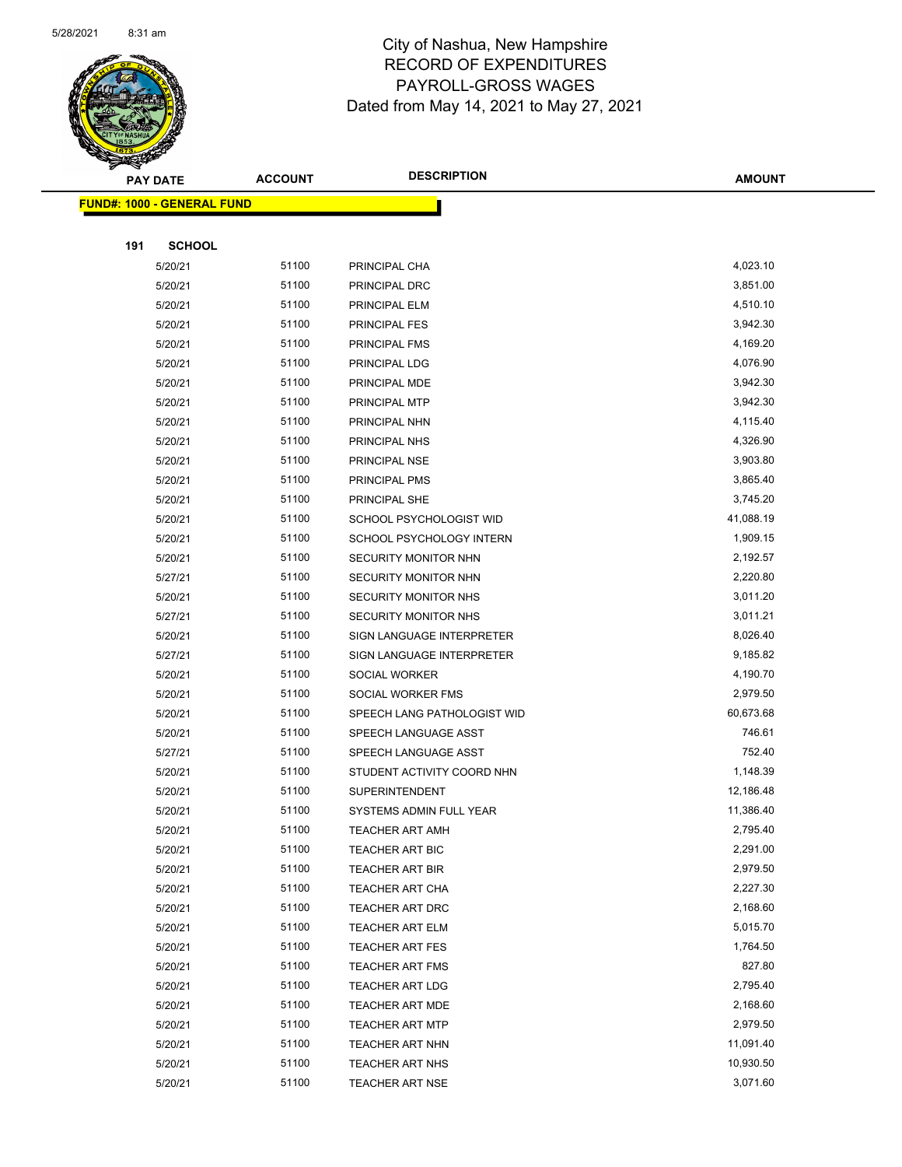

|     | <b>PAY DATE</b>                   | <b>ACCOUNT</b> | <b>DESCRIPTION</b>          | <b>AMOUNT</b> |
|-----|-----------------------------------|----------------|-----------------------------|---------------|
|     | <b>FUND#: 1000 - GENERAL FUND</b> |                |                             |               |
|     |                                   |                |                             |               |
| 191 | <b>SCHOOL</b>                     |                |                             |               |
|     | 5/20/21                           | 51100          | PRINCIPAL CHA               | 4,023.10      |
|     | 5/20/21                           | 51100          | PRINCIPAL DRC               | 3,851.00      |
|     | 5/20/21                           | 51100          | PRINCIPAL ELM               | 4,510.10      |
|     | 5/20/21                           | 51100          | <b>PRINCIPAL FES</b>        | 3,942.30      |
|     | 5/20/21                           | 51100          | <b>PRINCIPAL FMS</b>        | 4,169.20      |
|     | 5/20/21                           | 51100          | PRINCIPAL LDG               | 4,076.90      |
|     | 5/20/21                           | 51100          | PRINCIPAL MDE               | 3,942.30      |
|     | 5/20/21                           | 51100          | PRINCIPAL MTP               | 3,942.30      |
|     | 5/20/21                           | 51100          | PRINCIPAL NHN               | 4,115.40      |
|     | 5/20/21                           | 51100          | PRINCIPAL NHS               | 4,326.90      |
|     | 5/20/21                           | 51100          | PRINCIPAL NSE               | 3,903.80      |
|     | 5/20/21                           | 51100          | PRINCIPAL PMS               | 3,865.40      |
|     | 5/20/21                           | 51100          | PRINCIPAL SHE               | 3,745.20      |
|     | 5/20/21                           | 51100          | SCHOOL PSYCHOLOGIST WID     | 41,088.19     |
|     | 5/20/21                           | 51100          | SCHOOL PSYCHOLOGY INTERN    | 1,909.15      |
|     | 5/20/21                           | 51100          | SECURITY MONITOR NHN        | 2,192.57      |
|     | 5/27/21                           | 51100          | SECURITY MONITOR NHN        | 2,220.80      |
|     | 5/20/21                           | 51100          | SECURITY MONITOR NHS        | 3,011.20      |
|     | 5/27/21                           | 51100          | SECURITY MONITOR NHS        | 3,011.21      |
|     | 5/20/21                           | 51100          | SIGN LANGUAGE INTERPRETER   | 8,026.40      |
|     | 5/27/21                           | 51100          | SIGN LANGUAGE INTERPRETER   | 9,185.82      |
|     | 5/20/21                           | 51100          | SOCIAL WORKER               | 4,190.70      |
|     | 5/20/21                           | 51100          | SOCIAL WORKER FMS           | 2,979.50      |
|     | 5/20/21                           | 51100          | SPEECH LANG PATHOLOGIST WID | 60,673.68     |
|     | 5/20/21                           | 51100          | SPEECH LANGUAGE ASST        | 746.61        |
|     | 5/27/21                           | 51100          | SPEECH LANGUAGE ASST        | 752.40        |
|     | 5/20/21                           | 51100          | STUDENT ACTIVITY COORD NHN  | 1,148.39      |
|     | 5/20/21                           | 51100          | SUPERINTENDENT              | 12,186.48     |
|     | 5/20/21                           | 51100          | SYSTEMS ADMIN FULL YEAR     | 11,386.40     |
|     | 5/20/21                           | 51100          | TEACHER ART AMH             | 2,795.40      |
|     | 5/20/21                           | 51100          | TEACHER ART BIC             | 2,291.00      |
|     | 5/20/21                           | 51100          | <b>TEACHER ART BIR</b>      | 2,979.50      |
|     | 5/20/21                           | 51100          | <b>TEACHER ART CHA</b>      | 2,227.30      |
|     | 5/20/21                           | 51100          | TEACHER ART DRC             | 2,168.60      |
|     | 5/20/21                           | 51100          | <b>TEACHER ART ELM</b>      | 5,015.70      |
|     | 5/20/21                           | 51100          | <b>TEACHER ART FES</b>      | 1,764.50      |
|     | 5/20/21                           | 51100          | <b>TEACHER ART FMS</b>      | 827.80        |
|     | 5/20/21                           | 51100          | <b>TEACHER ART LDG</b>      | 2,795.40      |
|     | 5/20/21                           | 51100          | <b>TEACHER ART MDE</b>      | 2,168.60      |
|     | 5/20/21                           | 51100          | <b>TEACHER ART MTP</b>      | 2,979.50      |
|     | 5/20/21                           | 51100          | TEACHER ART NHN             | 11,091.40     |
|     | 5/20/21                           | 51100          | TEACHER ART NHS             | 10,930.50     |
|     | 5/20/21                           | 51100          | TEACHER ART NSE             | 3,071.60      |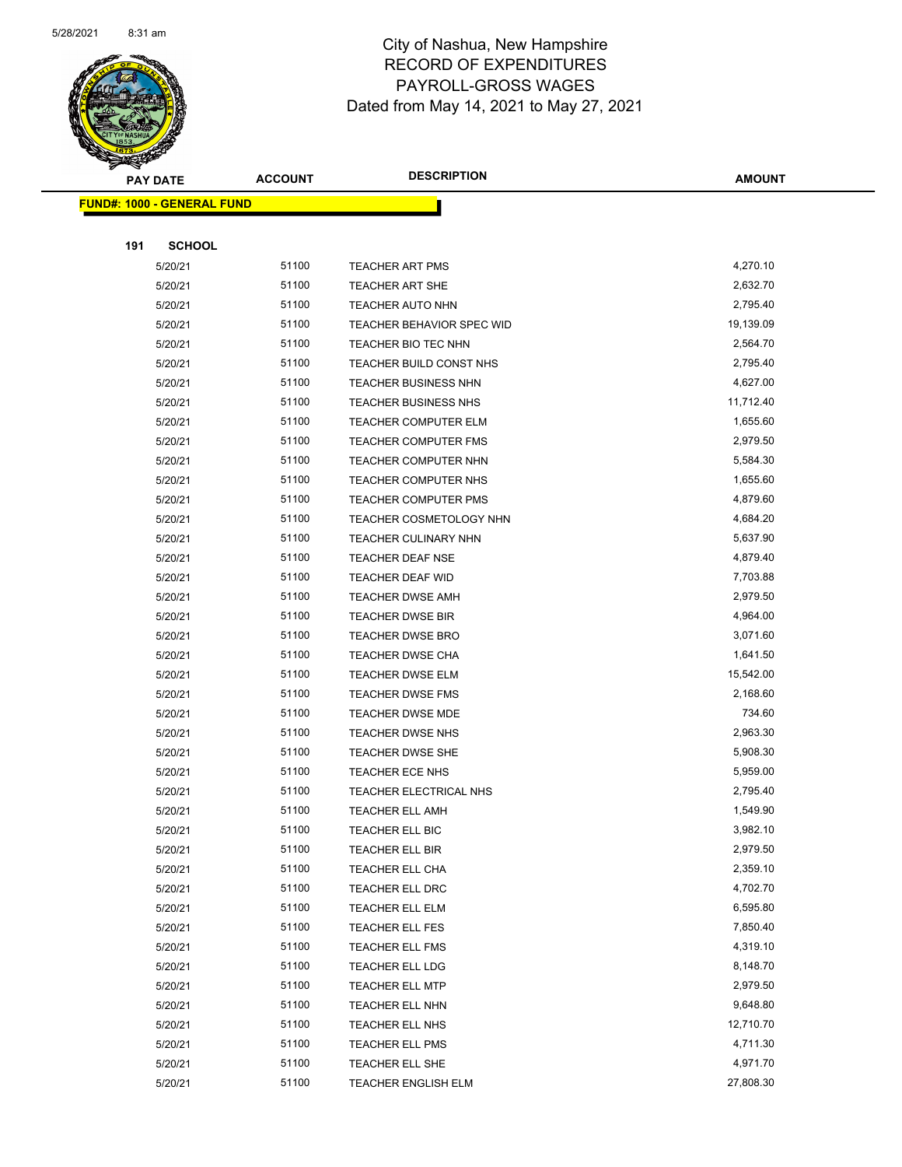

|     | <b>PAY DATE</b>                    | <b>ACCOUNT</b> | <b>DESCRIPTION</b>          | <b>AMOUNT</b> |
|-----|------------------------------------|----------------|-----------------------------|---------------|
|     | <u> FUND#: 1000 - GENERAL FUND</u> |                |                             |               |
|     |                                    |                |                             |               |
| 191 | <b>SCHOOL</b>                      |                |                             |               |
|     | 5/20/21                            | 51100          | <b>TEACHER ART PMS</b>      | 4,270.10      |
|     | 5/20/21                            | 51100          | <b>TEACHER ART SHE</b>      | 2,632.70      |
|     | 5/20/21                            | 51100          | <b>TEACHER AUTO NHN</b>     | 2,795.40      |
|     | 5/20/21                            | 51100          | TEACHER BEHAVIOR SPEC WID   | 19,139.09     |
|     | 5/20/21                            | 51100          | TEACHER BIO TEC NHN         | 2,564.70      |
|     | 5/20/21                            | 51100          | TEACHER BUILD CONST NHS     | 2,795.40      |
|     | 5/20/21                            | 51100          | TEACHER BUSINESS NHN        | 4,627.00      |
|     | 5/20/21                            | 51100          | TEACHER BUSINESS NHS        | 11,712.40     |
|     | 5/20/21                            | 51100          | <b>TEACHER COMPUTER ELM</b> | 1,655.60      |
|     | 5/20/21                            | 51100          | <b>TEACHER COMPUTER FMS</b> | 2,979.50      |
|     | 5/20/21                            | 51100          | TEACHER COMPUTER NHN        | 5,584.30      |
|     | 5/20/21                            | 51100          | TEACHER COMPUTER NHS        | 1,655.60      |
|     | 5/20/21                            | 51100          | TEACHER COMPUTER PMS        | 4,879.60      |
|     | 5/20/21                            | 51100          | TEACHER COSMETOLOGY NHN     | 4,684.20      |
|     | 5/20/21                            | 51100          | TEACHER CULINARY NHN        | 5,637.90      |
|     | 5/20/21                            | 51100          | TEACHER DEAF NSE            | 4,879.40      |
|     | 5/20/21                            | 51100          | TEACHER DEAF WID            | 7,703.88      |
|     | 5/20/21                            | 51100          | TEACHER DWSE AMH            | 2,979.50      |
|     | 5/20/21                            | 51100          | <b>TEACHER DWSE BIR</b>     | 4,964.00      |
|     | 5/20/21                            | 51100          | <b>TEACHER DWSE BRO</b>     | 3,071.60      |
|     | 5/20/21                            | 51100          | TEACHER DWSE CHA            | 1,641.50      |
|     | 5/20/21                            | 51100          | TEACHER DWSE ELM            | 15,542.00     |
|     | 5/20/21                            | 51100          | TEACHER DWSE FMS            | 2,168.60      |
|     | 5/20/21                            | 51100          | <b>TEACHER DWSE MDE</b>     | 734.60        |
|     | 5/20/21                            | 51100          | TEACHER DWSE NHS            | 2,963.30      |
|     | 5/20/21                            | 51100          | TEACHER DWSE SHE            | 5,908.30      |
|     | 5/20/21                            | 51100          | TEACHER ECE NHS             | 5,959.00      |
|     | 5/20/21                            | 51100          | TEACHER ELECTRICAL NHS      | 2,795.40      |
|     | 5/20/21                            | 51100          | <b>TEACHER ELL AMH</b>      | 1,549.90      |
|     | 5/20/21                            | 51100          | TEACHER ELL BIC             | 3,982.10      |
|     | 5/20/21                            | 51100          | TEACHER ELL BIR             | 2,979.50      |
|     | 5/20/21                            | 51100          | TEACHER ELL CHA             | 2,359.10      |
|     | 5/20/21                            | 51100          | TEACHER ELL DRC             | 4,702.70      |
|     | 5/20/21                            | 51100          | TEACHER ELL ELM             | 6,595.80      |
|     | 5/20/21                            | 51100          | TEACHER ELL FES             | 7,850.40      |
|     | 5/20/21                            | 51100          | TEACHER ELL FMS             | 4,319.10      |
|     | 5/20/21                            | 51100          | TEACHER ELL LDG             | 8,148.70      |
|     | 5/20/21                            | 51100          | TEACHER ELL MTP             | 2,979.50      |
|     | 5/20/21                            | 51100          | TEACHER ELL NHN             | 9,648.80      |
|     | 5/20/21                            | 51100          | TEACHER ELL NHS             | 12,710.70     |
|     | 5/20/21                            | 51100          | TEACHER ELL PMS             | 4,711.30      |
|     | 5/20/21                            | 51100          | TEACHER ELL SHE             | 4,971.70      |
|     | 5/20/21                            | 51100          | TEACHER ENGLISH ELM         | 27,808.30     |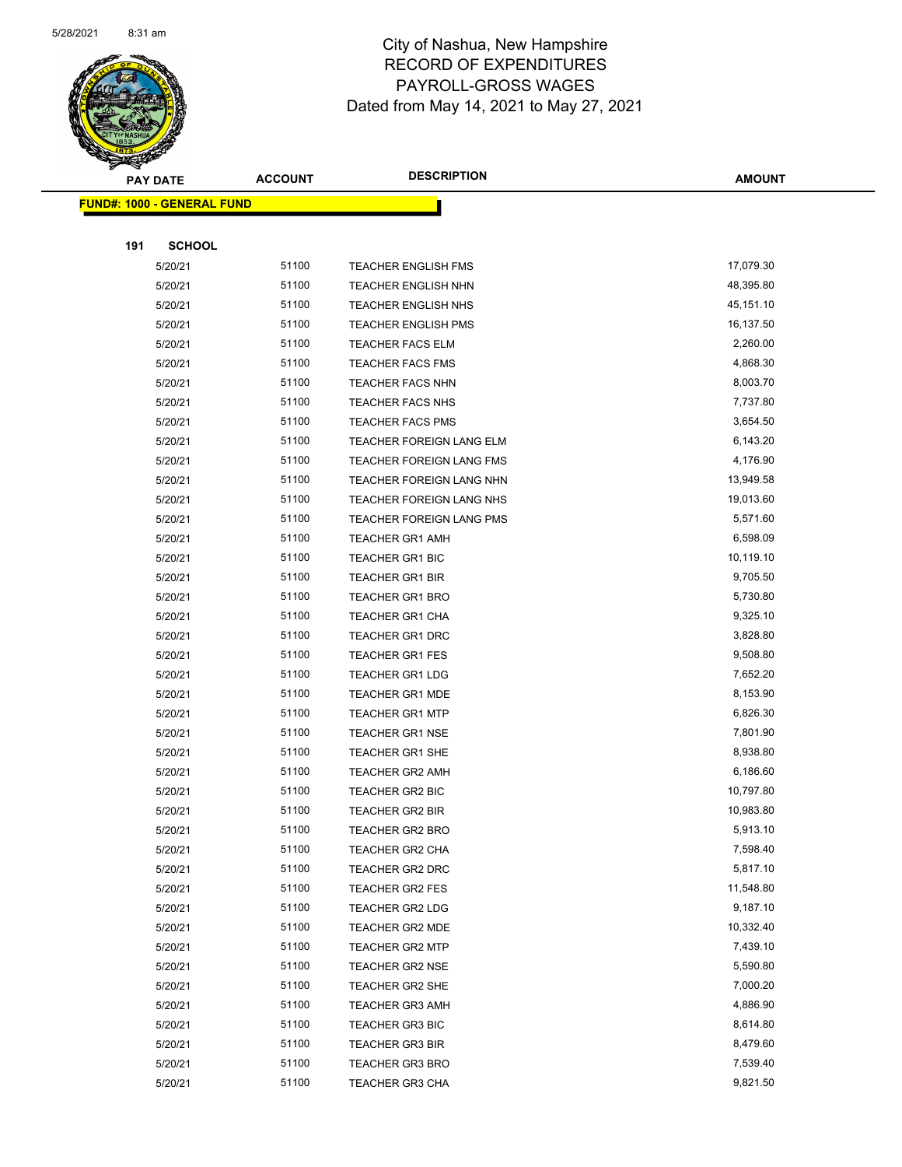

|     | <b>PAY DATE</b>                   | <b>ACCOUNT</b> | <b>DESCRIPTION</b>         | <b>AMOUNT</b> |
|-----|-----------------------------------|----------------|----------------------------|---------------|
|     | <b>FUND#: 1000 - GENERAL FUND</b> |                |                            |               |
|     |                                   |                |                            |               |
| 191 | <b>SCHOOL</b>                     |                |                            |               |
|     | 5/20/21                           | 51100          | <b>TEACHER ENGLISH FMS</b> | 17,079.30     |
|     | 5/20/21                           | 51100          | TEACHER ENGLISH NHN        | 48,395.80     |
|     | 5/20/21                           | 51100          | <b>TEACHER ENGLISH NHS</b> | 45,151.10     |
|     | 5/20/21                           | 51100          | <b>TEACHER ENGLISH PMS</b> | 16,137.50     |
|     | 5/20/21                           | 51100          | <b>TEACHER FACS ELM</b>    | 2,260.00      |
|     | 5/20/21                           | 51100          | <b>TEACHER FACS FMS</b>    | 4,868.30      |
|     | 5/20/21                           | 51100          | <b>TEACHER FACS NHN</b>    | 8,003.70      |
|     | 5/20/21                           | 51100          | TEACHER FACS NHS           | 7,737.80      |
|     | 5/20/21                           | 51100          | <b>TEACHER FACS PMS</b>    | 3,654.50      |
|     | 5/20/21                           | 51100          | TEACHER FOREIGN LANG ELM   | 6,143.20      |
|     | 5/20/21                           | 51100          | TEACHER FOREIGN LANG FMS   | 4,176.90      |
|     | 5/20/21                           | 51100          | TEACHER FOREIGN LANG NHN   | 13,949.58     |
|     | 5/20/21                           | 51100          | TEACHER FOREIGN LANG NHS   | 19,013.60     |
|     | 5/20/21                           | 51100          | TEACHER FOREIGN LANG PMS   | 5,571.60      |
|     | 5/20/21                           | 51100          | <b>TEACHER GR1 AMH</b>     | 6,598.09      |
|     | 5/20/21                           | 51100          | <b>TEACHER GR1 BIC</b>     | 10,119.10     |
|     | 5/20/21                           | 51100          | TEACHER GR1 BIR            | 9,705.50      |
|     | 5/20/21                           | 51100          | <b>TEACHER GR1 BRO</b>     | 5,730.80      |
|     | 5/20/21                           | 51100          | <b>TEACHER GR1 CHA</b>     | 9,325.10      |
|     | 5/20/21                           | 51100          | <b>TEACHER GR1 DRC</b>     | 3,828.80      |
|     | 5/20/21                           | 51100          | <b>TEACHER GR1 FES</b>     | 9,508.80      |
|     | 5/20/21                           | 51100          | <b>TEACHER GR1 LDG</b>     | 7,652.20      |
|     | 5/20/21                           | 51100          | <b>TEACHER GR1 MDE</b>     | 8,153.90      |
|     | 5/20/21                           | 51100          | <b>TEACHER GR1 MTP</b>     | 6,826.30      |
|     | 5/20/21                           | 51100          | <b>TEACHER GR1 NSE</b>     | 7,801.90      |
|     | 5/20/21                           | 51100          | <b>TEACHER GR1 SHE</b>     | 8,938.80      |
|     | 5/20/21                           | 51100          | <b>TEACHER GR2 AMH</b>     | 6,186.60      |
|     | 5/20/21                           | 51100          | TEACHER GR2 BIC            | 10,797.80     |
|     | 5/20/21                           | 51100          | <b>TEACHER GR2 BIR</b>     | 10,983.80     |
|     | 5/20/21                           | 51100          | TEACHER GR2 BRO            | 5,913.10      |
|     | 5/20/21                           | 51100          | TEACHER GR2 CHA            | 7,598.40      |
|     | 5/20/21                           | 51100          | TEACHER GR2 DRC            | 5,817.10      |
|     | 5/20/21                           | 51100          | TEACHER GR2 FES            | 11,548.80     |
|     | 5/20/21                           | 51100          | <b>TEACHER GR2 LDG</b>     | 9,187.10      |
|     | 5/20/21                           | 51100          | <b>TEACHER GR2 MDE</b>     | 10,332.40     |
|     | 5/20/21                           | 51100          | <b>TEACHER GR2 MTP</b>     | 7,439.10      |
|     | 5/20/21                           | 51100          | <b>TEACHER GR2 NSE</b>     | 5,590.80      |
|     | 5/20/21                           | 51100          | <b>TEACHER GR2 SHE</b>     | 7,000.20      |
|     | 5/20/21                           | 51100          | <b>TEACHER GR3 AMH</b>     | 4,886.90      |
|     | 5/20/21                           | 51100          | <b>TEACHER GR3 BIC</b>     | 8,614.80      |
|     | 5/20/21                           | 51100          | TEACHER GR3 BIR            | 8,479.60      |
|     | 5/20/21                           | 51100          | <b>TEACHER GR3 BRO</b>     | 7,539.40      |
|     | 5/20/21                           | 51100          | TEACHER GR3 CHA            | 9,821.50      |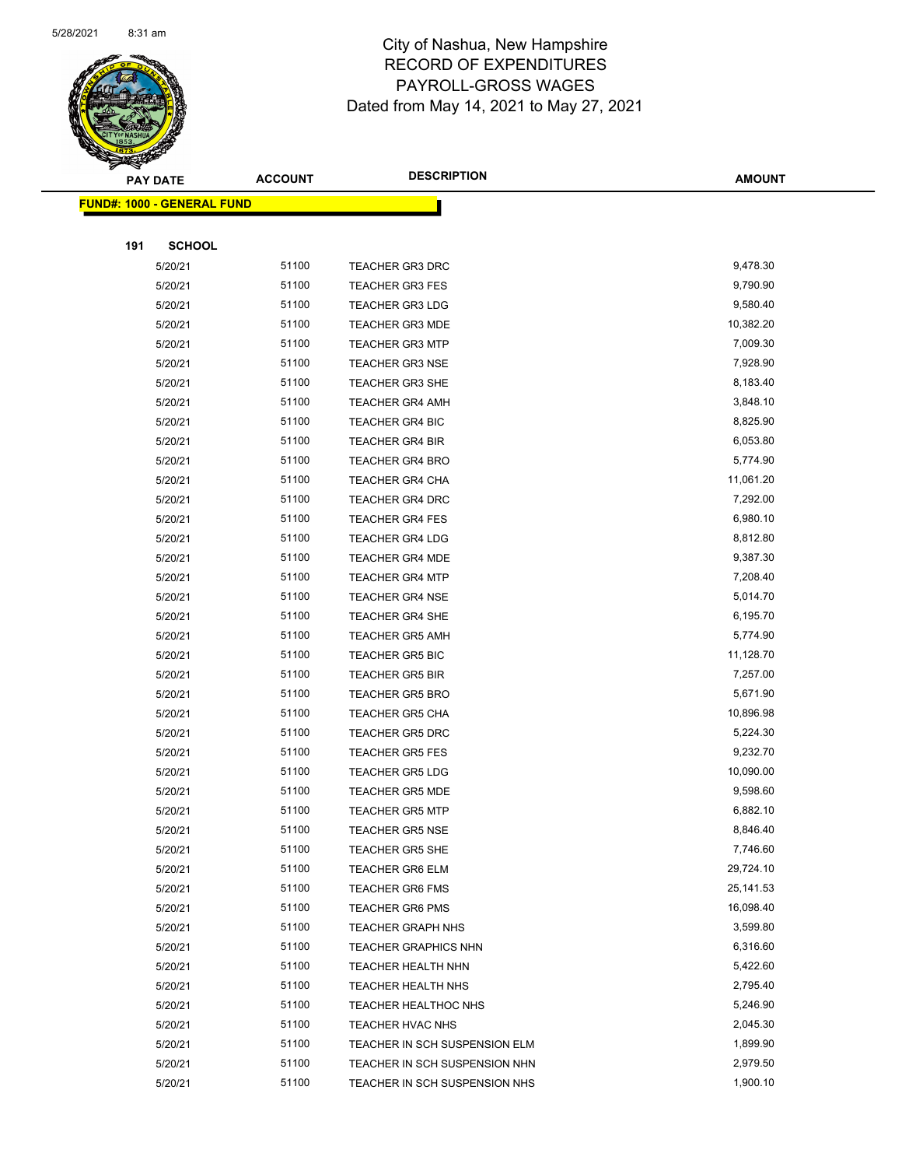

|     | <b>PAY DATE</b>                   | <b>ACCOUNT</b> | <b>DESCRIPTION</b>            | <b>AMOUNT</b> |
|-----|-----------------------------------|----------------|-------------------------------|---------------|
|     | <b>FUND#: 1000 - GENERAL FUND</b> |                |                               |               |
|     |                                   |                |                               |               |
| 191 | <b>SCHOOL</b>                     |                |                               |               |
|     | 5/20/21                           | 51100          | <b>TEACHER GR3 DRC</b>        | 9,478.30      |
|     | 5/20/21                           | 51100          | <b>TEACHER GR3 FES</b>        | 9,790.90      |
|     | 5/20/21                           | 51100          | <b>TEACHER GR3 LDG</b>        | 9,580.40      |
|     | 5/20/21                           | 51100          | <b>TEACHER GR3 MDE</b>        | 10,382.20     |
|     | 5/20/21                           | 51100          | <b>TEACHER GR3 MTP</b>        | 7,009.30      |
|     | 5/20/21                           | 51100          | <b>TEACHER GR3 NSE</b>        | 7,928.90      |
|     | 5/20/21                           | 51100          | TEACHER GR3 SHE               | 8,183.40      |
|     | 5/20/21                           | 51100          | <b>TEACHER GR4 AMH</b>        | 3,848.10      |
|     | 5/20/21                           | 51100          | <b>TEACHER GR4 BIC</b>        | 8,825.90      |
|     | 5/20/21                           | 51100          | <b>TEACHER GR4 BIR</b>        | 6,053.80      |
|     | 5/20/21                           | 51100          | <b>TEACHER GR4 BRO</b>        | 5,774.90      |
|     | 5/20/21                           | 51100          | TEACHER GR4 CHA               | 11,061.20     |
|     | 5/20/21                           | 51100          | <b>TEACHER GR4 DRC</b>        | 7,292.00      |
|     | 5/20/21                           | 51100          | <b>TEACHER GR4 FES</b>        | 6,980.10      |
|     | 5/20/21                           | 51100          | <b>TEACHER GR4 LDG</b>        | 8,812.80      |
|     | 5/20/21                           | 51100          | <b>TEACHER GR4 MDE</b>        | 9,387.30      |
|     | 5/20/21                           | 51100          | <b>TEACHER GR4 MTP</b>        | 7,208.40      |
|     | 5/20/21                           | 51100          | <b>TEACHER GR4 NSE</b>        | 5,014.70      |
|     | 5/20/21                           | 51100          | <b>TEACHER GR4 SHE</b>        | 6,195.70      |
|     | 5/20/21                           | 51100          | <b>TEACHER GR5 AMH</b>        | 5,774.90      |
|     | 5/20/21                           | 51100          | <b>TEACHER GR5 BIC</b>        | 11,128.70     |
|     | 5/20/21                           | 51100          | <b>TEACHER GR5 BIR</b>        | 7,257.00      |
|     | 5/20/21                           | 51100          | <b>TEACHER GR5 BRO</b>        | 5,671.90      |
|     | 5/20/21                           | 51100          | <b>TEACHER GR5 CHA</b>        | 10,896.98     |
|     | 5/20/21                           | 51100          | <b>TEACHER GR5 DRC</b>        | 5,224.30      |
|     | 5/20/21                           | 51100          | <b>TEACHER GR5 FES</b>        | 9,232.70      |
|     | 5/20/21                           | 51100          | <b>TEACHER GR5 LDG</b>        | 10,090.00     |
|     | 5/20/21                           | 51100          | <b>TEACHER GR5 MDE</b>        | 9,598.60      |
|     | 5/20/21                           | 51100          | <b>TEACHER GR5 MTP</b>        | 6,882.10      |
|     | 5/20/21                           | 51100          | TEACHER GR5 NSE               | 8,846.40      |
|     | 5/20/21                           | 51100          | <b>TEACHER GR5 SHE</b>        | 7,746.60      |
|     | 5/20/21                           | 51100          | <b>TEACHER GR6 ELM</b>        | 29,724.10     |
|     | 5/20/21                           | 51100          | <b>TEACHER GR6 FMS</b>        | 25, 141.53    |
|     | 5/20/21                           | 51100          | <b>TEACHER GR6 PMS</b>        | 16,098.40     |
|     | 5/20/21                           | 51100          | <b>TEACHER GRAPH NHS</b>      | 3,599.80      |
|     | 5/20/21                           | 51100          | <b>TEACHER GRAPHICS NHN</b>   | 6,316.60      |
|     | 5/20/21                           | 51100          | TEACHER HEALTH NHN            | 5,422.60      |
|     | 5/20/21                           | 51100          | TEACHER HEALTH NHS            | 2,795.40      |
|     | 5/20/21                           | 51100          | TEACHER HEALTHOC NHS          | 5,246.90      |
|     | 5/20/21                           | 51100          | TEACHER HVAC NHS              | 2,045.30      |
|     | 5/20/21                           | 51100          | TEACHER IN SCH SUSPENSION ELM | 1,899.90      |
|     | 5/20/21                           | 51100          | TEACHER IN SCH SUSPENSION NHN | 2,979.50      |
|     | 5/20/21                           | 51100          | TEACHER IN SCH SUSPENSION NHS | 1,900.10      |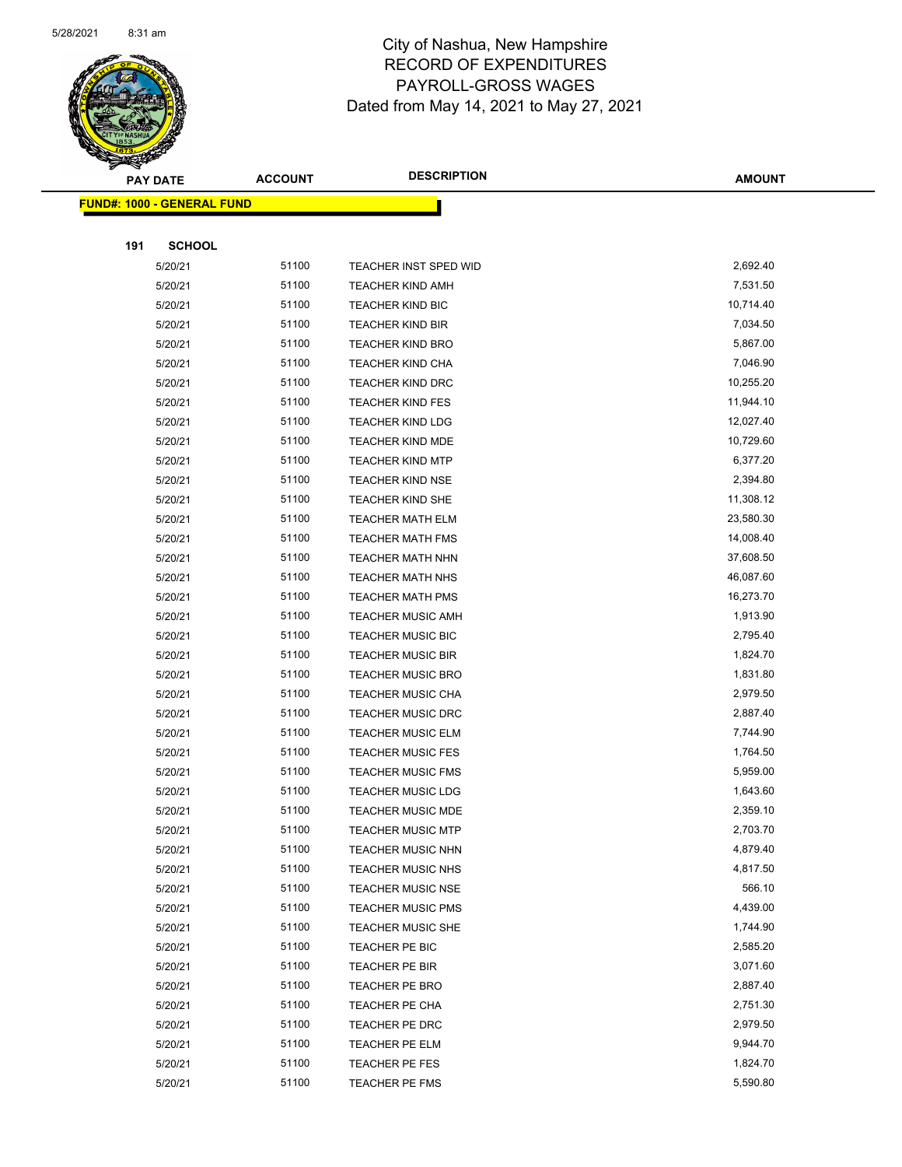

|     | <b>PAY DATE</b>                   | <b>ACCOUNT</b> | <b>DESCRIPTION</b>       | <b>AMOUNT</b> |
|-----|-----------------------------------|----------------|--------------------------|---------------|
|     | <b>FUND#: 1000 - GENERAL FUND</b> |                |                          |               |
|     |                                   |                |                          |               |
| 191 | <b>SCHOOL</b>                     |                |                          |               |
|     | 5/20/21                           | 51100          | TEACHER INST SPED WID    | 2,692.40      |
|     | 5/20/21                           | 51100          | <b>TEACHER KIND AMH</b>  | 7,531.50      |
|     | 5/20/21                           | 51100          | <b>TEACHER KIND BIC</b>  | 10,714.40     |
|     | 5/20/21                           | 51100          | <b>TEACHER KIND BIR</b>  | 7,034.50      |
|     | 5/20/21                           | 51100          | <b>TEACHER KIND BRO</b>  | 5,867.00      |
|     | 5/20/21                           | 51100          | <b>TEACHER KIND CHA</b>  | 7,046.90      |
|     | 5/20/21                           | 51100          | <b>TEACHER KIND DRC</b>  | 10,255.20     |
|     | 5/20/21                           | 51100          | <b>TEACHER KIND FES</b>  | 11,944.10     |
|     | 5/20/21                           | 51100          | <b>TEACHER KIND LDG</b>  | 12,027.40     |
|     | 5/20/21                           | 51100          | <b>TEACHER KIND MDE</b>  | 10,729.60     |
|     | 5/20/21                           | 51100          | <b>TEACHER KIND MTP</b>  | 6,377.20      |
|     | 5/20/21                           | 51100          | <b>TEACHER KIND NSE</b>  | 2,394.80      |
|     | 5/20/21                           | 51100          | <b>TEACHER KIND SHE</b>  | 11,308.12     |
|     | 5/20/21                           | 51100          | <b>TEACHER MATH ELM</b>  | 23,580.30     |
|     | 5/20/21                           | 51100          | <b>TEACHER MATH FMS</b>  | 14,008.40     |
|     | 5/20/21                           | 51100          | <b>TEACHER MATH NHN</b>  | 37,608.50     |
|     | 5/20/21                           | 51100          | <b>TEACHER MATH NHS</b>  | 46,087.60     |
|     | 5/20/21                           | 51100          | <b>TEACHER MATH PMS</b>  | 16,273.70     |
|     | 5/20/21                           | 51100          | <b>TEACHER MUSIC AMH</b> | 1,913.90      |
|     | 5/20/21                           | 51100          | <b>TEACHER MUSIC BIC</b> | 2,795.40      |
|     | 5/20/21                           | 51100          | <b>TEACHER MUSIC BIR</b> | 1,824.70      |
|     | 5/20/21                           | 51100          | <b>TEACHER MUSIC BRO</b> | 1,831.80      |
|     | 5/20/21                           | 51100          | <b>TEACHER MUSIC CHA</b> | 2,979.50      |
|     | 5/20/21                           | 51100          | <b>TEACHER MUSIC DRC</b> | 2,887.40      |
|     | 5/20/21                           | 51100          | <b>TEACHER MUSIC ELM</b> | 7,744.90      |
|     | 5/20/21                           | 51100          | <b>TEACHER MUSIC FES</b> | 1,764.50      |
|     | 5/20/21                           | 51100          | <b>TEACHER MUSIC FMS</b> | 5,959.00      |
|     | 5/20/21                           | 51100          | <b>TEACHER MUSIC LDG</b> | 1,643.60      |
|     | 5/20/21                           | 51100          | <b>TEACHER MUSIC MDE</b> | 2,359.10      |
|     | 5/20/21                           | 51100          | <b>TEACHER MUSIC MTP</b> | 2,703.70      |
|     | 5/20/21                           | 51100          | <b>TEACHER MUSIC NHN</b> | 4,879.40      |
|     | 5/20/21                           | 51100          | TEACHER MUSIC NHS        | 4,817.50      |
|     | 5/20/21                           | 51100          | <b>TEACHER MUSIC NSE</b> | 566.10        |
|     | 5/20/21                           | 51100          | <b>TEACHER MUSIC PMS</b> | 4,439.00      |
|     | 5/20/21                           | 51100          | <b>TEACHER MUSIC SHE</b> | 1,744.90      |
|     | 5/20/21                           | 51100          | TEACHER PE BIC           | 2,585.20      |
|     | 5/20/21                           | 51100          | TEACHER PE BIR           | 3,071.60      |
|     | 5/20/21                           | 51100          | TEACHER PE BRO           | 2,887.40      |
|     | 5/20/21                           | 51100          | TEACHER PE CHA           | 2,751.30      |
|     | 5/20/21                           | 51100          | TEACHER PE DRC           | 2,979.50      |
|     | 5/20/21                           | 51100          | TEACHER PE ELM           | 9,944.70      |
|     | 5/20/21                           | 51100          | TEACHER PE FES           | 1,824.70      |
|     | 5/20/21                           | 51100          | TEACHER PE FMS           | 5,590.80      |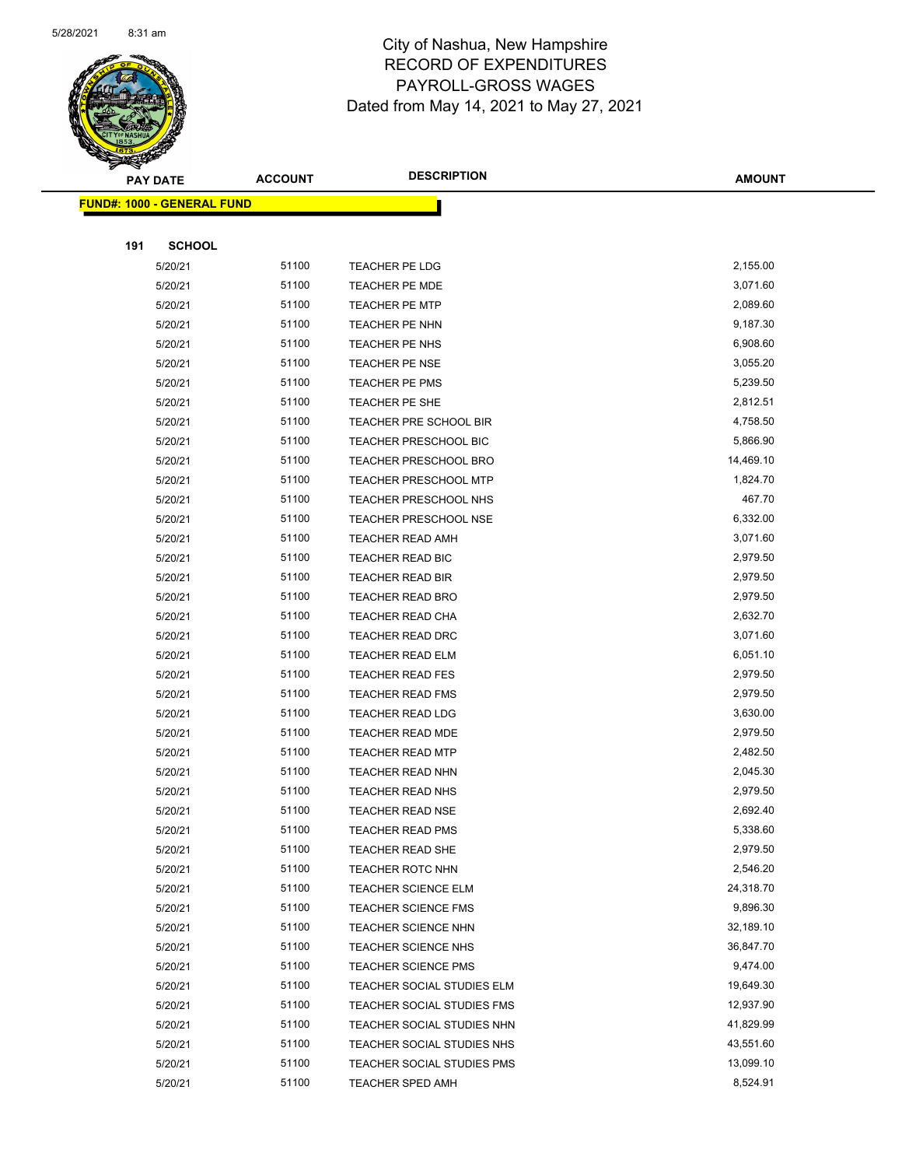

|     | <b>PAY DATE</b>                   | <b>ACCOUNT</b> | <b>DESCRIPTION</b>           | <b>AMOUNT</b> |
|-----|-----------------------------------|----------------|------------------------------|---------------|
|     | <b>FUND#: 1000 - GENERAL FUND</b> |                |                              |               |
|     |                                   |                |                              |               |
| 191 | <b>SCHOOL</b>                     |                |                              |               |
|     | 5/20/21                           | 51100          | TEACHER PE LDG               | 2,155.00      |
|     | 5/20/21                           | 51100          | TEACHER PE MDE               | 3,071.60      |
|     | 5/20/21                           | 51100          | <b>TEACHER PE MTP</b>        | 2,089.60      |
|     | 5/20/21                           | 51100          | TEACHER PE NHN               | 9,187.30      |
|     | 5/20/21                           | 51100          | TEACHER PE NHS               | 6,908.60      |
|     | 5/20/21                           | 51100          | TEACHER PE NSE               | 3,055.20      |
|     | 5/20/21                           | 51100          | <b>TEACHER PE PMS</b>        | 5,239.50      |
|     | 5/20/21                           | 51100          | TEACHER PE SHE               | 2,812.51      |
|     | 5/20/21                           | 51100          | TEACHER PRE SCHOOL BIR       | 4,758.50      |
|     | 5/20/21                           | 51100          | <b>TEACHER PRESCHOOL BIC</b> | 5,866.90      |
|     | 5/20/21                           | 51100          | <b>TEACHER PRESCHOOL BRO</b> | 14,469.10     |
|     | 5/20/21                           | 51100          | TEACHER PRESCHOOL MTP        | 1,824.70      |
|     | 5/20/21                           | 51100          | TEACHER PRESCHOOL NHS        | 467.70        |
|     | 5/20/21                           | 51100          | <b>TEACHER PRESCHOOL NSE</b> | 6,332.00      |
|     | 5/20/21                           | 51100          | <b>TEACHER READ AMH</b>      | 3,071.60      |
|     | 5/20/21                           | 51100          | TEACHER READ BIC             | 2,979.50      |
|     | 5/20/21                           | 51100          | <b>TEACHER READ BIR</b>      | 2,979.50      |
|     | 5/20/21                           | 51100          | <b>TEACHER READ BRO</b>      | 2,979.50      |
|     | 5/20/21                           | 51100          | <b>TEACHER READ CHA</b>      | 2,632.70      |
|     | 5/20/21                           | 51100          | <b>TEACHER READ DRC</b>      | 3,071.60      |
|     | 5/20/21                           | 51100          | TEACHER READ ELM             | 6,051.10      |
|     | 5/20/21                           | 51100          | <b>TEACHER READ FES</b>      | 2,979.50      |
|     | 5/20/21                           | 51100          | <b>TEACHER READ FMS</b>      | 2,979.50      |
|     | 5/20/21                           | 51100          | <b>TEACHER READ LDG</b>      | 3,630.00      |
|     | 5/20/21                           | 51100          | <b>TEACHER READ MDE</b>      | 2,979.50      |
|     | 5/20/21                           | 51100          | <b>TEACHER READ MTP</b>      | 2,482.50      |
|     | 5/20/21                           | 51100          | <b>TEACHER READ NHN</b>      | 2,045.30      |
|     | 5/20/21                           | 51100          | <b>TEACHER READ NHS</b>      | 2,979.50      |
|     | 5/20/21                           | 51100          | <b>TEACHER READ NSE</b>      | 2,692.40      |
|     | 5/20/21                           | 51100          | TEACHER READ PMS             | 5,338.60      |
|     | 5/20/21                           | 51100          | TEACHER READ SHE             | 2,979.50      |
|     | 5/20/21                           | 51100          | TEACHER ROTC NHN             | 2,546.20      |
|     | 5/20/21                           | 51100          | <b>TEACHER SCIENCE ELM</b>   | 24,318.70     |
|     | 5/20/21                           | 51100          | <b>TEACHER SCIENCE FMS</b>   | 9,896.30      |
|     | 5/20/21                           | 51100          | TEACHER SCIENCE NHN          | 32,189.10     |
|     | 5/20/21                           | 51100          | TEACHER SCIENCE NHS          | 36,847.70     |
|     | 5/20/21                           | 51100          | <b>TEACHER SCIENCE PMS</b>   | 9,474.00      |
|     | 5/20/21                           | 51100          | TEACHER SOCIAL STUDIES ELM   | 19,649.30     |
|     | 5/20/21                           | 51100          | TEACHER SOCIAL STUDIES FMS   | 12,937.90     |
|     | 5/20/21                           | 51100          | TEACHER SOCIAL STUDIES NHN   | 41,829.99     |
|     | 5/20/21                           | 51100          | TEACHER SOCIAL STUDIES NHS   | 43,551.60     |
|     | 5/20/21                           | 51100          | TEACHER SOCIAL STUDIES PMS   | 13,099.10     |
|     | 5/20/21                           | 51100          | TEACHER SPED AMH             | 8,524.91      |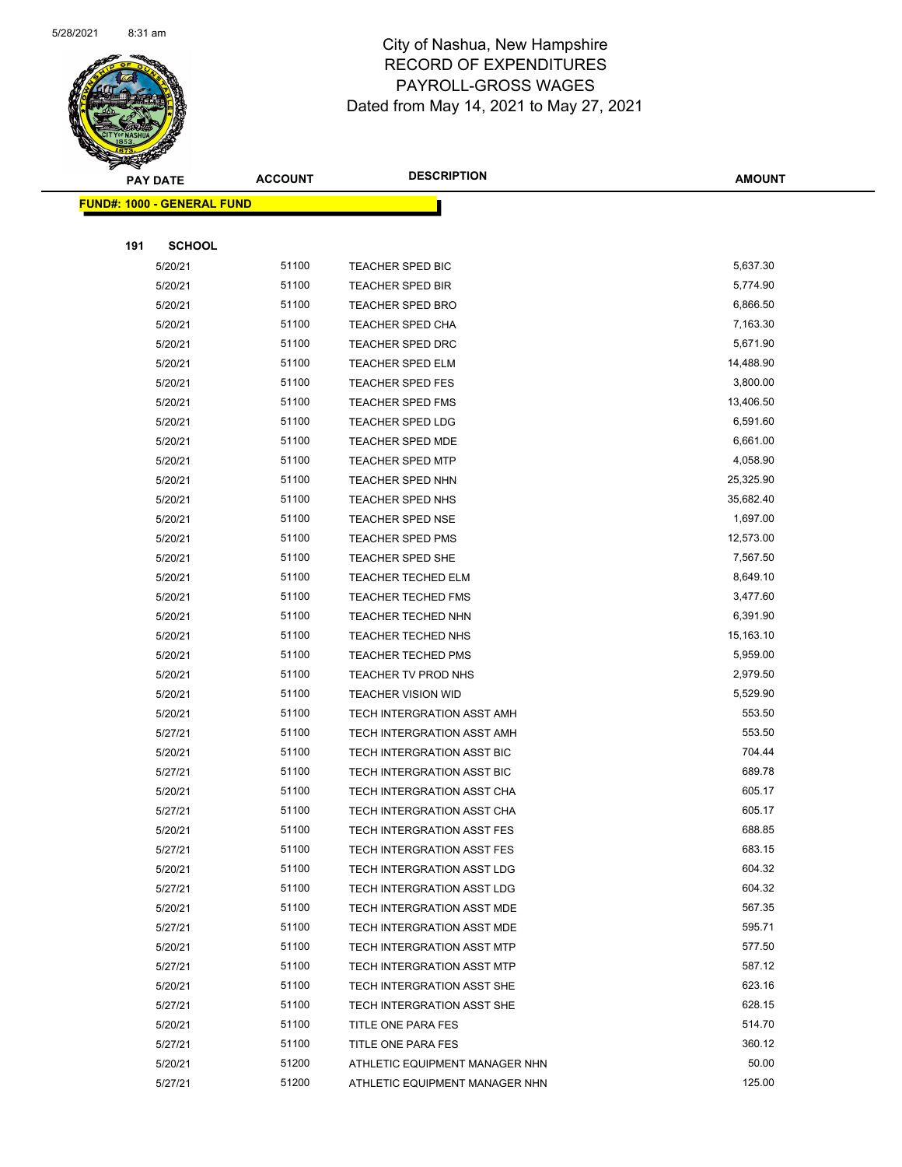

|     | <b>PAY DATE</b>                   | <b>ACCOUNT</b> | <b>DESCRIPTION</b>             | <b>AMOUNT</b> |
|-----|-----------------------------------|----------------|--------------------------------|---------------|
|     | <b>FUND#: 1000 - GENERAL FUND</b> |                |                                |               |
|     |                                   |                |                                |               |
| 191 | <b>SCHOOL</b>                     |                |                                |               |
|     | 5/20/21                           | 51100          | TEACHER SPED BIC               | 5,637.30      |
|     | 5/20/21                           | 51100          | TEACHER SPED BIR               | 5,774.90      |
|     | 5/20/21                           | 51100          | TEACHER SPED BRO               | 6,866.50      |
|     | 5/20/21                           | 51100          | <b>TEACHER SPED CHA</b>        | 7,163.30      |
|     | 5/20/21                           | 51100          | <b>TEACHER SPED DRC</b>        | 5,671.90      |
|     | 5/20/21                           | 51100          | <b>TEACHER SPED ELM</b>        | 14,488.90     |
|     | 5/20/21                           | 51100          | TEACHER SPED FES               | 3,800.00      |
|     | 5/20/21                           | 51100          | TEACHER SPED FMS               | 13,406.50     |
|     | 5/20/21                           | 51100          | <b>TEACHER SPED LDG</b>        | 6,591.60      |
|     | 5/20/21                           | 51100          | <b>TEACHER SPED MDE</b>        | 6,661.00      |
|     | 5/20/21                           | 51100          | <b>TEACHER SPED MTP</b>        | 4,058.90      |
|     | 5/20/21                           | 51100          | TEACHER SPED NHN               | 25,325.90     |
|     | 5/20/21                           | 51100          | TEACHER SPED NHS               | 35,682.40     |
|     | 5/20/21                           | 51100          | <b>TEACHER SPED NSE</b>        | 1,697.00      |
|     | 5/20/21                           | 51100          | <b>TEACHER SPED PMS</b>        | 12,573.00     |
|     | 5/20/21                           | 51100          | TEACHER SPED SHE               | 7,567.50      |
|     | 5/20/21                           | 51100          | TEACHER TECHED ELM             | 8,649.10      |
|     | 5/20/21                           | 51100          | TEACHER TECHED FMS             | 3,477.60      |
|     | 5/20/21                           | 51100          | TEACHER TECHED NHN             | 6,391.90      |
|     | 5/20/21                           | 51100          | <b>TEACHER TECHED NHS</b>      | 15,163.10     |
|     | 5/20/21                           | 51100          | <b>TEACHER TECHED PMS</b>      | 5,959.00      |
|     | 5/20/21                           | 51100          | TEACHER TV PROD NHS            | 2,979.50      |
|     | 5/20/21                           | 51100          | <b>TEACHER VISION WID</b>      | 5,529.90      |
|     | 5/20/21                           | 51100          | TECH INTERGRATION ASST AMH     | 553.50        |
|     | 5/27/21                           | 51100          | TECH INTERGRATION ASST AMH     | 553.50        |
|     | 5/20/21                           | 51100          | TECH INTERGRATION ASST BIC     | 704.44        |
|     | 5/27/21                           | 51100          | TECH INTERGRATION ASST BIC     | 689.78        |
|     | 5/20/21                           | 51100          | TECH INTERGRATION ASST CHA     | 605.17        |
|     | 5/27/21                           | 51100          | TECH INTERGRATION ASST CHA     | 605.17        |
|     | 5/20/21                           | 51100          | TECH INTERGRATION ASST FES     | 688.85        |
|     | 5/27/21                           | 51100          | TECH INTERGRATION ASST FES     | 683.15        |
|     | 5/20/21                           | 51100          | TECH INTERGRATION ASST LDG     | 604.32        |
|     | 5/27/21                           | 51100          | TECH INTERGRATION ASST LDG     | 604.32        |
|     | 5/20/21                           | 51100          | TECH INTERGRATION ASST MDE     | 567.35        |
|     | 5/27/21                           | 51100          | TECH INTERGRATION ASST MDE     | 595.71        |
|     | 5/20/21                           | 51100          | TECH INTERGRATION ASST MTP     | 577.50        |
|     | 5/27/21                           | 51100          | TECH INTERGRATION ASST MTP     | 587.12        |
|     | 5/20/21                           | 51100          | TECH INTERGRATION ASST SHE     | 623.16        |
|     | 5/27/21                           | 51100          | TECH INTERGRATION ASST SHE     | 628.15        |
|     | 5/20/21                           | 51100          | TITLE ONE PARA FES             | 514.70        |
|     | 5/27/21                           | 51100          | TITLE ONE PARA FES             | 360.12        |
|     | 5/20/21                           | 51200          | ATHLETIC EQUIPMENT MANAGER NHN | 50.00         |
|     | 5/27/21                           | 51200          | ATHLETIC EQUIPMENT MANAGER NHN | 125.00        |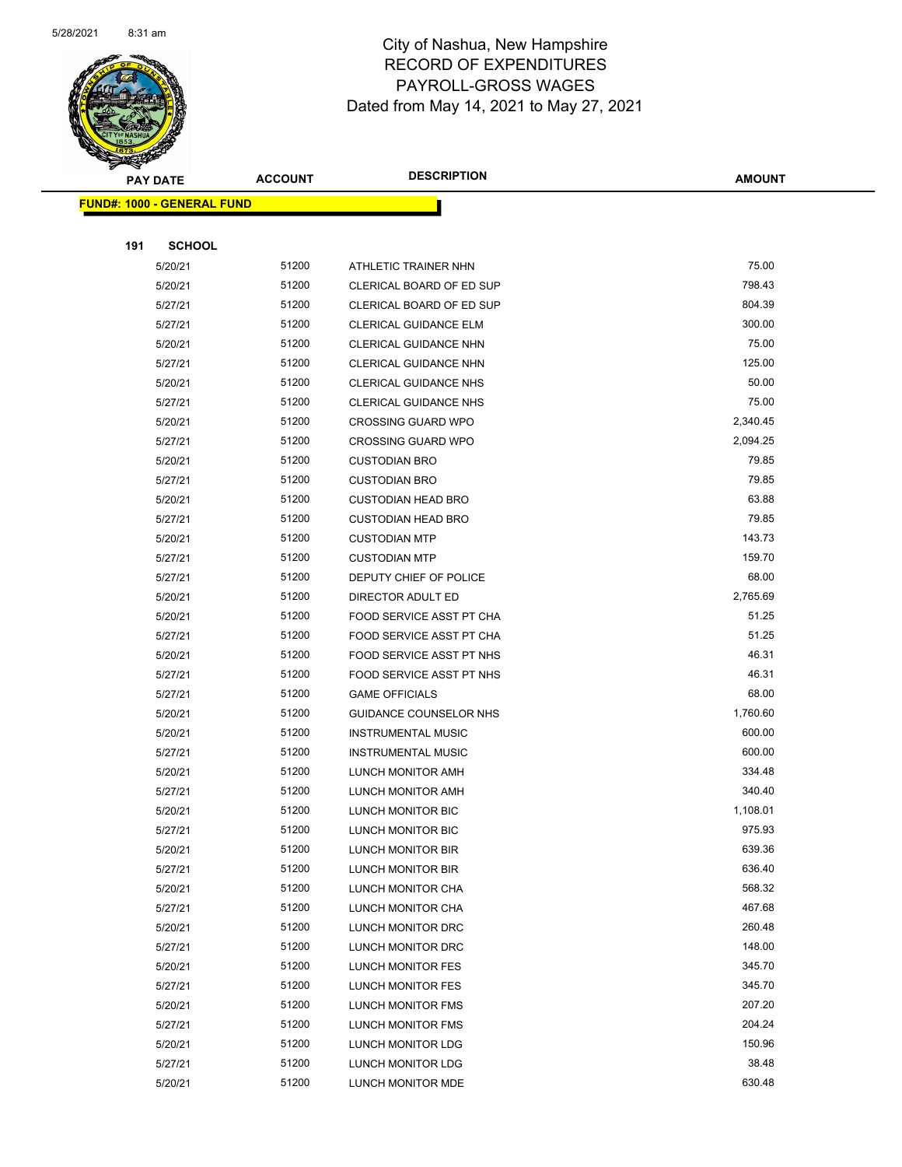

|     | <b>PAY DATE</b>                    | <b>ACCOUNT</b> | <b>DESCRIPTION</b>                                   | <b>AMOUNT</b>     |
|-----|------------------------------------|----------------|------------------------------------------------------|-------------------|
|     | <u> FUND#: 1000 - GENERAL FUND</u> |                |                                                      |                   |
|     |                                    |                |                                                      |                   |
| 191 | <b>SCHOOL</b>                      |                |                                                      |                   |
|     | 5/20/21                            | 51200          | ATHLETIC TRAINER NHN                                 | 75.00             |
|     | 5/20/21                            | 51200          | CLERICAL BOARD OF ED SUP                             | 798.43            |
|     | 5/27/21                            | 51200          | CLERICAL BOARD OF ED SUP                             | 804.39            |
|     | 5/27/21                            | 51200          | CLERICAL GUIDANCE ELM                                | 300.00            |
|     | 5/20/21                            | 51200          | CLERICAL GUIDANCE NHN                                | 75.00             |
|     | 5/27/21                            | 51200          | CLERICAL GUIDANCE NHN                                | 125.00            |
|     | 5/20/21                            | 51200          | <b>CLERICAL GUIDANCE NHS</b>                         | 50.00             |
|     | 5/27/21                            | 51200          | <b>CLERICAL GUIDANCE NHS</b>                         | 75.00             |
|     | 5/20/21                            | 51200          | <b>CROSSING GUARD WPO</b>                            | 2,340.45          |
|     | 5/27/21                            | 51200          | <b>CROSSING GUARD WPO</b>                            | 2,094.25          |
|     | 5/20/21                            | 51200          | <b>CUSTODIAN BRO</b>                                 | 79.85             |
|     | 5/27/21                            | 51200          | <b>CUSTODIAN BRO</b>                                 | 79.85             |
|     | 5/20/21                            | 51200          | <b>CUSTODIAN HEAD BRO</b>                            | 63.88             |
|     | 5/27/21                            | 51200          | <b>CUSTODIAN HEAD BRO</b>                            | 79.85             |
|     | 5/20/21                            | 51200          | <b>CUSTODIAN MTP</b>                                 | 143.73            |
|     | 5/27/21                            | 51200          | <b>CUSTODIAN MTP</b>                                 | 159.70            |
|     | 5/27/21                            | 51200          | DEPUTY CHIEF OF POLICE                               | 68.00             |
|     | 5/20/21                            | 51200<br>51200 | DIRECTOR ADULT ED                                    | 2,765.69<br>51.25 |
|     | 5/20/21                            | 51200          | FOOD SERVICE ASST PT CHA                             | 51.25             |
|     | 5/27/21<br>5/20/21                 | 51200          | FOOD SERVICE ASST PT CHA<br>FOOD SERVICE ASST PT NHS | 46.31             |
|     | 5/27/21                            | 51200          | FOOD SERVICE ASST PT NHS                             | 46.31             |
|     | 5/27/21                            | 51200          | <b>GAME OFFICIALS</b>                                | 68.00             |
|     | 5/20/21                            | 51200          | GUIDANCE COUNSELOR NHS                               | 1,760.60          |
|     | 5/20/21                            | 51200          | <b>INSTRUMENTAL MUSIC</b>                            | 600.00            |
|     | 5/27/21                            | 51200          | <b>INSTRUMENTAL MUSIC</b>                            | 600.00            |
|     | 5/20/21                            | 51200          | LUNCH MONITOR AMH                                    | 334.48            |
|     | 5/27/21                            | 51200          | LUNCH MONITOR AMH                                    | 340.40            |
|     | 5/20/21                            | 51200          | LUNCH MONITOR BIC                                    | 1,108.01          |
|     | 5/27/21                            | 51200          | LUNCH MONITOR BIC                                    | 975.93            |
|     | 5/20/21                            | 51200          | LUNCH MONITOR BIR                                    | 639.36            |
|     | 5/27/21                            | 51200          | LUNCH MONITOR BIR                                    | 636.40            |
|     | 5/20/21                            | 51200          | LUNCH MONITOR CHA                                    | 568.32            |
|     | 5/27/21                            | 51200          | LUNCH MONITOR CHA                                    | 467.68            |
|     | 5/20/21                            | 51200          | LUNCH MONITOR DRC                                    | 260.48            |
|     | 5/27/21                            | 51200          | LUNCH MONITOR DRC                                    | 148.00            |
|     | 5/20/21                            | 51200          | LUNCH MONITOR FES                                    | 345.70            |
|     | 5/27/21                            | 51200          | LUNCH MONITOR FES                                    | 345.70            |
|     | 5/20/21                            | 51200          | <b>LUNCH MONITOR FMS</b>                             | 207.20            |
|     | 5/27/21                            | 51200          | LUNCH MONITOR FMS                                    | 204.24            |
|     | 5/20/21                            | 51200          | LUNCH MONITOR LDG                                    | 150.96            |
|     | 5/27/21                            | 51200          | LUNCH MONITOR LDG                                    | 38.48             |
|     | 5/20/21                            | 51200          | LUNCH MONITOR MDE                                    | 630.48            |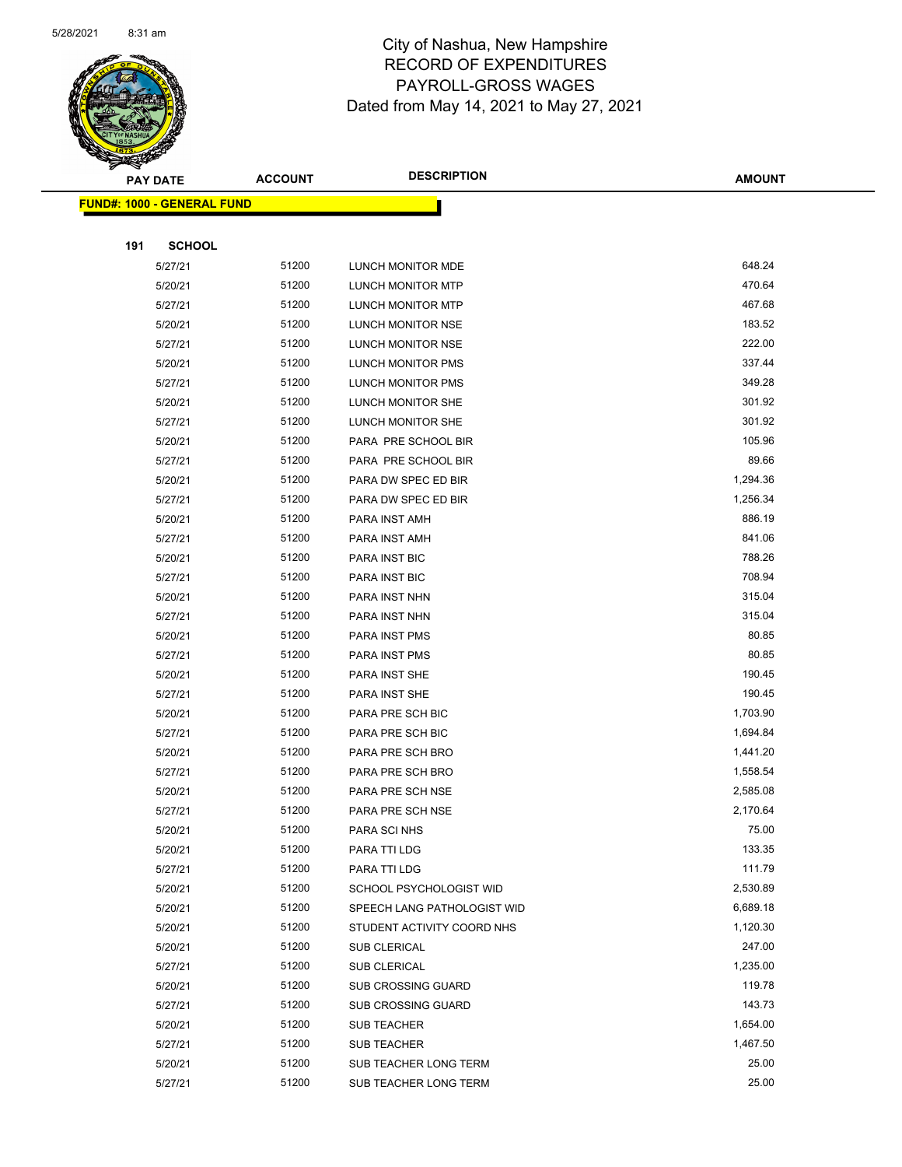

|     | <b>PAY DATE</b>                   | <b>ACCOUNT</b> | <b>DESCRIPTION</b>          | <b>AMOUNT</b> |
|-----|-----------------------------------|----------------|-----------------------------|---------------|
|     | <b>FUND#: 1000 - GENERAL FUND</b> |                |                             |               |
|     |                                   |                |                             |               |
| 191 | <b>SCHOOL</b>                     |                |                             |               |
|     | 5/27/21                           | 51200          | LUNCH MONITOR MDE           | 648.24        |
|     | 5/20/21                           | 51200          | LUNCH MONITOR MTP           | 470.64        |
|     | 5/27/21                           | 51200          | LUNCH MONITOR MTP           | 467.68        |
|     | 5/20/21                           | 51200          | LUNCH MONITOR NSE           | 183.52        |
|     | 5/27/21                           | 51200          | LUNCH MONITOR NSE           | 222.00        |
|     | 5/20/21                           | 51200          | <b>LUNCH MONITOR PMS</b>    | 337.44        |
|     | 5/27/21                           | 51200          | <b>LUNCH MONITOR PMS</b>    | 349.28        |
|     | 5/20/21                           | 51200          | LUNCH MONITOR SHE           | 301.92        |
|     | 5/27/21                           | 51200          | LUNCH MONITOR SHE           | 301.92        |
|     | 5/20/21                           | 51200          | PARA PRE SCHOOL BIR         | 105.96        |
|     | 5/27/21                           | 51200          | PARA PRE SCHOOL BIR         | 89.66         |
|     | 5/20/21                           | 51200          | PARA DW SPEC ED BIR         | 1,294.36      |
|     | 5/27/21                           | 51200          | PARA DW SPEC ED BIR         | 1,256.34      |
|     | 5/20/21                           | 51200          | PARA INST AMH               | 886.19        |
|     | 5/27/21                           | 51200          | PARA INST AMH               | 841.06        |
|     | 5/20/21                           | 51200          | PARA INST BIC               | 788.26        |
|     | 5/27/21                           | 51200          | PARA INST BIC               | 708.94        |
|     | 5/20/21                           | 51200          | PARA INST NHN               | 315.04        |
|     | 5/27/21                           | 51200          | PARA INST NHN               | 315.04        |
|     | 5/20/21                           | 51200          | PARA INST PMS               | 80.85         |
|     | 5/27/21                           | 51200          | PARA INST PMS               | 80.85         |
|     | 5/20/21                           | 51200          | PARA INST SHE               | 190.45        |
|     | 5/27/21                           | 51200          | PARA INST SHE               | 190.45        |
|     | 5/20/21                           | 51200          | PARA PRE SCH BIC            | 1,703.90      |
|     | 5/27/21                           | 51200          | PARA PRE SCH BIC            | 1,694.84      |
|     | 5/20/21                           | 51200          | PARA PRE SCH BRO            | 1,441.20      |
|     | 5/27/21                           | 51200          | PARA PRE SCH BRO            | 1,558.54      |
|     | 5/20/21                           | 51200          | PARA PRE SCH NSE            | 2,585.08      |
|     | 5/27/21                           | 51200          | PARA PRE SCH NSE            | 2,170.64      |
|     | 5/20/21                           | 51200          | PARA SCI NHS                | 75.00         |
|     | 5/20/21                           | 51200          | PARA TTI LDG                | 133.35        |
|     | 5/27/21                           | 51200          | PARA TTI LDG                | 111.79        |
|     | 5/20/21                           | 51200          | SCHOOL PSYCHOLOGIST WID     | 2,530.89      |
|     | 5/20/21                           | 51200          | SPEECH LANG PATHOLOGIST WID | 6,689.18      |
|     | 5/20/21                           | 51200          | STUDENT ACTIVITY COORD NHS  | 1,120.30      |
|     | 5/20/21                           | 51200          | <b>SUB CLERICAL</b>         | 247.00        |
|     | 5/27/21                           | 51200          | SUB CLERICAL                | 1,235.00      |
|     | 5/20/21                           | 51200          | SUB CROSSING GUARD          | 119.78        |
|     | 5/27/21                           | 51200          | <b>SUB CROSSING GUARD</b>   | 143.73        |
|     | 5/20/21                           | 51200          | <b>SUB TEACHER</b>          | 1,654.00      |
|     | 5/27/21                           | 51200          | SUB TEACHER                 | 1,467.50      |
|     | 5/20/21                           | 51200          | SUB TEACHER LONG TERM       | 25.00         |
|     | 5/27/21                           | 51200          | SUB TEACHER LONG TERM       | 25.00         |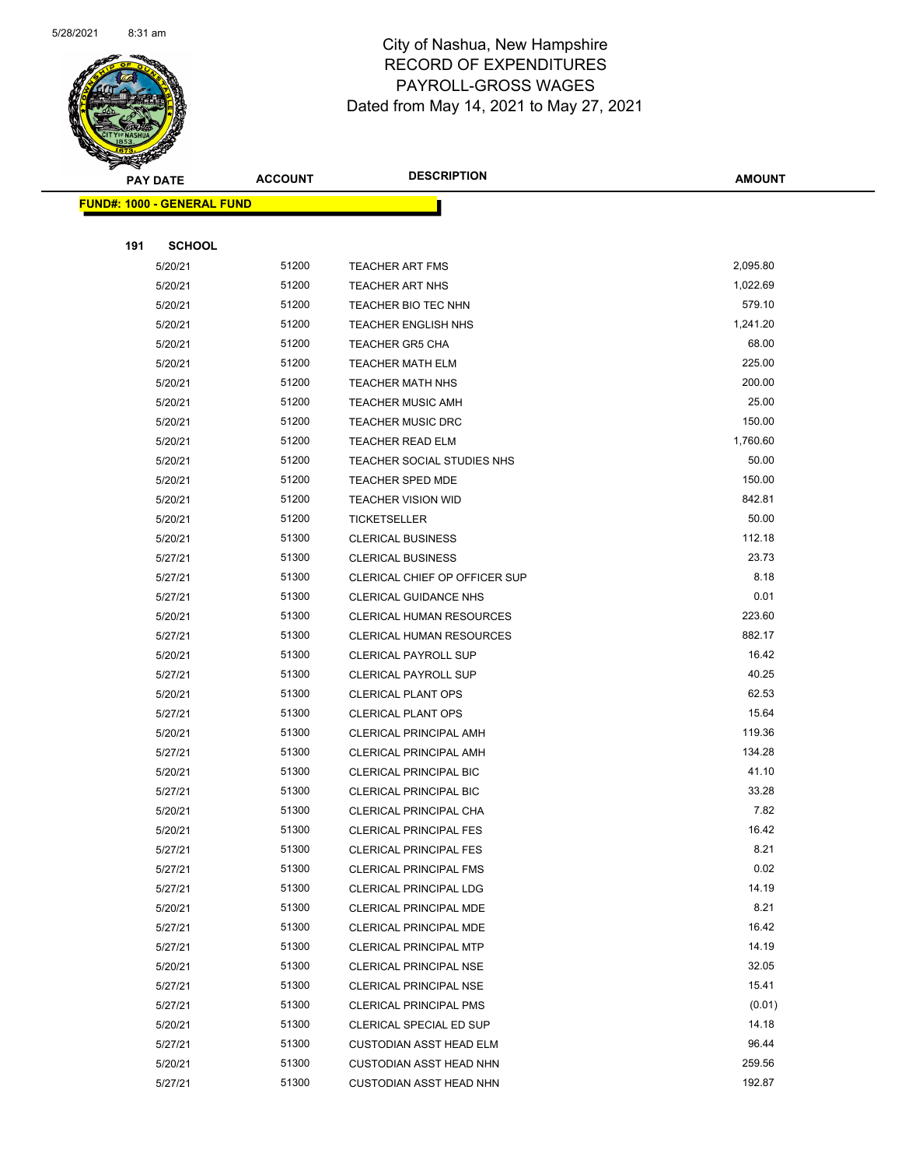

|     | <b>PAY DATE</b>                    | <b>ACCOUNT</b> | <b>DESCRIPTION</b>              | AMOUNT          |
|-----|------------------------------------|----------------|---------------------------------|-----------------|
|     | <u> FUND#: 1000 - GENERAL FUND</u> |                |                                 |                 |
|     |                                    |                |                                 |                 |
| 191 | <b>SCHOOL</b>                      |                |                                 |                 |
|     | 5/20/21                            | 51200          | <b>TEACHER ART FMS</b>          | 2,095.80        |
|     | 5/20/21                            | 51200          | <b>TEACHER ART NHS</b>          | 1,022.69        |
|     | 5/20/21                            | 51200          | TEACHER BIO TEC NHN             | 579.10          |
|     | 5/20/21                            | 51200          | <b>TEACHER ENGLISH NHS</b>      | 1,241.20        |
|     | 5/20/21                            | 51200          | <b>TEACHER GR5 CHA</b>          | 68.00           |
|     | 5/20/21                            | 51200          | <b>TEACHER MATH ELM</b>         | 225.00          |
|     | 5/20/21                            | 51200          | <b>TEACHER MATH NHS</b>         | 200.00          |
|     | 5/20/21                            | 51200          | <b>TEACHER MUSIC AMH</b>        | 25.00           |
|     | 5/20/21                            | 51200          | <b>TEACHER MUSIC DRC</b>        | 150.00          |
|     | 5/20/21                            | 51200          | <b>TEACHER READ ELM</b>         | 1,760.60        |
|     | 5/20/21                            | 51200          | TEACHER SOCIAL STUDIES NHS      | 50.00           |
|     | 5/20/21                            | 51200          | TEACHER SPED MDE                | 150.00          |
|     | 5/20/21                            | 51200          | <b>TEACHER VISION WID</b>       | 842.81          |
|     | 5/20/21                            | 51200          | TICKETSELLER                    | 50.00           |
|     | 5/20/21                            | 51300          | <b>CLERICAL BUSINESS</b>        | 112.18          |
|     | 5/27/21                            | 51300          | <b>CLERICAL BUSINESS</b>        | 23.73           |
|     | 5/27/21                            | 51300          | CLERICAL CHIEF OP OFFICER SUP   | 8.18            |
|     | 5/27/21                            | 51300          | <b>CLERICAL GUIDANCE NHS</b>    | 0.01            |
|     | 5/20/21                            | 51300          | <b>CLERICAL HUMAN RESOURCES</b> | 223.60          |
|     | 5/27/21                            | 51300          | <b>CLERICAL HUMAN RESOURCES</b> | 882.17          |
|     | 5/20/21                            | 51300          | <b>CLERICAL PAYROLL SUP</b>     | 16.42           |
|     | 5/27/21                            | 51300          | <b>CLERICAL PAYROLL SUP</b>     | 40.25           |
|     | 5/20/21                            | 51300          | <b>CLERICAL PLANT OPS</b>       | 62.53           |
|     | 5/27/21                            | 51300          | <b>CLERICAL PLANT OPS</b>       | 15.64           |
|     | 5/20/21                            | 51300          | <b>CLERICAL PRINCIPAL AMH</b>   | 119.36          |
|     | 5/27/21                            | 51300          | <b>CLERICAL PRINCIPAL AMH</b>   | 134.28          |
|     | 5/20/21                            | 51300          | <b>CLERICAL PRINCIPAL BIC</b>   | 41.10           |
|     | 5/27/21                            | 51300          | CLERICAL PRINCIPAL BIC          | 33.28           |
|     | 5/20/21                            | 51300          | CLERICAL PRINCIPAL CHA          | 7.82            |
|     | 5/20/21                            | 51300          | CLERICAL PRINCIPAL FES          | 16.42           |
|     | 5/27/21                            | 51300          | <b>CLERICAL PRINCIPAL FES</b>   | 8.21            |
|     | 5/27/21                            | 51300          | <b>CLERICAL PRINCIPAL FMS</b>   | 0.02            |
|     | 5/27/21                            | 51300          | CLERICAL PRINCIPAL LDG          | 14.19           |
|     | 5/20/21                            | 51300          | <b>CLERICAL PRINCIPAL MDE</b>   | 8.21            |
|     | 5/27/21                            | 51300          | <b>CLERICAL PRINCIPAL MDE</b>   | 16.42           |
|     | 5/27/21                            | 51300          | <b>CLERICAL PRINCIPAL MTP</b>   | 14.19           |
|     | 5/20/21                            | 51300          | <b>CLERICAL PRINCIPAL NSE</b>   | 32.05           |
|     | 5/27/21                            | 51300          | <b>CLERICAL PRINCIPAL NSE</b>   | 15.41           |
|     | 5/27/21                            | 51300          | <b>CLERICAL PRINCIPAL PMS</b>   | (0.01)<br>14.18 |
|     | 5/20/21                            | 51300          | CLERICAL SPECIAL ED SUP         | 96.44           |
|     | 5/27/21                            | 51300          | <b>CUSTODIAN ASST HEAD ELM</b>  | 259.56          |
|     | 5/20/21                            | 51300          | <b>CUSTODIAN ASST HEAD NHN</b>  |                 |
|     | 5/27/21                            | 51300          | <b>CUSTODIAN ASST HEAD NHN</b>  | 192.87          |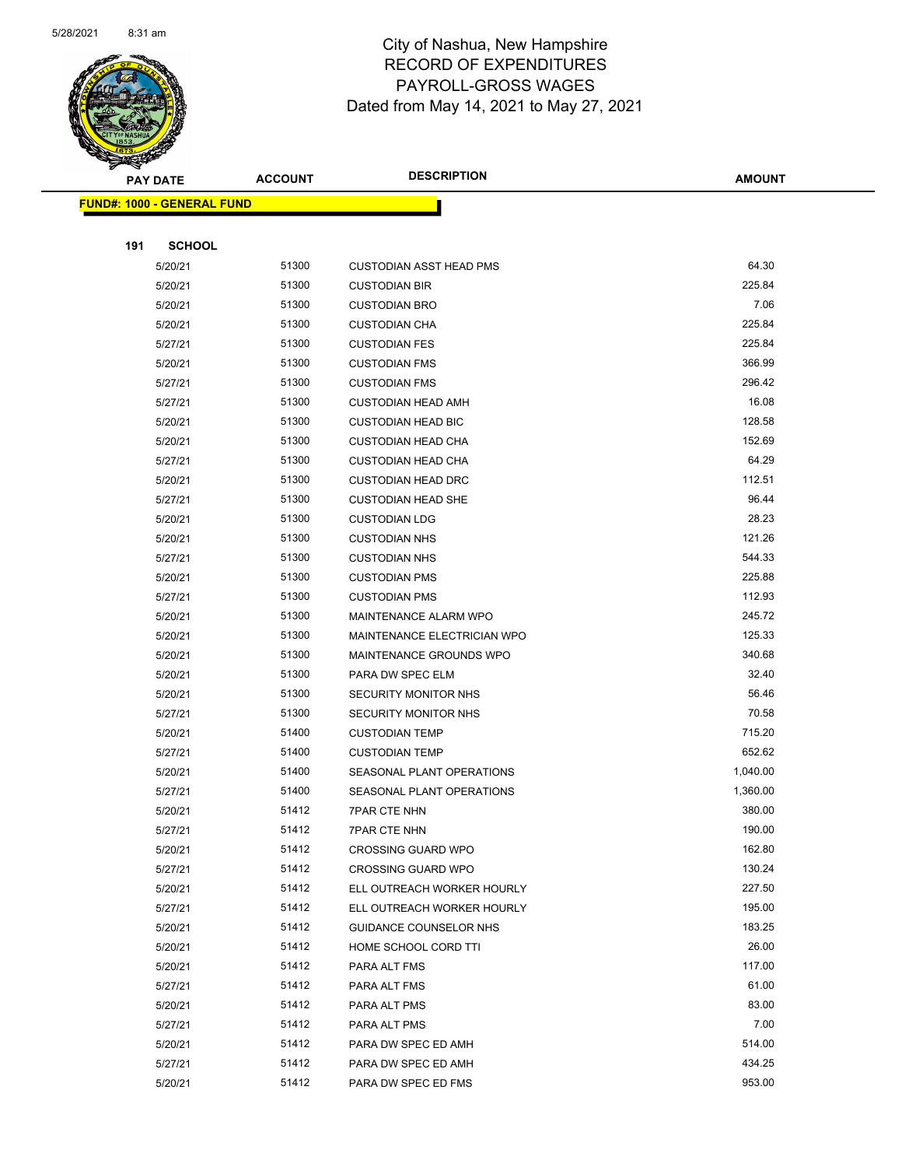

|     | <b>PAY DATE</b>                    | <b>ACCOUNT</b> | <b>DESCRIPTION</b>             | AMOUNT           |
|-----|------------------------------------|----------------|--------------------------------|------------------|
|     | <u> FUND#: 1000 - GENERAL FUND</u> |                |                                |                  |
|     |                                    |                |                                |                  |
| 191 | <b>SCHOOL</b>                      |                |                                |                  |
|     | 5/20/21                            | 51300          | <b>CUSTODIAN ASST HEAD PMS</b> | 64.30            |
|     | 5/20/21                            | 51300          | <b>CUSTODIAN BIR</b>           | 225.84           |
|     | 5/20/21                            | 51300          | <b>CUSTODIAN BRO</b>           | 7.06             |
|     | 5/20/21                            | 51300          | <b>CUSTODIAN CHA</b>           | 225.84           |
|     | 5/27/21                            | 51300          | <b>CUSTODIAN FES</b>           | 225.84           |
|     | 5/20/21                            | 51300          | <b>CUSTODIAN FMS</b>           | 366.99           |
|     | 5/27/21                            | 51300          | <b>CUSTODIAN FMS</b>           | 296.42           |
|     | 5/27/21                            | 51300          | <b>CUSTODIAN HEAD AMH</b>      | 16.08            |
|     | 5/20/21                            | 51300          | <b>CUSTODIAN HEAD BIC</b>      | 128.58           |
|     | 5/20/21                            | 51300          | <b>CUSTODIAN HEAD CHA</b>      | 152.69           |
|     | 5/27/21                            | 51300          | <b>CUSTODIAN HEAD CHA</b>      | 64.29            |
|     | 5/20/21                            | 51300          | <b>CUSTODIAN HEAD DRC</b>      | 112.51           |
|     | 5/27/21                            | 51300          | <b>CUSTODIAN HEAD SHE</b>      | 96.44            |
|     | 5/20/21                            | 51300          | <b>CUSTODIAN LDG</b>           | 28.23            |
|     | 5/20/21                            | 51300          | <b>CUSTODIAN NHS</b>           | 121.26           |
|     | 5/27/21                            | 51300          | <b>CUSTODIAN NHS</b>           | 544.33           |
|     | 5/20/21                            | 51300          | <b>CUSTODIAN PMS</b>           | 225.88           |
|     | 5/27/21                            | 51300          | <b>CUSTODIAN PMS</b>           | 112.93           |
|     | 5/20/21                            | 51300          | MAINTENANCE ALARM WPO          | 245.72           |
|     | 5/20/21                            | 51300          | MAINTENANCE ELECTRICIAN WPO    | 125.33           |
|     | 5/20/21                            | 51300          | MAINTENANCE GROUNDS WPO        | 340.68           |
|     | 5/20/21                            | 51300          | PARA DW SPEC ELM               | 32.40            |
|     | 5/20/21                            | 51300          | <b>SECURITY MONITOR NHS</b>    | 56.46            |
|     | 5/27/21                            | 51300          | <b>SECURITY MONITOR NHS</b>    | 70.58            |
|     | 5/20/21                            | 51400          | <b>CUSTODIAN TEMP</b>          | 715.20           |
|     | 5/27/21                            | 51400          | <b>CUSTODIAN TEMP</b>          | 652.62           |
|     | 5/20/21                            | 51400          | SEASONAL PLANT OPERATIONS      | 1,040.00         |
|     | 5/27/21                            | 51400          | SEASONAL PLANT OPERATIONS      | 1,360.00         |
|     | 5/20/21                            | 51412          | <b>7PAR CTE NHN</b>            | 380.00           |
|     | 5/27/21                            | 51412          | 7PAR CTE NHN                   | 190.00           |
|     | 5/20/21                            | 51412          | <b>CROSSING GUARD WPO</b>      | 162.80           |
|     | 5/27/21                            | 51412          | <b>CROSSING GUARD WPO</b>      | 130.24           |
|     | 5/20/21                            | 51412          | ELL OUTREACH WORKER HOURLY     | 227.50           |
|     | 5/27/21                            | 51412          | ELL OUTREACH WORKER HOURLY     | 195.00<br>183.25 |
|     | 5/20/21                            | 51412          | GUIDANCE COUNSELOR NHS         |                  |
|     | 5/20/21                            | 51412          | HOME SCHOOL CORD TTI           | 26.00            |
|     | 5/20/21                            | 51412          | PARA ALT FMS                   | 117.00<br>61.00  |
|     | 5/27/21                            | 51412          | PARA ALT FMS                   | 83.00            |
|     | 5/20/21                            | 51412          | PARA ALT PMS                   | 7.00             |
|     | 5/27/21                            | 51412          | PARA ALT PMS                   | 514.00           |
|     | 5/20/21                            | 51412<br>51412 | PARA DW SPEC ED AMH            | 434.25           |
|     | 5/27/21                            |                | PARA DW SPEC ED AMH            | 953.00           |
|     | 5/20/21                            | 51412          | PARA DW SPEC ED FMS            |                  |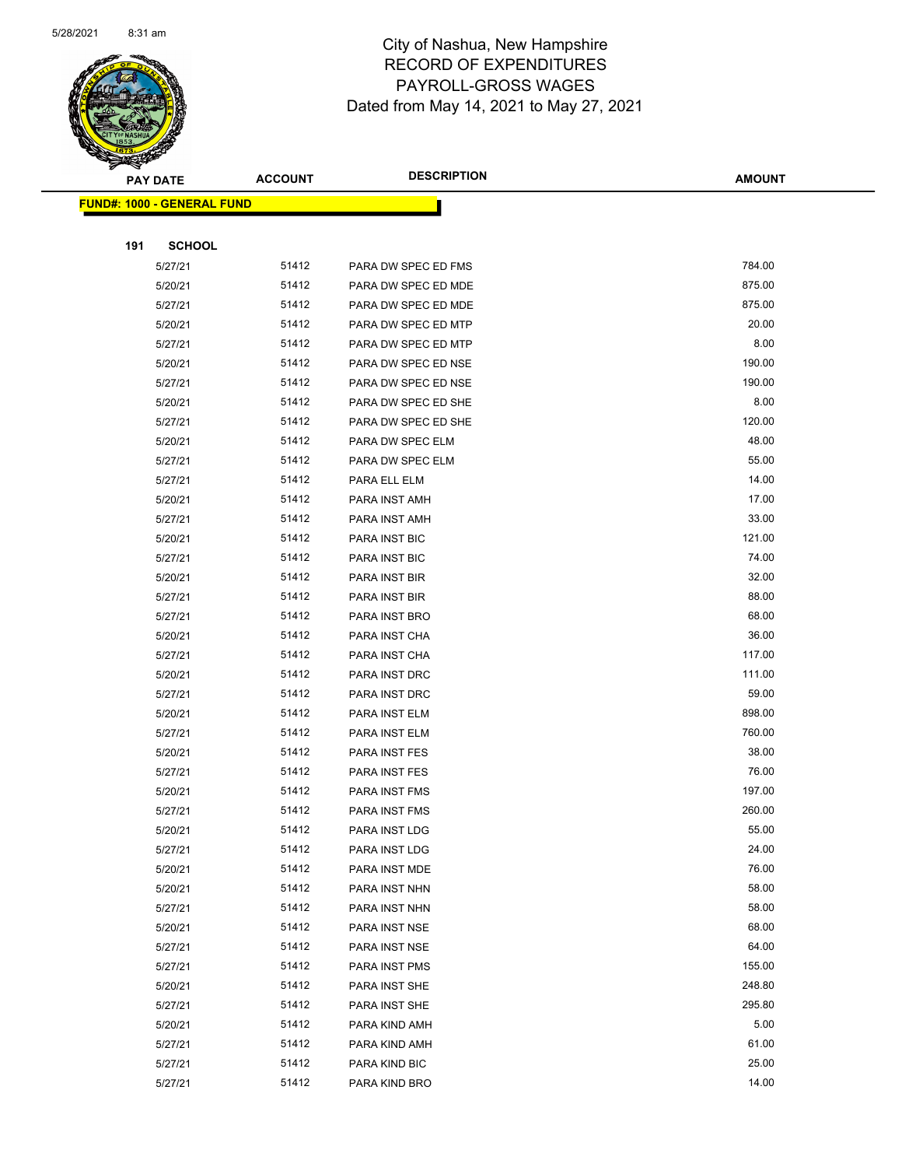

|     | <b>PAY DATE</b>                   | <b>ACCOUNT</b> | <b>DESCRIPTION</b>   | <b>AMOUNT</b>  |  |
|-----|-----------------------------------|----------------|----------------------|----------------|--|
|     | <b>FUND#: 1000 - GENERAL FUND</b> |                |                      |                |  |
|     |                                   |                |                      |                |  |
| 191 | <b>SCHOOL</b>                     |                |                      |                |  |
|     | 5/27/21                           | 51412          | PARA DW SPEC ED FMS  | 784.00         |  |
|     | 5/20/21                           | 51412          | PARA DW SPEC ED MDE  | 875.00         |  |
|     | 5/27/21                           | 51412          | PARA DW SPEC ED MDE  | 875.00         |  |
|     | 5/20/21                           | 51412          | PARA DW SPEC ED MTP  | 20.00          |  |
|     | 5/27/21                           | 51412          | PARA DW SPEC ED MTP  | 8.00           |  |
|     | 5/20/21                           | 51412          | PARA DW SPEC ED NSE  | 190.00         |  |
|     | 5/27/21                           | 51412          | PARA DW SPEC ED NSE  | 190.00         |  |
|     | 5/20/21                           | 51412          | PARA DW SPEC ED SHE  | 8.00           |  |
|     | 5/27/21                           | 51412          | PARA DW SPEC ED SHE  | 120.00         |  |
|     | 5/20/21                           | 51412          | PARA DW SPEC ELM     | 48.00          |  |
|     | 5/27/21                           | 51412          | PARA DW SPEC ELM     | 55.00          |  |
|     | 5/27/21                           | 51412          | PARA ELL ELM         | 14.00          |  |
|     | 5/20/21                           | 51412          | PARA INST AMH        | 17.00          |  |
|     | 5/27/21                           | 51412          | PARA INST AMH        | 33.00          |  |
|     | 5/20/21                           | 51412          | PARA INST BIC        | 121.00         |  |
|     | 5/27/21                           | 51412          | PARA INST BIC        | 74.00          |  |
|     | 5/20/21                           | 51412          | PARA INST BIR        | 32.00          |  |
|     | 5/27/21                           | 51412          | PARA INST BIR        | 88.00          |  |
|     | 5/27/21                           | 51412          | PARA INST BRO        | 68.00          |  |
|     | 5/20/21                           | 51412          | PARA INST CHA        | 36.00          |  |
|     | 5/27/21                           | 51412          | PARA INST CHA        | 117.00         |  |
|     | 5/20/21                           | 51412          | PARA INST DRC        | 111.00         |  |
|     | 5/27/21                           | 51412          | PARA INST DRC        | 59.00          |  |
|     | 5/20/21                           | 51412          | PARA INST ELM        | 898.00         |  |
|     | 5/27/21                           | 51412          | PARA INST ELM        | 760.00         |  |
|     | 5/20/21                           | 51412          | PARA INST FES        | 38.00          |  |
|     | 5/27/21                           | 51412          | PARA INST FES        | 76.00          |  |
|     | 5/20/21                           | 51412          | PARA INST FMS        | 197.00         |  |
|     | 5/27/21                           | 51412          | <b>PARA INST FMS</b> | 260.00         |  |
|     | 5/20/21                           | 51412          | PARA INST LDG        | 55.00          |  |
|     | 5/27/21                           | 51412          | PARA INST LDG        | 24.00          |  |
|     | 5/20/21                           | 51412          | PARA INST MDE        | 76.00          |  |
|     | 5/20/21                           | 51412          | PARA INST NHN        | 58.00          |  |
|     | 5/27/21                           | 51412          | PARA INST NHN        | 58.00          |  |
|     | 5/20/21                           | 51412          | PARA INST NSE        | 68.00          |  |
|     | 5/27/21                           | 51412          | PARA INST NSE        | 64.00          |  |
|     | 5/27/21                           | 51412          | PARA INST PMS        | 155.00         |  |
|     | 5/20/21                           | 51412          | PARA INST SHE        | 248.80         |  |
|     | 5/27/21                           | 51412          | PARA INST SHE        | 295.80         |  |
|     | 5/20/21                           | 51412          | PARA KIND AMH        | 5.00           |  |
|     | 5/27/21                           | 51412          | PARA KIND AMH        | 61.00<br>25.00 |  |
|     | 5/27/21                           | 51412          | PARA KIND BIC        |                |  |
|     | 5/27/21                           | 51412          | PARA KIND BRO        | 14.00          |  |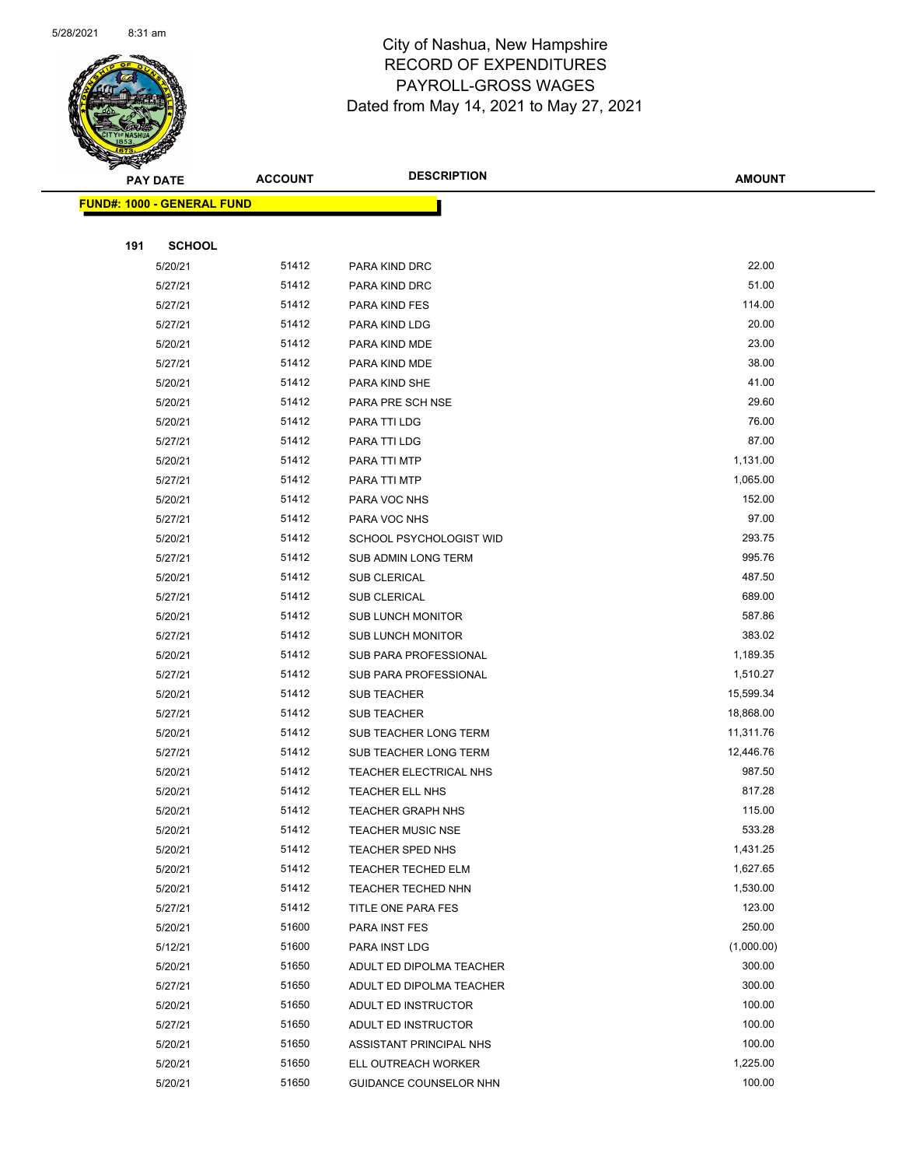

|     | <b>PAY DATE</b>                   | <b>ACCOUNT</b> | <b>DESCRIPTION</b>       | <b>AMOUNT</b> |
|-----|-----------------------------------|----------------|--------------------------|---------------|
|     | <b>FUND#: 1000 - GENERAL FUND</b> |                |                          |               |
|     |                                   |                |                          |               |
| 191 | <b>SCHOOL</b>                     |                |                          |               |
|     | 5/20/21                           | 51412          | PARA KIND DRC            | 22.00         |
|     | 5/27/21                           | 51412          | PARA KIND DRC            | 51.00         |
|     | 5/27/21                           | 51412          | PARA KIND FES            | 114.00        |
|     | 5/27/21                           | 51412          | PARA KIND LDG            | 20.00         |
|     | 5/20/21                           | 51412          | PARA KIND MDE            | 23.00         |
|     | 5/27/21                           | 51412          | PARA KIND MDE            | 38.00         |
|     | 5/20/21                           | 51412          | PARA KIND SHE            | 41.00         |
|     | 5/20/21                           | 51412          | PARA PRE SCH NSE         | 29.60         |
|     | 5/20/21                           | 51412          | PARA TTI LDG             | 76.00         |
|     | 5/27/21                           | 51412          | PARA TTI LDG             | 87.00         |
|     | 5/20/21                           | 51412          | PARA TTI MTP             | 1,131.00      |
|     | 5/27/21                           | 51412          | PARA TTI MTP             | 1,065.00      |
|     | 5/20/21                           | 51412          | PARA VOC NHS             | 152.00        |
|     | 5/27/21                           | 51412          | PARA VOC NHS             | 97.00         |
|     | 5/20/21                           | 51412          | SCHOOL PSYCHOLOGIST WID  | 293.75        |
|     | 5/27/21                           | 51412          | SUB ADMIN LONG TERM      | 995.76        |
|     | 5/20/21                           | 51412          | <b>SUB CLERICAL</b>      | 487.50        |
|     | 5/27/21                           | 51412          | SUB CLERICAL             | 689.00        |
|     | 5/20/21                           | 51412          | <b>SUB LUNCH MONITOR</b> | 587.86        |
|     | 5/27/21                           | 51412          | <b>SUB LUNCH MONITOR</b> | 383.02        |
|     | 5/20/21                           | 51412          | SUB PARA PROFESSIONAL    | 1,189.35      |
|     | 5/27/21                           | 51412          | SUB PARA PROFESSIONAL    | 1,510.27      |
|     | 5/20/21                           | 51412          | <b>SUB TEACHER</b>       | 15,599.34     |
|     | 5/27/21                           | 51412          | <b>SUB TEACHER</b>       | 18,868.00     |
|     | 5/20/21                           | 51412          | SUB TEACHER LONG TERM    | 11,311.76     |
|     | 5/27/21                           | 51412          | SUB TEACHER LONG TERM    | 12,446.76     |
|     | 5/20/21                           | 51412          | TEACHER ELECTRICAL NHS   | 987.50        |
|     | 5/20/21                           | 51412          | TEACHER ELL NHS          | 817.28        |
|     | 5/20/21                           | 51412          | <b>TEACHER GRAPH NHS</b> | 115.00        |
|     | 5/20/21                           | 51412          | TEACHER MUSIC NSE        | 533.28        |
|     | 5/20/21                           | 51412          | <b>TEACHER SPED NHS</b>  | 1,431.25      |
|     | 5/20/21                           | 51412          | TEACHER TECHED ELM       | 1,627.65      |
|     | 5/20/21                           | 51412          | TEACHER TECHED NHN       | 1,530.00      |
|     | 5/27/21                           | 51412          | TITLE ONE PARA FES       | 123.00        |
|     | 5/20/21                           | 51600          | PARA INST FES            | 250.00        |
|     | 5/12/21                           | 51600          | PARA INST LDG            | (1,000.00)    |
|     | 5/20/21                           | 51650          | ADULT ED DIPOLMA TEACHER | 300.00        |
|     | 5/27/21                           | 51650          | ADULT ED DIPOLMA TEACHER | 300.00        |
|     | 5/20/21                           | 51650          | ADULT ED INSTRUCTOR      | 100.00        |
|     | 5/27/21                           | 51650          | ADULT ED INSTRUCTOR      | 100.00        |
|     | 5/20/21                           | 51650          | ASSISTANT PRINCIPAL NHS  | 100.00        |
|     | 5/20/21                           | 51650          | ELL OUTREACH WORKER      | 1,225.00      |
|     | 5/20/21                           | 51650          | GUIDANCE COUNSELOR NHN   | 100.00        |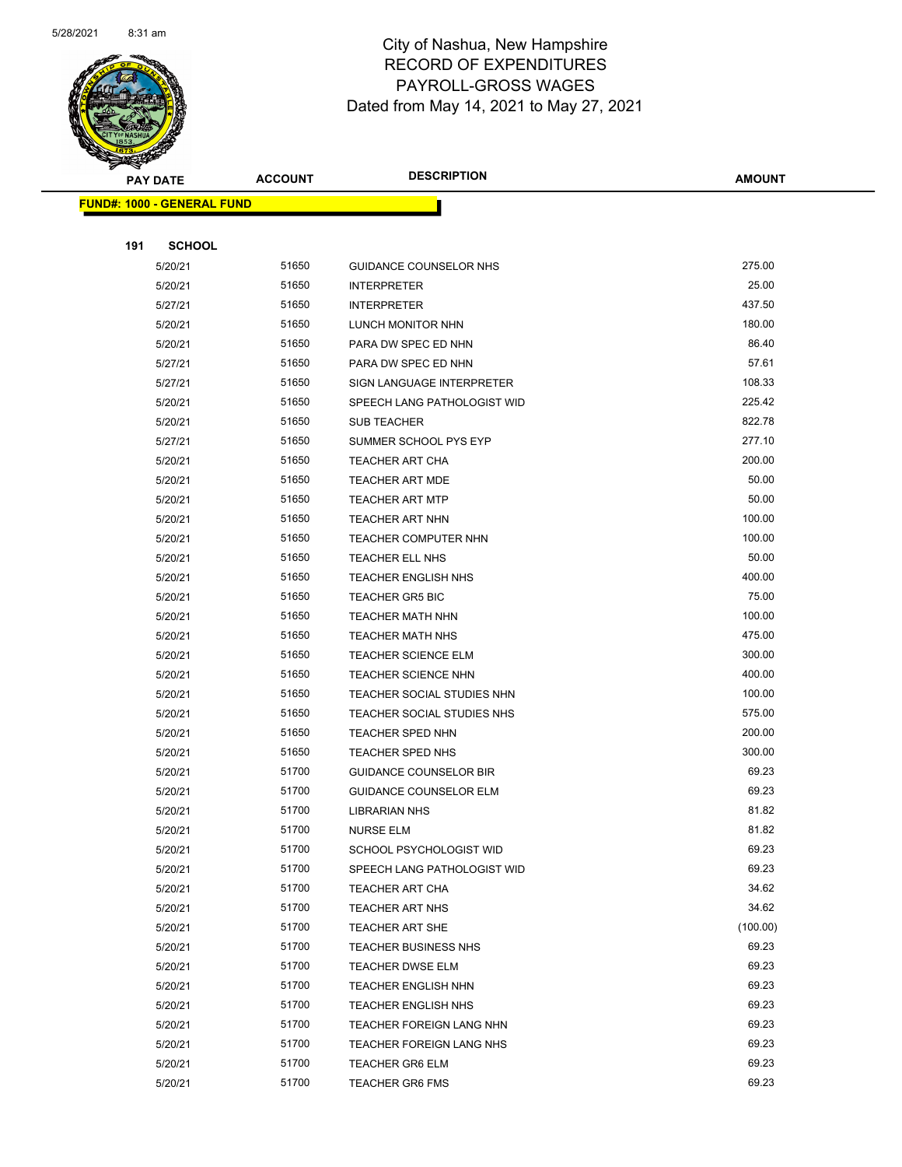

| <b>PAY DATE</b>                    | <b>ACCOUNT</b> | <b>DESCRIPTION</b>            | <b>AMOUNT</b> |
|------------------------------------|----------------|-------------------------------|---------------|
| <u> FUND#: 1000 - GENERAL FUND</u> |                |                               |               |
|                                    |                |                               |               |
| 191<br><b>SCHOOL</b>               |                |                               |               |
| 5/20/21                            | 51650          | GUIDANCE COUNSELOR NHS        | 275.00        |
| 5/20/21                            | 51650          | <b>INTERPRETER</b>            | 25.00         |
| 5/27/21                            | 51650          | <b>INTERPRETER</b>            | 437.50        |
| 5/20/21                            | 51650          | LUNCH MONITOR NHN             | 180.00        |
| 5/20/21                            | 51650          | PARA DW SPEC ED NHN           | 86.40         |
| 5/27/21                            | 51650          | PARA DW SPEC ED NHN           | 57.61         |
| 5/27/21                            | 51650          | SIGN LANGUAGE INTERPRETER     | 108.33        |
| 5/20/21                            | 51650          | SPEECH LANG PATHOLOGIST WID   | 225.42        |
| 5/20/21                            | 51650          | <b>SUB TEACHER</b>            | 822.78        |
| 5/27/21                            | 51650          | SUMMER SCHOOL PYS EYP         | 277.10        |
| 5/20/21                            | 51650          | <b>TEACHER ART CHA</b>        | 200.00        |
| 5/20/21                            | 51650          | <b>TEACHER ART MDE</b>        | 50.00         |
| 5/20/21                            | 51650          | <b>TEACHER ART MTP</b>        | 50.00         |
| 5/20/21                            | 51650          | <b>TEACHER ART NHN</b>        | 100.00        |
| 5/20/21                            | 51650          | <b>TEACHER COMPUTER NHN</b>   | 100.00        |
| 5/20/21                            | 51650          | TEACHER ELL NHS               | 50.00         |
| 5/20/21                            | 51650          | <b>TEACHER ENGLISH NHS</b>    | 400.00        |
| 5/20/21                            | 51650          | <b>TEACHER GR5 BIC</b>        | 75.00         |
| 5/20/21                            | 51650          | <b>TEACHER MATH NHN</b>       | 100.00        |
| 5/20/21                            | 51650          | <b>TEACHER MATH NHS</b>       | 475.00        |
| 5/20/21                            | 51650          | <b>TEACHER SCIENCE ELM</b>    | 300.00        |
| 5/20/21                            | 51650          | <b>TEACHER SCIENCE NHN</b>    | 400.00        |
| 5/20/21                            | 51650          | TEACHER SOCIAL STUDIES NHN    | 100.00        |
| 5/20/21                            | 51650          | TEACHER SOCIAL STUDIES NHS    | 575.00        |
| 5/20/21                            | 51650          | TEACHER SPED NHN              | 200.00        |
| 5/20/21                            | 51650          | <b>TEACHER SPED NHS</b>       | 300.00        |
| 5/20/21                            | 51700          | <b>GUIDANCE COUNSELOR BIR</b> | 69.23         |
| 5/20/21                            | 51700          | <b>GUIDANCE COUNSELOR ELM</b> | 69.23         |
| 5/20/21                            | 51700          | <b>LIBRARIAN NHS</b>          | 81.82         |
| 5/20/21                            | 51700          | NURSE ELM                     | 81.82         |
| 5/20/21                            | 51700          | SCHOOL PSYCHOLOGIST WID       | 69.23         |
| 5/20/21                            | 51700          | SPEECH LANG PATHOLOGIST WID   | 69.23         |
| 5/20/21                            | 51700          | TEACHER ART CHA               | 34.62         |
| 5/20/21                            | 51700          | TEACHER ART NHS               | 34.62         |
| 5/20/21                            | 51700          | <b>TEACHER ART SHE</b>        | (100.00)      |
| 5/20/21                            | 51700          | TEACHER BUSINESS NHS          | 69.23         |
| 5/20/21                            | 51700          | TEACHER DWSE ELM              | 69.23         |
| 5/20/21                            | 51700          | <b>TEACHER ENGLISH NHN</b>    | 69.23         |
| 5/20/21                            | 51700          | TEACHER ENGLISH NHS           | 69.23         |
| 5/20/21                            | 51700          | TEACHER FOREIGN LANG NHN      | 69.23         |
| 5/20/21                            | 51700          | TEACHER FOREIGN LANG NHS      | 69.23         |
| 5/20/21                            | 51700          | <b>TEACHER GR6 ELM</b>        | 69.23         |
| 5/20/21                            | 51700          | <b>TEACHER GR6 FMS</b>        | 69.23         |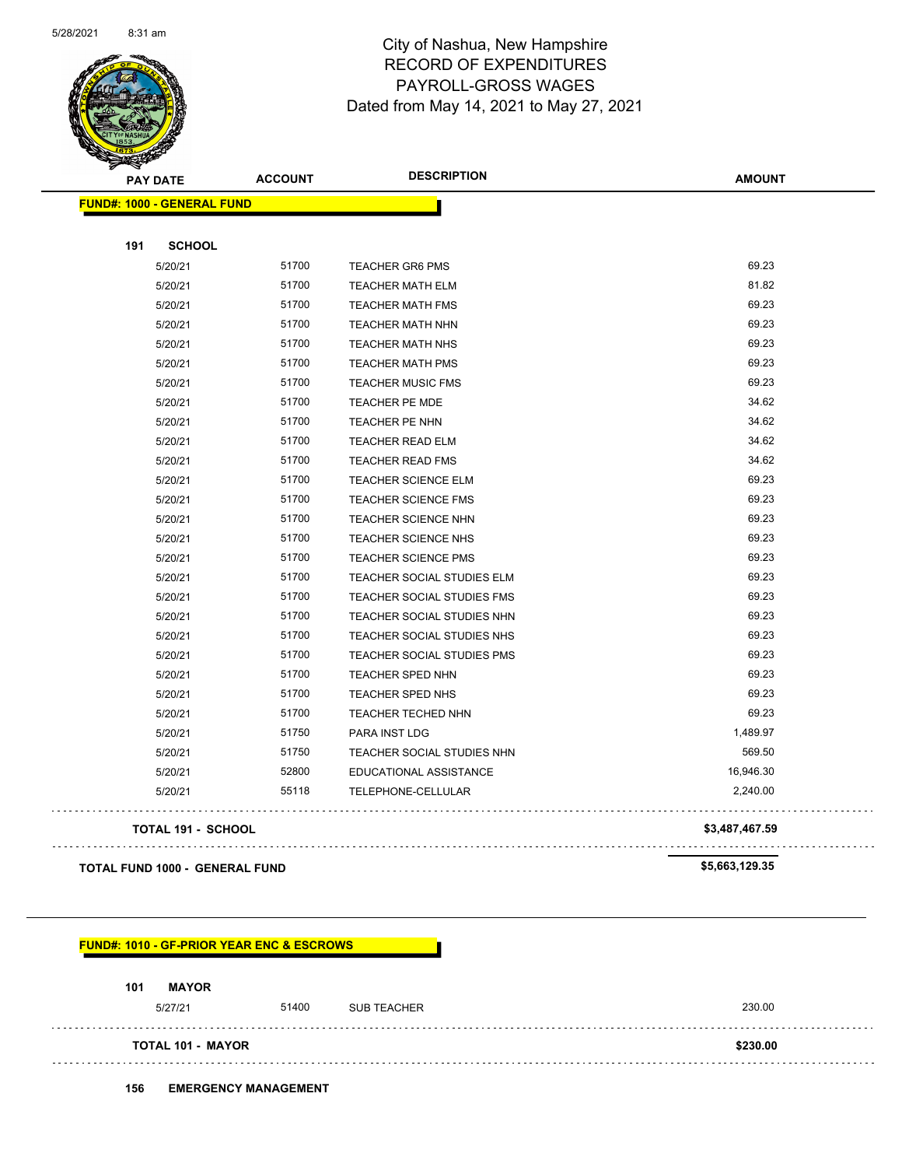

| <b>PAY DATE</b>                   | <b>ACCOUNT</b> | <b>DESCRIPTION</b>         | <b>AMOUNT</b>  |
|-----------------------------------|----------------|----------------------------|----------------|
| <b>FUND#: 1000 - GENERAL FUND</b> |                |                            |                |
| 191<br><b>SCHOOL</b>              |                |                            |                |
| 5/20/21                           | 51700          | <b>TEACHER GR6 PMS</b>     | 69.23          |
| 5/20/21                           | 51700          | <b>TEACHER MATH ELM</b>    | 81.82          |
| 5/20/21                           | 51700          | <b>TEACHER MATH FMS</b>    | 69.23          |
| 5/20/21                           | 51700          | <b>TEACHER MATH NHN</b>    | 69.23          |
| 5/20/21                           | 51700          | <b>TEACHER MATH NHS</b>    | 69.23          |
| 5/20/21                           | 51700          | <b>TEACHER MATH PMS</b>    | 69.23          |
| 5/20/21                           | 51700          | <b>TEACHER MUSIC FMS</b>   | 69.23          |
| 5/20/21                           | 51700          | TEACHER PE MDE             | 34.62          |
| 5/20/21                           | 51700          | TEACHER PE NHN             | 34.62          |
| 5/20/21                           | 51700          | TEACHER READ ELM           | 34.62          |
| 5/20/21                           | 51700          | <b>TEACHER READ FMS</b>    | 34.62          |
| 5/20/21                           | 51700          | <b>TEACHER SCIENCE ELM</b> | 69.23          |
| 5/20/21                           | 51700          | <b>TEACHER SCIENCE FMS</b> | 69.23          |
| 5/20/21                           | 51700          | <b>TEACHER SCIENCE NHN</b> | 69.23          |
| 5/20/21                           | 51700          | <b>TEACHER SCIENCE NHS</b> | 69.23          |
| 5/20/21                           | 51700          | <b>TEACHER SCIENCE PMS</b> | 69.23          |
| 5/20/21                           | 51700          | TEACHER SOCIAL STUDIES ELM | 69.23          |
| 5/20/21                           | 51700          | TEACHER SOCIAL STUDIES FMS | 69.23          |
| 5/20/21                           | 51700          | TEACHER SOCIAL STUDIES NHN | 69.23          |
| 5/20/21                           | 51700          | TEACHER SOCIAL STUDIES NHS | 69.23          |
| 5/20/21                           | 51700          | TEACHER SOCIAL STUDIES PMS | 69.23          |
| 5/20/21                           | 51700          | TEACHER SPED NHN           | 69.23          |
| 5/20/21                           | 51700          | TEACHER SPED NHS           | 69.23          |
| 5/20/21                           | 51700          | TEACHER TECHED NHN         | 69.23          |
| 5/20/21                           | 51750          | PARA INST LDG              | 1,489.97       |
| 5/20/21                           | 51750          | TEACHER SOCIAL STUDIES NHN | 569.50         |
| 5/20/21                           | 52800          | EDUCATIONAL ASSISTANCE     | 16,946.30      |
| 5/20/21                           | 55118          | TELEPHONE-CELLULAR         | 2,240.00       |
| TOTAL 191 - SCHOOL                |                |                            | \$3,487,467.59 |

**TOTAL FUND 1000 - GENERAL FUND \$5,663,129.35** 

#### **FUND#: 1010 - GF-PRIOR YEAR ENC & ESCROWS**

#### **101 MAYOR**

| 5/27/21                  | 51400 | <b>SUB TEACHER</b> | 230.00   |
|--------------------------|-------|--------------------|----------|
| <b>TOTAL 101 - MAYOR</b> |       |                    | \$230.00 |
|                          |       |                    |          |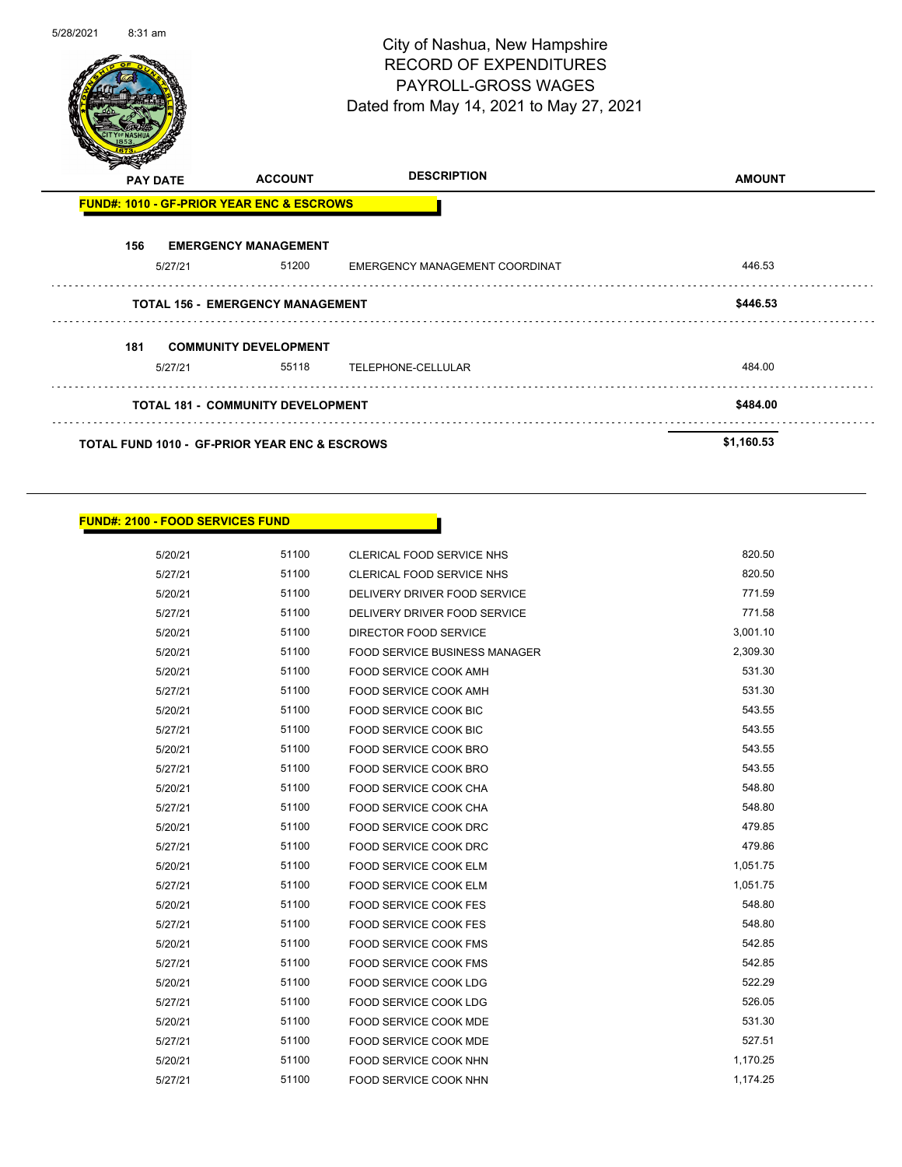г

#### **FUND#: 2100 - FOOD SERVICES FUND**

| 5/20/21 | 51100 | CLERICAL FOOD SERVICE NHS            | 820.50   |
|---------|-------|--------------------------------------|----------|
| 5/27/21 | 51100 | CLERICAL FOOD SERVICE NHS            | 820.50   |
| 5/20/21 | 51100 | DELIVERY DRIVER FOOD SERVICE         | 771.59   |
| 5/27/21 | 51100 | DELIVERY DRIVER FOOD SERVICE         | 771.58   |
| 5/20/21 | 51100 | <b>DIRECTOR FOOD SERVICE</b>         | 3,001.10 |
| 5/20/21 | 51100 | <b>FOOD SERVICE BUSINESS MANAGER</b> | 2,309.30 |
| 5/20/21 | 51100 | FOOD SERVICE COOK AMH                | 531.30   |
| 5/27/21 | 51100 | FOOD SERVICE COOK AMH                | 531.30   |
| 5/20/21 | 51100 | FOOD SERVICE COOK BIC                | 543.55   |
| 5/27/21 | 51100 | <b>FOOD SERVICE COOK BIC</b>         | 543.55   |
| 5/20/21 | 51100 | FOOD SERVICE COOK BRO                | 543.55   |
| 5/27/21 | 51100 | FOOD SERVICE COOK BRO                | 543.55   |
| 5/20/21 | 51100 | FOOD SERVICE COOK CHA                | 548.80   |
| 5/27/21 | 51100 | <b>FOOD SERVICE COOK CHA</b>         | 548.80   |
| 5/20/21 | 51100 | FOOD SERVICE COOK DRC                | 479.85   |
| 5/27/21 | 51100 | FOOD SERVICE COOK DRC                | 479.86   |
| 5/20/21 | 51100 | FOOD SERVICE COOK ELM                | 1,051.75 |
| 5/27/21 | 51100 | FOOD SERVICE COOK ELM                | 1,051.75 |
| 5/20/21 | 51100 | FOOD SERVICE COOK FES                | 548.80   |
| 5/27/21 | 51100 | FOOD SERVICE COOK FES                | 548.80   |
| 5/20/21 | 51100 | FOOD SERVICE COOK FMS                | 542.85   |
| 5/27/21 | 51100 | <b>FOOD SERVICE COOK FMS</b>         | 542.85   |
| 5/20/21 | 51100 | FOOD SERVICE COOK LDG                | 522.29   |
| 5/27/21 | 51100 | FOOD SERVICE COOK LDG                | 526.05   |
| 5/20/21 | 51100 | FOOD SERVICE COOK MDE                | 531.30   |
| 5/27/21 | 51100 | FOOD SERVICE COOK MDE                | 527.51   |
| 5/20/21 | 51100 | FOOD SERVICE COOK NHN                | 1,170.25 |
| 5/27/21 | 51100 | FOOD SERVICE COOK NHN                | 1,174.25 |
|         |       |                                      |          |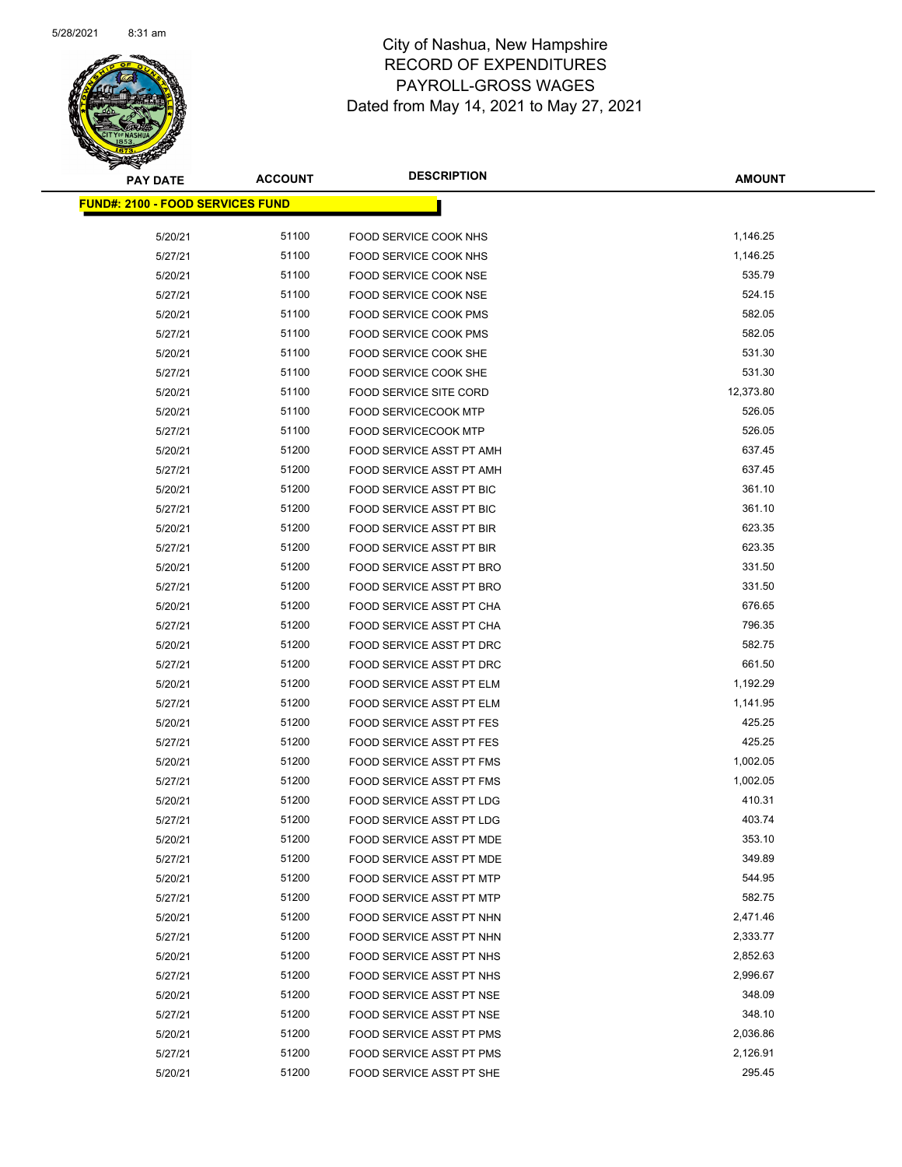

| <b>PAY DATE</b>                         | <b>ACCOUNT</b> | <b>DESCRIPTION</b>              | <b>AMOUNT</b> |
|-----------------------------------------|----------------|---------------------------------|---------------|
| <b>FUND#: 2100 - FOOD SERVICES FUND</b> |                |                                 |               |
| 5/20/21                                 | 51100          | FOOD SERVICE COOK NHS           | 1,146.25      |
| 5/27/21                                 | 51100          | <b>FOOD SERVICE COOK NHS</b>    | 1,146.25      |
| 5/20/21                                 | 51100          | FOOD SERVICE COOK NSE           | 535.79        |
| 5/27/21                                 | 51100          | FOOD SERVICE COOK NSE           | 524.15        |
| 5/20/21                                 | 51100          | <b>FOOD SERVICE COOK PMS</b>    | 582.05        |
| 5/27/21                                 | 51100          | <b>FOOD SERVICE COOK PMS</b>    | 582.05        |
| 5/20/21                                 | 51100          | FOOD SERVICE COOK SHE           | 531.30        |
| 5/27/21                                 | 51100          | FOOD SERVICE COOK SHE           | 531.30        |
| 5/20/21                                 | 51100          | <b>FOOD SERVICE SITE CORD</b>   | 12,373.80     |
| 5/20/21                                 | 51100          | <b>FOOD SERVICECOOK MTP</b>     | 526.05        |
| 5/27/21                                 | 51100          | <b>FOOD SERVICECOOK MTP</b>     | 526.05        |
| 5/20/21                                 | 51200          | FOOD SERVICE ASST PT AMH        | 637.45        |
| 5/27/21                                 | 51200          | FOOD SERVICE ASST PT AMH        | 637.45        |
| 5/20/21                                 | 51200          | FOOD SERVICE ASST PT BIC        | 361.10        |
| 5/27/21                                 | 51200          | FOOD SERVICE ASST PT BIC        | 361.10        |
| 5/20/21                                 | 51200          | FOOD SERVICE ASST PT BIR        | 623.35        |
| 5/27/21                                 | 51200          | FOOD SERVICE ASST PT BIR        | 623.35        |
| 5/20/21                                 | 51200          | <b>FOOD SERVICE ASST PT BRO</b> | 331.50        |
| 5/27/21                                 | 51200          | FOOD SERVICE ASST PT BRO        | 331.50        |
| 5/20/21                                 | 51200          | FOOD SERVICE ASST PT CHA        | 676.65        |
| 5/27/21                                 | 51200          | FOOD SERVICE ASST PT CHA        | 796.35        |
| 5/20/21                                 | 51200          | FOOD SERVICE ASST PT DRC        | 582.75        |
| 5/27/21                                 | 51200          | FOOD SERVICE ASST PT DRC        | 661.50        |
| 5/20/21                                 | 51200          | FOOD SERVICE ASST PT ELM        | 1,192.29      |
| 5/27/21                                 | 51200          | FOOD SERVICE ASST PT ELM        | 1,141.95      |
| 5/20/21                                 | 51200          | <b>FOOD SERVICE ASST PT FES</b> | 425.25        |
| 5/27/21                                 | 51200          | <b>FOOD SERVICE ASST PT FES</b> | 425.25        |
| 5/20/21                                 | 51200          | <b>FOOD SERVICE ASST PT FMS</b> | 1,002.05      |
| 5/27/21                                 | 51200          | FOOD SERVICE ASST PT FMS        | 1,002.05      |
| 5/20/21                                 | 51200          | FOOD SERVICE ASST PT LDG        | 410.31        |
| 5/27/21                                 | 51200          | FOOD SERVICE ASST PT LDG        | 403.74        |
| 5/20/21                                 | 51200          | FOOD SERVICE ASST PT MDE        | 353.10        |
| 5/27/21                                 | 51200          | FOOD SERVICE ASST PT MDE        | 349.89        |
| 5/20/21                                 | 51200          | FOOD SERVICE ASST PT MTP        | 544.95        |
| 5/27/21                                 | 51200          | FOOD SERVICE ASST PT MTP        | 582.75        |
| 5/20/21                                 | 51200          | FOOD SERVICE ASST PT NHN        | 2,471.46      |
| 5/27/21                                 | 51200          | FOOD SERVICE ASST PT NHN        | 2,333.77      |
| 5/20/21                                 | 51200          | FOOD SERVICE ASST PT NHS        | 2,852.63      |
| 5/27/21                                 | 51200          | FOOD SERVICE ASST PT NHS        | 2,996.67      |
| 5/20/21                                 | 51200          | FOOD SERVICE ASST PT NSE        | 348.09        |
| 5/27/21                                 | 51200          | FOOD SERVICE ASST PT NSE        | 348.10        |
| 5/20/21                                 | 51200          | FOOD SERVICE ASST PT PMS        | 2,036.86      |
| 5/27/21                                 | 51200          | FOOD SERVICE ASST PT PMS        | 2,126.91      |
| 5/20/21                                 | 51200          | FOOD SERVICE ASST PT SHE        | 295.45        |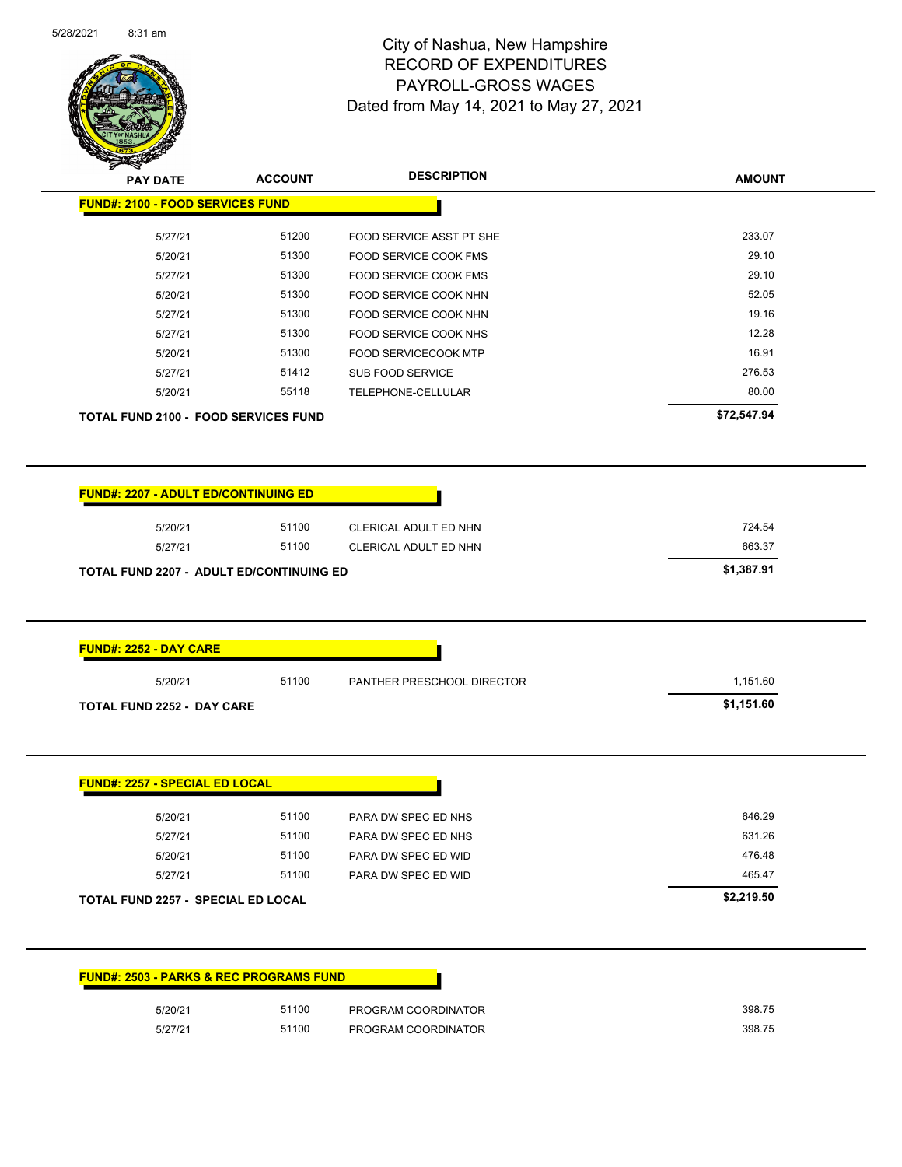

| <b>FUND#: 2100 - FOOD SERVICES FUND</b>                                                                        |       |                              |                      |
|----------------------------------------------------------------------------------------------------------------|-------|------------------------------|----------------------|
| 5/27/21                                                                                                        | 51200 | FOOD SERVICE ASST PT SHE     | 233.07               |
| 5/20/21                                                                                                        | 51300 | <b>FOOD SERVICE COOK FMS</b> | 29.10                |
| 5/27/21                                                                                                        | 51300 | FOOD SERVICE COOK FMS        | 29.10                |
| 5/20/21                                                                                                        | 51300 | FOOD SERVICE COOK NHN        | 52.05                |
| 5/27/21                                                                                                        | 51300 | FOOD SERVICE COOK NHN        | 19.16                |
| 5/27/21                                                                                                        | 51300 | FOOD SERVICE COOK NHS        | 12.28                |
| 5/20/21                                                                                                        | 51300 | FOOD SERVICECOOK MTP         | 16.91                |
| 5/27/21                                                                                                        | 51412 | SUB FOOD SERVICE             | 276.53               |
| 5/20/21                                                                                                        | 55118 | TELEPHONE-CELLULAR           | 80.00                |
| <b>TOTAL FUND 2100 - FOOD SERVICES FUND</b>                                                                    |       |                              | \$72,547.94          |
|                                                                                                                |       |                              |                      |
| <b>FUND#: 2207 - ADULT ED/CONTINUING ED</b>                                                                    |       |                              |                      |
|                                                                                                                |       |                              |                      |
| 5/20/21                                                                                                        | 51100 | CLERICAL ADULT ED NHN        | 724.54               |
| 5/27/21                                                                                                        | 51100 | CLERICAL ADULT ED NHN        | 663.37<br>\$1,387.91 |
|                                                                                                                |       |                              |                      |
|                                                                                                                |       |                              |                      |
| 5/20/21                                                                                                        | 51100 | PANTHER PRESCHOOL DIRECTOR   | 1,151.60             |
| TOTAL FUND 2207 - ADULT ED/CONTINUING ED<br><b>FUND#: 2252 - DAY CARE</b><br><b>TOTAL FUND 2252 - DAY CARE</b> |       |                              | \$1,151.60           |
|                                                                                                                |       |                              |                      |
| 5/20/21                                                                                                        | 51100 | PARA DW SPEC ED NHS          | 646.29               |
| 5/27/21                                                                                                        | 51100 | PARA DW SPEC ED NHS          | 631.26               |
| 5/20/21                                                                                                        | 51100 | PARA DW SPEC ED WID          | 476.48               |
| 5/27/21                                                                                                        | 51100 | PARA DW SPEC ED WID          | 465.47               |
|                                                                                                                |       |                              | \$2,219.50           |
| <b>FUND#: 2257 - SPECIAL ED LOCAL</b><br>TOTAL FUND 2257 - SPECIAL ED LOCAL                                    |       |                              |                      |

| 5/20/21 | 51100 | PROGRAM COORDINATOR | 398.75 |
|---------|-------|---------------------|--------|
| 5/27/21 | 51100 | PROGRAM COORDINATOR | 398.75 |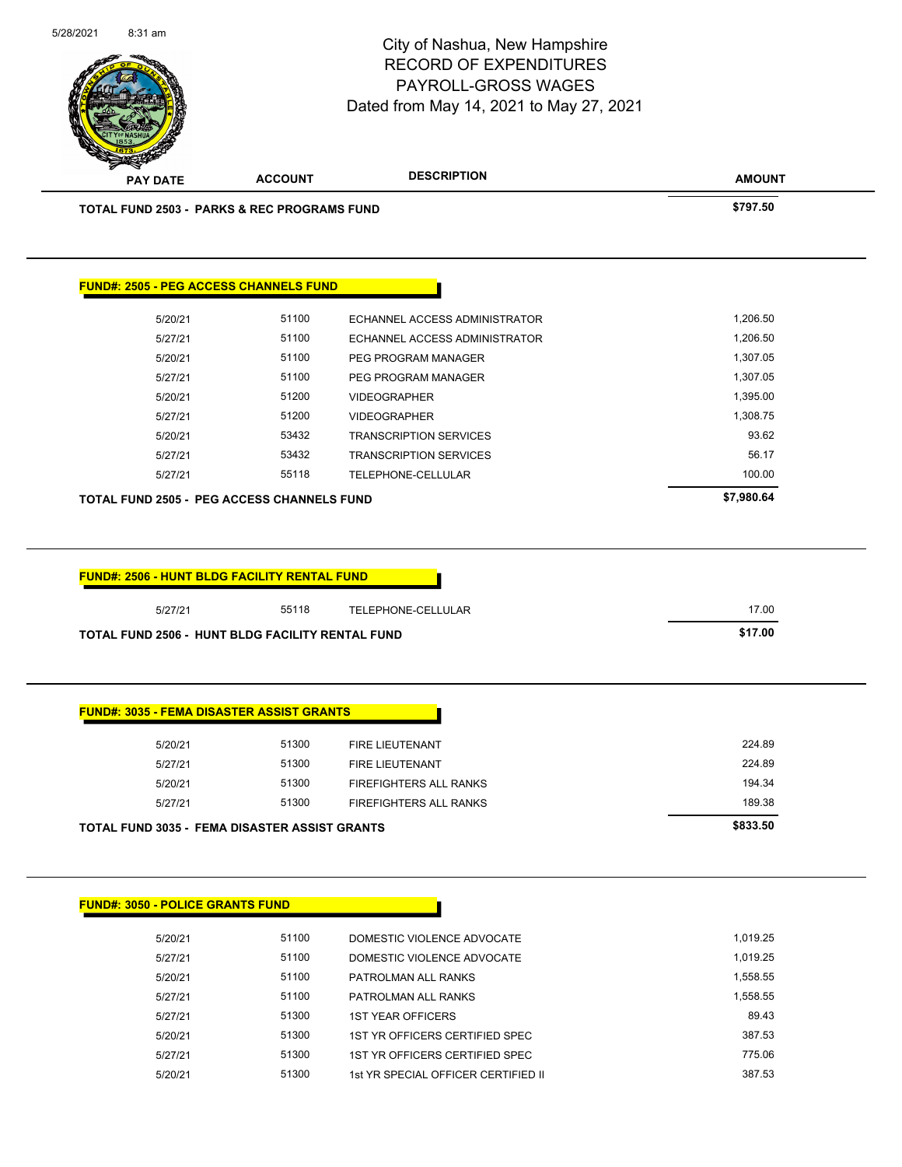

| <b>FUND#: 3050 - POLICE GRANTS FUND</b> |       |                                     |          |
|-----------------------------------------|-------|-------------------------------------|----------|
| 5/20/21                                 | 51100 | DOMESTIC VIOLENCE ADVOCATE          | 1.019.25 |
| 5/27/21                                 | 51100 | DOMESTIC VIOLENCE ADVOCATE          | 1.019.25 |
| 5/20/21                                 | 51100 | PATROLMAN ALL RANKS                 | 1.558.55 |
| 5/27/21                                 | 51100 | PATROLMAN ALL RANKS                 | 1,558.55 |
| 5/27/21                                 | 51300 | <b>1ST YEAR OFFICERS</b>            | 89.43    |
| 5/20/21                                 | 51300 | 1ST YR OFFICERS CERTIFIED SPEC      | 387.53   |
| 5/27/21                                 | 51300 | 1ST YR OFFICERS CERTIFIED SPEC      | 775.06   |
| 5/20/21                                 | 51300 | 1st YR SPECIAL OFFICER CERTIFIED II | 387.53   |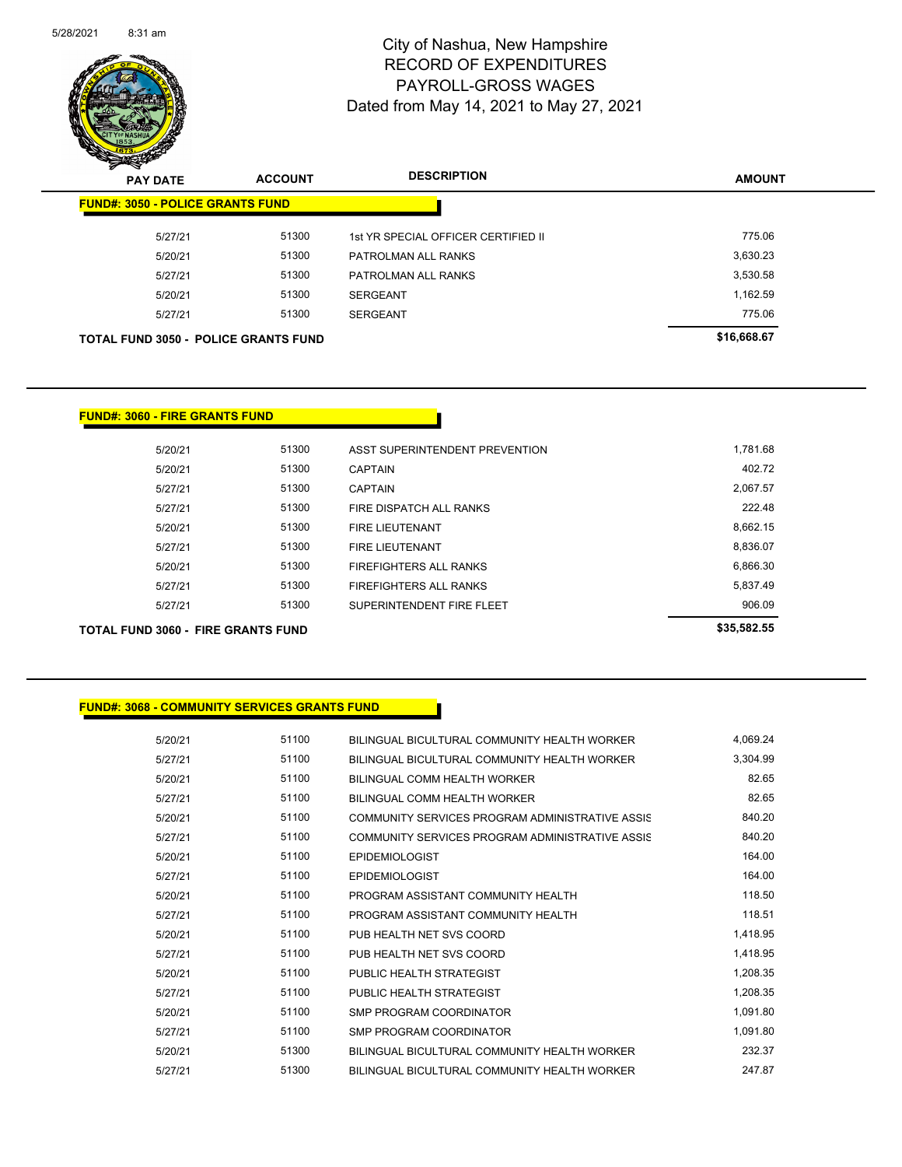

| $\boldsymbol{\nu}$<br>$\sim$<br><b>PAY DATE</b> | <b>ACCOUNT</b> | <b>DESCRIPTION</b>                  | <b>AMOUNT</b> |
|-------------------------------------------------|----------------|-------------------------------------|---------------|
| <b>FUND#: 3050 - POLICE GRANTS FUND</b>         |                |                                     |               |
| 5/27/21                                         | 51300          | 1st YR SPECIAL OFFICER CERTIFIED II | 775.06        |
| 5/20/21                                         | 51300          | PATROLMAN ALL RANKS                 | 3,630.23      |
| 5/27/21                                         | 51300          | PATROLMAN ALL RANKS                 | 3,530.58      |
| 5/20/21                                         | 51300          | <b>SERGEANT</b>                     | 1,162.59      |
| 5/27/21                                         | 51300          | <b>SERGEANT</b>                     | 775.06        |
| <b>TOTAL FUND 3050 - POLICE GRANTS FUND</b>     |                |                                     | \$16,668.67   |

#### **FUND#: 3060 - FIRE GRANTS FUND**

| \$35,582.55                                |       | TOTAL FUND 3060 - FIRE GRANTS FUND |  |
|--------------------------------------------|-------|------------------------------------|--|
| 906.09<br>SUPERINTENDENT FIRE FLEET        | 51300 | 5/27/21                            |  |
| 5,837.49                                   | 51300 | 5/27/21                            |  |
| 6,866.30                                   | 51300 | 5/20/21                            |  |
| 8,836.07                                   | 51300 | 5/27/21                            |  |
| 8,662.15                                   | 51300 | 5/20/21                            |  |
| 222.48                                     | 51300 | 5/27/21                            |  |
| 2,067.57                                   | 51300 | 5/27/21                            |  |
| 402.72                                     | 51300 | 5/20/21                            |  |
| 1,781.68<br>ASST SUPERINTENDENT PREVENTION | 51300 | 5/20/21                            |  |
|                                            |       |                                    |  |

#### **FUND#: 3068 - COMMUNITY SERVICES GRANTS FUND**

| 5/20/21 | 51100 | BILINGUAL BICULTURAL COMMUNITY HEALTH WORKER    | 4.069.24 |
|---------|-------|-------------------------------------------------|----------|
| 5/27/21 | 51100 | BILINGUAL BICULTURAL COMMUNITY HEALTH WORKER    | 3,304.99 |
| 5/20/21 | 51100 | BILINGUAL COMM HEALTH WORKER                    | 82.65    |
| 5/27/21 | 51100 | BILINGUAL COMM HEALTH WORKER                    | 82.65    |
| 5/20/21 | 51100 | COMMUNITY SERVICES PROGRAM ADMINISTRATIVE ASSIS | 840.20   |
| 5/27/21 | 51100 | COMMUNITY SERVICES PROGRAM ADMINISTRATIVE ASSIS | 840.20   |
| 5/20/21 | 51100 | <b>EPIDEMIOLOGIST</b>                           | 164.00   |
| 5/27/21 | 51100 | <b>EPIDEMIOLOGIST</b>                           | 164.00   |
| 5/20/21 | 51100 | PROGRAM ASSISTANT COMMUNITY HEALTH              | 118.50   |
| 5/27/21 | 51100 | PROGRAM ASSISTANT COMMUNITY HEALTH              | 118.51   |
| 5/20/21 | 51100 | PUB HEALTH NET SVS COORD                        | 1,418.95 |
| 5/27/21 | 51100 | PUB HEALTH NET SVS COORD                        | 1,418.95 |
| 5/20/21 | 51100 | PUBLIC HEALTH STRATEGIST                        | 1,208.35 |
| 5/27/21 | 51100 | PUBLIC HEALTH STRATEGIST                        | 1,208.35 |
| 5/20/21 | 51100 | SMP PROGRAM COORDINATOR                         | 1,091.80 |
| 5/27/21 | 51100 | SMP PROGRAM COORDINATOR                         | 1,091.80 |
| 5/20/21 | 51300 | BILINGUAL BICULTURAL COMMUNITY HEALTH WORKER    | 232.37   |
| 5/27/21 | 51300 | BILINGUAL BICULTURAL COMMUNITY HEALTH WORKER    | 247.87   |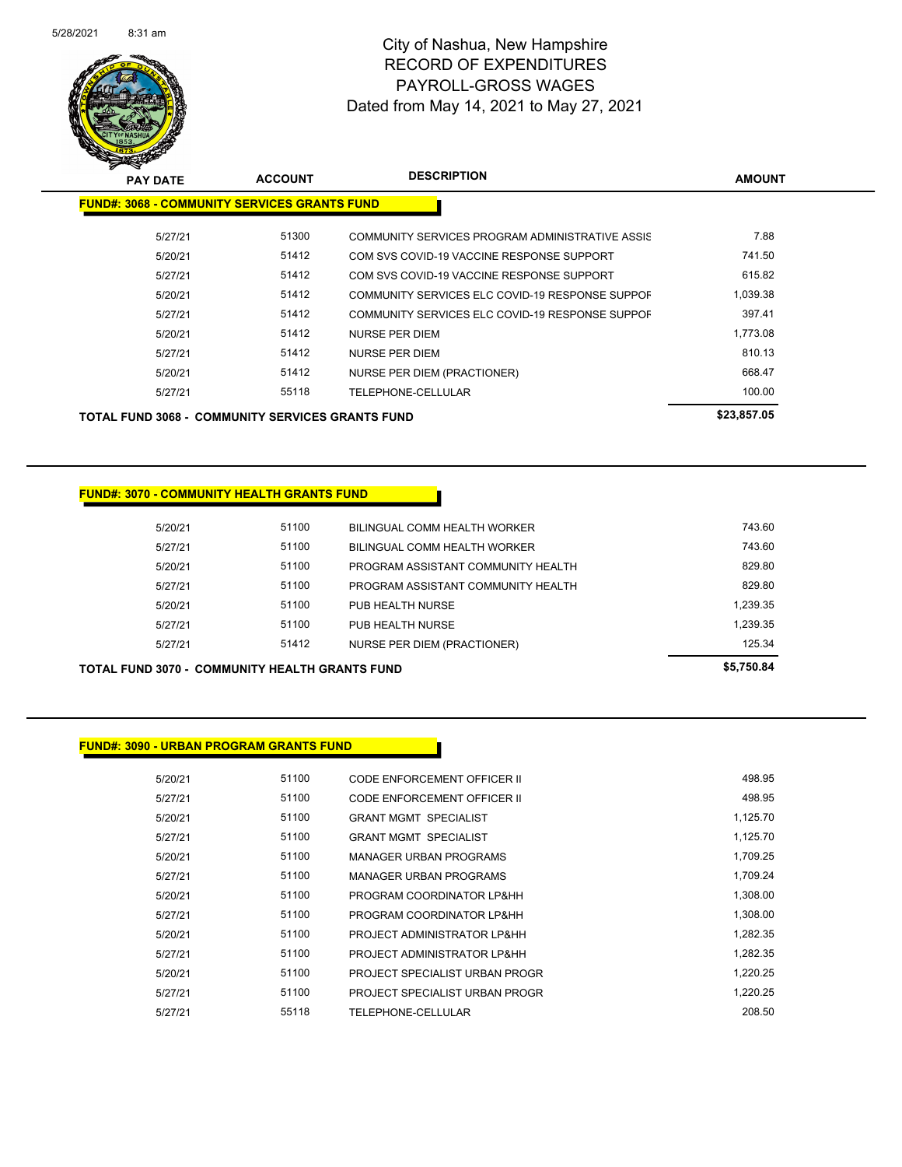

| <b>PAY DATE</b>                                         | <b>ACCOUNT</b> | <b>DESCRIPTION</b>                              | <b>AMOUNT</b> |
|---------------------------------------------------------|----------------|-------------------------------------------------|---------------|
| <b>FUND#: 3068 - COMMUNITY SERVICES GRANTS FUND</b>     |                |                                                 |               |
| 5/27/21                                                 | 51300          | COMMUNITY SERVICES PROGRAM ADMINISTRATIVE ASSIS | 7.88          |
| 5/20/21                                                 | 51412          | COM SVS COVID-19 VACCINE RESPONSE SUPPORT       | 741.50        |
| 5/27/21                                                 | 51412          | COM SVS COVID-19 VACCINE RESPONSE SUPPORT       | 615.82        |
| 5/20/21                                                 | 51412          | COMMUNITY SERVICES ELC COVID-19 RESPONSE SUPPOF | 1,039.38      |
| 5/27/21                                                 | 51412          | COMMUNITY SERVICES ELC COVID-19 RESPONSE SUPPOF | 397.41        |
| 5/20/21                                                 | 51412          | NURSE PER DIEM                                  | 1,773.08      |
| 5/27/21                                                 | 51412          | NURSE PER DIEM                                  | 810.13        |
| 5/20/21                                                 | 51412          | NURSE PER DIEM (PRACTIONER)                     | 668.47        |
| 5/27/21                                                 | 55118          | TELEPHONE-CELLULAR                              | 100.00        |
| <b>TOTAL FUND 3068 - COMMUNITY SERVICES GRANTS FUND</b> |                |                                                 | \$23.857.05   |

#### **FUND#: 3070 - COMMUNITY HEALTH GRANTS FUND**

| TOTAL FUND 3070 - COMMUNITY HEALTH GRANTS FUND | \$5,750.84 |                                    |          |
|------------------------------------------------|------------|------------------------------------|----------|
| 5/27/21                                        | 51412      | <b>NURSE PER DIEM (PRACTIONER)</b> | 125.34   |
| 5/27/21                                        | 51100      | PUB HEALTH NURSE                   | 1.239.35 |
| 5/20/21                                        | 51100      | PUB HEALTH NURSE                   | 1.239.35 |
| 5/27/21                                        | 51100      | PROGRAM ASSISTANT COMMUNITY HEALTH | 829.80   |
| 5/20/21                                        | 51100      | PROGRAM ASSISTANT COMMUNITY HEALTH | 829.80   |
| 5/27/21                                        | 51100      | BILINGUAL COMM HEALTH WORKER       | 743.60   |
| 5/20/21                                        | 51100      | BILINGUAL COMM HEALTH WORKER       | 743.60   |
|                                                |            |                                    |          |

#### **FUND#: 3090 - URBAN PROGRAM GRANTS FUND**

| 5/20/21 | 51100 | CODE ENFORCEMENT OFFICER II    | 498.95   |
|---------|-------|--------------------------------|----------|
| 5/27/21 | 51100 | CODE ENFORCEMENT OFFICER II    | 498.95   |
| 5/20/21 | 51100 | <b>GRANT MGMT SPECIALIST</b>   | 1,125.70 |
| 5/27/21 | 51100 | <b>GRANT MGMT SPECIALIST</b>   | 1,125.70 |
| 5/20/21 | 51100 | <b>MANAGER URBAN PROGRAMS</b>  | 1,709.25 |
| 5/27/21 | 51100 | <b>MANAGER URBAN PROGRAMS</b>  | 1.709.24 |
| 5/20/21 | 51100 | PROGRAM COORDINATOR LP&HH      | 1.308.00 |
| 5/27/21 | 51100 | PROGRAM COORDINATOR LP&HH      | 1.308.00 |
| 5/20/21 | 51100 | PROJECT ADMINISTRATOR LP&HH    | 1.282.35 |
| 5/27/21 | 51100 | PROJECT ADMINISTRATOR LP&HH    | 1,282.35 |
| 5/20/21 | 51100 | PROJECT SPECIALIST URBAN PROGR | 1.220.25 |
| 5/27/21 | 51100 | PROJECT SPECIALIST URBAN PROGR | 1.220.25 |
| 5/27/21 | 55118 | TELEPHONE-CELLULAR             | 208.50   |
|         |       |                                |          |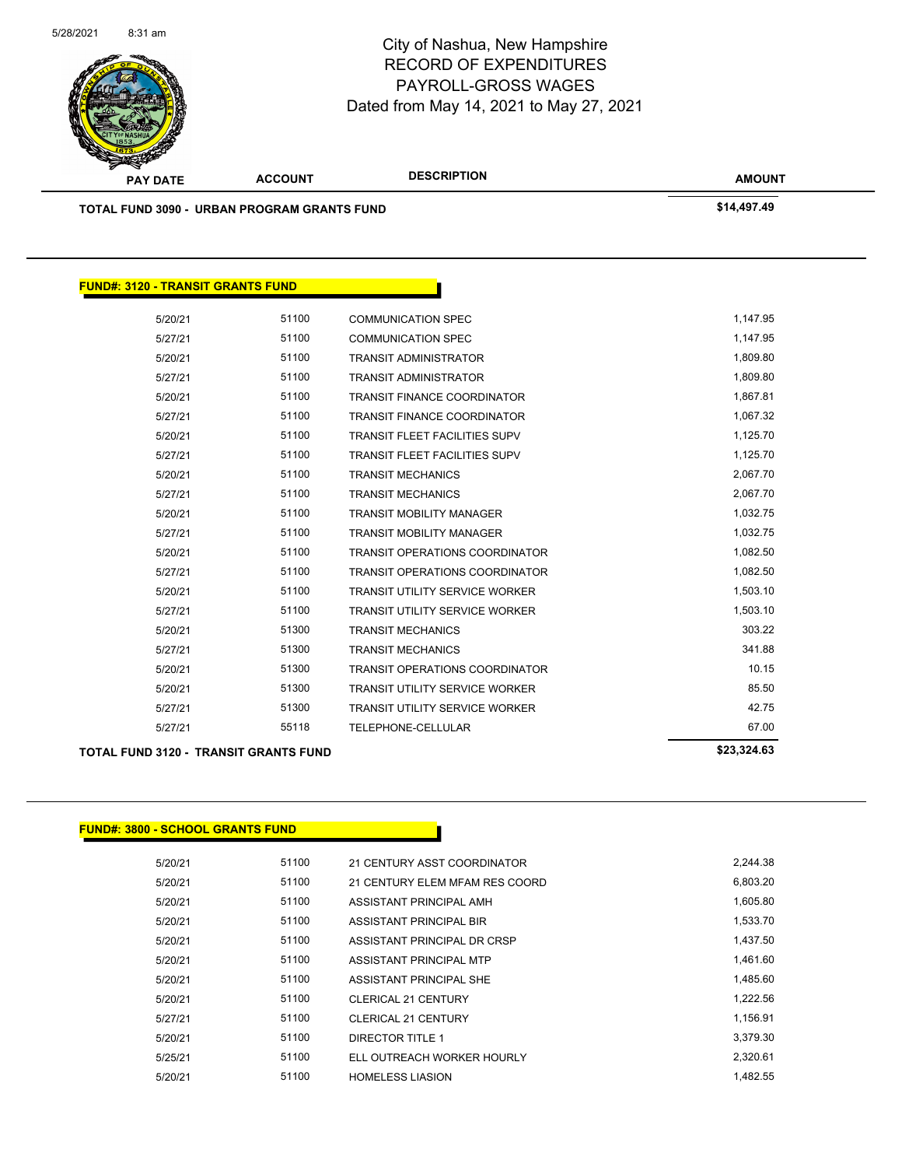

| <b>PAY DATE</b>                                    | <b>ACCOUNT</b> | <b>DESCRIPTION</b> | <b>AMOUNT</b> |
|----------------------------------------------------|----------------|--------------------|---------------|
| <b>TOTAL FUND 3090 - URBAN PROGRAM GRANTS FUND</b> |                |                    | \$14,497.49   |
|                                                    |                |                    |               |

#### **FUND#: 3120 - TRANSIT GRANTS FUND**

| 5/20/21 | 51100 | <b>COMMUNICATION SPEC</b>             | 1,147.95 |
|---------|-------|---------------------------------------|----------|
| 5/27/21 | 51100 | <b>COMMUNICATION SPEC</b>             | 1,147.95 |
| 5/20/21 | 51100 | <b>TRANSIT ADMINISTRATOR</b>          | 1,809.80 |
| 5/27/21 | 51100 | <b>TRANSIT ADMINISTRATOR</b>          | 1,809.80 |
| 5/20/21 | 51100 | <b>TRANSIT FINANCE COORDINATOR</b>    | 1,867.81 |
| 5/27/21 | 51100 | <b>TRANSIT FINANCE COORDINATOR</b>    | 1,067.32 |
| 5/20/21 | 51100 | <b>TRANSIT FLEET FACILITIES SUPV</b>  | 1,125.70 |
| 5/27/21 | 51100 | <b>TRANSIT FLEET FACILITIES SUPV</b>  | 1,125.70 |
| 5/20/21 | 51100 | <b>TRANSIT MECHANICS</b>              | 2,067.70 |
| 5/27/21 | 51100 | <b>TRANSIT MECHANICS</b>              | 2,067.70 |
| 5/20/21 | 51100 | <b>TRANSIT MOBILITY MANAGER</b>       | 1,032.75 |
| 5/27/21 | 51100 | <b>TRANSIT MOBILITY MANAGER</b>       | 1,032.75 |
| 5/20/21 | 51100 | <b>TRANSIT OPERATIONS COORDINATOR</b> | 1,082.50 |
| 5/27/21 | 51100 | <b>TRANSIT OPERATIONS COORDINATOR</b> | 1,082.50 |
| 5/20/21 | 51100 | <b>TRANSIT UTILITY SERVICE WORKER</b> | 1,503.10 |
| 5/27/21 | 51100 | <b>TRANSIT UTILITY SERVICE WORKER</b> | 1,503.10 |
| 5/20/21 | 51300 | <b>TRANSIT MECHANICS</b>              | 303.22   |
| 5/27/21 | 51300 | <b>TRANSIT MECHANICS</b>              | 341.88   |
| 5/20/21 | 51300 | TRANSIT OPERATIONS COORDINATOR        | 10.15    |
| 5/20/21 | 51300 | <b>TRANSIT UTILITY SERVICE WORKER</b> | 85.50    |
| 5/27/21 | 51300 | <b>TRANSIT UTILITY SERVICE WORKER</b> | 42.75    |
| 5/27/21 | 55118 | <b>TELEPHONE-CELLULAR</b>             | 67.00    |
|         |       |                                       |          |

#### **TOTAL FUND 3120 - TRANSIT GRANTS FUND \$23,324.63**

#### **FUND#: 3800 - SCHOOL GRANTS FUND**

| 5/20/21 | 51100 | 21 CENTURY ASST COORDINATOR    | 2,244.38 |
|---------|-------|--------------------------------|----------|
| 5/20/21 | 51100 | 21 CENTURY ELEM MFAM RES COORD | 6,803.20 |
| 5/20/21 | 51100 | ASSISTANT PRINCIPAL AMH        | 1,605.80 |
| 5/20/21 | 51100 | ASSISTANT PRINCIPAL BIR        | 1.533.70 |
| 5/20/21 | 51100 | ASSISTANT PRINCIPAL DR CRSP    | 1.437.50 |
| 5/20/21 | 51100 | ASSISTANT PRINCIPAL MTP        | 1,461.60 |
| 5/20/21 | 51100 | ASSISTANT PRINCIPAL SHE        | 1,485.60 |
| 5/20/21 | 51100 | <b>CLERICAL 21 CENTURY</b>     | 1,222.56 |
| 5/27/21 | 51100 | <b>CLERICAL 21 CENTURY</b>     | 1,156.91 |
| 5/20/21 | 51100 | DIRECTOR TITLE 1               | 3,379.30 |
| 5/25/21 | 51100 | ELL OUTREACH WORKER HOURLY     | 2.320.61 |
| 5/20/21 | 51100 | <b>HOMELESS LIASION</b>        | 1.482.55 |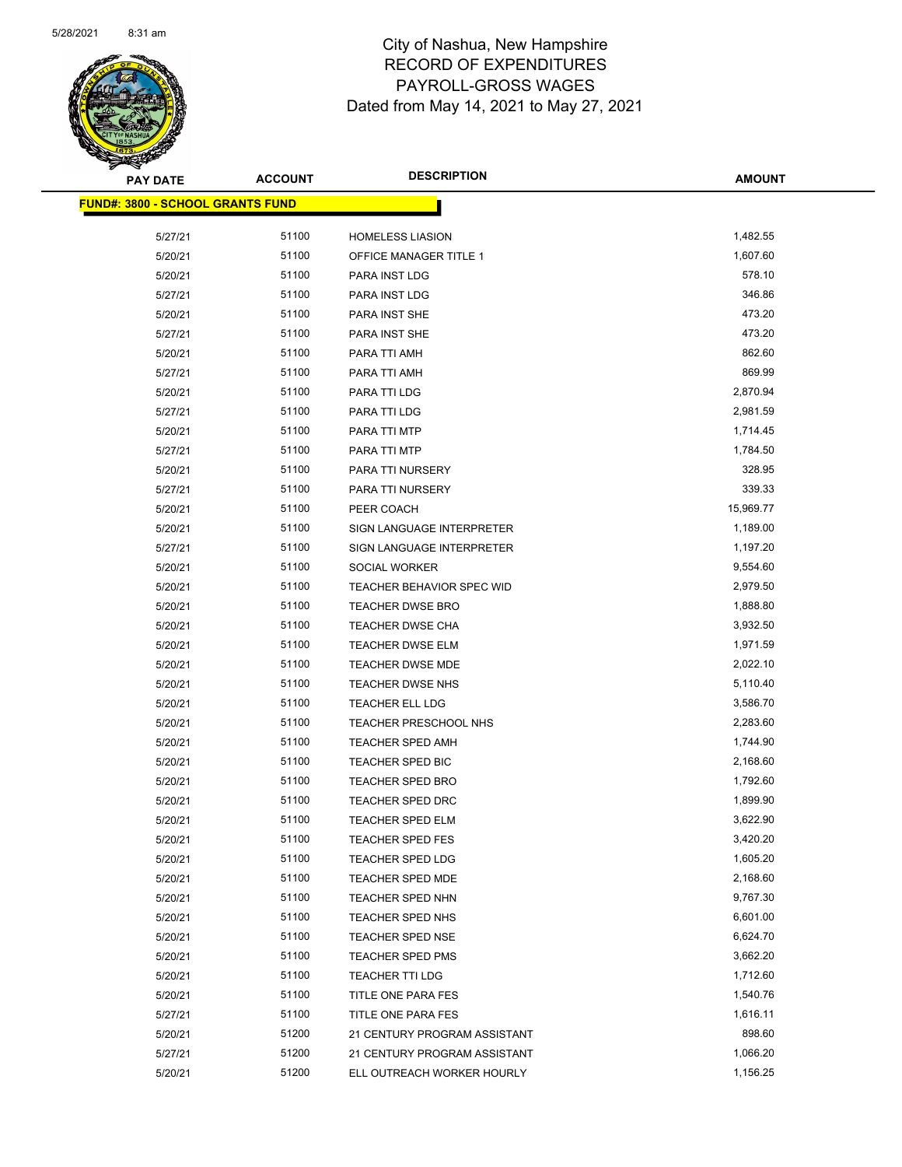

| <b>PAY DATE</b>                          | <b>ACCOUNT</b> | <b>DESCRIPTION</b>               | AMOUNT    |
|------------------------------------------|----------------|----------------------------------|-----------|
| <u> FUND#: 3800 - SCHOOL GRANTS FUND</u> |                |                                  |           |
| 5/27/21                                  | 51100          | <b>HOMELESS LIASION</b>          | 1,482.55  |
| 5/20/21                                  | 51100          | OFFICE MANAGER TITLE 1           | 1,607.60  |
| 5/20/21                                  | 51100          | PARA INST LDG                    | 578.10    |
| 5/27/21                                  | 51100          | PARA INST LDG                    | 346.86    |
| 5/20/21                                  | 51100          | PARA INST SHE                    | 473.20    |
| 5/27/21                                  | 51100          | PARA INST SHE                    | 473.20    |
| 5/20/21                                  | 51100          | PARA TTI AMH                     | 862.60    |
| 5/27/21                                  | 51100          | PARA TTI AMH                     | 869.99    |
| 5/20/21                                  | 51100          | PARA TTI LDG                     | 2,870.94  |
| 5/27/21                                  | 51100          | PARA TTI LDG                     | 2,981.59  |
| 5/20/21                                  | 51100          | PARA TTI MTP                     | 1,714.45  |
| 5/27/21                                  | 51100          | PARA TTI MTP                     | 1,784.50  |
| 5/20/21                                  | 51100          | PARA TTI NURSERY                 | 328.95    |
| 5/27/21                                  | 51100          | PARA TTI NURSERY                 | 339.33    |
| 5/20/21                                  | 51100          | PEER COACH                       | 15,969.77 |
| 5/20/21                                  | 51100          | SIGN LANGUAGE INTERPRETER        | 1,189.00  |
| 5/27/21                                  | 51100          | SIGN LANGUAGE INTERPRETER        | 1,197.20  |
| 5/20/21                                  | 51100          | SOCIAL WORKER                    | 9,554.60  |
| 5/20/21                                  | 51100          | <b>TEACHER BEHAVIOR SPEC WID</b> | 2,979.50  |
| 5/20/21                                  | 51100          | <b>TEACHER DWSE BRO</b>          | 1,888.80  |
| 5/20/21                                  | 51100          | <b>TEACHER DWSE CHA</b>          | 3,932.50  |
| 5/20/21                                  | 51100          | <b>TEACHER DWSE ELM</b>          | 1,971.59  |
| 5/20/21                                  | 51100          | TEACHER DWSE MDE                 | 2,022.10  |
| 5/20/21                                  | 51100          | <b>TEACHER DWSE NHS</b>          | 5,110.40  |
| 5/20/21                                  | 51100          | TEACHER ELL LDG                  | 3,586.70  |
| 5/20/21                                  | 51100          | TEACHER PRESCHOOL NHS            | 2,283.60  |
| 5/20/21                                  | 51100          | <b>TEACHER SPED AMH</b>          | 1,744.90  |
| 5/20/21                                  | 51100          | TEACHER SPED BIC                 | 2,168.60  |
| 5/20/21                                  | 51100          | <b>TEACHER SPED BRO</b>          | 1,792.60  |
| 5/20/21                                  | 51100          | TEACHER SPED DRC                 | 1,899.90  |
| 5/20/21                                  | 51100          | <b>TEACHER SPED ELM</b>          | 3,622.90  |
| 5/20/21                                  | 51100          | <b>TEACHER SPED FES</b>          | 3,420.20  |
| 5/20/21                                  | 51100          | <b>TEACHER SPED LDG</b>          | 1,605.20  |
| 5/20/21                                  | 51100          | TEACHER SPED MDE                 | 2,168.60  |
| 5/20/21                                  | 51100          | <b>TEACHER SPED NHN</b>          | 9,767.30  |
| 5/20/21                                  | 51100          | <b>TEACHER SPED NHS</b>          | 6,601.00  |
| 5/20/21                                  | 51100          | <b>TEACHER SPED NSE</b>          | 6,624.70  |
| 5/20/21                                  | 51100          | <b>TEACHER SPED PMS</b>          | 3,662.20  |
| 5/20/21                                  | 51100          | <b>TEACHER TTI LDG</b>           | 1,712.60  |
| 5/20/21                                  | 51100          | TITLE ONE PARA FES               | 1,540.76  |
| 5/27/21                                  | 51100          | TITLE ONE PARA FES               | 1,616.11  |
| 5/20/21                                  | 51200          | 21 CENTURY PROGRAM ASSISTANT     | 898.60    |
| 5/27/21                                  | 51200          | 21 CENTURY PROGRAM ASSISTANT     | 1,066.20  |
| 5/20/21                                  | 51200          | ELL OUTREACH WORKER HOURLY       | 1,156.25  |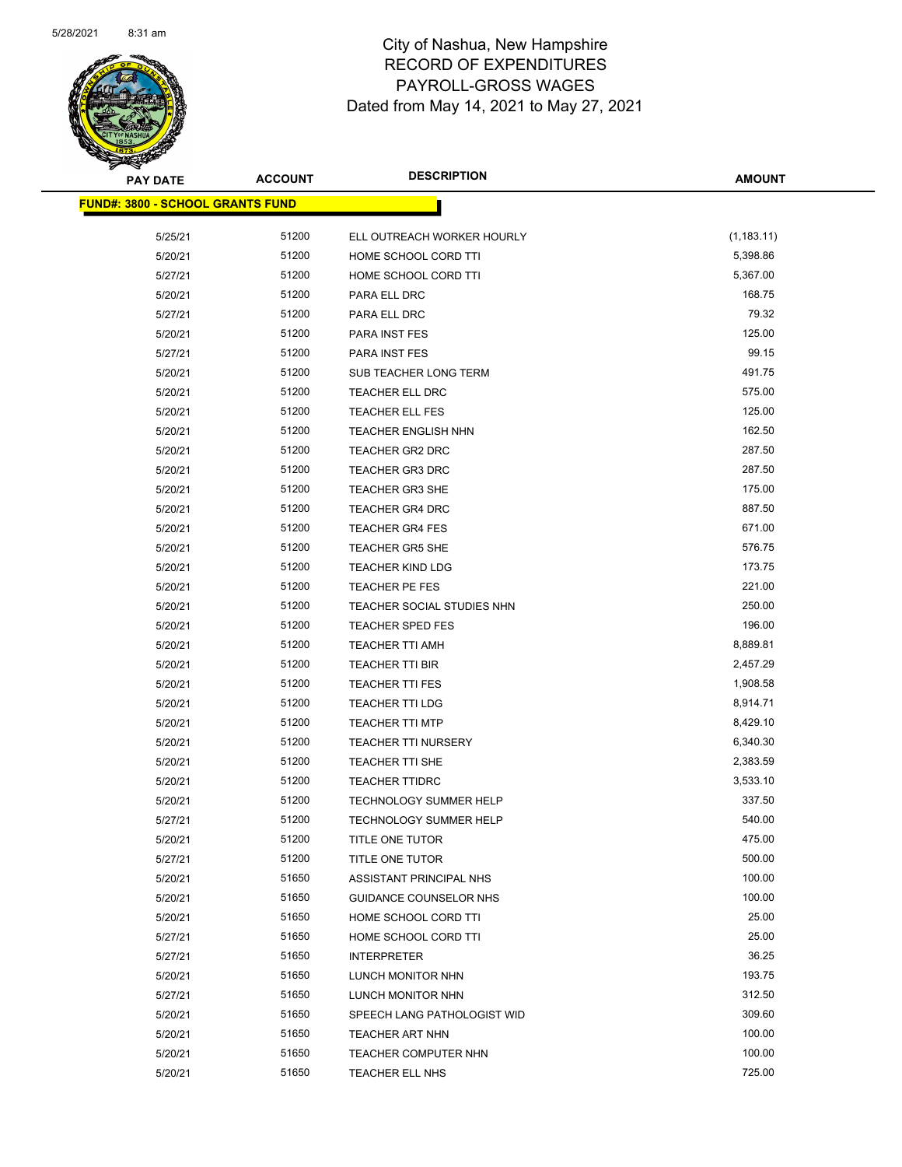

| <b>PAY DATE</b>                         | <b>ACCOUNT</b> | <b>DESCRIPTION</b>            | <b>AMOUNT</b> |
|-----------------------------------------|----------------|-------------------------------|---------------|
| <b>FUND#: 3800 - SCHOOL GRANTS FUND</b> |                |                               |               |
|                                         |                |                               |               |
| 5/25/21                                 | 51200          | ELL OUTREACH WORKER HOURLY    | (1, 183.11)   |
| 5/20/21                                 | 51200          | HOME SCHOOL CORD TTI          | 5,398.86      |
| 5/27/21                                 | 51200          | HOME SCHOOL CORD TTI          | 5,367.00      |
| 5/20/21                                 | 51200          | PARA ELL DRC                  | 168.75        |
| 5/27/21                                 | 51200          | PARA ELL DRC                  | 79.32         |
| 5/20/21                                 | 51200          | PARA INST FES                 | 125.00        |
| 5/27/21                                 | 51200          | <b>PARA INST FES</b>          | 99.15         |
| 5/20/21                                 | 51200          | SUB TEACHER LONG TERM         | 491.75        |
| 5/20/21                                 | 51200          | TEACHER ELL DRC               | 575.00        |
| 5/20/21                                 | 51200          | <b>TEACHER ELL FES</b>        | 125.00        |
| 5/20/21                                 | 51200          | TEACHER ENGLISH NHN           | 162.50        |
| 5/20/21                                 | 51200          | <b>TEACHER GR2 DRC</b>        | 287.50        |
| 5/20/21                                 | 51200          | <b>TEACHER GR3 DRC</b>        | 287.50        |
| 5/20/21                                 | 51200          | TEACHER GR3 SHE               | 175.00        |
| 5/20/21                                 | 51200          | <b>TEACHER GR4 DRC</b>        | 887.50        |
| 5/20/21                                 | 51200          | <b>TEACHER GR4 FES</b>        | 671.00        |
| 5/20/21                                 | 51200          | <b>TEACHER GR5 SHE</b>        | 576.75        |
| 5/20/21                                 | 51200          | <b>TEACHER KIND LDG</b>       | 173.75        |
| 5/20/21                                 | 51200          | TEACHER PE FES                | 221.00        |
| 5/20/21                                 | 51200          | TEACHER SOCIAL STUDIES NHN    | 250.00        |
| 5/20/21                                 | 51200          | <b>TEACHER SPED FES</b>       | 196.00        |
| 5/20/21                                 | 51200          | TEACHER TTI AMH               | 8,889.81      |
| 5/20/21                                 | 51200          | <b>TEACHER TTI BIR</b>        | 2,457.29      |
| 5/20/21                                 | 51200          | <b>TEACHER TTI FES</b>        | 1,908.58      |
| 5/20/21                                 | 51200          | <b>TEACHER TTI LDG</b>        | 8,914.71      |
| 5/20/21                                 | 51200          | <b>TEACHER TTI MTP</b>        | 8,429.10      |
| 5/20/21                                 | 51200          | <b>TEACHER TTI NURSERY</b>    | 6,340.30      |
| 5/20/21                                 | 51200          | <b>TEACHER TTI SHE</b>        | 2,383.59      |
| 5/20/21                                 | 51200          | <b>TEACHER TTIDRC</b>         | 3,533.10      |
| 5/20/21                                 | 51200          | <b>TECHNOLOGY SUMMER HELP</b> | 337.50        |
| 5/27/21                                 | 51200          | <b>TECHNOLOGY SUMMER HELP</b> | 540.00        |
| 5/20/21                                 | 51200          | TITLE ONE TUTOR               | 475.00        |
| 5/27/21                                 | 51200          | TITLE ONE TUTOR               | 500.00        |
| 5/20/21                                 | 51650          | ASSISTANT PRINCIPAL NHS       | 100.00        |
| 5/20/21                                 | 51650          | GUIDANCE COUNSELOR NHS        | 100.00        |
| 5/20/21                                 | 51650          | HOME SCHOOL CORD TTI          | 25.00         |
| 5/27/21                                 | 51650          | HOME SCHOOL CORD TTI          | 25.00         |
| 5/27/21                                 | 51650          | <b>INTERPRETER</b>            | 36.25         |
| 5/20/21                                 | 51650          | LUNCH MONITOR NHN             | 193.75        |
| 5/27/21                                 | 51650          | LUNCH MONITOR NHN             | 312.50        |
| 5/20/21                                 | 51650          | SPEECH LANG PATHOLOGIST WID   | 309.60        |
| 5/20/21                                 | 51650          | <b>TEACHER ART NHN</b>        | 100.00        |
|                                         | 51650          |                               | 100.00        |
| 5/20/21                                 | 51650          | TEACHER COMPUTER NHN          | 725.00        |
| 5/20/21                                 |                | TEACHER ELL NHS               |               |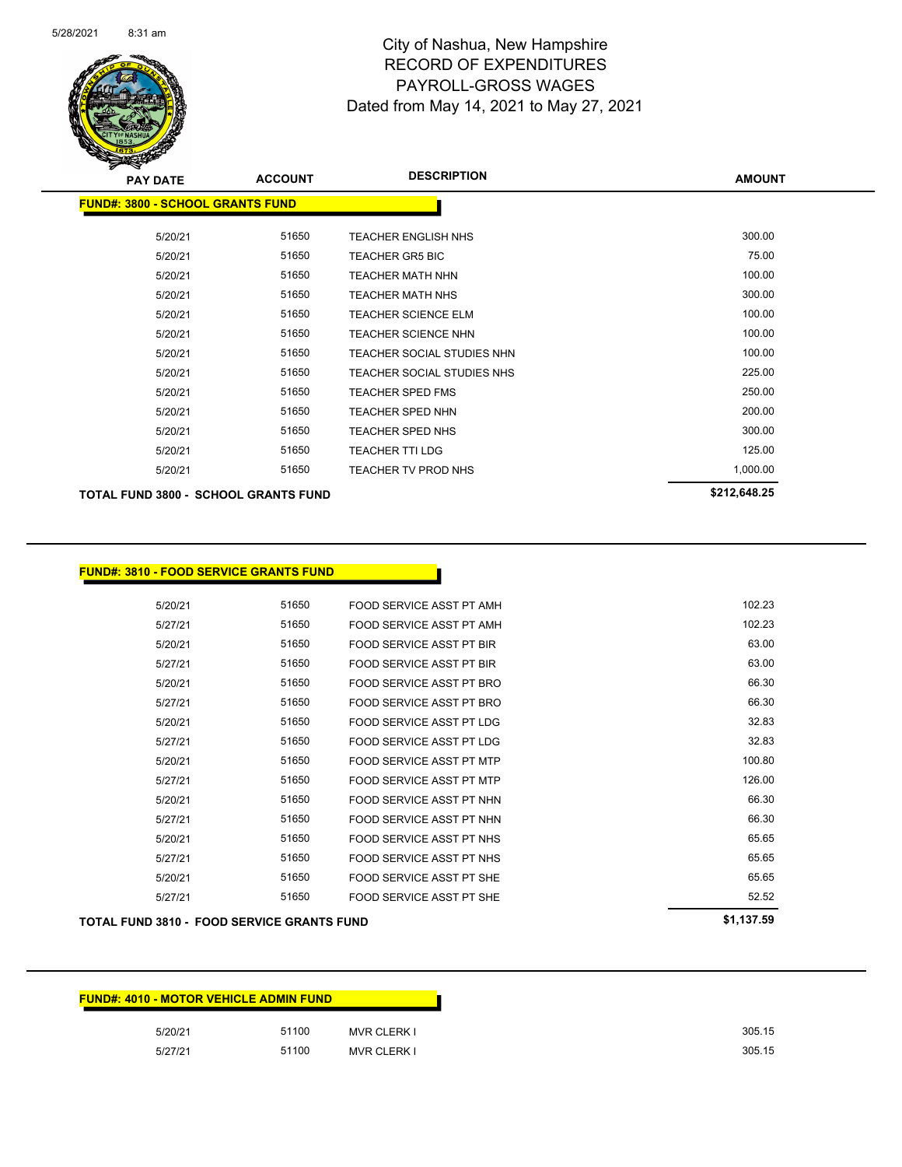

| <b>PAY DATE</b>                           | <b>ACCOUNT</b> | <b>DESCRIPTION</b>         | <b>AMOUNT</b>       |
|-------------------------------------------|----------------|----------------------------|---------------------|
| <b>FUND#: 3800 - SCHOOL GRANTS FUND</b>   |                |                            |                     |
| 5/20/21                                   | 51650          | <b>TEACHER ENGLISH NHS</b> | 300.00              |
| 5/20/21                                   | 51650          | <b>TEACHER GR5 BIC</b>     | 75.00               |
| 5/20/21                                   | 51650          | <b>TEACHER MATH NHN</b>    | 100.00              |
| 5/20/21                                   | 51650          | <b>TEACHER MATH NHS</b>    | 300.00              |
| 5/20/21                                   | 51650          | <b>TEACHER SCIENCE ELM</b> | 100.00              |
| 5/20/21                                   | 51650          | <b>TEACHER SCIENCE NHN</b> | 100.00              |
| 5/20/21                                   | 51650          | TEACHER SOCIAL STUDIES NHN | 100.00              |
| 5/20/21                                   | 51650          | TEACHER SOCIAL STUDIES NHS | 225.00              |
| 5/20/21                                   | 51650          | <b>TEACHER SPED FMS</b>    | 250.00              |
| 5/20/21                                   | 51650          | <b>TEACHER SPED NHN</b>    | 200.00              |
| 5/20/21                                   | 51650          | <b>TEACHER SPED NHS</b>    | 300.00              |
| 5/20/21                                   | 51650          | <b>TEACHER TTI LDG</b>     | 125.00              |
| 5/20/21                                   | 51650          | TEACHER TV PROD NHS        | 1,000.00            |
| <b>TOTAL FUND 2000 COUOOL COANTS FUND</b> |                |                            | <b>\$212 648 25</b> |

**TOTAL FUND 3800 - SCHOOL GRANTS FUND \$212,648.25** 

| 5/20/21 | 51650 | FOOD SERVICE ASST PT AMH        | 102.23 |
|---------|-------|---------------------------------|--------|
| 5/27/21 | 51650 | FOOD SERVICE ASST PT AMH        | 102.23 |
| 5/20/21 | 51650 | <b>FOOD SERVICE ASST PT BIR</b> | 63.00  |
| 5/27/21 | 51650 | <b>FOOD SERVICE ASST PT BIR</b> | 63.00  |
| 5/20/21 | 51650 | FOOD SERVICE ASST PT BRO        | 66.30  |
| 5/27/21 | 51650 | FOOD SERVICE ASST PT BRO        | 66.30  |
| 5/20/21 | 51650 | FOOD SERVICE ASST PT LDG        | 32.83  |
| 5/27/21 | 51650 | FOOD SERVICE ASST PT LDG        | 32.83  |
| 5/20/21 | 51650 | FOOD SERVICE ASST PT MTP        | 100.80 |
| 5/27/21 | 51650 | FOOD SERVICE ASST PT MTP        | 126.00 |
| 5/20/21 | 51650 | FOOD SERVICE ASST PT NHN        | 66.30  |
| 5/27/21 | 51650 | FOOD SERVICE ASST PT NHN        | 66.30  |
| 5/20/21 | 51650 | FOOD SERVICE ASST PT NHS        | 65.65  |
| 5/27/21 | 51650 | FOOD SERVICE ASST PT NHS        | 65.65  |
| 5/20/21 | 51650 | FOOD SERVICE ASST PT SHE        | 65.65  |
| 5/27/21 | 51650 | FOOD SERVICE ASST PT SHE        | 52.52  |

| <b>FUND#: 4010 - MOTOR VEHICLE ADMIN FUND</b> |       |                    |  |
|-----------------------------------------------|-------|--------------------|--|
| 5/20/21                                       | 51100 | <b>MVR CLERK I</b> |  |
| 5/27/21                                       | 51100 | <b>MVR CLERK I</b> |  |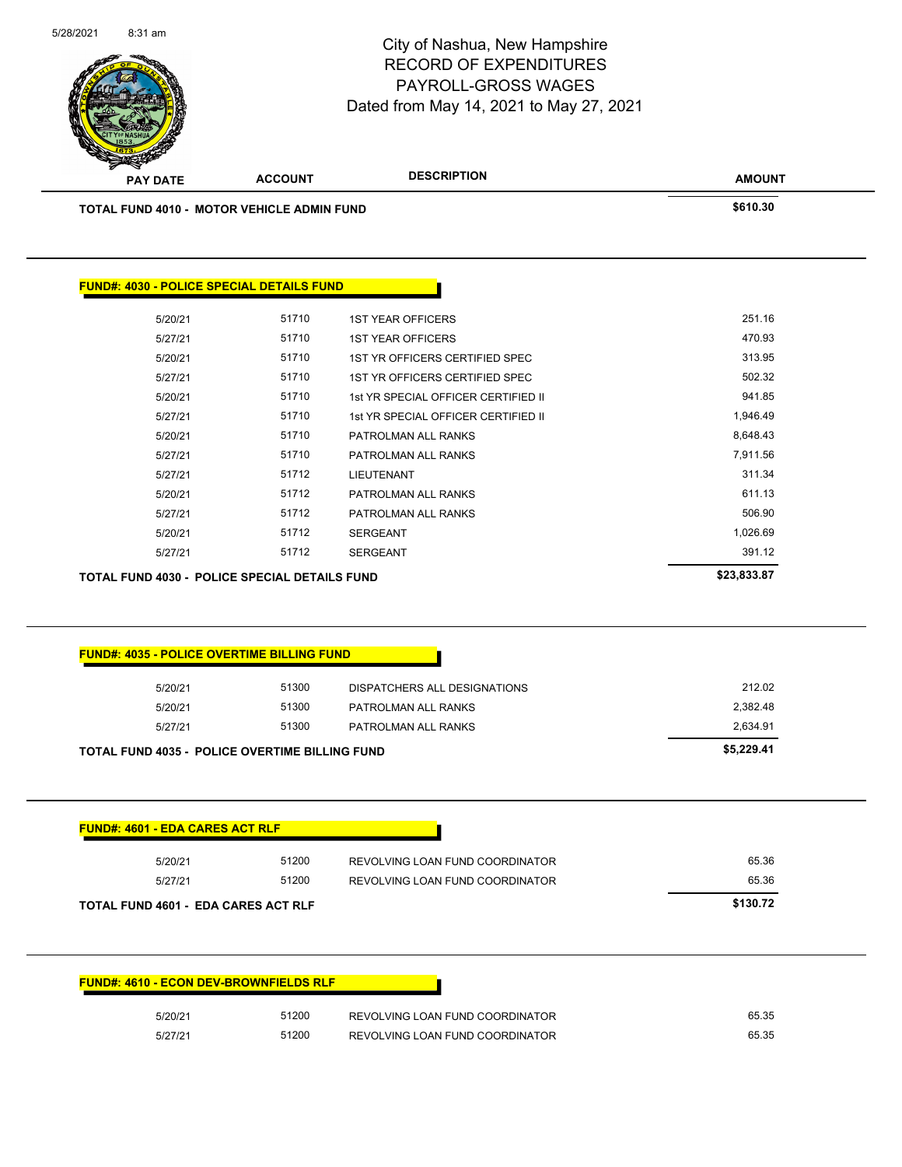|                                        |                                                      | <b>RECORD OF EXPENDITURES</b><br>PAYROLL-GROSS WAGES<br>Dated from May 14, 2021 to May 27, 2021 |               |
|----------------------------------------|------------------------------------------------------|-------------------------------------------------------------------------------------------------|---------------|
| <b>PAY DATE</b>                        | <b>ACCOUNT</b>                                       | <b>DESCRIPTION</b>                                                                              | <b>AMOUNT</b> |
|                                        | <b>TOTAL FUND 4010 - MOTOR VEHICLE ADMIN FUND</b>    |                                                                                                 | \$610.30      |
|                                        | <b>FUND#: 4030 - POLICE SPECIAL DETAILS FUND</b>     |                                                                                                 |               |
| 5/20/21                                | 51710                                                | <b>1ST YEAR OFFICERS</b>                                                                        | 251.16        |
| 5/27/21                                | 51710                                                | <b>1ST YEAR OFFICERS</b>                                                                        | 470.93        |
| 5/20/21                                | 51710                                                | 1ST YR OFFICERS CERTIFIED SPEC                                                                  | 313.95        |
| 5/27/21                                | 51710                                                | 1ST YR OFFICERS CERTIFIED SPEC                                                                  | 502.32        |
| 5/20/21                                | 51710                                                | 1st YR SPECIAL OFFICER CERTIFIED II                                                             | 941.85        |
| 5/27/21                                | 51710                                                | 1st YR SPECIAL OFFICER CERTIFIED II                                                             | 1,946.49      |
| 5/20/21                                | 51710                                                | PATROLMAN ALL RANKS                                                                             | 8,648.43      |
| 5/27/21                                | 51710                                                | PATROLMAN ALL RANKS                                                                             | 7,911.56      |
| 5/27/21                                | 51712                                                | LIEUTENANT                                                                                      | 311.34        |
| 5/20/21                                | 51712                                                | PATROLMAN ALL RANKS                                                                             | 611.13        |
| 5/27/21                                | 51712                                                | PATROLMAN ALL RANKS                                                                             | 506.90        |
| 5/20/21                                | 51712                                                | <b>SERGEANT</b>                                                                                 | 1,026.69      |
| 5/27/21                                | 51712                                                | <b>SERGEANT</b>                                                                                 | 391.12        |
|                                        | <b>TOTAL FUND 4030 - POLICE SPECIAL DETAILS FUND</b> |                                                                                                 | \$23,833.87   |
|                                        | <b>FUND#: 4035 - POLICE OVERTIME BILLING FUND</b>    |                                                                                                 |               |
| 5/20/21                                | 51300                                                | DISPATCHERS ALL DESIGNATIONS                                                                    | 212.02        |
| 5/20/21                                | 51300                                                | PATROLMAN ALL RANKS                                                                             | 2,382.48      |
|                                        |                                                      |                                                                                                 |               |
|                                        | 51300                                                |                                                                                                 | 2,634.91      |
| 5/27/21                                | TOTAL FUND 4035 - POLICE OVERTIME BILLING FUND       | PATROLMAN ALL RANKS                                                                             | \$5,229.41    |
|                                        |                                                      |                                                                                                 |               |
| <b>FUND#: 4601 - EDA CARES ACT RLF</b> |                                                      |                                                                                                 |               |
| 5/20/21                                | 51200                                                | REVOLVING LOAN FUND COORDINATOR                                                                 | 65.36         |
| 5/27/21                                | 51200                                                | REVOLVING LOAN FUND COORDINATOR                                                                 | 65.36         |
|                                        |                                                      |                                                                                                 | \$130.72      |
|                                        | <b>TOTAL FUND 4601 - EDA CARES ACT RLF</b>           |                                                                                                 |               |
|                                        | <b>FUND#: 4610 - ECON DEV-BROWNFIELDS RLF</b>        |                                                                                                 |               |
| 5/20/21                                | 51200                                                | REVOLVING LOAN FUND COORDINATOR                                                                 | 65.35         |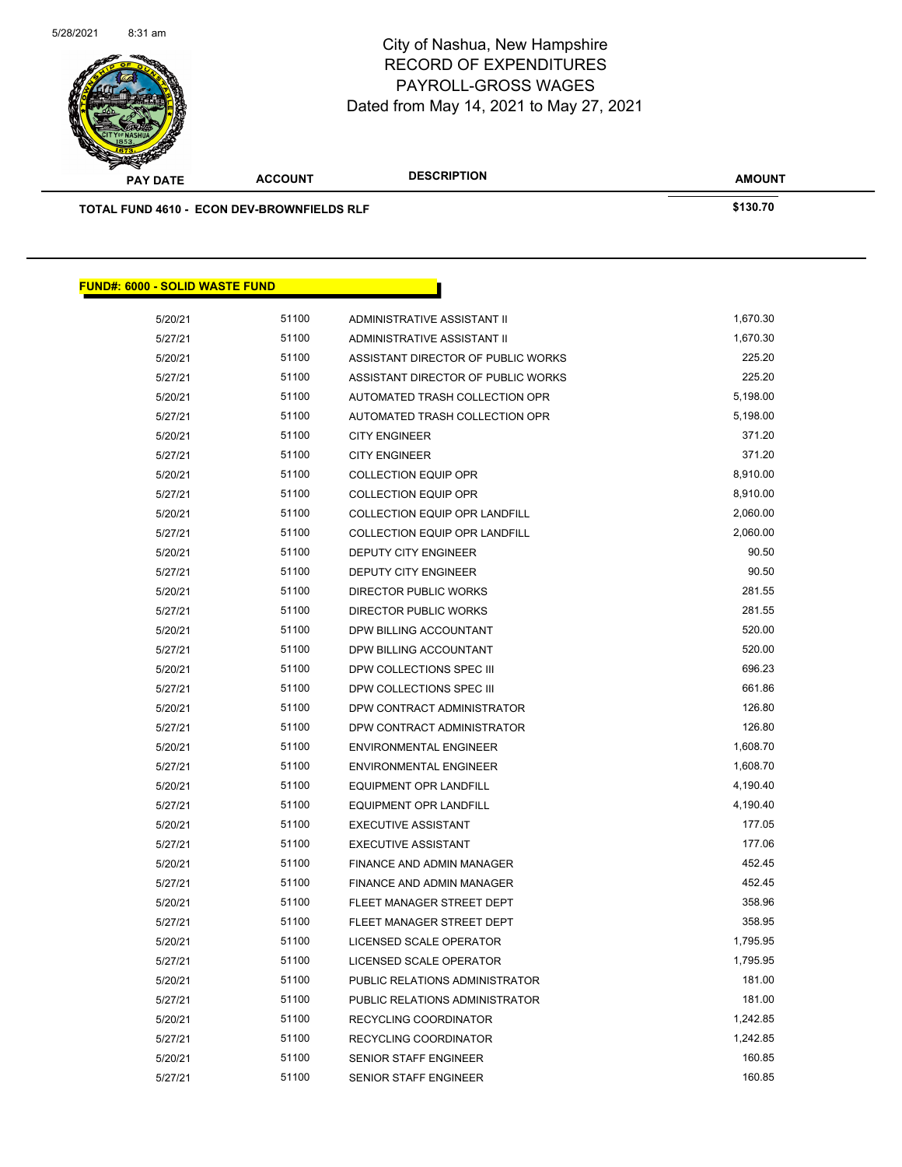

| <b>PAY DATE</b>                            | <b>ACCOUNT</b> | <b>DESCRIPTION</b>                   | <b>AMOUNT</b> |
|--------------------------------------------|----------------|--------------------------------------|---------------|
| TOTAL FUND 4610 - ECON DEV-BROWNFIELDS RLF | \$130.70       |                                      |               |
|                                            |                |                                      |               |
|                                            |                |                                      |               |
|                                            |                |                                      |               |
| <b>FUND#: 6000 - SOLID WASTE FUND</b>      |                |                                      |               |
| 5/20/21                                    | 51100          | ADMINISTRATIVE ASSISTANT II          | 1,670.30      |
| 5/27/21                                    | 51100          | ADMINISTRATIVE ASSISTANT II          | 1,670.30      |
| 5/20/21                                    | 51100          | ASSISTANT DIRECTOR OF PUBLIC WORKS   | 225.20        |
| 5/27/21                                    | 51100          | ASSISTANT DIRECTOR OF PUBLIC WORKS   | 225.20        |
| 5/20/21                                    | 51100          | AUTOMATED TRASH COLLECTION OPR       | 5,198.00      |
| 5/27/21                                    | 51100          | AUTOMATED TRASH COLLECTION OPR       | 5,198.00      |
| 5/20/21                                    | 51100          | <b>CITY ENGINEER</b>                 | 371.20        |
| 5/27/21                                    | 51100          | <b>CITY ENGINEER</b>                 | 371.20        |
| 5/20/21                                    | 51100          | <b>COLLECTION EQUIP OPR</b>          | 8,910.00      |
| 5/27/21                                    | 51100          | <b>COLLECTION EQUIP OPR</b>          | 8,910.00      |
| 5/20/21                                    | 51100          | COLLECTION EQUIP OPR LANDFILL        | 2,060.00      |
| 5/27/21                                    | 51100          | <b>COLLECTION EQUIP OPR LANDFILL</b> | 2,060.00      |
| 5/20/21                                    | 51100          | <b>DEPUTY CITY ENGINEER</b>          | 90.50         |
| 5/27/21                                    | 51100          | DEPUTY CITY ENGINEER                 | 90.50         |
| 5/20/21                                    | 51100          | <b>DIRECTOR PUBLIC WORKS</b>         | 281.55        |
| 5/27/21                                    | 51100          | DIRECTOR PUBLIC WORKS                | 281.55        |
| 5/20/21                                    | 51100          | DPW BILLING ACCOUNTANT               | 520.00        |
| 5/27/21                                    | 51100          | DPW BILLING ACCOUNTANT               | 520.00        |
| 5/20/21                                    | 51100          | DPW COLLECTIONS SPEC III             | 696.23        |
| 5/27/21                                    | 51100          | DPW COLLECTIONS SPEC III             | 661.86        |
| 5/20/21                                    | 51100          | DPW CONTRACT ADMINISTRATOR           | 126.80        |
| 5/27/21                                    | 51100          | DPW CONTRACT ADMINISTRATOR           | 126.80        |
| 5/20/21                                    | 51100          | <b>ENVIRONMENTAL ENGINEER</b>        | 1,608.70      |
| 5/27/21                                    | 51100          | <b>ENVIRONMENTAL ENGINEER</b>        | 1,608.70      |
| 5/20/21                                    | 51100          | EQUIPMENT OPR LANDFILL               | 4,190.40      |
| 5/27/21                                    | 51100          | EQUIPMENT OPR LANDFILL               | 4,190.40      |
| 5/20/21                                    | 51100          | <b>EXECUTIVE ASSISTANT</b>           | 177.05        |
| 5/27/21                                    | 51100          | <b>EXECUTIVE ASSISTANT</b>           | 177.06        |
| 5/20/21                                    | 51100          | FINANCE AND ADMIN MANAGER            | 452.45        |
| 5/27/21                                    | 51100          | FINANCE AND ADMIN MANAGER            | 452.45        |
| 5/20/21                                    | 51100          | FLEET MANAGER STREET DEPT            | 358.96        |
| 5/27/21                                    | 51100          | FLEET MANAGER STREET DEPT            | 358.95        |
| 5/20/21                                    | 51100          | LICENSED SCALE OPERATOR              | 1,795.95      |
| 5/27/21                                    | 51100          | LICENSED SCALE OPERATOR              | 1,795.95      |
| 5/20/21                                    | 51100          | PUBLIC RELATIONS ADMINISTRATOR       | 181.00        |
| 5/27/21                                    | 51100          | PUBLIC RELATIONS ADMINISTRATOR       | 181.00        |
| 5/20/21                                    | 51100          | RECYCLING COORDINATOR                | 1,242.85      |
| 5/27/21                                    | 51100          | RECYCLING COORDINATOR                | 1,242.85      |
|                                            |                |                                      |               |

5/20/21 51100 SENIOR STAFF ENGINEER 160.85 5/27/21 51100 SENIOR STAFF ENGINEER 160.85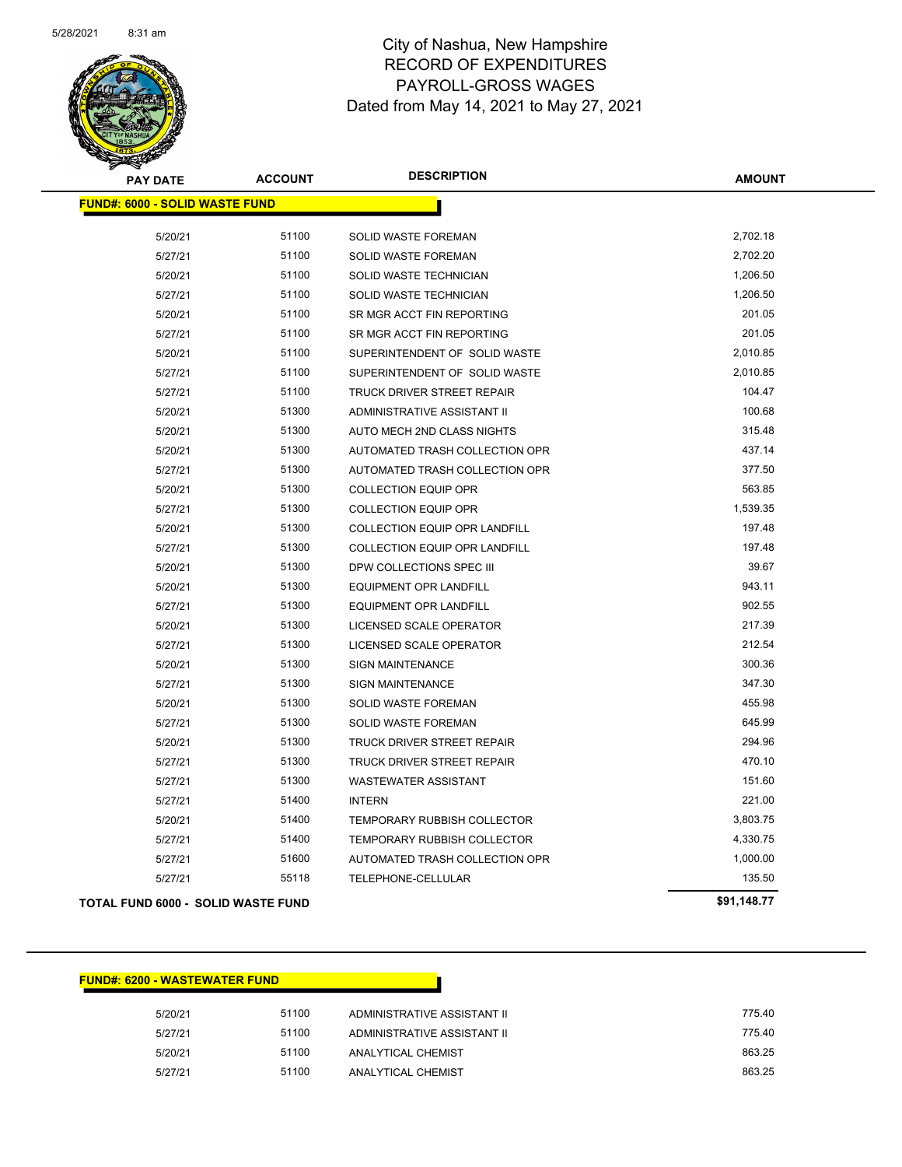

| <b>PAY DATE</b>                           | <b>ACCOUNT</b> | <b>DESCRIPTION</b>                   | <b>AMOUNT</b> |
|-------------------------------------------|----------------|--------------------------------------|---------------|
| <b>FUND#: 6000 - SOLID WASTE FUND</b>     |                |                                      |               |
| 5/20/21                                   | 51100          | <b>SOLID WASTE FOREMAN</b>           | 2,702.18      |
| 5/27/21                                   | 51100          | SOLID WASTE FOREMAN                  | 2,702.20      |
| 5/20/21                                   | 51100          | SOLID WASTE TECHNICIAN               | 1,206.50      |
| 5/27/21                                   | 51100          | SOLID WASTE TECHNICIAN               | 1,206.50      |
| 5/20/21                                   | 51100          | SR MGR ACCT FIN REPORTING            | 201.05        |
| 5/27/21                                   | 51100          | SR MGR ACCT FIN REPORTING            | 201.05        |
| 5/20/21                                   | 51100          | SUPERINTENDENT OF SOLID WASTE        | 2,010.85      |
| 5/27/21                                   | 51100          | SUPERINTENDENT OF SOLID WASTE        | 2,010.85      |
| 5/27/21                                   | 51100          | TRUCK DRIVER STREET REPAIR           | 104.47        |
| 5/20/21                                   | 51300          | ADMINISTRATIVE ASSISTANT II          | 100.68        |
| 5/20/21                                   | 51300          | AUTO MECH 2ND CLASS NIGHTS           | 315.48        |
| 5/20/21                                   | 51300          | AUTOMATED TRASH COLLECTION OPR       | 437.14        |
| 5/27/21                                   | 51300          | AUTOMATED TRASH COLLECTION OPR       | 377.50        |
| 5/20/21                                   | 51300          | <b>COLLECTION EQUIP OPR</b>          | 563.85        |
| 5/27/21                                   | 51300          | <b>COLLECTION EQUIP OPR</b>          | 1,539.35      |
| 5/20/21                                   | 51300          | <b>COLLECTION EQUIP OPR LANDFILL</b> | 197.48        |
| 5/27/21                                   | 51300          | <b>COLLECTION EQUIP OPR LANDFILL</b> | 197.48        |
| 5/20/21                                   | 51300          | DPW COLLECTIONS SPEC III             | 39.67         |
| 5/20/21                                   | 51300          | <b>EQUIPMENT OPR LANDFILL</b>        | 943.11        |
| 5/27/21                                   | 51300          | EQUIPMENT OPR LANDFILL               | 902.55        |
| 5/20/21                                   | 51300          | LICENSED SCALE OPERATOR              | 217.39        |
| 5/27/21                                   | 51300          | LICENSED SCALE OPERATOR              | 212.54        |
| 5/20/21                                   | 51300          | <b>SIGN MAINTENANCE</b>              | 300.36        |
| 5/27/21                                   | 51300          | <b>SIGN MAINTENANCE</b>              | 347.30        |
| 5/20/21                                   | 51300          | SOLID WASTE FOREMAN                  | 455.98        |
| 5/27/21                                   | 51300          | SOLID WASTE FOREMAN                  | 645.99        |
| 5/20/21                                   | 51300          | TRUCK DRIVER STREET REPAIR           | 294.96        |
| 5/27/21                                   | 51300          | TRUCK DRIVER STREET REPAIR           | 470.10        |
| 5/27/21                                   | 51300          | <b>WASTEWATER ASSISTANT</b>          | 151.60        |
| 5/27/21                                   | 51400          | <b>INTERN</b>                        | 221.00        |
| 5/20/21                                   | 51400          | TEMPORARY RUBBISH COLLECTOR          | 3,803.75      |
| 5/27/21                                   | 51400          | TEMPORARY RUBBISH COLLECTOR          | 4,330.75      |
| 5/27/21                                   | 51600          | AUTOMATED TRASH COLLECTION OPR       | 1,000.00      |
| 5/27/21                                   | 55118          | TELEPHONE-CELLULAR                   | 135.50        |
| <b>TOTAL FUND 6000 - SOLID WASTE FUND</b> |                |                                      | \$91,148.77   |

#### **FUND#: 6200 - WASTEWATER FUND**

| 775.40                                                     |
|------------------------------------------------------------|
| 775.40                                                     |
| 863.25                                                     |
| 863.25                                                     |
| ADMINISTRATIVE ASSISTANT II<br>ADMINISTRATIVE ASSISTANT II |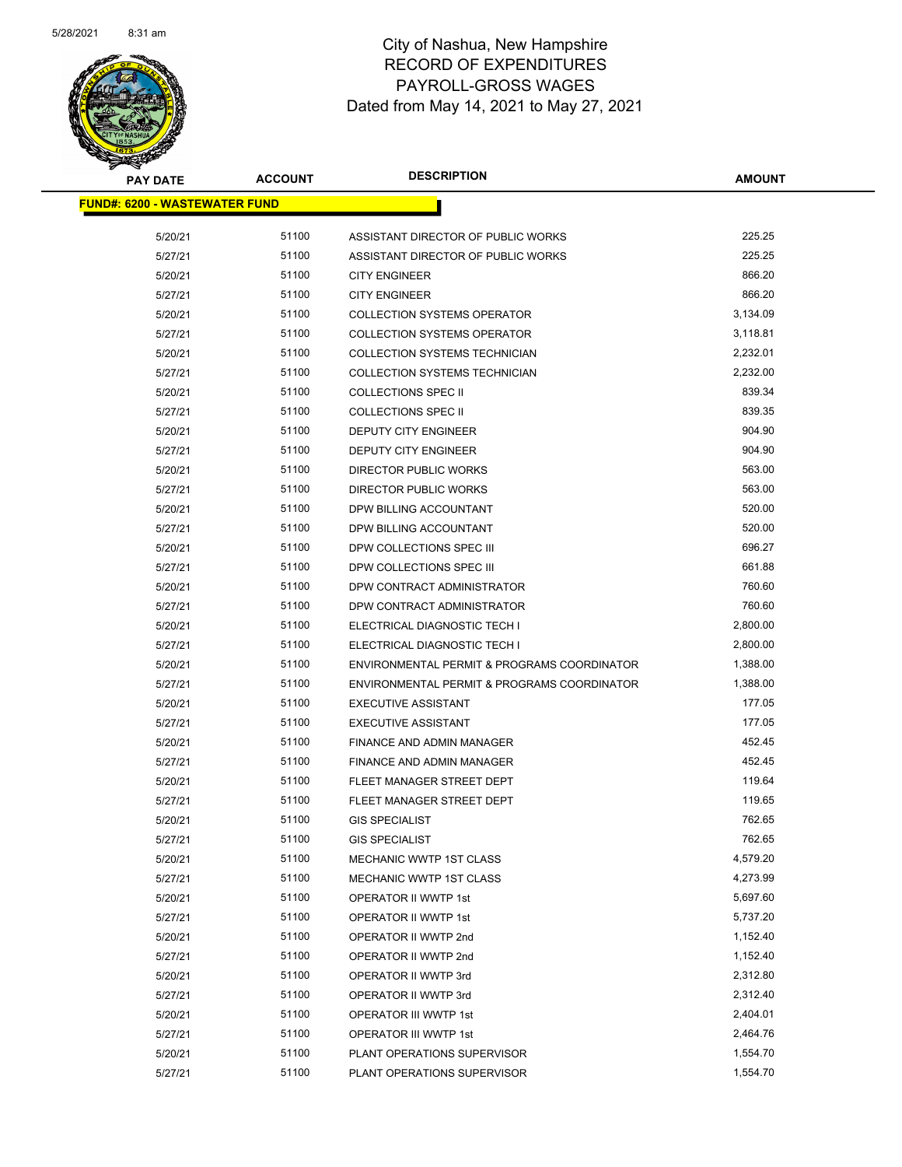

| <b>PAY DATE</b>                       | <b>ACCOUNT</b> | <b>DESCRIPTION</b>                          | <b>AMOUNT</b> |  |
|---------------------------------------|----------------|---------------------------------------------|---------------|--|
| <u> FUND#: 6200 - WASTEWATER FUND</u> |                |                                             |               |  |
| 5/20/21                               | 51100          | ASSISTANT DIRECTOR OF PUBLIC WORKS          | 225.25        |  |
| 5/27/21                               | 51100          | ASSISTANT DIRECTOR OF PUBLIC WORKS          | 225.25        |  |
| 5/20/21                               | 51100          | <b>CITY ENGINEER</b>                        | 866.20        |  |
| 5/27/21                               | 51100          | <b>CITY ENGINEER</b>                        | 866.20        |  |
| 5/20/21                               | 51100          | <b>COLLECTION SYSTEMS OPERATOR</b>          | 3,134.09      |  |
| 5/27/21                               | 51100          | <b>COLLECTION SYSTEMS OPERATOR</b>          | 3,118.81      |  |
| 5/20/21                               | 51100          | <b>COLLECTION SYSTEMS TECHNICIAN</b>        | 2,232.01      |  |
| 5/27/21                               | 51100          | COLLECTION SYSTEMS TECHNICIAN               | 2,232.00      |  |
| 5/20/21                               | 51100          | <b>COLLECTIONS SPEC II</b>                  | 839.34        |  |
| 5/27/21                               | 51100          | <b>COLLECTIONS SPEC II</b>                  | 839.35        |  |
| 5/20/21                               | 51100          | DEPUTY CITY ENGINEER                        | 904.90        |  |
| 5/27/21                               | 51100          | DEPUTY CITY ENGINEER                        | 904.90        |  |
| 5/20/21                               | 51100          | <b>DIRECTOR PUBLIC WORKS</b>                | 563.00        |  |
| 5/27/21                               | 51100          | DIRECTOR PUBLIC WORKS                       | 563.00        |  |
| 5/20/21                               | 51100          | DPW BILLING ACCOUNTANT                      | 520.00        |  |
| 5/27/21                               | 51100          | DPW BILLING ACCOUNTANT                      | 520.00        |  |
| 5/20/21                               | 51100          | DPW COLLECTIONS SPEC III                    | 696.27        |  |
| 5/27/21                               | 51100          | DPW COLLECTIONS SPEC III                    | 661.88        |  |
| 5/20/21                               | 51100          | DPW CONTRACT ADMINISTRATOR                  | 760.60        |  |
| 5/27/21                               | 51100          | DPW CONTRACT ADMINISTRATOR                  | 760.60        |  |
| 5/20/21                               | 51100          | ELECTRICAL DIAGNOSTIC TECH I                | 2,800.00      |  |
| 5/27/21                               | 51100          | ELECTRICAL DIAGNOSTIC TECH I                | 2,800.00      |  |
| 5/20/21                               | 51100          | ENVIRONMENTAL PERMIT & PROGRAMS COORDINATOR | 1,388.00      |  |
| 5/27/21                               | 51100          | ENVIRONMENTAL PERMIT & PROGRAMS COORDINATOR | 1,388.00      |  |
| 5/20/21                               | 51100          | <b>EXECUTIVE ASSISTANT</b>                  | 177.05        |  |
| 5/27/21                               | 51100          | <b>EXECUTIVE ASSISTANT</b>                  | 177.05        |  |
| 5/20/21                               | 51100          | FINANCE AND ADMIN MANAGER                   | 452.45        |  |
| 5/27/21                               | 51100          | FINANCE AND ADMIN MANAGER                   | 452.45        |  |
| 5/20/21                               | 51100          | FLEET MANAGER STREET DEPT                   | 119.64        |  |
| 5/27/21                               | 51100          | FLEET MANAGER STREET DEPT                   | 119.65        |  |
| 5/20/21                               | 51100          | <b>GIS SPECIALIST</b>                       | 762.65        |  |
| 5/27/21                               | 51100          | <b>GIS SPECIALIST</b>                       | 762.65        |  |
| 5/20/21                               | 51100          | MECHANIC WWTP 1ST CLASS                     | 4,579.20      |  |
| 5/27/21                               | 51100          | MECHANIC WWTP 1ST CLASS                     | 4,273.99      |  |
| 5/20/21                               | 51100          | OPERATOR II WWTP 1st                        | 5,697.60      |  |
| 5/27/21                               | 51100          | OPERATOR II WWTP 1st                        | 5,737.20      |  |
| 5/20/21                               | 51100          | OPERATOR II WWTP 2nd                        | 1,152.40      |  |
| 5/27/21                               | 51100          | OPERATOR II WWTP 2nd                        | 1,152.40      |  |
| 5/20/21                               | 51100          | OPERATOR II WWTP 3rd                        | 2,312.80      |  |
| 5/27/21                               | 51100          | OPERATOR II WWTP 3rd                        | 2,312.40      |  |
| 5/20/21                               | 51100          | OPERATOR III WWTP 1st                       | 2,404.01      |  |
| 5/27/21                               | 51100          | OPERATOR III WWTP 1st                       | 2,464.76      |  |
| 5/20/21                               | 51100          | PLANT OPERATIONS SUPERVISOR                 | 1,554.70      |  |
| 5/27/21                               | 51100          | PLANT OPERATIONS SUPERVISOR                 | 1,554.70      |  |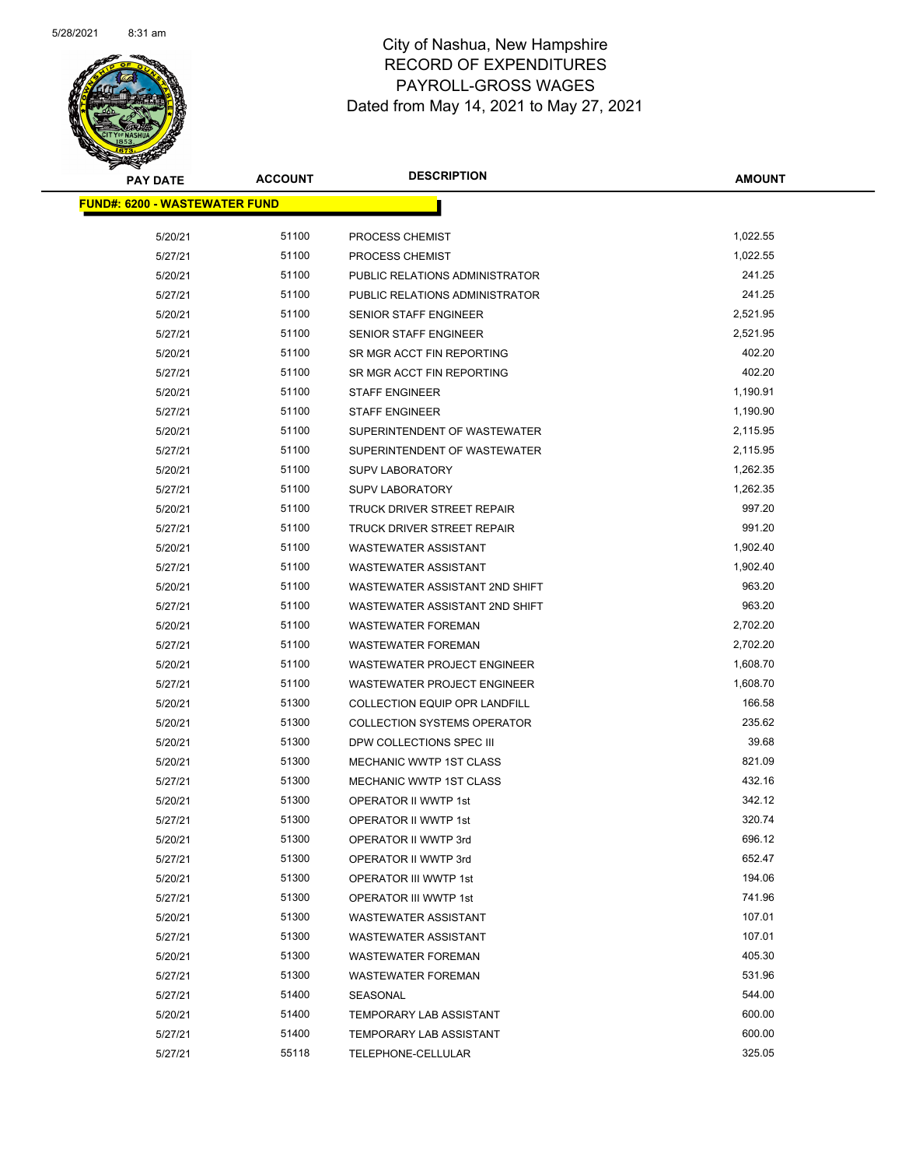

| <b>PAY DATE</b>                       | <b>ACCOUNT</b> | <b>DESCRIPTION</b>                   | <b>AMOUNT</b> |
|---------------------------------------|----------------|--------------------------------------|---------------|
| <u> FUND#: 6200 - WASTEWATER FUND</u> |                |                                      |               |
| 5/20/21                               | 51100          | PROCESS CHEMIST                      | 1,022.55      |
| 5/27/21                               | 51100          | PROCESS CHEMIST                      | 1,022.55      |
| 5/20/21                               | 51100          | PUBLIC RELATIONS ADMINISTRATOR       | 241.25        |
| 5/27/21                               | 51100          | PUBLIC RELATIONS ADMINISTRATOR       | 241.25        |
| 5/20/21                               | 51100          | SENIOR STAFF ENGINEER                | 2,521.95      |
| 5/27/21                               | 51100          | SENIOR STAFF ENGINEER                | 2,521.95      |
| 5/20/21                               | 51100          | SR MGR ACCT FIN REPORTING            | 402.20        |
| 5/27/21                               | 51100          | SR MGR ACCT FIN REPORTING            | 402.20        |
| 5/20/21                               | 51100          | <b>STAFF ENGINEER</b>                | 1,190.91      |
| 5/27/21                               | 51100          | <b>STAFF ENGINEER</b>                | 1,190.90      |
| 5/20/21                               | 51100          | SUPERINTENDENT OF WASTEWATER         | 2,115.95      |
| 5/27/21                               | 51100          | SUPERINTENDENT OF WASTEWATER         | 2,115.95      |
| 5/20/21                               | 51100          | <b>SUPV LABORATORY</b>               | 1,262.35      |
| 5/27/21                               | 51100          | <b>SUPV LABORATORY</b>               | 1,262.35      |
| 5/20/21                               | 51100          | TRUCK DRIVER STREET REPAIR           | 997.20        |
| 5/27/21                               | 51100          | TRUCK DRIVER STREET REPAIR           | 991.20        |
| 5/20/21                               | 51100          | <b>WASTEWATER ASSISTANT</b>          | 1,902.40      |
| 5/27/21                               | 51100          | <b>WASTEWATER ASSISTANT</b>          | 1,902.40      |
| 5/20/21                               | 51100          | WASTEWATER ASSISTANT 2ND SHIFT       | 963.20        |
| 5/27/21                               | 51100          | WASTEWATER ASSISTANT 2ND SHIFT       | 963.20        |
| 5/20/21                               | 51100          | <b>WASTEWATER FOREMAN</b>            | 2,702.20      |
| 5/27/21                               | 51100          | <b>WASTEWATER FOREMAN</b>            | 2,702.20      |
| 5/20/21                               | 51100          | <b>WASTEWATER PROJECT ENGINEER</b>   | 1,608.70      |
| 5/27/21                               | 51100          | WASTEWATER PROJECT ENGINEER          | 1,608.70      |
| 5/20/21                               | 51300          | <b>COLLECTION EQUIP OPR LANDFILL</b> | 166.58        |
| 5/20/21                               | 51300          | <b>COLLECTION SYSTEMS OPERATOR</b>   | 235.62        |
| 5/20/21                               | 51300          | DPW COLLECTIONS SPEC III             | 39.68         |
| 5/20/21                               | 51300          | <b>MECHANIC WWTP 1ST CLASS</b>       | 821.09        |
| 5/27/21                               | 51300          | MECHANIC WWTP 1ST CLASS              | 432.16        |
| 5/20/21                               | 51300          | <b>OPERATOR II WWTP 1st</b>          | 342.12        |
| 5/27/21                               | 51300          | OPERATOR II WWTP 1st                 | 320.74        |
| 5/20/21                               | 51300          | OPERATOR II WWTP 3rd                 | 696.12        |
| 5/27/21                               | 51300          | OPERATOR II WWTP 3rd                 | 652.47        |
| 5/20/21                               | 51300          | OPERATOR III WWTP 1st                | 194.06        |
| 5/27/21                               | 51300          | OPERATOR III WWTP 1st                | 741.96        |
| 5/20/21                               | 51300          | <b>WASTEWATER ASSISTANT</b>          | 107.01        |
| 5/27/21                               | 51300          | <b>WASTEWATER ASSISTANT</b>          | 107.01        |
| 5/20/21                               | 51300          | <b>WASTEWATER FOREMAN</b>            | 405.30        |
| 5/27/21                               | 51300          | <b>WASTEWATER FOREMAN</b>            | 531.96        |
| 5/27/21                               | 51400          | SEASONAL                             | 544.00        |
| 5/20/21                               | 51400          | TEMPORARY LAB ASSISTANT              | 600.00        |
| 5/27/21                               | 51400          | TEMPORARY LAB ASSISTANT              | 600.00        |
| 5/27/21                               | 55118          | TELEPHONE-CELLULAR                   | 325.05        |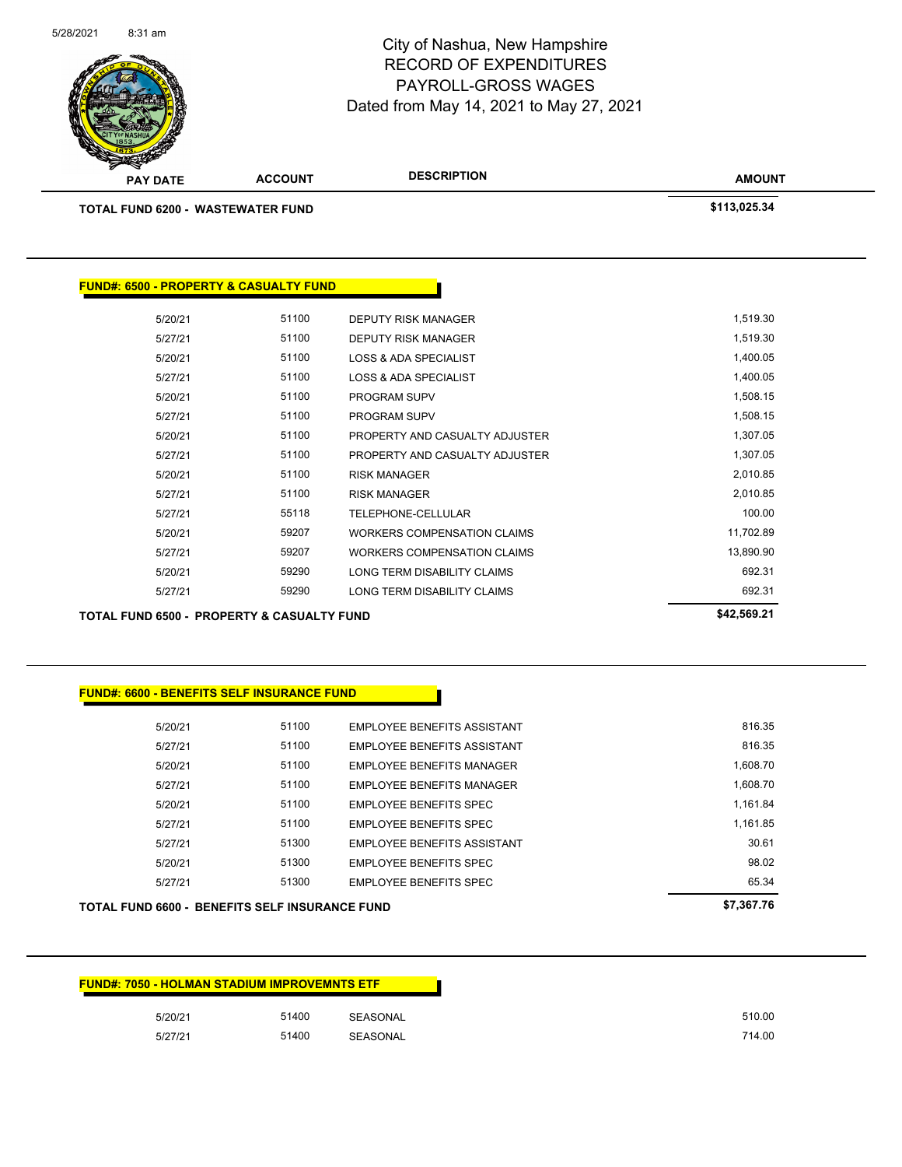| <b>FUND#: 7050 - HOLMAN STADIUM IMPROVEMNTS ETF</b> |       |                 |
|-----------------------------------------------------|-------|-----------------|
| 5/20/21                                             | 51400 | SEASONAL        |
| 5/27/21                                             | 51400 | <b>SEASONAL</b> |

|         |       |                                    | \$7,367.76                                      |
|---------|-------|------------------------------------|-------------------------------------------------|
| 5/27/21 | 51300 | <b>EMPLOYEE BENEFITS SPEC</b>      | 65.34                                           |
| 5/20/21 | 51300 | <b>EMPLOYEE BENEFITS SPEC</b>      | 98.02                                           |
| 5/27/21 | 51300 | EMPLOYEE BENEFITS ASSISTANT        | 30.61                                           |
| 5/27/21 | 51100 | <b>EMPLOYEE BENEFITS SPEC</b>      | 1.161.85                                        |
| 5/20/21 | 51100 | <b>EMPLOYEE BENEFITS SPEC</b>      | 1.161.84                                        |
| 5/27/21 | 51100 | <b>EMPLOYEE BENEFITS MANAGER</b>   | 1.608.70                                        |
| 5/20/21 | 51100 | EMPLOYEE BENEFITS MANAGER          | 1.608.70                                        |
| 5/27/21 | 51100 | <b>EMPLOYEE BENEFITS ASSISTANT</b> | 816.35                                          |
| 5/20/21 | 51100 | <b>EMPLOYEE BENEFITS ASSISTANT</b> | 816.35                                          |
|         |       |                                    | TOTAL FUND 6600 -  BENEFITS SELF INSURANCE FUND |

| <u> IIND#' 6600 - BENEFITS SELE INSURANCE FUND</u> |  |
|----------------------------------------------------|--|

| TOTAL FUND 6500 -  PROPERTY & CASUALTY FUND |       |                                    | \$42,569.21 |
|---------------------------------------------|-------|------------------------------------|-------------|
|                                             |       |                                    |             |
| FUND#: 6600 - BENEFITS SELF INSURANCE FUND. |       |                                    |             |
| 5/20/21                                     | 51100 | <b>EMPLOYEE BENEFITS ASSISTANT</b> | 816.35      |
| 5/27/21                                     | 51100 | <b>EMPLOYEE BENEFITS ASSISTANT</b> | 816.35      |
| 5/20/21                                     | 51100 | EMPLOYEE BENEFITS MANAGER          | 1,608.70    |
| 5/27/21                                     | 51100 | EMPLOYEE BENEFITS MANAGER          | 1,608.70    |

| ND 6500 -  PROPERTY & CASUALTY FUND |       |                                | \$42,569.21 |
|-------------------------------------|-------|--------------------------------|-------------|
| 5/27/21                             | 59290 | LONG TERM DISABILITY CLAIMS    | 692.31      |
| 5/20/21                             | 59290 | LONG TERM DISABILITY CLAIMS    | 692.31      |
| 5/27/21                             | 59207 | WORKERS COMPENSATION CLAIMS    | 13,890.90   |
| 5/20/21                             | 59207 | WORKERS COMPENSATION CLAIMS    | 11,702.89   |
| 5/27/21                             | 55118 | TELEPHONE-CELLULAR             | 100.00      |
| 5/27/21                             | 51100 | <b>RISK MANAGER</b>            | 2,010.85    |
| 5/20/21                             | 51100 | <b>RISK MANAGER</b>            | 2,010.85    |
| 5/27/21                             | 51100 | PROPERTY AND CASUALTY ADJUSTER | 1,307.05    |
| 5/20/21                             | 51100 | PROPERTY AND CASUALTY ADJUSTER | 1,307.05    |
| 5/27/21                             | 51100 | PROGRAM SUPV                   | 1,508.15    |
| 5/20/21                             | 51100 | PROGRAM SUPV                   | 1.508.15    |
| 5/27/21                             | 51100 | LOSS & ADA SPECIALIST          | 1,400.05    |

**TOTAL FUND 6200 - WASTEWATER FUND \$113,025.34** 

5/20/21 51100 DEPUTY RISK MANAGER 1,519.30 5/27/21 51100 DEPUTY RISK MANAGER 1,519.30 5/20/21 51100 LOSS & ADA SPECIALIST 1,400.05

**FUND#: 6500 - PROPERTY & CASUALTY FUND**

# **PAY DATE ACCOUNT DESCRIPTION**

5/28/2021 8:31 am

#### City of Nashua, New Hampshire RECORD OF EXPENDITURES PAYROLL-GROSS WAGES Dated from May 14, 2021 to May 27, 2021

Page 101 of 102

**AMOUNT**